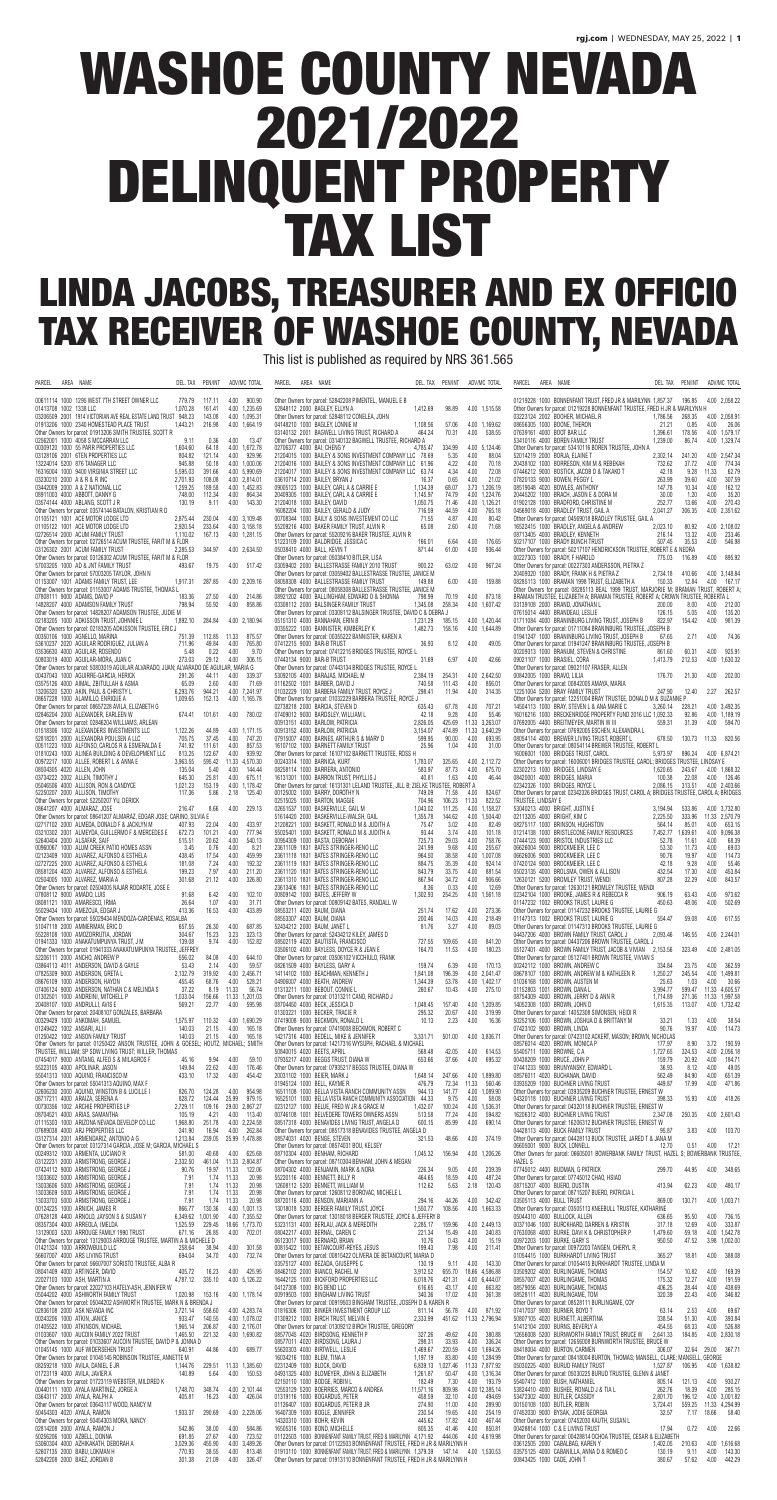# WASHOE COUNTY NEVADA 2021/2022 DELINQUENT PROPERTY TAX LIST

## LINDA JACOBS, TREASURER AND EX OFFICIO TAX RECEIVER OF WASHOE COUNTY, NEVADA

This list is published as required by NRS 361.565

| PARCEL<br>area<br>NAME<br>DEL. TAX<br>PEN/INT<br>ADV/MC TOTAL                                                                                                                                                                                | PARCEL<br>DEL. TAX<br>ADV/MC TOTAL<br>AREA NAME<br>PEN/INT                                                                                                                                                                         | PARCEL<br>AREA NAME<br>DEL. TAX<br>PEN/INT<br>ADV/MC TOTAL                                                                                                                                                                                |
|----------------------------------------------------------------------------------------------------------------------------------------------------------------------------------------------------------------------------------------------|------------------------------------------------------------------------------------------------------------------------------------------------------------------------------------------------------------------------------------|-------------------------------------------------------------------------------------------------------------------------------------------------------------------------------------------------------------------------------------------|
| 00611114 1000 1295 WEST 7TH STREET OWNER LLC<br>779.79<br>4.00<br>900.90<br>117.11<br>01413708 1002 1338 LLC<br>1.070.28<br>161.41<br>4.00 1,235.69                                                                                          | Other Owners for parcel: 52842208 PIMENTEL, MANUEL E B<br>52848112 2000 BAGLEY, ELLYN A<br>1,412.69<br>98.89<br>4.00 1.515.58                                                                                                      | 01219228 1000 BONNENFANT TRUST, FRED JR & MARILYNN 1,857.37 196.85<br>4.00 2.058.22<br>Other Owners for parcel: 01219228 BONNENFANT TRUSTEE, FRED H JR & MARILYNN H                                                                       |
| 03206509 2001 1914 VICTORIAN AVE REAL ESTATE LAND TRUST 948.23<br>4.00 1,095.31<br>143.08<br>4.00 1,664.19<br>01913206 1000 2340 HOMESTEAD PLACE TRUST<br>1,443.21<br>216.98                                                                 | Other Owners for parcel: 52848112 CONELEA, JOHN<br>04148210 1000 BAGLEY, LONNIE M<br>4.00 1,169.62<br>1,108.56<br>57.06                                                                                                            | 03223124 2002 BOOHER, MICHAEL R<br>268.35<br>4.00 2,058.91<br>1,786.56<br>08656305 1000 BOONE, THERON<br>21.21<br>0.85<br>4.00<br>26.06                                                                                                   |
| Other Owners for parcel: 01913206 SMITH TRUSTEE, SCOTT R<br>02562001 1000 4058 S MCCARRAN LLC<br>4.00<br>0.36<br>13.47<br>9.11                                                                                                               | 464.24<br>70.31<br>4.00<br>538.55<br>03140132 2001 BAGWELL LIVING TRUST, RICHARD A<br>Other Owners for parcel: 03140132 BAGWELL TRUSTEE, RICHARD A                                                                                 | 07639161 4000 BOOT BAR LLC<br>1.396.61<br>178.56<br>4.00 1.579.17<br>1.239.00<br>86.74<br>4.00 1,329.74<br>53410116 4000 BOREN FAMILY TRUST                                                                                               |
| 4.00 1,672.78<br>00309120 1000 55 PARR PROPERTIES LLC<br>1,604.60<br>64.18<br>03128106 2001 6TEN PROPERTIES LLC<br>804.82<br>4.00<br>929.96<br>121.14                                                                                        | 02706377 4000 BAI, CHENG Y<br>4,785.47<br>4.00 5.124.46<br>334.99<br>21204015 1000 BAILEY & SONS INVESTMENT COMPANY LLC 78.69<br>4.00<br>88.04<br>5.35                                                                             | Other Owners for parcel: 53410116 BOREN TRUSTEE, JOHN A<br>52014219 2000 BORJA, ELAINE T<br>2,302.14<br>4.00 2,547.34<br>241.20                                                                                                           |
| 945.88<br>4.00 1,000.06<br>13224014 5200 876 TANAGER LLC<br>50.18<br>4.00 5,990.69<br>16316004 1000 9400 VIRGINIA STREET LLC<br>5,595.03<br>391.66                                                                                           | 4.22<br>4.00<br>70.18<br>21204016 1000 BAILEY & SONS INVESTMENT COMPANY LLC 61.96<br>4.00<br>21204017 1000 BAILEY & SONS INVESTMENT COMPANY LLC 63.74<br>4.34<br>72.08                                                             | 37.72<br>4.00<br>774.34<br>20438102 1000 BORRESON, KIM M & REBEKAH<br>732.62<br>07446212 9000 BOSTICK, JACOB D & TAKAKO T<br>42.18<br>9.28<br>11.33<br>62.79                                                                              |
| 2.701.93<br>108.08<br>4.00 2.814.01<br>03230210 2000 A & R & R INC<br>1,259.25<br>189.58<br>4.00 1,452.83<br>03442009 2000 A & Z NATIONAL LLC                                                                                                | 03610714 2000 BAILEY, BRYAN J<br>21.02<br>16.37<br>0.65<br>4.00<br>3.73 1.206.19<br>09005123 1000 BAILEY, CARL A & CARRIE E<br>1,134.39<br>68.07                                                                                   | 07820133 9000 BOWEN, PEGGY L<br>39.60<br>4.00<br>307.59<br>263.99<br>08519048 4020 BOWLES, ANTHONY<br>4.00<br>162.12<br>147.78<br>10.34                                                                                                   |
| 864.34<br>08911003 4000 ABBOTT, DANNY G<br>748.00<br>112.34<br>4.00<br>130.19<br>9.11<br>4.00<br>143.30<br>03574144 4000 ABLANG, SCOTT J R                                                                                                   | 4.00 1.224.76<br>20409305 1000 BAILEY, CARL A & CARRIE E<br>1,145.97<br>74.79<br>21204018 1000 BAILEY, DAVID<br>1.050.75<br>4.00 1.126.21<br>71.46                                                                                 | 4.00<br>35.20<br>20445202 1000 BRACH, JASON E & DORA M<br>30.00<br>1.20<br>01902128 1000 BRADFORD CHRISTINE M<br>252.77<br>13.66<br>4.00<br>270.43                                                                                        |
| Other Owners for parcel: 03574144 BATALON, KRISTIAN R D<br>01105121 1001 ACE MOTOR LODGE LTD<br>2,875.44<br>4.00 3,109.48<br>230.04                                                                                                          | 716.59<br>4.00<br>765.18<br>16082204 1000 BAILEY, GERALD & JUDY<br>44.59<br>4.00<br>80.42<br>00708344 1000 BAILY & SONS INVESTEMENT CO LLC<br>71.55<br>4.87                                                                        | 306.35<br>4.00 2.351.62<br>04569018 4000 BRADLEY TRUST, GAIL A<br>2,041.27<br>Other Owners for parcel: 04569018 BRADLEY TRUSTEE, GAIL A                                                                                                   |
| 01105122 1001 ACE MOTOR LODGE LTD<br>2.920.54<br>233.64<br>4.00 3.158.18<br>1.110.02<br>02726514 2000 ACUM FAMILY TRUST<br>167.13<br>4.00 1,281.15                                                                                           | 55209216 4000 BAKER FAMILY TRUST. ALVIN R<br>65.08<br>4.00<br>2.60<br>71.68<br>Other Owners for parcel: 55209216 BAKER TRUSTEE, ALVIN R                                                                                            | 16522415 1000 BRADLEY, ANGELA & ANDREW<br>2,023.10<br>4.00 2,108.02<br>80.92<br>4.00<br>233.46<br>08713405 4000 BRADLEY, KENNETH<br>216.14<br>13.32                                                                                       |
| Other Owners for parcel: 02726514 ACUM TRUSTEE, FARIT M & FLOR<br>03126302 2001 ACUM FAMILY TRUST<br>2,285.53<br>344.97<br>4.00 2.634.50<br>Other Owners for parcel: 03126302 ACUM TRUSTEE, FARIT M & FLOR                                   | 51223109 2000 BALDRIDGE, JESSICA C<br>166.01<br>4.00<br>176.65<br>6.64<br>05038410 4000 BALL, KEVIN T<br>871.44<br>61.00<br>4.00<br>936.44                                                                                         | 50217107 1000 BRADY BUNCH TRUST<br>507.45<br>35.53<br>4.00<br>546.98<br>Other Owners for parcel: 50217107 HENDRICKSON TRUSTEE, ROBERT E & NEDRA<br>00227303 1000 BRADY, F HAROLD<br>4.00<br>895.92<br>775.03<br>116.89                    |
| 57003205 1000 AD & JNT FAMILY TRUST<br>493.67<br>19.75<br>4.00 517.42<br>Other Owners for parcel: 57003205 TAYLOR, JOHN N                                                                                                                    | Other Owners for parcel: 05038410 BITLER, LISA<br>03059402 2000 BALLESTRASSE FAMILY 2010 TRUST<br>900.22<br>63.02<br>4.00<br>967.24<br>Other Owners for parcel: 03059402 BALLESTRASSE TRUSTEE, JANICE M                            | Other Owners for parcel: 00227303 ANDERSSON, PIETRA Z<br>20409320 1000 BRADY, FRANK H & PIETRA Z<br>4.00 3.148.84<br>2,734.18<br>410.66                                                                                                   |
| 1.917.31<br>287.85<br>4.00 2,209.16<br>01153007 1001 ADAMS FAMILY TRUST. LEE<br>Other Owners for parcel: 01153007 ADAMS TRUSTEE, THOMAS L                                                                                                    | 08058308 4000 BALLESTRASSE FAMILY TRUST<br>4.00<br>159.88<br>149.88<br>6.00<br>Other Owners for parcel: 08058308 BALLESTRASSE TRUSTEE, JANICE M                                                                                    | 150.33<br>08285113 1000 BRAMAN 1998 TRUST, ELIZABETH A<br>12.84<br>4.00<br>167.17<br>Other Owners for parcel: 08285113 BEAL 1999 TRUST, MARJORIE M; BRAMAN TRUST, ROBERT A;                                                               |
| 07808111 9000 ADAMS, DAVID P<br>4.00<br>27.50<br>214.86<br>183.36<br>798.94<br>55.92<br>4.00<br>858.86<br>14828207 4000 ADAMSON FAMILY TRUST                                                                                                 | 08921202 4000 BALLINGHAM, EDWARD 0 & SHONNA<br>798.99<br>4.00 873.18<br>70.19<br>1,345.08<br>258.34<br>4.00 1,607.42<br>03308112 2000 BALSINGER FAMILY TRUST                                                                       | BRAMAN TRUSTEE, ELIZABETH A; BRAMAN TRUSTEE, ROBERT A; CROWN TRUSTEE, ROBERTA L<br>03139108 2000 BRAND, JONATHAN L<br>200.00<br>8.00<br>4.00<br>212.00                                                                                    |
| Other Owners for parcel: 14828207 ADAMSON TRUSTEE, JUDIE M<br>02183205 1000 ADKISSON TRUST, JOHNNIE L<br>4.00 2.180.94<br>1,892.10<br>284.84                                                                                                 | Other Owners for parcel: 03308112 BALSINGER TRUSTEE, DAVID C & DEBRA J<br>05151310 4000 BANNAHAN, ERIN B<br>4.00 1.420.44<br>1.231.29<br>185.15                                                                                    | 07615014 4400 BRANDEAU, LESLIE<br>126.15<br>5.05<br>4.00<br>135.20<br>01711084 4000 BRANINBURG LIVING TRUST, JOSEPH B<br>822.97<br>154.42<br>4.00<br>981.39                                                                               |
| Other Owners for parcel: 02183205 ADKISSON TRUSTEE, ERIC J<br>00350106 1000 AGNELLO, MARINA<br>112.85<br>11.33<br>875.57<br>751.39                                                                                                           | 1.482.73<br>158.16<br>4.00 1,644.89<br>00355222 1000 BANNISTER, KIMBERLEY K<br>Other Owners for parcel: 00355222 BANNISTER, KAREN A                                                                                                | Other Owners for parcel: 01711084 BRANINBURG TRUSTEE, JOSEPH B<br>01941247 1000 BRANINBURG LIVING TRUST, JOSEPH B<br>67.65<br>2.71<br>4.00<br>74.36                                                                                       |
| 53610237 2020 AGUILAR RODRIGUEZ, JULIAN A<br>49.84<br>4.00<br>765.80<br>711.96<br>5.48<br>0.22<br>4.00<br>9.70<br>03536630 4000 AGUILAR, ROSENDO                                                                                             | 07412215 9000 BAR-B TRUST<br>4.00<br>36.93<br>8.12<br>49.05<br>Other Owners for parcel: 07412215 BRIDGES TRUSTEE, ROYCE L                                                                                                          | Other Owners for parcel: 01941247 BRANINBURG TRUSTEE, JOSEPH B<br>00209313 1000 BRANUM, STEVEN & CHRISTINE<br>4.00<br>60.31<br>925.91<br>861.60                                                                                           |
| 306.15<br>50803019 4000 AGUILAR-MORA, JUAN C<br>273.03<br>29.12<br>4.00<br>Other Owners for parcel: 50803019 AGUILAR ALVARADO, JUAN; ALVARADO DE AGUILAR, MARIA G                                                                            | 07443134 9000 BAR-B TRUST<br>31.69<br>6.97<br>4.00<br>42.66<br>Other Owners for parcel: 07443134 BRIDGES TRUSTEE, ROYCE L                                                                                                          | 09021107 1000 BRASIEL, CORA<br>1,413.79<br>212.53<br>4.00<br>1,630.32<br>Other Owners for parcel: 09021107 FRASER, ALLEN                                                                                                                  |
| 291.26<br>4.00<br>339.37<br>00437043 1000 AGUIRRE-GARCIA. HERICK<br>44.11<br>2.60<br>03575126 4000 AIMAL, ZBITULLAH & ASMA<br>65.09<br>4.00<br>71.69<br>944.21<br>4.00 7.241.97                                                              | 53092105 4000 BARAJAS, MICHAEL M<br>4.00 2,642.50<br>254.31<br>2,384.19<br>856.01<br>01162502 1001 BARBER, DAVID J<br>740.58<br>111.43<br>4.00<br>298.41<br>4.00                                                                   | 4.00<br>202.00<br>00842005 1000 BRAVO, LILIA<br>176.70<br>21.30<br>Other Owners for parcel: 00842005 AMAYA, MARIA                                                                                                                         |
| 13206320 5200 AKIN, PAUL & CHRISTY L<br>6.293.76<br>1,009.65<br>152.13<br>08657228 1000 ALAMILLO, ENRIQUE A<br>4.00 1,165.78<br>Other Owners for parcel: 08657228 AVILA, ELIZABETH G                                                         | 01032229 1000 BARBERA FAMILY TRUST, ROYCE J<br>11.94<br>314.35<br>Other Owners for parcel: 01032229 BARBERA TRUSTEE, ROYCE J<br>02738218 2000 BARCIA, STEVEN D<br>4.00<br>707.21<br>635.43<br>67.78                                | 12251004 5200 BRAY FAMILY TRUST<br>247.90<br>12.40<br>2.27<br>262.57<br>Other Owners for parcel: 12251004 BRAY TRUSTEE, DONALD M & SUZANNE P<br>14504113 1000 BRAY, STEVEN L & ANA MARIE C<br>3,260.14<br>4.00 3,492.35<br>228.21         |
| 4.00<br>780.02<br>02846204 2000 ALEXANDER, EARLEEN W<br>674.41<br>101.61<br>Other Owners for parcel: 02846204 WILLIAMS, ARLEAN                                                                                                               | 07409012 9000 BARDSLEY, WILLIAM L<br>42.18<br>9.28<br>4.00<br>55.46<br>2.826.05<br>11.33 3,263.07<br>00913151 4000 BARLOW PATRICIA<br>425.69                                                                                       | 16016216 1000 BRECKENRIDGE PROPERTY FUND 2016 LLC 1,092.33<br>92.86<br>4.00 1,189.19<br>31.39<br>4.00<br>594.70<br>07692005 4400 BREITMEYER, MARTIN W III<br>559.31                                                                       |
| 01518306 1002 ALEXANDERS INVESTMENTS LLC<br>1,122.26<br>44.89<br>4.00 1,171.15<br>52818201 2000 ALEXANDRA POULSEN A LLC<br>705.75<br>37.45<br>4.00<br>747.20                                                                                 | 11.33 3,640.29<br>00913152 4000 BARLOW, PATRICIA<br>3,154.07<br>474.89<br>07915007 4000 BARNES, ARTHUR S & MARY D<br>599.95<br>90.00<br>4.00<br>693.95                                                                             | Other Owners for parcel: 07692005 ESCHEN, ALEXANDRA L<br>08054114 4000 BREWER LIVING TRUST, ROBERT L<br>130.73 11.33<br>678.50<br>820.56                                                                                                  |
| 857.53<br>00511223 1000 ALFONSO, CARLOS R & ESMERALDA E<br>4.00<br>741.92<br>111.61<br>939.92<br>01810243 1000 ALINEA BUILDING & DEVELOPMENT LLC<br>813.25<br>122.67<br>4.00                                                                 | 25.96<br>4.00<br>31.00<br>16107102 1000 BARNETT FAMILY TRUST<br>1.04<br>Other Owners for parcel: 16107102 BARNETT TRUSTEE, ROSS H                                                                                                  | Other Owners for parcel: 08054114 BREWER TRUSTEE, ROBERT I<br>16006001 1000 BRIDGES TRUST, CAROL<br>5,973.97 896.24<br>4.00 6,874.21                                                                                                      |
| 00972217 1000 ALLEE, ROBERT L & ANNA E<br>11.33 4.570.30<br>3,963.55<br>595.42<br>135.04<br>4.00<br>144.44<br>08504305 4020 ALLEN, JOHN<br>5.40                                                                                              | 00243314 1000 BARNICA, KURT<br>1,783.07<br>325.65<br>4.00 2.112.72<br>583.97<br>87.73<br>08258114 1000 BARRERA, ANTONIO<br>4.00<br>675.70                                                                                          | Other Owners for parcel: 16006001 BRIDGES TRUSTEE, CAROL; BRIDGES TRUSTEE, LINDSAY E<br>02302213 1000 BRIDGES, LINDSAY E<br>1,620.65<br>243.67<br>4.00 1,868.32                                                                           |
| 645.30<br>4.00<br>675.11<br>03734222 2002 ALLEN, TIMOTHY J<br>25.81<br>05046506 4000 ALLISON, RON & CANDYCE<br>4.00 1.178.42<br>1,021.23<br>153.19                                                                                           | 16131301 1000 BARRON TRUST. PHYLLIS J<br>40.81<br>1.63<br>4.00<br>46.44<br>Other Owners for parcel: 16131301 LELAND TRUSTEE, JILL B: ZIELKE TRUSTEE, ROBERT A                                                                      | 08420001 4000 BRIDGES, MARIA<br>100.38<br>22.08<br>4.00<br>126.46<br>02342326 1000 BRIDGES, ROYCE L<br>313.51<br>4.00 2.403.66<br>2,086.15                                                                                                |
| 117.36<br>5.86<br>125.40<br>52250207 2000 ALLISON, TIMOTHY<br>2.18<br>Other Owners for parcel: 52250207 YU, DERICK                                                                                                                           | 00125002 1000 BARRY, DOROTHY N<br>749.09<br>71.58<br>4.00<br>824.67<br>822.52<br>02515025 1000 BARTON, MAGGIE<br>704.96<br>106.23<br>11.33                                                                                         | Other Owners for parcel: 02342326 BRIDGES TRUST, CAROL A; BRIDGES TRUSTEE, CAROL A; BRIDGES<br>TRUSTEE, LINDSAY E                                                                                                                         |
| 216.47<br>8.66<br>4.00<br>229.13<br>08641207 4000 ALMARAZ, JOSE<br>Other Owners for parcel: 08641207 ALMARAZ, EDGAR JOSE; CARINO, SILVIA E                                                                                                   | 02651537 1000 BASKERVILLE, GAIL M<br>1.043.02<br>4.00 1.158.27<br>111.25<br>51614420 2000 BASKERVILLE-WALSH, GAIL<br>1,355.78<br>4.00 1.504.40<br>144.62                                                                           | 53040213 4000 BRIGHT, JUSTIN E<br>3.194.94<br>533.86 4.00 3.732.80<br>2,225.50<br>333.96 11.33 2,570.79<br>02113205 4000 BRIGHT, KIM C                                                                                                    |
| 02717102 2000 ALMEDA, DONALD F & JACKLYN M<br>22.04<br>407.93<br>4.00<br>433.97<br>03210302 2001 ALMEYDA, GUILLERMO F & MERCEDES E<br>101.21<br>4.00<br>777.94<br>672.73<br>52640404 2000 ALSAFAR, SAIF<br>4.00<br>540.13<br>515.51<br>20.62 | 21208221 1000 BASKETT, RONALD M & JUDITH A<br>75.47<br>3.02<br>4.00<br>82.49<br>55025401 1000 BASKETT. RONALD M & JUDITH A<br>4.00<br>101.18<br>93.44<br>3.74<br>725.73<br>4.00<br>758.76<br>00954309 1000 BASTA, DEBORAH<br>29.03 | 08275117 1000 BRINSON, HUGHSTON<br>85.01<br>564.14<br>4.00<br>653.15<br>01214138 1000 BRISTLECONE FAMILY RESOURCES<br>7,452.77<br>1,639.61<br>4.00<br>9,096.38<br>4.00<br>68.39<br>07444123 9000 BRISTOL INDUSTRIES LLC<br>52.78<br>11.61 |
| 8.21<br>00960067 1000 ALUM CREEK PATIO HOMES ASSN<br>3.45<br>0.76<br>4.00<br>02123409 1000 ALVAREZ, ALFONSO & ESTHELA<br>4.00<br>459.99<br>438.45<br>17.54                                                                                   | 255.67<br>23611109 1831 BATES STRINGER-RENO LLC<br>241.99<br>9.68<br>4.00<br>23611118 1831 BATES STRINGER-RENO LLC<br>964.50<br>4.00 1.007.08<br>38.58                                                                             | 06626004 9000 BROCKMEIER, LEE C<br>53.30<br>11.73<br>4.00<br>69.03<br>06626006 9000 BROCKMEIER. LEE C<br>19.97<br>4.00<br>114.73<br>90.76                                                                                                 |
| 02727225 2000 ALVAREZ, ALFONSO & ESTHELA<br>7.24<br>4.00<br>192.32<br>181.08<br>4.00<br>08581204 4020 ALVAREZ, ALFONSO & ESTHELA<br>199.23<br>7.97<br>211.20                                                                                 | 884.75<br>35.39<br>924.14<br>23611119 1831 BATES STRINGER-RENO LLC<br>4.00<br>843.79<br>881.54<br>23611120 1831 BATES STRINGER-RENO LLC<br>33.75<br>4.00                                                                           | 07420124 9000 BROCKMEIER, LEE C<br>4.00<br>55.46<br>42.18<br>9.28<br>4.00<br>453.84<br>05023135 4000 BROLSMA, OWEN & ALLISON<br>432.54<br>17.30                                                                                           |
| 21.12<br>4.00<br>326.80<br>02504005 1000 ALVAREZ, MARIA A<br>301.68<br>Other Owners for parcel: 02504005 NAJAR RODARTE, JOSE E                                                                                                               | 23611310 1831 BATES STRINGER-RENO LLC<br>867.94<br>34.72<br>4.00<br>906.66<br>4.00<br>12.69<br>23613406 1831 BATES STRINGER-RENO LLC<br>8.36<br>0.33                                                                               | 12630121 5200 BROMLEY TRUST, WENDI<br>807.28<br>32.29<br>4.00<br>843.57<br>Other Owners for parcel: 12630121 BROMLEY TRUSTEE, WEND                                                                                                        |
| 102.10<br>07808112 9000 AMADO, LUIS<br>6.42<br>4.00<br>91.68<br>08081121 1000 AMARESCO. IRMA<br>26.64<br>1.07<br>4.00<br>31.71                                                                                                               | 254.25<br>4.00 1,561.18<br>00809142 1000 BATES, JEFFERY W<br>1,302.93<br>Other Owners for parcel: 00809142 BATES, RANDALL W                                                                                                        | 02342104 1000 BROOKE, JAMES R & REBECCA R<br>4.00<br>973.62<br>906.19<br>63.43<br>01147232 1002 BROOKS TRUST, LAURIE G<br>450.63<br>48.06<br>4.00<br>502.69                                                                               |
| 413.36<br>16.53<br>433.89<br>55029434 1000 AMEZCUA, EDGAR J<br>4.00<br>Other Owners for parcel: 55029434 MENDOZA-CARDENAS, ROSALBA                                                                                                           | 08553211 4020 BAUM, DIANA<br>4.00<br>273.36<br>251.74<br>17.62<br>08553307 4020 BAUM, DIANA<br>200.46<br>14.03<br>4.00<br>218.49                                                                                                   | Other Owners for parcel: 01147232 BROOKS TRUSTEE, LAURIE G<br>01147313 1002 BROOKS TRUST, LAURIE G<br>554.47<br>59.08<br>4.00<br>617.55                                                                                                   |
| 4.00<br>687.85<br>51047118 2000 AMMERMAN, ERIC D<br>26.30<br>657.55<br>304.67<br>3.23<br>323.13<br>55228108 1000 AMOZORRUTIA, JORDAN<br>15.23                                                                                                | 52434212 2000 BAUM, JANET L<br>81.76<br>3.27<br>4.00<br>89.03<br>Other Owners for parcel: 52434212 KILEY, JAMES D                                                                                                                  | Other Owners for parcel: 01147313 BROOKS TRUSTEE, LAURIE G<br>04437206 4000 BROWN FAMILY TRUST, CAROL J<br>2,093.46<br>146.55<br>4.00 2,244.01                                                                                            |
| 152.82<br>4.00<br>01941333 1000 ANAKATUMPUNYA TRUST. J M<br>139.08<br>9.74<br>Other Owners for parcel: 01941333 ANAKATUMPUNYA TRUSTEE, JEFFREY<br>4.00<br>644.10                                                                             | 08502119 4020 BAUTISTA, FRANCISCO<br>727.55<br>109.65<br>4.00<br>841.20<br>164.70<br>4.00<br>180.23<br>03506102 4000 BAYLESS, DOYCE R & JEAN E<br>11.53                                                                            | Other Owners for parcel: 04437206 BROWN TRUSTEE, CAROL J<br>05127401 4000 BROWN FAMILY TRUST, JACOB & VIVIAN<br>4.00 2,481.05<br>2.153.56<br>323.49                                                                                       |
| 52206111 2000 ANCHO, ANDREW P<br>84.08<br>556.02<br>59.57<br>03864113 4011 ANDERSON, DAVID & GAYLE<br>53.43<br>2.14<br>4.00<br>07825309 9000 ANDERSON, GRETA L<br>2,132.79<br>319.92<br>4.00 2,456.71                                        | Other Owners for parcel: 03506102 VICCHIULO, FRANK<br>08261509 4000 BAYLESS, GARY A<br>159.74<br>6.39<br>4.00<br>170.13<br>1,841.08<br>196.39<br>4.00 2,041.47<br>14114102 1000 BEACHMAN, KENNETH J                                | Other Owners for parcel: 05127401 BROWN TRUSTEE, VIVIAN S<br>00242112 1000 BROWN, ANDREW C<br>23.75<br>4.00<br>362.59<br>334.84<br>245.54<br>4.00 1,499.81<br>08678107 1000 BROWN, ANDREW M & KATHLEEN R<br>1,250.27                      |
| 455.45<br>4.00<br>528.21<br>08676109 1000 ANDERSON, HAYDN<br>68.76<br>56.74<br>07406124 9000 ANDERSON, NATHAN C & MELINDA S<br>37.22<br>8.19<br>11.33                                                                                        | 1,344.39<br>04906007 4000 BEATH, ANDREW<br>53.78<br>4.00 1,402.17<br>01313211 1000 BEBOUT, CONNIE L<br>260.67<br>10.43<br>4.00 275.10                                                                                              | 01036168 1000 BROWN, AUSTEN M<br>25.63<br>1.03<br>4.00<br>30.66<br>01152803 1001 BROWN, DANA L<br>3,994.77<br>599.47<br>11.33 4,605.57                                                                                                    |
| 01302501 1000 ANDREINI, MITCHELL P<br>156.66<br>11.33 1.201.03<br>1.033.04<br>569.21<br>595.98<br>20408107 1000 ANDRULLI, AVIS E<br>22.77<br>4.00                                                                                            | Other Owners for parcel: 01313211 CANO, RICHARD J<br>08704450 4000 BECK, JESSICA D<br>1,048.45<br>4.00 1.209.85<br>157.40                                                                                                          | 08754309 4000 BROWN, JERRY D & ANN R<br>271.36<br>11.33 1.997.58<br>1.714.89<br>14052308 1000 BROWN, JOHN D<br>1,615.35<br>4.00 1,732.42<br>113.07                                                                                        |
| Other Owners for parcel: 20408107 GONZALES, BARBARA<br>4.00 1,690.29<br>00329429 1000 ANKOMAH, SAMUEL<br>1,575.97<br>110.32                                                                                                                  | 01303221 1000 BECKER, TRACIE R<br>295.32<br>20.67<br>4.00<br>319.99<br>07419008 9000 BECKMON, RONALD L<br>10.13<br>16.36<br>2.23<br>4.00                                                                                           | Other Owners for parcel: 14052308 SIMONSEN, HEIDI R<br>50252106 1000 BROWN, JOSHUA D & BRITTANY M<br>33.21<br>1.33<br>4.00<br>38.54                                                                                                       |
| 140.03<br>165.18<br>01249422 1002 ANSARI, ALI I<br>21.15<br>4.00<br>165.18<br>01250422 1002 ANSON FAMILY TRUST<br>140.03<br>21.15<br>4.00                                                                                                    | Other Owners for parcel: 07419008 BECKMON, ROBERT C<br>14217316 4000 BEDELL, MIKE & JENNIFER<br>3,331.71<br>501.00<br>4.00 3,836.71                                                                                                | 90.76<br>19.97<br>4.00<br>07423102 9000 BROWN, LINDA<br>114.73<br>Other Owners for parcel: 07423102 ACKERT, MASON; BROWN, NICHOLAS                                                                                                        |
| Other Owners for parcel: 01250422 ANSON TRUSTEE, JOHN & GOESEL; HOUTZ, MICHAEL; SMITH<br>TRUSTEE, WILLIAM; SP SDW LIVING TRUST; WILLER, THOMAS<br>59.10                                                                                      | Other Owners for parcel: 14217316 WYSUPH, RACHAEL & MICHAEL<br>50840015 4020 BEETS, APRIL<br>568.48<br>42.05<br>4.00<br>614.53<br>653.66<br>37.66<br>695.32                                                                        | 08576014 4020 BROWN, MONICA P<br>177.97<br>8.90<br>3.72<br>190.59<br>55405711 1000 BROWNE, C A<br>1,727.65<br>324.53<br>4.00<br>2,056.18<br>4.00                                                                                          |
| 07454017 9000 ANTANG, ALFEO S & MILAGROS F<br>9.94<br>4.00<br>45.16<br>55223105 4000 APOLINAR, JASON<br>22.62<br>4.00<br>176.46<br>149.84<br>55041313 1000 AQUINO, FRANCISCO M<br>433.10<br>17.32<br>4.00<br>454.42                          | 07935217 4000 BEGGS TRUST, DIANA W<br>4.00<br>Other Owners for parcel: 07935217 BEGGS TRUSTEE, DIANA W<br>20031102 1000 BEIER, MARK J<br>4.00 1.899.80<br>1,648.14<br>247.66                                                       | 00438209 1000 BRUCE, JOHN P<br>159.79<br>20.92<br>184.71<br>36.93<br>4.00<br>49.05<br>07441233 9000 BRUNYANSKY, EDWARD L<br>8.12<br>4.00<br>651.39<br>08576011 4020 BUCHANAN, DAVID<br>562.49<br>84.90                                    |
| Other Owners for parcel: 55041313 AQUINO, MAX F<br>4.00<br>02606230 2000 AQUINO, WINSTON B & LUCILLE I<br>826.70<br>124.28<br>954.98                                                                                                         | 01945124 1000 BELL, KAYME R<br>476.79<br>72.34<br>11.33<br>560.46<br>16511108 1000 BELLA VISTA RANCH COMMUNITY ASSN<br>944.13<br>4.00 1.089.90<br>141.77                                                                           | 03935209 1000 BUCHNER LIVING TRUST<br>449.87<br>17.99<br>4.00<br>471.86<br>Other Owners for parcel: 03935209 BUCHNER TRUSTEE, ERNEST W                                                                                                    |
| 828.72<br>25.99<br>979.15<br>08717211 4000 ARAIZA, SERENA A<br>124.44<br>29.00 2,867.27<br>00730356 1002 ARCHIE PROPERTIES LP<br>2,729.11<br>109.16                                                                                          | 16525101 1000 BELLA VISTA RANCH COMMUNITY ASSOCIATION 44.33<br>58.08<br>9.75<br>4.00<br>1,536.31<br>02312127 1000 BELUE, FRED W JR & GRACE M<br>1,432.07<br>100.24<br>4.00                                                         | 04320118 1000 BUCHNER LIVING TRUST<br>4.00<br>15.93<br>418.26<br>398.33<br>Other Owners for parcel: 04320118 BUCHNER TRUSTEE, ERNEST W                                                                                                    |
| 105.19<br>4.00<br>113.40<br>08704521 4000 ARIAS, SAMANTHA<br>4.21<br>4.00 2,224.58<br>01115303 1000 ARIZONA NEVADA DEVELOP CO LLC<br>1,968.80<br>251.78                                                                                      | 00746108 1001 BELVEDERE TOWERS OWNERS ASSN<br>513.58<br>4.00<br>594.82<br>77.24<br>600.15<br>85.99<br>4.00<br>690.14<br>08517318 4000 BENAVIDES LIVING TRUST, ANGELA D                                                             | 16206312 4000 BUCHNER LIVING TRUST<br>2,347.08<br>250.35<br>4.00 2,601.43<br>Other Owners for parcel: 16206312 BUCHNER TRUSTEE, ERNEST W                                                                                                  |
| 262.84<br>07689038 4000 ARJ PROPERTIES LLC<br>241.90<br>16.94<br>4.00<br>25.99 1,478.88<br>03127314 2001 ARMENDARIZ, ANTONIO A G<br>1.213.84<br>239.05                                                                                       | Other Owners for parcel: 08517318 BENAVIDES TRUSTEE, ANGELA D<br>08574031 4020 BENGE, STEVEN<br>321.53<br>48.66<br>4.00<br>374.19                                                                                                  | 4.00<br>04428113 4000 BUCK FAMILY TRUST<br>3.83<br>103.70<br>95.87<br>Other Owners for parcel: 04428113 BUCK TRUSTEE, JARED T & JANA M                                                                                                    |
| Other Owners for parcel: 03127314 GARCIA, JOSE M; GARCIA, MICHAEL S<br>00249312 1000 ARMENTA, LUCIANO R<br>581.00<br>40.68<br>4.00<br>625.68                                                                                                 | Other Owners for parcel: 08574031 BOU, KELSEY<br>08710304 4000 BENHAM, RICHARD<br>1,045.32<br>156.94<br>4.00 1.206.26                                                                                                              | 06605001 9000 BUCK, LONNELL<br>12.70<br>0.51<br>4.00<br>17.21<br>Other Owners for parcel: 06605001 BOWERBANK FAMILY TRUST, HAZEL S; BOWERBANK TRUSTEE                                                                                     |
| 03122231 2000 ARMSTRONG, GEORGE J<br>2,332.50<br>11.33 2,804.87<br>461.04<br>122.06<br>07424112 9000 ARMSTRONG, GEORGE J<br>90.76<br>19.97<br>11.33<br>7.91<br>1.74<br>11.33<br>20.98                                                        | Other Owners for parcel: 08710304 BENHAM, JOHN & MEGAN<br>4.00<br>239.39<br>08704302 4000 BENJAMIN, MARK & NORA<br>226.34<br>9.05<br>487.24<br>55220116 4000 BENNETT, BILLY R<br>464.65<br>18.59<br>4.00                           | <b>HAZEL S</b><br>07745012 4400 BUDMAN, G PATRICK<br>299.70<br>44.95<br>4.00<br>348.65                                                                                                                                                    |
| 13033602 5000 ARMSTRONG, GEORGE J<br>13033606 5000 ARMSTRONG, GEORGE J<br>7.91<br>1.74<br>11.33<br>20.98<br>7.91<br>20.98<br>13033609 5000 ARMSTRONG, GEORGE J<br>1.74<br>11.33                                                              | 120.43<br>12608112 5200 BENNETT, WILLIAM M<br>112.62<br>5.63<br>2.18<br>Other Owners for parcel: 12608112 BOROVAC, MICHELE L                                                                                                       | Other Owners for parcel: 07745012 CHAO, HSIAO<br>08715207 4000 BUERO, DUSTIN<br>62.23<br>4.00<br>480.17<br>413.94<br>Other Owners for parcel: 08715207 BUERO, PATRICIA L                                                                  |
| 11.33<br>20.98<br>13033703 5000 ARMSTRONG, GEORGE J<br>7.91<br>1.74<br>00124225 1000 ARNICH, JAMES R<br>130.36<br>4.00 1.001.13<br>866.77                                                                                                    | 08720116 4000 BENSON, MARIANN A<br>294.16<br>44.26<br>4.00<br>342.42<br>13018018 5200 BERGER FAMILY TRUST, JOYCE<br>1,550.77<br>108.56<br>4.00 1,663.33                                                                            | 03505113 4000 BULL TRUST<br>130.71<br>4.00 1,003.71<br>869.00<br>Other Owners for parcel: 03505113 KNEEBULL TRUSTEE, KATHARINE                                                                                                            |
| 4.00 7,355.52<br>07628128 4400 ARNOLD, JAYSON S & SUSAN Y<br>6,349.62<br>1,001.90<br>1,525.59<br>18.66 1.773.70<br>08357304 4000 ARREOLA, IMELDA<br>229.45                                                                                   | Other Owners for parcel: 13018018 BERGER TRUSTEE, JOYCE & JEFFERY B<br>53231131 4000 BERLAU, JACK & MEREDITH<br>2,285.17<br>159.96<br>4.00 2.449.13                                                                                | 4.00<br>05044310 4000 BULLOCK, ALLEN<br>95.50<br>736.15<br>636.65<br>4.00<br>00371046 1000 BURCKHARD, DARREN & KRISTIN<br>317.18<br>12.69<br>333.87                                                                                       |
| 26.85<br>4.00<br>702.01<br>13129003 5200 ARROUGE FAMILY 1990 TRUST<br>671.16<br>Other Owners for parcel: 13129003 ARROUGE TRUSTEE, MARTIN A & MICHELE D                                                                                      | 08042217 4000 BERNAL, CAREN C<br>221.34<br>4.00<br>240.83<br>15.49<br>06123017 9000 BERNARD, BRIAN<br>10.76<br>0.43<br>4.00<br>15.19                                                                                               | 07630068 4000 BURKE, DAVI K & CHRISTOPHER P<br>4.00<br>1.479.60<br>59.18<br>1,542.78<br>00972203 1000 BURKE, GARY S<br>950.50<br>3.98<br>1,002.00<br>47.52                                                                                |
| 01421324 1000 ARROWBUILD LLC<br>258.64<br>38.94<br>4.00<br>301.58<br>694.04<br>732.74<br>56607007 4000 ARS LIVING TRUST<br>34.70<br>4.00                                                                                                     | 00815422 1000 BETANCOURT-REYES, JESUS<br>199.43<br>7.98<br>4.00<br>211.41<br>Other Owners for parcel: 00815422 OLIVERA DE BETANCOURT, MARIA D                                                                                      | Other Owners for parcel: 00972203 TANGEN, CHERYL R<br>01054415 1000 BURKHARDT LIVING TRUST<br>365.27<br>4.00<br>388.08<br>18.81                                                                                                           |
| Other Owners for parcel: 56607007 SORISTO TRUSTEE, ALBA R<br>08041409 4000 ARTINGER, DAVID<br>16.23<br>4.00 425.95<br>405.72                                                                                                                 | 143.30<br>4.00<br>03575127 4000 BEZADA, GIUSEPPE C<br>130.19<br>9.11<br>18.66 4,586.88<br>08462102 2000 BIANCO, RACHEL M<br>3,912.52<br>655.70                                                                                     | Other Owners for parcel: 01054415 BURKHARDT TRUSTEE, LINDA M<br>03509202 4000 BURLINGAME, THOMAS<br>10.82<br>4.00<br>169.39<br>154.57                                                                                                     |
| 22027103 1000 ASH, MARTIN A<br>4.00 5,126.22<br>4,787.12<br>335.10<br>Other Owners for parcel: 22027103 HATELY-ASH, JENNIFER W                                                                                                               | 16442125 1000 BICKFORD PROPERTIES LLC<br>6,018.76<br>421.31<br>4.00 6.444.07<br>663.82<br>4.00<br>04127308 1000 BIG BEND LLC<br>616.65<br>43.17                                                                                    | 08557007 4020 BURLINGAME, THOMAS<br>175.32<br>12.27<br>4.00<br>191.59<br>08579056 4020 BURLINGAME, THOMAS<br>28.44<br>438.69<br>406.25<br>4.00                                                                                            |
| 4.00 1,178.14<br>05044202 4000 ASHWORTH FAMILY TRUST<br>1,020.98<br>153.16<br>Other Owners for parcel: 05044202 ASHWORTH TRUSTEE, MARK N & BRENDA J<br>02836108 2000 ASK NEVADA INC<br>4.00 4,283.74<br>3,721.14<br>558.60                   | 4.00 361.38<br>00919503 1000 BINGHAM LIVING TRUST<br>340.36<br>17.02<br>Other Owners for parcel: 00919503 BINGHAM TRUSTEE, JOSEPH D & KAREN R<br>01816306 1000 BINKER INVESTMENT GROUP LLC<br>871.92<br>811.14<br>56.78<br>4.00    | 346.82<br>08528111 4020 BURLINGAME, TOM<br>320.39<br>22.43<br>4.00<br>Other Owners for parcel: 08528111 BURLINGAME, COY<br>07417037 9000 BURNER, BOYD T<br>69.67<br>63.14<br>2.53<br>4.00                                                 |
| 00243206 1000 ATKIN, JANICE<br>140.55<br>4.00 1,078.02<br>933.47<br>01405522 1000 ATKINSON, MICHAEL<br>1,965.14<br>206.87<br>4.00 2,176.01                                                                                                   | 2,333.99<br>11.33 2,796.94<br>01309212 1000 BIRCH TRUST, MELVIN E<br>451.62<br>Other Owners for parcel: 01309212 BIRCH TRUSTEE, GREGORY                                                                                            | 50807105 4020 BURNETT, ALBERTINA<br>51.30<br>4.00<br>393.84<br>338.54<br>51412104 2000 BURNS, BEVERLY A<br>454.55<br>68.33<br>4.00<br>526.88                                                                                              |
| 1,465.50<br>221.32<br>4.00 1,690.82<br>01033607 1000 AUCOIN FAMILY 2022 TRUST<br>Other Owners for parcel: 01033607 AUCOIN TRUSTEE, DAVID P & JONNA D                                                                                         | 08577045 4020 BIRDSONG, KENNETH P<br>4.00<br>380.88<br>327.26<br>49.62<br>4.00<br>336.24<br>08577011 4020 BIRDSONG, LAURA J<br>298.31<br>33.93                                                                                     | 184.85<br>4.00 2,830.18<br>12656008 5200 BURNWORTH FAMILY TRUST, BRUCE W<br>2,641.33<br>Other Owners for parcel: 12656008 BURNWORTH TRUSTEE, BRUCE W                                                                                      |
| 01045145 1000 AUF WIDERSEHEN TRUST<br>640.91<br>4.00<br>689.77<br>44.86<br>Other Owners for parcel: 01045145 ROBINSON TRUSTEE, ANNETTE M                                                                                                     | 55620303 4000 BIRTWELL, LESLIE<br>1,469.67<br>220.59<br>4.00 1.694.26<br>83.80<br>4.00 1.284.99<br>16034216 1000 BLEM, TINA A<br>1,197.19                                                                                          | 08418004 4000 BURTON, CARMEN<br>306.07<br>32.64 29.00 367.71<br>Other Owners for parcel: 08418004 BURTON, THOMAS; MANSELL, CLARE; MANSELL, GEORGE                                                                                         |
| 11.33 1,385.60<br>08259218 1000 AVILA, DANIEL E JR<br>1,144.76<br>229.51<br>01723119 4000 AVILA, JAVIER A<br>140.89<br>5.64<br>4.00<br>150.53                                                                                                | 11.33 7,877.92<br>02312409 1000 BLOCK, DAVID<br>6,839.13<br>1,027.46<br>04931325 4000 BLOMEYER, JOHN & ELIZABETH<br>1,261.87<br>50.47<br>4.00 1,316.34                                                                             | 05030225 4000 BURUD FAMILY TRUST<br>1,527.87<br>106.95<br>4.00 1.638.82<br>Other Owners for parcel: 05030225 BURUD TRUSTEE, GLENN & JANET                                                                                                 |
| Other Owners for parcel: 01723119 WEBSTER, MILDRED K<br>4.00 2,101.44<br>00440111 1000 AYALA MARTINEZ, JORGE A<br>1,748.70<br>348.74                                                                                                         | 182.49<br>7.30<br>4.00<br>193.79<br>02150110 1000 BODGE, ROBIN L<br>11,571.16<br>4.00 12,385.14<br>12553129 5200 BOERRIES, MARCO & ANDREA<br>809.98                                                                                | 55407412 1000 BUSH, NATHANIEL<br>805.14<br>121.13<br>4.00<br>930.27<br>53824410 4000 BUSHEE, RONALD J & TIA L<br>262.76<br>18.39<br>4.00<br>285.15                                                                                        |
| 03643117 2000 AYALA, RALPH A<br>16.23<br>4.00<br>426.04<br>405.81<br>Other Owners for parcel: 03643117 WOOD, NANCY M                                                                                                                         | 01319116 1000 BOGARDUS, PETER<br>458.59<br>32.10<br>4.00<br>494.69<br>289.90<br>01126407 1000 BOGARDUS, PETER B JR<br>274.90<br>4.00<br>11.00                                                                                      | 53472302 4000 BUTLER, CASSIDY<br>196.12<br>4.00 3,001.82<br>2,801.70<br>559.25<br>11.33 4,294.99<br>00150108 1000 BUTLER, ROBIN<br>3,724.41                                                                                               |
| 4.00 2,228.06<br>50454303 4020 AYALA, RAMON<br>1,933.37<br>290.69<br>Other Owners for parcel: 50454303 MORA, NANCY<br>02814208 2000 AYALA, RAMON J<br>4.00<br>584.86<br>542.86<br>38.00                                                      | 230.54<br>4.00<br>254.19<br>16407309 1000 BOGLE, JENNIFER<br>19.65<br>14320310 1000 BOHR, KEVIN<br>445.62<br>17.82<br>4.00<br>467.44<br>805.35<br>41.46<br>4.00<br>850.81<br>16505316 1000 BOND, MICHELLE                          | 32.57<br>07452030 9000 BYSAK, JODIE GEORGIA<br>7.17 18.66<br>58.40<br>Other Owners for parcel: 07452030 KAUTH, SUSAN L<br>22.66<br>00428814 1000 C & E LIVING TRUST<br>17.94<br>0.72<br>4.00                                              |
| 4.00<br>723.52<br>50256206 1000 AZBELL, DONNA<br>691.85<br>27.67<br>53060304 4000 AZHIKAKATH, DEBORAH A<br>455.90<br>4.00 3,489.26<br>3,029.36                                                                                               | 444.06<br>4.00 4,619.98<br>01122503 1000 BONNENFANT FAMILY TRUST, FRED & MARILYNN 4,171.92<br>Other Owners for parcel: 01122503 BONNENFANT TRUSTEE. FRED H JR & MARILYNN H                                                         | Other Owners for parcel: 00428814 OCHOA TRUSTEE, CESAR & ELIZABETH<br>03612505 2000 CABALBAG, KAREN Y<br>1,402.05<br>210.63<br>4.00 1,616.68                                                                                              |
| 813.48                                                                                                                                                                                                                                       | 01913110 1000 BONNENFANT FAMILY TRUST. FRED & MARILYNN 1.379.39 147.14 4.00 1.530.53                                                                                                                                               | 03575125 4000 CABANILLA, ANNA D & ROMEO C<br>130.19<br>9.11<br>4.00<br>143.30                                                                                                                                                             |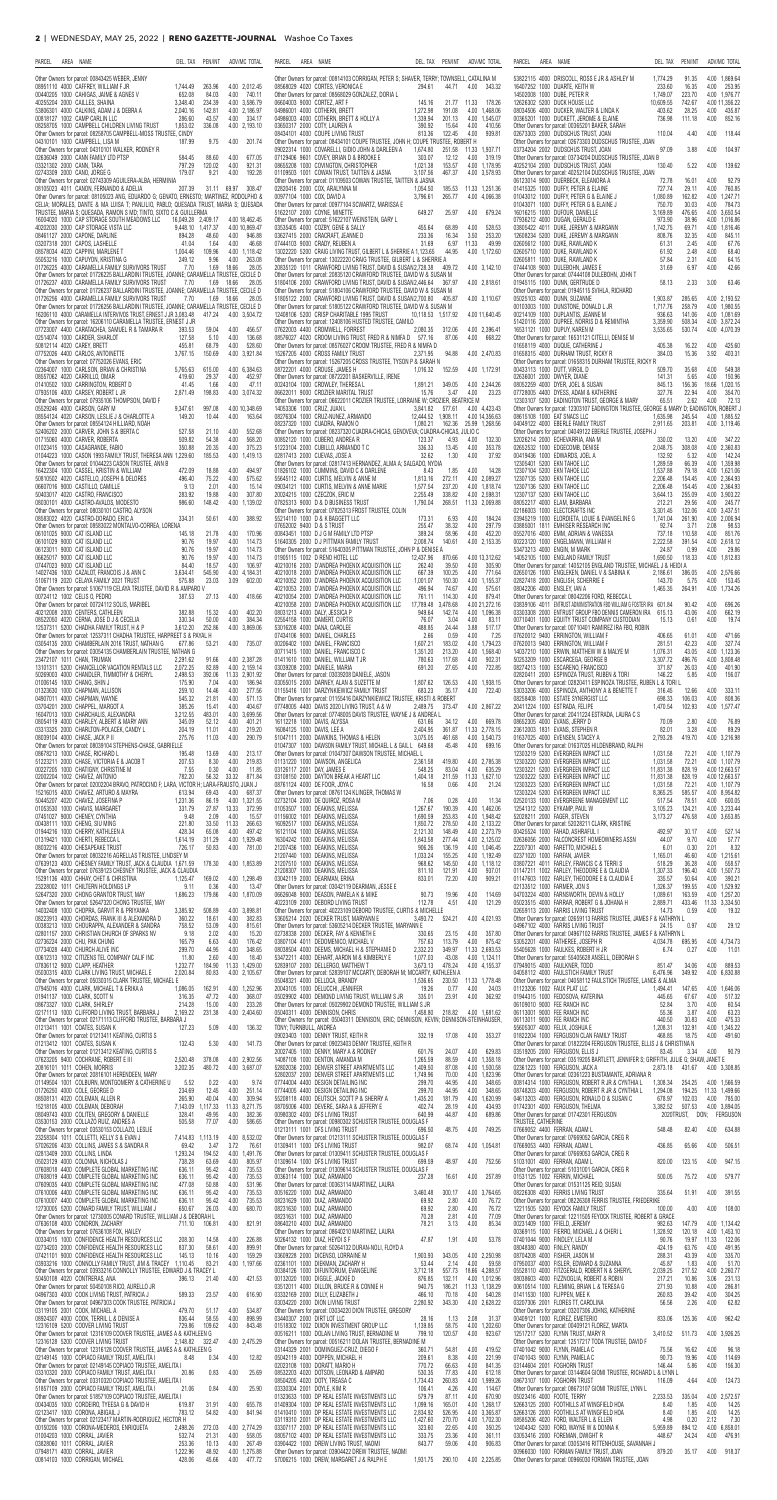| PARCEL<br>AREA NAME                                                                                                                                                                                                                      | DEL. TAX                                 | ADV/MC TOTAL<br>PEN/INT                                                          | PARCEL<br>AREA NAME                                                                                                                                                                                          | DEL. TAX PEN/INT                                              | ADV/MC TOTAL                                          | PARCEL<br>AREA NAME                                                                                                                                                                                      | DEL. TAX                       | PEN/INT                                      | ADV/MC TOTAL                                  |                          |
|------------------------------------------------------------------------------------------------------------------------------------------------------------------------------------------------------------------------------------------|------------------------------------------|----------------------------------------------------------------------------------|--------------------------------------------------------------------------------------------------------------------------------------------------------------------------------------------------------------|---------------------------------------------------------------|-------------------------------------------------------|----------------------------------------------------------------------------------------------------------------------------------------------------------------------------------------------------------|--------------------------------|----------------------------------------------|-----------------------------------------------|--------------------------|
| Other Owners for parcel: 00843425 WEBER, JENNY<br>08951110 4000 CAFFREY. WILLIAM F JR                                                                                                                                                    | 1.744.49                                 | 263.96<br>4.00 2.012.45                                                          | Other Owners for parcel: 00814103 CORRIGAN, PETER S; SHAVER, TERRY; TOWNSELL, CATALINA M<br>08568029 4020 CORTES VERONICA E                                                                                  | 294.61<br>44.71                                               | 4.00<br>343.32                                        | 53822115 4000 DRISCOLL, ROSS E JR & ASHLEY M<br>16407252 1000 DUARTE, KEITH W                                                                                                                            | 1,774.29<br>233.60             | 91.35<br>16.35                               | 4.00 1,869.64<br>4.00 253.95                  |                          |
| 00440205 1000 CAHIGAS, JAIME & AGNES V<br>40255204 2000 CAILLES, SHAINA                                                                                                                                                                  | 652.08<br>3,348.40                       | 84.03<br>4.00<br>740.11<br>234.39<br>4.00 3,586.79                               | Other Owners for parcel: 08568029 GONZALEZ, DORIA L<br>06604003 9000 CORTEZ, ART F                                                                                                                           | 145.16<br>21.77                                               | 11.33<br>178.26                                       | 14502008 1000 DUBE, PETER R<br>12626302 5200 DUCK HOUSE LLC                                                                                                                                              | 1,749.07<br>10,609.55          | 223.70<br>742.67                             | 4.00 1,976.77<br>4.00 11,356.22               |                          |
| 53806301 4000 CALKINS, ADAM J & DEBRA A<br>00818127 1002 CAMP CARLIN LLC<br>08258705 1000 CAMPBELL CHILDREN LIVING TRUST                                                                                                                 | 2.040.16<br>286.60<br>1,853.02           | 142.81<br>4.00 2.186.97<br>43.57<br>334.17<br>4.00<br>336.08<br>4.00 2,193.10    | 04986001 4000 COTHERN BRETT<br>04986003 4000 COTHERN, BRETT & HOLLY A<br>03650317 2000 COTY, LAUREN A                                                                                                        | 1.272.98<br>191.08<br>1,339.94<br>201.13<br>390.92<br>15.64   | 4.00 1.468.06<br>4.00 1,545.07<br>4.00<br>410.56      | 08034506 4000 DUCKER, WALTER & LINDA K<br>00365201 1000 DUCKETT, JEROME & ELAINE<br>Other Owners for parcel: 00365201 BAKER, SARAH                                                                       | 403.62<br>736.98               | 28.25<br>111.18                              | 4.00<br>4.00                                  | 435.87<br>852.16         |
| Other Owners for parcel: 08258705 CAMPBELL-MOSS TRUSTEE, CINDY<br>04310101 1000 CAMPBELL, LISA M                                                                                                                                         | 187.99                                   | 4.00<br>201.74<br>9.75                                                           | 08434101 4000 COUPE LIVING TRUST<br>Other Owners for parcel: 08434101 COUPE TRUSTEE, JOHN H; COUPE TRUSTEE, ROBERT H                                                                                         | 813.36<br>122.45                                              | 4.00<br>939.81                                        | 02673303 2000 DUDSCHUS TRUST, JOAN<br>Other Owners for parcel: 02673303 DUDSCHUS TRUSTEE, JOAN                                                                                                           | 110.04                         | 4.40                                         | 4.00                                          | 118.44                   |
| Other Owners for parcel: 04310101 WALKER, RODNEY R<br>02636049 2000 CANN FAMILY LTD PTSP                                                                                                                                                 | 584.45                                   | 88.60<br>4.00<br>677.05                                                          | 09022314 1000 COVARELLI, GIDIO JOHN & DARLEEN A<br>07129406 9601 COVEY BRIAN D & BROOKE E                                                                                                                    | 1,674.80<br>303.07<br>12.12                                   | 251.58 11.33 1,937.71<br>4.00<br>319.19               | 03734204 2002 DUDSCHUS TRUST, JOAN<br>Other Owners for parcel: 03734204 DUDSCHUS TRUSTEE, JOAN B                                                                                                         | 97.09                          | 3.88                                         | 4.00                                          | 104.97                   |
| 03321302 2000 CANN, TARA<br>02743309 2000 CANO, JORGE G                                                                                                                                                                                  | 797.29<br>179.07                         | 120.02<br>4.00<br>921.31<br>9.21<br>4.00<br>192.28                               | 08655208 1000 COVINGTON, CHRISTOPHER<br>01109503 1001 COWAN TRUST, TAITTEN & JASNA                                                                                                                           | 1,021.38<br>153.57<br>3,107.56<br>467.37                      | 4.00 1,178.95<br>4.00 3.578.93                        | 40252104 2000 DUDSCHUS TRUST, JOAN<br>Other Owners for parcel: 40252104 DUDSCHUS TRUSTEE, JOAN                                                                                                           | 130.40                         | 5.22                                         | 4.00                                          | 139.62                   |
| Other Owners for parcel: 02743309 AGUILERA-ALBA, HERMINIA<br>08105023 4011 CANON, FERNANDO & ADELIA<br>Other Owners for parcel: 08105023 ANG, EDUARDO G; GENATO, ERNESTO; MARTINEZ, RODOLPHO &                                           | 207.39                                   | 31.11 69.97<br>308.47                                                            | Other Owners for parcel: 01109503 COWAN TRUSTEE, TAITTEN & JASNA<br>02820416 2000 COX, ARALYNNA M<br>00977104 1000 COX, DAVID A                                                                              | 1,054.50<br>185.53<br>3,796.61<br>265.77                      | 11.33 1,251.36<br>4.00 4,066.38                       | 06123014 9000 DUERBECK, ELEANORA A<br>01415325 1000 DUFFY, PETER & ELAINE<br>01043012 1000 DUFFY, PETER G & ELAINE J                                                                                     | 72.78<br>727.74<br>1,080.89    | 16.01<br>29.11<br>162.82                     | 4.00<br>4.00<br>4.00 1,247.71                 | 92.79<br>760.85          |
| CELIA; MORALES, DANTE & MA LUISA T; PANLILIO, PABLO; QUESADA TRUST, MARIA S; QUESADA<br>TRUSTEE, MARIA S; QUESADA, RAMON S MD; TINTO, SIXTO C & GUILLERMA                                                                                |                                          |                                                                                  | Other Owners for parcel: 00977104 SCWARTZ, MARISSA E<br>51622107 2000 COYNE, MINETTE                                                                                                                         | 649.27<br>25.97                                               | 4.00<br>679.24                                        | 01043071 1000 DUFFY, PETER G & ELAINE J<br>16016215 1000 DUFOUR, DANIELLE                                                                                                                                | 750.70<br>3,169.89             | 30.03<br>476.65                              | 4.00<br>4.00 3,650.54                         | 784.73                   |
| 16004020 1000 CAP STORAGE SOUTH MEADOWS LLC<br>40202030 2000 CAP STORAGE VISTA LLC                                                                                                                                                       | 16,049.28 2,409.17<br>9.448.10 1.417.37  | 4.00 18,462.45<br>4.00 10.869.47                                                 | Other Owners for parcel: 51622107 WEINSTEIN, GARY L<br>03535405 4000 COZBY, GENE & SALLY                                                                                                                     | 455.64<br>68.89                                               | 4.00<br>528.53                                        | 07936212 4000 DUGAN, GERALD E<br>03805422 4011 DUKE, JEREMY & MARGANN                                                                                                                                    | 973.90<br>1.742.75             | 38.96<br>69.71                               | 4.00 1,016.86<br>4.00 1.816.46                |                          |
| 08461127 2000 CAPONE, DARLINE<br>03207318 2001 CAPOS, LASHELLE<br>08578034 4020 CAPPINI, MARLENE T                                                                                                                                       | 894.28<br>41.04<br>1.004.46              | 48.60<br>4.00<br>946.88<br>4.00<br>46.68<br>1.64<br>109.96<br>4.00 1.118.42      | 03627415 2000 CRACRAFT, JEANNE D<br>07444103 9000 CRADY, REUBEN A<br>13022220 5200 CRAIG LIVING TRUST. GILBERT L & SHERRIE A 1.123.65                                                                        | 233.36<br>16.34<br>31.69<br>6.97<br>44.95                     | 253.20<br>3.50<br>11.33<br>49.99<br>4.00 1.172.60     | 12608234 5200 DUKE, JEREMY & MARGANN<br>02605612 1000 DUKE, RAWLAND K<br>02605710 1000 DUKE, RAWLAND K                                                                                                   | 808.76<br>61.31<br>61.92       | 32.35<br>2.45<br>2.48                        | 4.00<br>4.00<br>4.00                          | 845.11<br>67.76<br>68.40 |
| 55053216 1000 CAPUYON, KRISTINA G<br>01726225 4000 CARAMELLA FAMILY SURVIVORS TRUST                                                                                                                                                      | 249.12<br>7.70                           | 263.08<br>9.96<br>4.00<br>1.69<br>28.05<br>18.66                                 | Other Owners for parcel: 13022220 CRAIG TRUSTEE, GILBERT L & SHERRIE A<br>20835120 1011 CRAWFORD LIVING TRUST, DAVID & SUSAN2,728.38                                                                         |                                                               | 409.72 4.00 3,142.10                                  | 02605811 1000 DUKE, RAWLAND K<br>07444108 9000 DULEBOHN, JAMES E                                                                                                                                         | 57.84<br>31.69                 | 2.31<br>6.97                                 | 4.00<br>4.00                                  | 64.15<br>42.66           |
| Other Owners for parcel: 01726225 BALLARDINI TRUSTEE, JOANNE; CARAMELLA TRUSTEE. CECILE D<br>01726237 4000 CARAMELLA FAMILY SURVIVORS TRUST                                                                                              | 7.70                                     | 1.69<br>28.05<br>18.66                                                           | Other Owners for parcel: 20835120 CRAWFORD TRUSTEE, DAVID W & SUSAN M<br>51804106 2000 CRAWFORD LIVING TRUST, DAVID & SUSAN2,446.64                                                                          | 367.97                                                        | 4.00 2,818.61                                         | Other Owners for parcel: 07444108 DULEBOHN, JOHN T<br>01945115 1000 DUNN, GERTRUDE D                                                                                                                     | 58.13                          | 2.33                                         | 3.00                                          | 63.46                    |
| Other Owners for parcel: 01726237 BALLARDINI TRUSTEE, JOANNE; CARAMELLA TRUSTEE, CECILE D<br>01726256 4000 CARAMELLA FAMILY SURVIVORS TRUST<br>Other Owners for parcel: 01726256 BALLARDINI TRUSTEE, JOANNE; CARAMELLA TRUSTEE, CECILE D | 7.70                                     | 1.69 18.66<br>28.05                                                              | Other Owners for parcel: 51804106 CRAWFORD TRUSTEE, DAVID W & SUSAN M<br>51805122 2000 CRAWFORD LIVING TRUST, DAVID & SUSAN2,700.80<br>Other Owners for parcel: 51805122 CRAWFORD TRUSTEE, DAVID W & SUSAN M | 405.87                                                        | 4.00 3.110.67                                         | Other Owners for parcel: 01945115 SVIHLA, RICHARD<br>05025103 4000 DUNN SUZANNE<br>00103003 1000 DUNSTONE, DONALD L JR                                                                                   | 1.903.87<br>1,717.76           | 285.65<br>258.79                             | 4.00 2.193.52<br>4.00 1,980.55                |                          |
| 16206110 4000 CARAMELLA INTERVIVOS TRUST, ERNEST J JR 3,083.48<br>Other Owners for parcel: 16206110 CARAMELLA TRUSTEE, ERNEST J JR                                                                                                       |                                          | 417.24  4.00  3,504.72                                                           | 12408106 5200 CRISP CHARITABLE 1995 TRUST<br>Other Owners for parcel: 12408106 HUSTED TRUSTEE, CAMILO                                                                                                        | 10,118.53 1,517.92                                            | 4.00 11,640.45                                        | 00214109 1000 DUPLANTIS. JEANNE M<br>51420116 2000 DUPREE, NORRIS D & REMINTHA                                                                                                                           | 936.63<br>3.359.90             | 141.06<br>508.34                             | 4.00 1,081.69<br>4.00 3,872.24                |                          |
| 07723007 4400 CARATACHEA, SAMUEL R & TAMARA R<br>02514074 1000 CARDER, SHARLOT                                                                                                                                                           | 393.53<br>127.58                         | 4.00<br>456.57<br>59.04<br>5.10<br>4.00<br>136.68                                | 07622003 4400 CROMWELL, FORREST<br>08576027 4020 CROOM LIVING TRUST, FRED R & NIMFA D 577.16                                                                                                                 | 2,080.35<br>312.06<br>87.06                                   | 4.00 2,396.41<br>4.00 668.22                          | 16531121 1000 DUPUY. KAREN M<br>Other Owners for parcel: 16531121 CITELLI, DENISE M                                                                                                                      | 3,535.65                       | 530.74                                       | 4.00 4,070.39                                 |                          |
| 50812114 4020 CAREY BRETT<br>07752026 4400 CARLOS, ANTOINETTE<br>Other Owners for parcel: 07752026 EVANS, ERIC                                                                                                                           | 455.81<br>3,767.15                       | 528.60<br>68.79<br>4.00<br>150.69<br>4.00 3,921.84                               | Other Owners for parcel: 08576027 CROOM TRUSTEE, FRED R & NIMFA D<br>15267205 4000 CROSS FAMILY TRUST<br>Other Owners for parcel: 15267205 CROSS TRUSTEE, TYSON P & SARAH N                                  | 2,371.95<br>94.88                                             | 4.00 2,470.83                                         | 01658119 4000 DUQUE. CATHERINE J<br>01658315 4000 DURHAM TRUST, RICKY R<br>Other Owners for parcel: 01658315 DURHAM TRUSTEE, RICKY R                                                                     | 405.38<br>384.03               | 16.22<br>15.36                               | 4.00<br>3.92                                  | 425.60<br>403.31         |
| 02364007 1000 CARLSON, BRIAN & CHRISTINA<br>08557062 4020 CARRILLO, OMAR                                                                                                                                                                 | 5,765.63<br>419.60                       | 4.00 6.384.63<br>615.00<br>29.37<br>4.00<br>452.97                               | 08722201 4000 CROUSE, JAMES H<br>Other Owners for parcel: 08722201 BASKERVILLE, IRENE                                                                                                                        | 1.016.32<br>152.59                                            | 4.00 1,172.91                                         | 00433113 1000 DUTT, VIRGIL D<br>02636001 2000 DWYER, DIANE                                                                                                                                               | 509.70<br>141.31               | 35.68<br>5.65                                | 4.00<br>4.00                                  | 549.38<br>150.96         |
| 01410502 1000 CARRINGTON, ROBERT D<br>07935106 4000 CARSEY, ROBERT L JR                                                                                                                                                                  | 41.45<br>2,871.49                        | 4.00<br>47.11<br>1.66<br>198.83<br>4.00 3,074.32                                 | 00243104 1000 CROWLEY, THERESA L<br>06622011 9000 CROZIER MARITAL TRUST                                                                                                                                      | 1,891.21<br>349.05<br>15.76<br>3.47                           | 4.00 2,244.26<br>4.00<br>23.23                        | 08052259 4000 DYER, JOEL & SUSAN<br>07728005 4400 DYESS. ADAM & KATHERINE                                                                                                                                | 845.13<br>327.76               | 156.36<br>22.94                              | 18.66 1,020.15<br>4.00                        | 354.70                   |
| Other Owners for parcel: 07935106 THOMPSON, DAVID F<br>05529246 4000 CARSON, GARY M                                                                                                                                                      | 9,347.61                                 | 997.08<br>4.00 10,348.69<br>10.44<br>4.00<br>163.64                              | Other Owners for parcel: 06622011 CROZIER TRUSTEE, LORRAINE W; CROZIER, BEATRICE M<br>14053306 1000 CRUZ, JUAN L                                                                                             | 3,841.82<br>577.61<br>12.444.52 1.908.11                      | 4.00 4.423.43<br>4.00 14.356.63                       | 12303107 5200 EADINGTON TRUST, GEORGE & MARY<br>Other Owners for parcel: 12303107 EADINGTON TRUSTEE, GEORGE & MARY D; EADINGTON, ROBERT<br>08615108 1000 EAT SNACS LLC                                   | 65.51<br>1.635.98              | 2.62                                         | 4.00<br>4.00 1.885.52                         | 72.13                    |
| 08554124 4020 CARSON, LESLIE J & CHARLOTTE A<br>Other Owners for parcel: 08554124 HILLIARD, NOAH<br>52406202 2000 CARVER, JOHN S & BERTA C                                                                                               | 149.20<br>527.58                         | 552.68<br>21.10<br>4.00                                                          | 08276304 1000 CRUZ-NUNEZ, ARMANDO<br>08237320 1000 CUADRA, RAMON O<br>Other Owners for parcel: 08237320 CUADRA-CHICAS, GENOVEVA; CUADRA-CHICAS, JULIO C                                                      | 1,080.21<br>162.36                                            | 25.99 1,268.56                                        | 04049122 4000 EBERLE FAMILY TRUST<br>Other Owners for parcel: 04049122 EBERLE TRUSTEE, JOSEPH J                                                                                                          | 2,911.65                       | 245.54<br>203.81                             | 4.00 3,119.46                                 |                          |
| 01715060 4000 CARVER, ROBERTA<br>01023415 1000 CASAGRANDE, FABIO                                                                                                                                                                         | 509.82<br>350.88                         | 54.38<br>4.00<br>568.20<br>20.35<br>375.23<br>4.00                               | 00852120 1000 CUBERO, ANDREA R<br>51223104 2000 CUBILLO, ARMANDO T C                                                                                                                                         | 123.37<br>4.93<br>336.33<br>13.45                             | 4.00<br>132.30<br>4.00<br>353.78                      | 52026214 2000 ECHEVARRIA, ANA M<br>02652532 1000 EDGECOMB, DENISE                                                                                                                                        | 330.02<br>2,048.75             | 13.20<br>308.08                              | 4.00 347.22<br>4.00 2,360.83                  |                          |
| 01044223 1000 CASON 1993 FAMILY TRUST, THERESA ANN 1,229.60<br>Other Owners for parcel: 01044223 CASON TRUSTEE, ANN B<br>16422304 1000 CASSEL, KRISTIN & WILLIAM                                                                         | 472.09                                   | 185.53<br>4.00 1.419.13<br>18.88<br>4.00<br>494.97                               | 02817413 2000 CUEVAS, JOSE A<br>Other Owners for parcel: 02817413 HERNANDEZ, ALMA A: SALGADO, NYDIA<br>01826102 1000 CUMMINS, DAVID C & DARLENE                                                              | 1.30<br>32.62<br>8.43<br>1.85                                 | 4.00<br>37.92<br>4.00<br>14.28                        | 00419436 1000 EDWARDS, JOEL A<br>12305401 5200 EKN TAHOE LLC<br>12307104 5200 EKN TAHOE LLC                                                                                                              | 132.92<br>1,289.59<br>1,537.88 | 5.32<br>66.39<br>79.18                       | 4.00 142.24<br>4.00 1,359.98<br>4.00 1,621.06 |                          |
| 50810502 4020 CASTELLO, JOSEPH & DELORES<br>06607016 9000 CASTILLO. CAMILLE                                                                                                                                                              | 496.40<br>9.13                           | 75.22<br>4.00<br>575.62<br>2.01<br>4.00<br>15.14                                 | 55645112 4000 CURTIS, MELVIN & ANNE M<br>09034121 1000 CURTIS. MELVIN & ANNE MARIE                                                                                                                           | 1,813.16<br>272.11<br>1.577.54<br>237.20                      | 4.00 2,089.27<br>4.00 1.818.74                        | 12307135 5200 EKN TAHOE LLC<br>12307136 5200 EKN TAHOE LLC                                                                                                                                               | 2,206.48<br>2.206.48           | 154.45<br>154.45                             | 4.00 2,364.93<br>4.00 2,364.93                |                          |
| 50403017 4020 CASTRO, FRANCISCO<br>08030101 4000 CASTRO-AVALOS, MODESTO                                                                                                                                                                  | 283.92<br>986.60                         | 19.88<br>4.00<br>307.80<br>148.42<br>4.00 1,139.02                               | 20024215 1000 CZECZOK, ERIC M<br>07825313 9000 D & D BUSINESS TRUST                                                                                                                                          | 2,255.49<br>338.82<br>1,790.04<br>268.51                      | 4.00 2,598.31<br>11.33 2,069.88                       | 12307137 5200 EKN TAHOE LLC<br>08052217 4000 ELAM, BARBARA                                                                                                                                               | 3,644.13<br>212.21             | 255.09<br>29.56                              | 4.00 3,903.22<br>4.00 245.77                  |                          |
| Other Owners for parcel: 08030101 CASTRO, ALYSON<br>08583022 4020 CASTRO-DORADO. ERIC A<br>Other Owners for parcel: 08583022 MONTALVO-CORREA, LORENA                                                                                     | 334.31                                   | 4.00<br>50.61<br>388.92                                                          | Other Owners for parcel: 07825313 FROST TRUSTEE, COLIN<br>55214110 1000 D & K BAGGETT LLC<br>07652002 9400 D & S TRUST                                                                                       | 6.93<br>173.31<br>255.47<br>38.32                             | 4.00<br>184.24<br>297.79<br>4.00                      | 02186003 1000 ELECTCRAFTS INC<br>03945219 1000 ELORDIETA, LOUIE & EVANGELINE G<br>03885001 1811 EMHISER RESEARCH INC                                                                                     | 3,301.45<br>1,741.04<br>92.74  | 132.06<br>261.90<br>3.71                     | 4.00 3,437.51<br>4.00 2,006.94<br>2.08        | 98.53                    |
| 06101025 9000 CAT ISLAND LLC<br>06101029 9000 CAT ISLAND LLC                                                                                                                                                                             | 145.18<br>90.76                          | 21.78<br>4.00<br>170.96<br>19.97<br>4.00<br>114.73                               | 00843451 1000 D J G M FAMILY LTD PTSP<br>51640305 2000 DJ PITTMAN FAMILY TRUST                                                                                                                               | 389.24<br>58.96<br>2,008.74<br>140.61                         | 452.20<br>4.00<br>4.00 2,153.35                       | 05527016 4000 EMM, ADRIAN & VANESSA<br>00223120 1000 ENGELMANN, WILLIAM H                                                                                                                                | 737.18<br>2,222.58             | 110.58<br>391.54                             | 4.00<br>4.00 2,618.12                         | 851.76                   |
| 06123011 9000 CAT ISLAND LLC<br>06625017 9000 CAT ISLAND LLC                                                                                                                                                                             | 90.76<br>90.76                           | 19.97<br>4.00<br>114.73<br>19.97<br>4.00<br>114.73                               | Other Owners for parcel: 51640305 PITTMAN TRUSTEE, JOHN P & DENISE A<br>01905115 1002 D RENO HOTEL LLC                                                                                                       | 12,437.96<br>870.66                                           | 4.00 13,312.62                                        | 53473213 4000 ENGIN. M MARK<br>14052105 1000 ENGLAND FAMILY TRUST                                                                                                                                        | 24.87<br>1,690.50              | 0.99<br>118.33                               | 4.00<br>4.00 1,812.83                         | 29.86                    |
| 07447023 9000 CAT ISLAND LLC<br>14027436 1000 CAZALOT, FRANCOIS J & ANN C<br>51067119 2020 CELAYA FAMILY 2021 TRUST                                                                                                                      | 84.40<br>3,634.41<br>575.88              | 18.57<br>4.00<br>106.97<br>545.90<br>4.00 4,184.31<br>23.03<br>3.09<br>602.00    | 40210016 2000 D'ANDREA PHOENIX ACQUISITION LLC<br>40210018 2000 D'ANDREA PHOENIX ACQUISITION LLC<br>40210052 2000 D'ANDREA PHOENIX ACQUISITION LLC                                                           | 262.40<br>39.50<br>667.39<br>100.25<br>1,001.07<br>150.30     | 305.90<br>4.00<br>4.00 771.64<br>4.00 1,155.37        | Other Owners for parcel: 14052105 ENGLAND TRUSTEE, MICHAEL J & HEIDI A<br>02650126 1000 ENGLEKEN, DANIEL V & SABINA K<br>02827418 2000 ENGLISH, SCHERRIE E                                               | 2,186.61<br>143.70             | 386.05<br>5.75                               | 4.00 2.576.66<br>4.00                         | 153.45                   |
| Other Owners for parcel: 51067119 CELAYA TRUSTEE, DAVID R & AMPARO V<br>00724112 1002 CELIS 0. PEDRO                                                                                                                                     | 387.53                                   | 27.13<br>4.00 418.66                                                             | 40210053 2000 D'ANDREA PHOENIX ACQUISITION LLC<br>40210054 2000 D'ANDREA PHOENIX ACQUISITION LLC                                                                                                             | 496.94<br>74.67<br>761.11<br>114.30                           | 4.00<br>575.61<br>879.41<br>4.00                      | 08042206 4000 ENSLEY, IAN A<br>Other Owners for parcel: 08042206 FORD, REBECCA L                                                                                                                         | 1,465.35                       | 264.91                                       | 4.00 1,734.26                                 |                          |
| Other Owners for parcel: 00724112 SOLIS, MARIBEL<br>40212008 2000 CENTERS, CATHLEEN                                                                                                                                                      | 382.88                                   | 4.00<br>402.20<br>15.32                                                          | 40210058 2000 D'ANDREA PHOENIX ACQUISITION LLC<br>08031213 4000 DALY, JESSICA P                                                                                                                              | 17.789.48<br>3.478.68<br>949.64<br>142.74                     | 4.00 21.272.16<br>4.00 1.096.38                       | 03839106 4011 ENTRUST ADMINISTRATION FBO WILLIAM G FOSTER IRA 601.84<br>03303308 2000 ENTRUST GROUP FBO DENNIS CAMERON IRA                                                                               | 615.13                         | 90.42<br>43.06                               | 4.00<br>4.00                                  | 696.26<br>662.19         |
| 08522050 4020 CERNA, JOSE D J & CECELIA<br>12537311 5200 CHADHA FAMILY TRUST, H & P<br>Other Owners for parcel: 12537311 CHADHA TRUSTEE, HARPREET S & PAYAL H                                                                            | 330.34<br>3,612.20                       | 384.34<br>50.00<br>4.00<br>252.86<br>4.00 3.869.06                               | 02554158 1000 DAMERT, CURTIS<br>53016208 4000 DANA, CAROLEE<br>07434106 9000 DANIEL, CHARLES                                                                                                                 | 76.07<br>3.04<br>488.85<br>24.44<br>2.66<br>0.59              | 4.00<br>83.11<br>517.17<br>3.88<br>4.00<br>7.25       | 00710401 1000 EQUITY TRUST COMPANY CUSTODIAN<br>Other Owners for parcel: 00710401 RAMIREZ IRA FBO, ROBIN<br>07620012 9400 ERRINGTON, WILLIAM F                                                           | 15.13<br>406.65                | 0.61<br>61.01                                | 4.00<br>4.00                                  | 19.74<br>471.66          |
| 03054135 2000 CHAMBERLAIN 2016 TRUST, NATHAN G<br>Other Owners for parcel: 03054135 CHAMBERLAIN TRUSTEE, NATHAN G                                                                                                                        | 677.86                                   | 53.21<br>4.00 735.07                                                             | 00206402 1000 DANIEL, FRANCISCO<br>00711415 1000 DANIEL, FRANCISCO C                                                                                                                                         | 1,607.21<br>183.02<br>1,351.20<br>213.20                      | 4.00 1,794.23<br>4.00 1.568.40                        | 07620013 9400 ERRINGTON, WILLIAM F<br>14037210 1000 ERWIN, MATTHEW W & MALYE M                                                                                                                           | 281.51<br>1,076.31             | 42.23<br>43.05                               | 4.00<br>4.00 1,123.36                         | 327.74                   |
| 23472107 1011 CHAN, TRUMAN<br>13101311 5200 CHANCELLOR VACATION RENTALS LLC                                                                                                                                                              | 2,291.62<br>2,072.25                     | 91.66<br>4.00 2,387.28<br>82.89<br>4.00 2,159.14                                 | 01411610 1000 DANIEL, WILLIAM T JR<br>03039208 2000 DANIELE, MARIA                                                                                                                                           | 780.63<br>117.68<br>691.20<br>27.65                           | 902.31<br>4.00<br>722.85<br>4.00                      | 50253209 1000 ESCARCEGA, GEORGE B<br>08274213 1000 ESCARENO, FRANCISCO                                                                                                                                   | 3,307.72<br>371.87             | 496.76<br>26.03                              | 4.00 3,808.48<br>4.00                         | 401.90                   |
| 50269003 4000 CHANDLER, TIMMOTHY & CHERYL<br>01006145 1000 CHANG, SHIN J<br>01323630 1000 CHAPMAN, ALLISON                                                                                                                               | 2,498.53<br>175.90<br>259.10             | 392.06<br>11.33 2,901.92<br>7.04<br>4.00<br>186.94<br>4.00<br>277.56<br>14.46    | Other Owners for parcel: 03039208 DANIELE, JASON<br>03055015 2000 DARNEY, ALAN & SUZETTE M<br>01155416 1001 DARZYNKIEWICZ FAMILY TRUST                                                                       | 1,807.62<br>126.53<br>683.23<br>35.17                         | 4.00 1,938.15<br>4.00 722.40                          | 02820411 2000 ESPINOZA TRUST, RUBEN & TORI<br>Other Owners for parcel: 02820411 ESPINOZA TRUSTEE, RUBEN L & TORI L<br>53033206 4000 ESPINOZA, ANTHONY A & BENETTE T                                      | 146.22<br>316.45               | 5.85<br>12.66                                | 4.00<br>4.00                                  | 156.07<br>333.11         |
| 04907011 4000 CHAPMAN, WAYNE<br>03704201 2000 CHAPPEL, MARGOT A                                                                                                                                                                          | 545.32<br>385.26                         | 21.81<br>4.00<br>571.13<br>404.67<br>15.41<br>4.00                               | Other Owners for parcel: 01155416 DARZYNKIEWICZ TRUSTEE, KRISTI & ROBERT<br>07748005 4400 DAVIS 2020 LIVING TRUST, A & W                                                                                     | 2,489.75<br>373.47                                            | 4.00 2,867.22                                         | 08258408 1000 ESTATE SYNERGIST LLC<br>20411224 1000 ESTRADA, FELIPE                                                                                                                                      | 698.33<br>1,470.54             | 106.03<br>102.93                             | 4.00<br>4.00 1,577.47                         | 808.36                   |
| 16047013 1000 CHARCHALIS, ALEXANDRA<br>08054119 4000 CHARLEY, ALBERT & MARY ANN                                                                                                                                                          | 3,212.55<br>345.09                       | 483.01<br>4.00 3,699.56<br>52.12<br>4.00<br>401.21                               | Other Owners for parcel: 07748005 DAVIS TRUSTEE, WAYNE J & ANDREA L<br>16112218 1000 DAVIS, ALYSSA                                                                                                           | 631.66<br>34.12                                               | 4.00 669.78                                           | Other Owners for parcel: 20411224 ESTRADA, LAURA C S<br>08652305 4000 EVANS, JERRY D                                                                                                                     | 70.09                          | 2.80                                         | 4.00                                          | 76.89                    |
| 03313325 2000 CHARLTON-POLACEK, CANDY L<br>08039104 4000 CHASE, JACK P II<br>Other Owners for parcel: 08039104 STEPHENS-CHASE, GABRIELLE                                                                                                 | 204.19<br>275.76                         | 11.01<br>4.00<br>219.20<br>290.79<br>11.03<br>4.00                               | 16084125 1000 DAVIS, LEE A<br>51047111 2000 DAWKINS, THOMAS & HELEN<br>01047307 1000 DAWSON FAMILY TRUST, MICHAEL L & GAIL L 649.68                                                                          | 2,404.95<br>3,075.05<br>461.68<br>45.48                       | 361.87 11.33 2,778.15<br>4.00 3,540.73<br>4.00 699.16 | 23612003 1831 EVANS, STEPHEN R<br>01637025 4000 EVENSEN, STACEY A<br>Other Owners for parcel: 01637025 HILDENBRAND, RALPH                                                                                | 82.01<br>2,793.28              | 3.28<br>419.70                               | 4.00<br>4.00 3,216.98                         | 89.29                    |
| 08678213 1000 CHASE, RICHARD L<br>51223211 2000 CHASE, VICTORIA E & JACOB T                                                                                                                                                              | 195.48<br>207.53                         | 13.69<br>4.00<br>213.17<br>219.83<br>8.30<br>4.00                                | Other Owners for parcel: 01047307 DAWSON TRUSTEE, MICHAEL L<br>01131220 1000 DAWSON, ANGELICA                                                                                                                | 2,361.58<br>419.80                                            | 4.00 2,785.38                                         | 12303219 5200 EVERGREEN IMPACT LLC<br>12303220 5200 EVERGREEN IMPACT LLC                                                                                                                                 | 1,031.58<br>1,031.58           | 72.21<br>72.21                               | 4.00 1,107.79<br>4.00 1,107.79                |                          |
| 00227205 1000 CHATIGNY, CHRISTINE M<br>02002204 1002 CHAVEZ, ANTONIO                                                                                                                                                                     | 7.55<br>782.20                           | 0.30<br>4.00<br>11.85<br>56.32<br>871.84<br>33.32                                | 03126117 2001 DAY, JAMES E<br>03108150 2000 DAYTON BREAK A HEART LLC                                                                                                                                         | 83.04<br>548.25<br>1,404.18<br>211.59                         | 4.00 635.29<br>11.33 1,627.10                         | 12303221 5200 EVERGREEN IMPACT LLC<br>12303222 5200 EVERGREEN IMPACT LLC                                                                                                                                 | 11,831.38<br>11,831.38         | 828.19<br>828.19                             | 4.00 12.663.57<br>4.00 12,663.57              |                          |
| Other Owners for parcel: 02002204 BRAVO, PATROCINO F; LARA, VICTOR H; LARA-FRAUSTO, JUAN J<br>15216015 4000 CHAVEZ, ARTURO & MAYRA<br>50445207 4020 CHAVEZ, JOSEFINA P                                                                   | 613.94<br>1,231.36                       | 69.43<br>4.00<br>687.37<br>86.19<br>4.00 1,321.55                                | 08761124 4000 DE FOOR, JOYA C<br>Other Owners for parcel: 08761124 KLINGER, THOMAS W<br>02732104 2000 DE QUIROZ, ROSA M                                                                                      | 16.58<br>0.66<br>0.28<br>7.06                                 | 4.00<br>21.24<br>4.00<br>11.34                        | 12303223 5200 EVERGREEN IMPACT LLC<br>12303224 5200 EVERGREEN IMPACT LLC<br>02520133 1000 EVERGREENE MANAGEMENT LLC                                                                                      | 1,031.58<br>8,365.25<br>517.54 | 72.21<br>585.57<br>78.51                     | 4.00 1,107.79<br>4.00 8,954.82<br>4.00 600.05 |                          |
| 01053530 1000 CHAVIS, MARGARET<br>07451027 9000 CHENEY, CYNTHIA                                                                                                                                                                          | 331.79<br>9.48                           | 13.33<br>372.99<br>27.87<br>2.09<br>4.00<br>15.57                                | 01053507 1000 DEAKINS, MELISSA<br>01156002 1001 DEAKINS, MELISSA                                                                                                                                             | 1,267.67<br>190.39<br>1,690.59<br>253.83                      | 4.00 1,462.06<br>4.00 1,948.42                        | 12541312 5200 EYKAMP, PAUL W<br>52028211 2000 FAGER, STEVEN                                                                                                                                              | 3,105.23<br>3,173.27           | 124.21<br>476.58                             | 4.00 3,233.44<br>4.00 3.653.85                |                          |
| 00438111 1000 CHENG, SIU MING<br>01944216 1000 CHERRY. KATHLEEN A                                                                                                                                                                        | 221.80<br>428.34                         | 33.50<br>11.33<br>266.63<br>65.08<br>4.00<br>497.42                              | 16092517 1000 DEAKINS, MELISSA<br>16121104 1000 DEAKINS, MELISSA                                                                                                                                             | 1,850.72<br>278.50<br>2,121.30<br>148.49                      | 4.00 2,133.22<br>4.00 2,273.79                        | Other Owners for parcel: 52028211 CLARK, KRISTINE<br>00425524 1000 FAHAD, ASHRAFUL I                                                                                                                     | 492.97                         | 30.17                                        | 4.00                                          | 527.14                   |
| 01319421 1000 CHERTI. REBECCA L<br>08032216 4000 CHESAPEAKE TRUST<br>Other Owners for parcel: 08032216 AGRELLAS TRUSTEE, LINDSEY M                                                                                                       | 1.614.19<br>726.17                       | 4.00 1,929.48<br>311.29<br>50.83<br>4.00<br>781.00                               | 16304242 1000 DEAKINS, MELISSA<br>21207436 1000 DEAKINS, MELISSA<br>21207440 1000 DEAKINS, MELISSA                                                                                                           | 1,843.58<br>277.44<br>906.26<br>136.19<br>1,033.24<br>155.25  | 4.00 2,125.02<br>4.00 1,046.45<br>4.00 1,192.49       | 02636056 2000 FALCONCREST HOMEOWNERS ASSN<br>22207301 4000 FARETTO, MICHAEL S<br>02371020 1000 FARFAN, JAVIER                                                                                            | 44.07<br>6.01<br>1,165.01      | 9.70<br>0.30<br>46.60                        | 4.00<br>2.01<br>4.00 1,215.61                 | 57.77<br>8.32            |
| 07639123 4000 CHESNEY FAMILY TRUST, JACK & CLAUDIA 1,671.59<br>Other Owners for parcel: 07639123 CHESNEY TRUSTEE, JACK & CLAUDIA                                                                                                         |                                          | 178.30<br>4.00 1,853.89                                                          | 21207510 1000 DEAKINS, MELISSA<br>21208307 1000 DEAKINS, MELISSA                                                                                                                                             | 968.62<br>145.50<br>811.10<br>121.91                          | 4.00 1.118.12<br>4.00<br>937.01                       | 03807221 4011 FARLEY, FRANCIS C & TERRIS<br>01147211 1002 FARLEY, THEODORE E & CLAUDIA                                                                                                                   | 518.29<br>1,307.33             | 36.28<br>196.40                              | 4.00<br>4.00 1,507.73                         | 558.57                   |
| 15291136 4000 CHHAY. CHET & CHRISTINA<br>23228002 1011 CHILTERN HOLDINGS LP                                                                                                                                                              | 1,125.47<br>9.11                         | 169.02<br>4.00 1,298.49<br>0.36<br>4.00<br>13.47                                 | 03042119 2000 DEARMAN, ERIKA<br>Other Owners for parcel: 03042119 DEARMAN, JESSE E                                                                                                                           | 833.01<br>72.20                                               | 909.21<br>4.00                                        | 01147603 1002 FARLEY, THEODORE E & CLAUDIA E<br>02133512 1000 FARMER, JON S                                                                                                                              | 335.57<br>1,326.37             | 50.64<br>199.55                              | 4.00<br>4.00 1,529.92                         | 390.21                   |
| 52647320 2000 CHONG GRANTOR TRUST, MAY<br>Other Owners for parcel: 52647320 CHONG TRUSTEE, MAY<br>14032408 1000 CHOPRA, GARVIT R & PRIYANKA                                                                                              | 1,686.23<br>3,385.92                     | 179.86<br>4.00 1,870.09<br>508.89<br>4.00 3.898.81                               | 06626048 9000 DEASON, PAMELA K & MIKE<br>40223109 2000 DEBORD LIVING TRUST<br>Other Owners for parcel: 40223109 DEBORD TRUSTEE, CURTIS & MICHELLE                                                            | 90.73<br>19.96<br>112.78<br>4.51                              | 4.00<br>114.69<br>4.00<br>121.29                      | 04703224 4000 FARNSWORTH, DEVIN & HOLLY<br>05023515 4000 FARRAR, ROBERT G & JOHANA H<br>02659113 2000 FARRIS LIVING TRUST                                                                                | 1,089.61<br>2,889.71<br>14.73  | 163.59<br>433.46<br>0.59                     | 4.00 1,257.20<br>11.33 3,334.50<br>4.00       | 19.32                    |
| 08223913 4000 CHORDAS, FRANK III & ALEXANDRA D<br>00383213 1000 CHOURAPPA, ALEXANDER & SANDRA                                                                                                                                            | 360.22<br>758.52                         | 382.83<br>18.61<br>4.00<br>53.09<br>4.00 815.61                                  | 53605214 2020 DECKER TRUST, MARYANN E<br>Other Owners for parcel: 53605214 DECKER TRUSTEE, MARYANN E                                                                                                         | 3,493.72<br>524.21                                            | 4.00 4,021.93                                         | Other Owners for parcel: 02659113 FARRIS TRUSTEE, JAMES F & KATHRYN L<br>04967102 4000 FARRIS LIVING TRUST                                                                                               | 24.15                          |                                              | 0.97 4.00 29.12                               |                          |
| 02801157 2000 CHRISTIAN CHURCH OF SPARKS NV<br>02736224 2000 CHU, PAK CHUNG                                                                                                                                                              | 9.18<br>165.79                           | 4.00<br>2.02<br>15.20<br>4.00<br>6.63<br>176.42                                  | 02738338 2000 DECKER, FAY & KENNETH E<br>03807104 4011 DEDOMENICO, MICHAEL V                                                                                                                                 | 757.63<br>113.79                                              | 330.65 23.15 4.00 357.80<br>4.00<br>875.42            | Other Owners for parcel: 04967102 FARRIS TRUSTEE, JAMES F & KATHRYN L<br>53052201 4000 FATHEREE, JOSEPH R                                                                                                | 4,034.78                       | 695.95                                       | 4.00 4,734.73                                 |                          |
| 07734028 4400 CHURCH ALIVE INC<br>00612313 1002 CITIZENS TEL COMPANY CALIF INC<br>07836112 9000 CLAPP, HEATHER                                                                                                                           | 299.70<br>11.80<br>1,232.77              | 4.00<br>348.65<br>44.95<br>2.60<br>4.00<br>18.40<br>184.90<br>11.33 1,429.00     | 08038504 4000 DEEMS, MICHAEL H & STEPHANIE D<br>53472211 4000 DEHART. AARON M & KIMBERLY E<br>52839107 2000 DELLERGO, MATTHEW T                                                                              | 2,332.23<br>349.97<br>1.077.03<br>43.08<br>3,673.13<br>478.24 | 11.33 2,693.53<br>4.00 1,124.11<br>4.00 4,155.37      | 55405628 1000 FAULKES, ROBERT H JR<br>Other Owners for parcel: 55405628 ANSELL, DEBORAH S<br>07949015 4000 FAULKNER, TODD                                                                                | 6.74<br>851.47                 | 0.27<br>34.06                                | 4.00<br>4.00                                  | 11.01<br>889.53          |
| 05030315 4000 CLARK LIVING TRUST, MICHAEL E<br>Other Owners for parcel: 05030315 CLARK TRUSTEE, MICHAEL E                                                                                                                                | 2,020.84                                 | 80.83<br>4.00 2,105.67                                                           | Other Owners for parcel: 52839107 MCCARTY, DEBORAH M; MCCARTY, KATHLEEN A<br>05048321 4000 DELLOCA, BRANDY                                                                                                   | 230.50<br>1.536.65                                            | 11.33 1,778.48                                        | 04058112 4000 FAULSTICH FAMILY TRUST<br>Other Owners for parcel: 04058112 FAULSTICH TRUSTEE, LANCE & ALMA                                                                                                | 6,476.96                       | 349.92                                       | 4.00 6,830.88                                 |                          |
| 07945016 4000 CLARK, MICHAEL T & ERIKA A<br>01941137 1000 CLARK, SCOTT N<br>08673327 1000 CLARK, SHIRLEY                                                                                                                                 | 1,086.05<br>316.35                       | 162.91<br>4.00 1,252.96<br>368.07<br>47.72<br>4.00<br>15.00<br>233.28            | 20043105 1000 DELUCCHI, JENNIFER<br>05029902 4000 DEMOND LIVING TRUST. WILLIAM S JR<br>Other Owners for parcel: 05029902 DEMOND TRUSTEE. WILLIAM S JR                                                        | 19.26<br>0.77<br>335.01<br>23.91                              | 24.03<br>4.00<br>4.00<br>362.92                       | 01123206 1002 FAUX PLAT LLC<br>01944315 1000 FEDOSOVA, KATERINA                                                                                                                                          | 1,494.41<br>445.65<br>52.84    | 147.65<br>67.67<br>3.70                      | 4.00 1,646.06<br>4.00                         | 517.32<br>60.54          |
| 02171113 1000 CLIFFORD LIVING TRUST, BARBARA J<br>Other Owners for parcel: 02171113 CLIFFORD TRUSTEE, BARBARA J                                                                                                                          | 214.28<br>2,169.22                       | 4.00<br>231.38<br>4.00 2,404.60                                                  | 05040311 4000 DENNISON, CHRIS<br>Other Owners for parcel: 05040311 DENNISON, ERIC; DENNISON, KEVIN; DENNISON-STEINHAUSER,                                                                                    | 1,458.80<br>218.82                                            | 4.00 1,681.62                                         | 06109010 9000 FEE RANCH INC<br>06113001 9000 FEE RANCH INC<br>06113011 9000 FEE RANCH INC                                                                                                                | 55.36<br>440.50                | 3.87<br>30.83                                | 4.00<br>4.00<br>4.00                          | 63.23<br>475.33          |
| 01213411 1001 COATES, SUSAN K<br>Other Owners for parcel: 01213411 KEATING, CURTIS S                                                                                                                                                     | 127.23                                   | 4.00<br>136.32<br>5.09                                                           | TONY: TURNBULL. ANDREA<br>09023403 1000 DENNY TRUST, KEITH R                                                                                                                                                 | 332.19<br>17.08                                               | 4.00<br>353.27                                        | 55605307 4000 FELIX, JOSHUA E<br>01822204 1000 FERGUSON CLAN FAMILY TRUST                                                                                                                                | 1,208.31<br>468.85             | 132.91<br>18.75                              | 4.00 1,345.22<br>4.00                         | 491.60                   |
| 01213412 1001 COATES, SUSAN K<br>Other Owners for parcel: 01213412 KEATING, CURTIS S<br>07623205 9400 COCHRANE, ROBERT E III                                                                                                             | 132.43<br>2,520.48                       | 4.00<br>5.30<br>141.73<br>378.08<br>4.00 2,902.56                                | Other Owners for parcel: 09023403 DENNY TRUSTEE, KEITH R<br>20027405 1000 DENNY, MARY A & RODNEY<br>14087108 1000 DENTON, AMANDA M                                                                           | 601.76<br>24.07<br>1,265.59<br>88.59                          | 4.00<br>629.83<br>4.00 1,358.18                       | Other Owners for parcel: 01822204 FERGUSON TRUSTEE, ELLIS J & CHRISTINA N<br>03519205 2000 FERGUSON, ELLIS J<br>Other Owners for parcel: 03519205 BARTLETT, JENNIFER S; GRIFFITH, JULIE G; SHAW, JANET E | 83.45                          | 3.34                                         | 4.00                                          | 90.79                    |
| 20816101 1011 COHEN, MORRIS<br>Other Owners for parcel: 20816101 HERENDEEN, MARY                                                                                                                                                         | 3,202.35                                 | 480.72<br>4.00 3,687.07                                                          | 52802036 2000 DENVER STREET APARTMENTS LLC<br>52802037 2000 DENVER STREET APARTMENTS LLC                                                                                                                     | 1.409.50<br>87.08<br>70.00<br>1.749.96                        | 4.00 1,500.58<br>4.00 1.823.96                        | 02361223 1000 FERGUSON, JACK A<br>Other Owners for parcel: 02361223 BUSTAMANTE, ADRIANA R                                                                                                                | 2,873.18                       | 431.67                                       | 4.00 3,308.85                                 |                          |
| 01149504 1001 COLBURN, MONTGOMERY & CATHERINE U<br>01726250 4000 COLE, GEORGE D                                                                                                                                                          | 5.52<br>234.69                           | 4.00<br>0.22<br>9.74<br>4.00<br>251.14<br>12.45                                  | 07744004 4400 DESIGN DETAILING INC<br>07744005 4400 DESIGN DETAILING INC                                                                                                                                     | 299.70<br>44.95<br>299.70<br>44.95                            | 348.65<br>4.00<br>348.65<br>4.00                      | 00814314 1000 FERGUSON, ROBERT R JR & CYNTHIA L<br>08748203 4000 FERGUSON, ROBERT R JR & CYNTHIA L                                                                                                       | 1,308.34<br>1,294.08           | 254.25<br>194.25                             | 4.00 1,566.59<br>11.33 1,499.66               |                          |
| 08508131 4020 COLEMAN, ALLEN R<br>15218105 4000 COLEMAN, DEBORAH<br>08049743 4000 COLITEN, GREGORY & DANIELLE                                                                                                                            | 265.90<br>7,143.09<br>1,117.33<br>328.41 | 40.04<br>309.94<br>4.00<br>11.33 8.271.75<br>49.95<br>382.36<br>4.00             | 55208118 4000 DEUTSCH, SCOTT P & SHERRY A<br>08705006 4000 DEVERE, SARA A & JEFFERY E<br>00980302 4000 DFS LIVING TRUST                                                                                      | 1,435.20<br>181.79<br>402.74<br>28.19<br>640.99<br>44.87      | 4.00 1.620.99<br>434.93<br>4.00<br>689.86<br>4.00     | 04613203 4000 FERGUSON, RONALD D & SUSAN C<br>01742301 4000 FERGUSON, THELMA<br>Other Owners for parcel: 01742301 FERGUSON                                                                               | 678.97<br>3,382.52             | 102.03<br>507.53<br>2020TRUST. DON: FERGUSON | 4.00 785.00<br>4.00 3,894.05                  |                          |
| 03530153 2000 COLLAZO RUIZ, ANDRES A<br>Other Owners for parcel: 03530153 COLLAZO, LESLIE                                                                                                                                                | 505.58                                   | 77.07<br>4.00<br>586.65                                                          | Other Owners for parcel: 00980302 SCHUSTER TRUSTEE, DOUGLAS F<br>01213111 1001 DFS LIVING TRUST                                                                                                              | 48.75<br>696.50                                               | 4.00<br>749.25                                        | TRUSTEE, CATHERINE<br>07669052 4400 FERRAN, ADAM L                                                                                                                                                       | 548.48                         | 82.40                                        | 4.00                                          | 634.88                   |
| 23258304 1011 COLLETTI, KELLY S & EVAN J<br>57026206 4030 COLLINS, JAMES S & SANDRA R                                                                                                                                                    | 7,414.83 1,113.19<br>69.42               | 4.00 8,532.02<br>3.72<br>76.61<br>3.47                                           | Other Owners for parcel: 01213111 SCHUSTER TRUSTEE, DOUGLAS F<br>01309411 1000 DFS LIVING TRUST                                                                                                              | 982.07<br>68.74                                               | 4.00 1,054.81                                         | Other Owners for parcel: 07669052 GARCIA, CREG R<br>07669053 4400 FERRAN, ADAM L                                                                                                                         | 436.85                         | 65.66                                        | 4.00                                          | 506.5'                   |
| 02813409 2000 COLLINS, LINDA<br>05023129 4000 COLONNA, NICHOLAS J<br>07608018 4400 COMPLETE GLOBAL MARKETING INC                                                                                                                         | 1,293.24<br>738.28<br>636.11             | 194.52<br>4.00<br>1,491.76<br>63.69<br>4.00<br>805.97<br>95.42<br>4.00<br>735.53 | Other Owners for parcel: 01309411 SCHUSTER TRUSTEE, DOUGLAS F<br>01309614 1000 DFS LIVING TRUST<br>Other Owners for parcel: 01309614 SCHUSTER TRUSTEE, DOUGLAS F                                             | 699.59<br>48.97                                               | 4.00<br>752.56                                        | Other Owners for parcel: 07669053 GARCIA, CREG R<br>51031001 4000 FERRAN, ADAM L<br>Other Owners for parcel: 51031001 GARCIA, CREG R                                                                     | 820.00                         | 123.15                                       | 4.00                                          | 947.15                   |
| 07608019 4400 COMPLETE GLOBAL MARKETING INC<br>07609035 4400 COMPLETE GLOBAL MARKETING INC                                                                                                                                               | 636.11<br>477.08                         | 735.53<br>95.42<br>4.00<br>50.88<br>4.00<br>531.96                               | 00363114 1000 DIAZ, ARMANDO<br>Other Owners for parcel: 00363114 MARTINEZ, LAURA                                                                                                                             | 237.28<br>16.61                                               | 4.00<br>257.89                                        | 01531125 1002 FERRIN, MICHAEL<br>Other Owners for parcel: 01531125 REID, SUSAN                                                                                                                           | 500.05                         | 75.72                                        | 4.00                                          | 579.77                   |
| 07610006 4400 COMPLETE GLOBAL MARKETING INC<br>07610007 4400 COMPLETE GLOBAL MARKETING INC                                                                                                                                               | 636.11<br>636.11                         | 95.42<br>4.00<br>735.53<br>735.53<br>95.42<br>4.00                               | 00516220 1000 DIAZ, ARMANDO<br>08231629 1000 DIAZ, ARMANDO                                                                                                                                                   | 3,460.48<br>300.17<br>69.92<br>2.80                           | 4.00 3.764.65<br>4.00<br>76.72                        | 08226308 4030 FERRIS LIVING TRUST<br>Other Owners for parcel: 08226308 FERRIS TRUSTEE, FRIEDERIKE                                                                                                        | 335.64                         | 51.91                                        | 4.00                                          | -391.55                  |
| 12730005 5200 CONARD FAMILY TRUST, WILLIAM J<br>Other Owners for parcel: 12730005 CONARD TRUSTEE, WILLIAM J & DEBORAH L<br>07636108 4000 CONDRON, ZACHARY                                                                                | 650.67<br>711.10                         | 26.03<br>4.00<br>680.70<br>4.00<br>821.91<br>106.81                              | 08231630 1000 DIAZ, ARMANDO<br>08231631 1000 DIAZ. ARMANDO<br>08640210 4000 DIAZ, ARMANDO                                                                                                                    | 69.92<br>2.80<br>70.28<br>2.81<br>78.21<br>3.13               | 76.72<br>4.00<br>77.09<br>4.00<br>85.34<br>4.00       | 12211505 5200 FEYOCK FAMILY TRUST<br>Other Owners for parcel: 12211505 FEYOCK TRUSTEE, ROBERT & GRACE<br>00231409 1000 FFIELD, JEREMY                                                                    | 100.00<br>982.63               | 4.00<br>147.79                               | 4.00<br>4.00 1,134.42                         | 108.00                   |
| Other Owners for parcel: 07636108 FOX, HAILEY<br>00334015 1000 CONFIDENCE HEALTH RESOURCES LLC                                                                                                                                           | 208.30                                   | 4.00<br>14.58<br>226.88                                                          | Other Owners for parcel: 08640210 MARTINEZ, LAURA<br>50264132 1000 DIAZ, HEYDI S F                                                                                                                           | 47.87<br>1.91                                                 | 4.00<br>53.78                                         | 00369115 1000 FIERRO, MICHAEL J & CHERI L<br>07401044 9000 FINDLEY, LELA M                                                                                                                               | 1,328.92<br>90.76              | 120.18<br>19.97                              | 4.00 1,453.10<br>11.33                        | 122.06                   |
| 02734203 2000 CONFIDENCE HEALTH RESOURCES LLC<br>07421101 9000 CONFIDENCE HEALTH RESOURCES LLC                                                                                                                                           | 837.30<br>145.13                         | 899.91<br>58.61<br>4.00<br>10.16<br>4.00<br>159.29                               | Other Owners for parcel: 50264132 DURAN-NOLI, FLOYD A<br>03609228 2000 DICENSO, LORRAINE M                                                                                                                   | 1,903.93<br>343.05                                            | 4.00 2,250.98                                         | 08048380 4000 FINLEY, RANDY<br>08704208 4000 FISHER, JASON M                                                                                                                                             | 424.19<br>288.31               | 63.76<br>43.39                               | 4.00<br>4.00                                  | 491.95<br>335.70         |
| 03933216 1000 CONNOLLY FAMILY TRUST, JIM & TRACEY<br>Other Owners for parcel: 03933216 CONNOLLY TRUSTEE, EDWARD J & TRACEY L<br>50450108 4020 CONTRERAS, ANA                                                                             | 1.110.45<br>396.13                       | 83.21<br>4.00 1.197.66<br>21.40<br>4.00<br>421.53                                | 02361101 1000 DIEKMAN, ZACHARY H<br>00384126 1000 DIFUNTORUM, EVANGELINE<br>00132020 1000 DIGGLE, JACKIE D                                                                                                   | 53.44<br>2.14<br>557.73<br>3,712.18<br>876.85<br>132.11       | 59.58<br>4.00<br>18.66 4,288.57<br>4.00 1,012.96      | 07950037 4000 FISLER, EDWARD & SUZANNA<br>05528110 4000 FITZGERALD, ROBERT N & SHERYL<br>08038603 4000 FIZZNOGLIA, ROBERT & ROBIN                                                                        | 45.87<br>2,039.25<br>217.21    | 1.83<br>217.52<br>10.86                      | 4.00<br>4.00 2,260.77<br>3.06                 | 51.70<br>231.13          |
| Other Owners for parcel: 50450108 RICO, AURELLO JR<br>04967303 4000 COOK LIVING TRUST, PATRICIA J                                                                                                                                        | 589.33                                   | 23.57<br>4.00<br>616.90                                                          | 03512011 4000 DILLON, BRUCE R & CONNIE H<br>03332169 2000 DILLY, ELIZABETH J                                                                                                                                 | 940.75<br>186.21<br>466.10<br>70.18                           | 11.33 1,138.29<br>540.28<br>4.00                      | 00610514 1000 FLEMING, BRIAN L & TERESA G<br>01411530 1000 FLIPPEN, MEE K                                                                                                                                | 271.93<br>260.83               | 10.88<br>39.42                               | 4.00<br>4.00                                  | 286.81<br>304.25         |
| Other Owners for parcel: 04967303 COOK TRUSTEE, PATRICIA J<br>03119105 2001 COOK, MICHAEL A                                                                                                                                              | 479.70                                   | 534.87<br>51.17<br>4.00                                                          | 03034220 2000 DION LIVING TRUST<br>Other Owners for parcel: 03034220 DION TRUSTEE, GREGORY                                                                                                                   | 2,280.92<br>343.30                                            | 4.00 2,628.22                                         | 03207306 2001 FLORES TT, CAROLINA<br>Other Owners for parcel: 03207306 JOHNS, KATHERINE                                                                                                                  | 56.56                          | 2.26                                         | 4.00                                          | 62.82                    |
| 08924307 4000 COOK, TERRIL L & DENISE A<br>12316109 5200 COOVER LIVING TRUST<br>Other Owners for parcel: 12316109 COOVER TRUSTEE, JAMES A & KATHLEEN G                                                                                   | 836.44<br>729.86                         | 58.55<br>898.99<br>4.00<br>4.00<br>843.48<br>109.62                              | 03440307 2000 DIRT LOT LLC<br>01518302 1002 DIXON INVESTMENT GROUP LLC<br>00516211 1000 DOLAN LIVING TRUST, BERNADINE M                                                                                      | 28.16<br>1.13<br>1,139.85<br>58.75<br>799.10<br>120.57        | 2.08<br>31.37<br>4.00 1,202.60<br>923.67<br>4.00      | 00409121 1000 FLOREZ, EMETERIO<br>Other Owners for parcel: 00409121 FLOREZ, MARTA<br>12517217 5200 FLYNN TRUST, MARY R                                                                                   | 833.06<br>3,410.52             | 125.36<br>511.73                             | 4.00<br>4.00 3,926.25                         | 962.42                   |
| 12316128 5200 COOVER LIVING TRUST<br>Other Owners for parcel: 12316128 COOVER TRUSTEE, JAMES A & KATHLEEN G                                                                                                                              | 2,148.82                                 | 4.00 2,475.29<br>322.47                                                          | Other Owners for parcel: 00516211 DOLAN TRUSTEE, BERNADINE M<br>03144329 2001 DOMINGUEZ-CRUZ, DIEGO F                                                                                                        | 54.81<br>360.71                                               | 4.00<br>419.52                                        | Other Owners for parcel: 12517217 TODA TRUSTEE, DAVID F<br>07401042 9000 FLYNN, PAMELA C                                                                                                                 | 75.56                          | 16.62                                        | 4.00                                          | 96.18                    |
| 02149145 1000 COPIACO FAMILY TRUST, AMELITA I<br>Other Owners for parcel: 02149145 COPIACO TRUSTEE, AMELITA I                                                                                                                            | 8.48                                     | 4.00<br>12.82<br>0.34<br>4.00<br>25.69                                           | 05042119 4000 DOPPEN, MICHAEL H<br>02023108 1000 DORATT, MARIO H                                                                                                                                             | 209.61<br>8.38<br>770.72<br>66.63<br>530.35<br>77.83          | 221.99<br>4.00<br>4.00<br>841.35<br>4.00<br>612.18    | 07401043 9000 FLYNN, PAMELA C<br>03144604 2001 FOGHORN TRUST<br>Other Owners for parcel: 03144604 GIOMI TRUSTEE, RICHARD L & LYNN L                                                                      | 90.73<br>146.44                | 19.96<br>5.86                                | 4.00<br>4.00                                  | 114.69<br>156.30         |
| 03310320 2000 COPIACO FAMILY TRUST, AMELITA I<br>Other Owners for parcel: 03310320 COPIACO TRUSTEE, AMELITA I<br>51857109 2000 COPIACO FAMILY TRUST, AMELITA I                                                                           | 20.86<br>21.06                           | 0.83<br>4.00<br>25.90<br>0.84                                                    | 08532203 4020 DOTSON, LEONARD & AMPARO<br>08504205 4020 DOTY, TREASA C<br>03330304 2001 DOYLE, KIM R                                                                                                         | 1,734.43<br>260.83<br>106.41<br>4.26                          | 4.00 1,999.26<br>4.00<br>114.67                       | 08673107 1000 FOGHORN TRUST<br>Other Owners for parcel: 08673107 GIOMI TRUSTEE, LYNN L                                                                                                                   | 116.09                         | 4.64                                         | 4.00                                          | 124.73                   |
| Other Owners for parcel: 51857109 COPIACO TRUSTEE, AMELITA I<br>00434035 1000 CORDEIRO, TYEESA G & DAVID H                                                                                                                               | 619.87                                   | 4.00<br>655.78<br>31.91                                                          | 01323633 1000 DP REAL ESTATE INVESTMENTS LLC<br>01409304 1000 DP REAL ESTATE INVESTMENTS LLC                                                                                                                 | 87.11<br>579.79<br>1,099.16<br>165.01                         | 4.00<br>670.90<br>4.00 1,268.17                       | 05023416 4000 FOOTE, TERRY<br>52663125 2000 FOOTHILLS AT WINGFIELD HOA                                                                                                                                   | 2,233.53<br>8.40               | 335.04<br>1.85                               | 4.00 2,572.57<br>4.00                         | 14.25                    |
| 02123417 1000 CORONA, ABIGAIL J<br>Other Owners for parcel: 02123417 MARTIN-RODRIGUEZ, HECTOR H<br>00150206 1000 CORONA-MEDEROS, ENRIQUETA                                                                                               | 783.12<br>2,498.26                       | 54.82<br>4.00<br>841.94<br>4.00 2,774.29                                         | 01410410 1000 DP REAL ESTATE INVESTMENTS LLC<br>03119310 2001 DP REAL ESTATE INVESTMENTS LLC<br>03307117 2000 DP REAL ESTATE INVESTMENTS LLC                                                                 | 526.95<br>2,834.92<br>1,427.60<br>270.70<br>22.65<br>323.60   | 4.00 3,365.87<br>4.00 1,702.30<br>4.00<br>350.25      | 52663126 2000 FOOTHILLS AT WINGFIELD HOA<br>08585206 4020 FORD, WALTER L & ELLEN<br>12404342 5200 FORD, WAYNE W & DONNA K                                                                                | 8.40<br>4.98<br>5,959.89       | 1.85<br>0.20<br>894.12                       | 4.00<br>2.12<br>4.00 6,858.01                 | 14.25<br>7.30            |
| 01004203 1000 CORRAL, JAVIER<br>03828060 1011 CORRAL, JAVIER                                                                                                                                                                             | 532.74<br>253.36                         | 272.03<br>21.31<br>4.00<br>558.05<br>10.13<br>4.00<br>267.49                     | 08057102 4000 DP REAL ESTATE INVESTMENTS LLC<br>03904422 1000 DREW LIVING TRUST, NAOMI                                                                                                                       | 333.75<br>23.36<br>843.77<br>59.06                            | 361.11<br>4.00<br>4.00 906.83                         | 03053416 2000 FOREMAN, DWIGHT R<br>Other Owners for parcel: 03053416 RITTENHOUSE, SAVANNAH J                                                                                                             | 448.67                         | 24.24                                        | 4.00 476.91                                   |                          |
| 07948171 4000 CORRAL, JAVIER<br>00814103 1000 CORRIGAN, MICHAEL                                                                                                                                                                          | 1,222.96<br>428.06                       | 48.92<br>4.00 1,275.88<br>4.00 477.72<br>45.66                                   | Other Owners for parcel: 03904422 DREW TRUSTEE, NAOMI<br>57006215 1000 DREW, MARGARET J & RALPH E                                                                                                            | 1,931.75                                                      | 290.10 4.00 2,225.85                                  | 00966030 1000 FORMAN FAMILY TRUST, JOAN<br>Other Owners for parcel: 00966030 FORMAN TRUSTEE, JOAN                                                                                                        | 879.20                         | 35.17                                        | 4.00 918.37                                   |                          |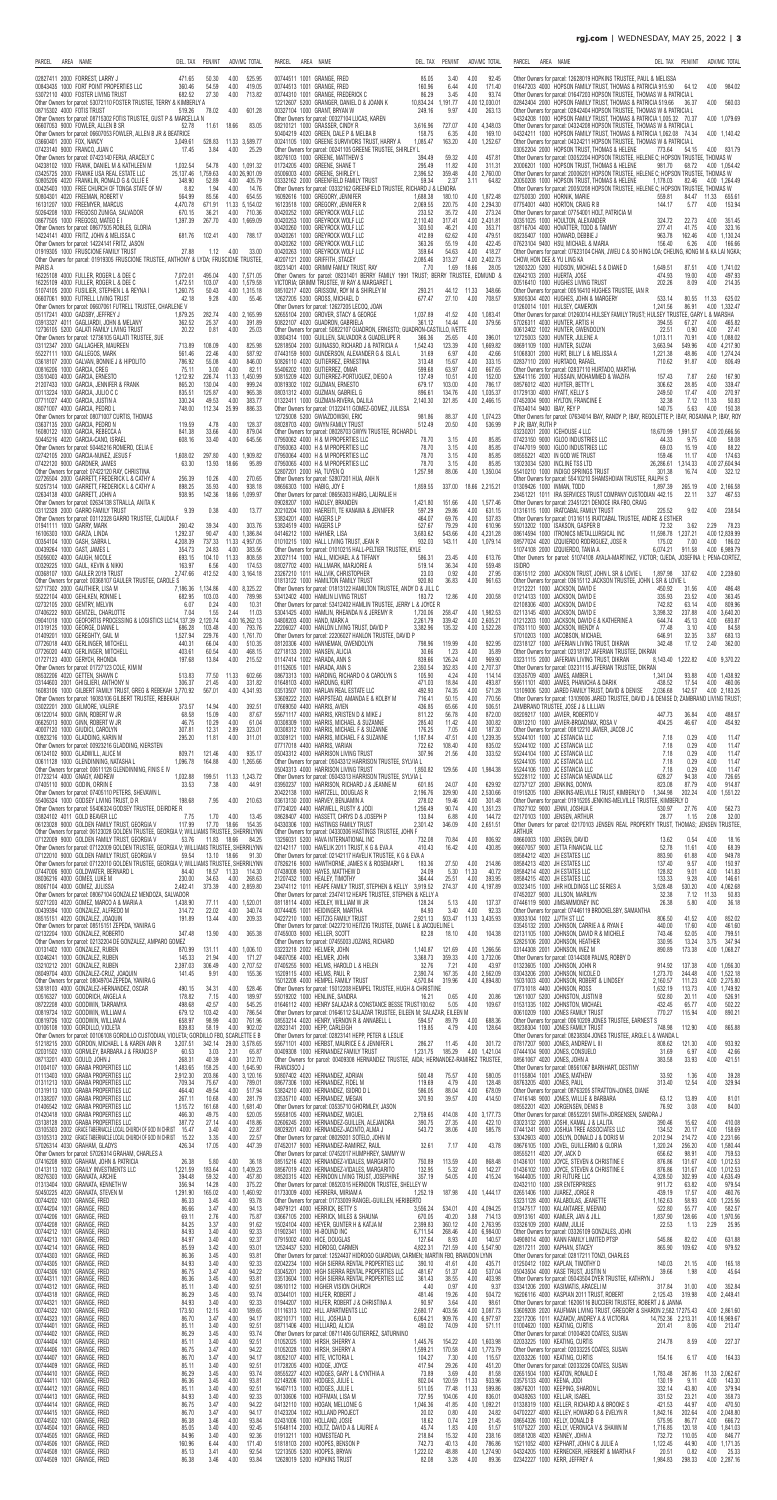| PARCEL<br>AREA NAME                                                                                                                                                                       | DEL. TAX<br>PEN/INT                                         | ADV/MC TOTAL                                        | PARCEL<br>AREA NAME                                                                                                                                               | DEL. TAX<br>PEN/INT                                                            | ADV/MC TOTAL                                  | PARCEL<br>AREA NAME                                                                                                                                                                                               | DEL. TAX PEN/INT                                                    | ADV/MC TOTAL                                           |
|-------------------------------------------------------------------------------------------------------------------------------------------------------------------------------------------|-------------------------------------------------------------|-----------------------------------------------------|-------------------------------------------------------------------------------------------------------------------------------------------------------------------|--------------------------------------------------------------------------------|-----------------------------------------------|-------------------------------------------------------------------------------------------------------------------------------------------------------------------------------------------------------------------|---------------------------------------------------------------------|--------------------------------------------------------|
| 02827411 2000 FORREST, LARRY J<br>00843435 1000 FORT POINT PROPERTIES LLC                                                                                                                 | 471.65<br>50.30<br>360.46<br>54.59                          | 4.00<br>525.95<br>4.00<br>419.05                    | 00744511 1001 GRANGE, FRED<br>00744513 1001 GRANGE, FRED                                                                                                          | 85.05<br>4.00<br>3.40<br>160.96<br>6.44<br>4.00                                | 92.45<br>171.40                               | Other Owners for parcel: 12628019 HOPKINS TRUSTEE, PAUL & MELISSA<br>01647203 4000 HOPSON FAMILY TRUST, THOMAS & PATRICIA 915.90                                                                                  | 64.12                                                               | 984.02<br>4.00                                         |
| 53072110 4000 FOSTER LIVING TRUST<br>Other Owners for parcel: 53072110 FOSTER TRUSTEE, TERRY & KIMBERLY A<br>08715302 4000 FOTIS TRUST                                                    | 27.30<br>682.52<br>519.26<br>78.02                          | 713.82<br>4.00<br>601.28<br>4.00                    | 00744310 1001 GRANGE, FREDERICK C<br>12212607 5200 GRANGER, DANIEL D & JOANN K<br>00327104 1000 GRANT, BRYAN W                                                    | 86.29<br>3.45<br>4.00<br>10,834.24 1,191.77<br>249.16<br>4.00<br>9.97          | 93.74<br>4.00 12,030.01<br>263.13             | Other Owners for parcel: 01647203 HOPSON TRUSTEE, THOMAS W & PATRICIA L<br>02842404 2000 HOPSON FAMILY TRUST, THOMAS & PATRICIA 519.66<br>Other Owners for parcel: 02842404 HOPSON TRUSTEE, THOMAS W & PATRICIA L | 36.37                                                               | 4.00<br>560.03                                         |
| Other Owners for parcel: 08715302 FOTIS TRUSTEE, GUST P & MARCELLA N<br>06607053 9000 FOWLER, ALLEN B SR                                                                                  | 52.78                                                       | 83.05<br>11.61 18.66                                | Other Owners for parcel: 00327104 LUCAS, KAREN<br>08210121 1000 GRASSER, CINDY R                                                                                  | 3,616.96<br>727.07                                                             | 4.00 4.348.03                                 | 04324208 1000 HOPSON FAMILY TRUST, THOMAS & PATRICIA 1,005.32 70.37<br>Other Owners for parcel: 04324208 HOPSON TRUSTEE, THOMAS W & PATRICIA L                                                                    |                                                                     | 4.00 1,079.69                                          |
| Other Owners for parcel: 06607053 FOWLER, ALLEN B JR & BEATRICE<br>03660401 2000 FOX, NANCY                                                                                               | 3,049.61                                                    | 528.83 11.33 3,589.77                               | 50404219 4020 GREEN, DALE P & MELBA B<br>00241105 1000 GREENE SURVIVORS TRUST, HARRY A                                                                            | 158.75<br>4.00<br>6.35<br>1,085.47<br>163.20                                   | 169.10<br>4.00 1,252.67                       | 04324211 1000 HOPSON FAMILY TRUST, THOMAS & PATRICIA 1,062.08<br>Other Owners for parcel: 04324211 HOPSON TRUSTEE, THOMAS W & PATRICIA L                                                                          | 74.34                                                               | 4.00 1.140.42                                          |
| 07423140 9000 FRANCO, JUAN C<br>Other Owners for parcel: 07423140 FERIA, ARACELY C<br>04238102 1000 FRANK, DANIEL M & KATHLEEN M                                                          | 17.45<br>3.84<br>1,032.54<br>54.78                          | 25.29<br>4.00<br>4.00 1.091.32                      | Other Owners for parcel: 00241105 GREENE TRUSTEE, SHIRLEY L<br>08276103 1000 GREENE, MATTHEW S<br>01724205 4000 GREENE, SHANE T                                   | 4.00<br>394.49<br>59.32<br>4.00<br>295.49<br>11.82                             | 457.81<br>311.31                              | 03052204 2000 HOPSON TRUST, THOMAS & HELENE<br>Other Owners for parcel: 03052204 HOPSON TRUSTEE, HELENE C; HOPSON TRUSTEE, THOMAS W<br>20006201 1000 HOPSON TRUST, THOMAS & HELENE                                | 54.15<br>773.64<br>981.70<br>68.72                                  | 4.00 831.79<br>4.00 1.054.42                           |
| 03425725 2000 FRANKE USA REAL ESTATE LLC<br>50805206 4020 FRANKLIN, RONALD G & OLLIE E                                                                                                    | 25,137.46 1,759.63<br>348.90<br>52.89                       | 4.00 26,901.09<br>4.00<br>405.79                    | 05006003 4000 GREENE, SHIRLEY L<br>03332162 2000 GREENFIELD FAMILY TRUST                                                                                          | 2,396.52<br>359.48<br>59.34<br>2.37<br>3.11                                    | 4.00 2,760.00<br>64.82                        | Other Owners for parcel: 20006201 HOPSON TRUSTEE, HELENE C; HOPSON TRUSTEE, THOMAS W<br>20050208 1000 HOPSON TRUST, THOMAS & HELENE                                                                               | 1.178.03<br>82.46                                                   | 4.00 1.264.49                                          |
| 00425403 1000 FREE CHURCH OF TONGA STATE OF NV<br>50804301 4020 FREEMAN, ROBERT V                                                                                                         | 8.82<br>1.94<br>85.56<br>564.99                             | 4.00<br>14.76<br>4.00<br>654.55                     | Other Owners for parcel: 03332162 GREENFIELD TRUSTEE, RICHARD J & LENORA<br>16092616 1000 GREGORY, JENNIFER                                                       | 1,688.38<br>180.10                                                             | 4.00 1,872.48                                 | Other Owners for parcel: 20050208 HOPSON TRUSTEE, HELENE C; HOPSON TRUSTEE, THOMAS W<br>02750030 2000 HORNIK, MARIE                                                                                               | 559.81<br>84.47 11.33                                               | 655.61                                                 |
| 16131207 1000 FREEMYER, MARCUS<br>50264208 1000 FREGOSO ZUNIGA, SALVADOR<br>08677505 1000 FREGOSO, MATEO E I                                                                              | 4.470.78<br>671.91<br>670.15<br>36.21<br>1,397.39<br>267.70 | 11.33 5.154.02<br>4.00<br>710.36<br>4.00 1,669.09   | 16123518 1000 GREGORY, JENNIFER R<br>00420252 1000 GREYROCK WOLF LLC<br>00420253 1000 GREYROCK WOLF LLC                                                           | 2,069.55<br>220.75<br>233.52<br>35.72<br>2,110.40<br>317.41                    | 4.00 2.294.30<br>4.00 273.24<br>4.00 2,431.81 | 07754001 4400 HORTON, CRAIG R B<br>Other Owners for parcel: 07754001 HOLT, PATRICIA M<br>00351025 1000 HOULTON, ALEXANDER                                                                                         | 144.17<br>5.77<br>324.72<br>22.73                                   | 4.00<br>153.94<br>4.00<br>351.45                       |
| Other Owners for parcel: 08677505 ROBLES, GLORIA<br>14224141 4000 FRITZ, JOHN & MELISSA C                                                                                                 | 102.41<br>681.76                                            | 4.00<br>788.17                                      | 00420260 1000 GREYROCK WOLF LLC<br>00420261 1000 GREYROCK WOLF LLC                                                                                                | 303.50<br>46.21<br>4.00<br>412.89<br>62.62<br>4.00                             | 353.71<br>479.51                              | 08716704 4000 HOVATTER, TODD & TAMMY<br>08235407 1000 HOWARD, DEBBIE J                                                                                                                                            | 277.41<br>41.75<br>963.78<br>162.46                                 | 4.00<br>323.16<br>4.00 1.130.24                        |
| Other Owners for parcel: 14224141 FRITZ, JASON<br>01919305 1000 FRUSCIONE FAMILY TRUST                                                                                                    | 1.12<br>27.88                                               | 4.00<br>33.00                                       | 00420262 1000 GREYROCK WOLF LLC<br>00420263 1000 GREYROCK WOLF LLC                                                                                                | 363.26<br>55.19<br>4.00<br>359.64<br>54.63<br>4.00                             | 422.45<br>418.27                              | 07623104 9400 HSU, MICHAEL & MARIA<br>Other Owners for parcel: 07623104 CHAN, JWEU C & SO HING LOA; CHEUNG, KONG M & KA LAI NGKA;                                                                                 | 156.40<br>6.26                                                      | 4.00<br>166.66                                         |
| Other Owners for parcel: 01919305 FRUSCIONE TRUSTEE, ANTHONY & LYDA; FRUSCIONE TRUSTEE,<br>PARIS A<br>16225108 4000 FULLER, ROGER L & DEE C                                               | 495.04<br>7.072.01                                          | 4.00 7,571.05                                       | 40207121 2000 GRIFFITH, STACEY<br>08231401 4000 GRIMM FAMILY TRUST, RAY<br>Other Owners for parcel: 08231401 BERRY FAMILY 1991 TRUST; BERRY TRUSTEE, EDMUND &     | 2,085.46<br>313.27<br>7.70<br>1.69<br>18.66                                    | 4.00 2,402.73<br>28.05                        | CHOW. HON DEE & YU LING KA<br>12803220 5200 HUDSON, MICHAEL S & DIANE D<br>02642103 2000 HUERTA, JOSE                                                                                                             | 1,649.51<br>87.51<br>474.93<br>19.00                                | 4.00 1,741.02<br>497.93<br>4.00                        |
| 16225109 4000 FULLER, ROGER L & DEE C<br>51074105 2000 FUSILIER, STEPHEN L & REYNA I                                                                                                      | 1,472.51<br>103.07<br>1,260.75<br>50.43                     | 4.00 1,579.58<br>4.00 1,315.18                      | VICTORIA; GRIMM TRUSTEE, W RAY & MARGARET L<br>08510217 4020 GRISSOM, ROY M & SHIRLEY M                                                                           | 293.21<br>44.12 11.33                                                          | 348.66                                        | 00516410 1000 HUGHES LIVING TRUST<br>Other Owners for parcel: 00516410 HUGHES TRUSTEE, IAN R                                                                                                                      | 8.09<br>202.26                                                      | 4.00<br>214.35                                         |
| 06607061 9000 FUTRELL LIVING TRUST<br>Other Owners for parcel: 06607061 FUTRELL TRUSTEE, CHARLENE V<br>05117241 4000 GADSBY, JEFFREY J                                                    | 42.18<br>9.28<br>282.74<br>1,879.25                         | 4.00<br>55.46<br>4.00 2,165.99                      | 12627205 5200 GROSS, MICHAEL D<br>Other Owners for parcel: 12627205 LECOQ, JOAN<br>52655104 2000 GROVER, STACY & GEORGE                                           | 677.47<br>4.00<br>27.10<br>41.52<br>1,037.89                                   | 708.57<br>4.00 1,083.41                       | 50805304 4020 HUGHES, JOHN & MARGERY<br>01260014 1001 HULSEY, CAMERON<br>Other Owners for parcel: 01260014 HULSEY FAMILY TRUST; HULSEY TRUSTEE, GARY L & MARSHA                                                   | 533.14<br>80.55<br>1,241.56<br>86.91                                | 11.33<br>625.02<br>4.00 1,332.47                       |
| 03913327 4011 GAGLIARDI, JOHN & MELANY<br>12736105 5200 GALATI FAMILY LIVING TRUST                                                                                                        | 362.52<br>25.37<br>20.22<br>0.81                            | 4.00<br>391.89<br>25.03<br>4.00                     | 50822107 4020 GUADRON, GABRIELA<br>Other Owners for parcel: 50822107 GUADRON, ERNESTO; GUADRON-CASTILLO, IVETTE                                                   | 361.12<br>14.44<br>4.00                                                        | 379.56                                        | 57026311 4030 HUNTER, ARTIS H<br>00612402 1002 HUNTER, GWENDOLYN                                                                                                                                                  | 394.55<br>67.27<br>22.51<br>0.90                                    | 4.00<br>465.82<br>27.41<br>4.00                        |
| Other Owners for parcel: 12736105 GALATI TRUSTEE, SUE<br>03112347 2000 GALLAGHER, MAUREEN                                                                                                 | 713.89<br>108.09                                            | 4.00<br>825.98                                      | 00804314 1000 GUILLEN, SALVADOR & GUADELUPE R<br>52818504 2000 GUINASSO, RICHARD J & PATRICIA A                                                                   | 366.36<br>25.65<br>4.00<br>1,542.43<br>123.39                                  | 396.01<br>4.00 1,669.82                       | 12725003 5200 HUNTER, JULENE A<br>08691109 1000 HUNTER, SUZAN                                                                                                                                                     | 70.91<br>1,013.11<br>3,663.94<br>549.96                             | 4.00 1.088.02<br>4.00 4.217.90                         |
| 55227111 1000 GALLEGOS, MARK<br>03618107 2000 GALVAN, BONNIE J & HIPOLITO<br>00816206 1000 GARCIA, CREG                                                                                   | 561.46<br>22.46<br>786.92<br>55.08<br>3.00<br>75.11         | 4.00<br>587.92<br>4.00<br>846.00<br>4.00<br>82.11   | 07443159 9000 GUNDERSON, ALEXANDER G & ISLA L<br>50826110 4020 GUTIERREZ, ERNESTINA<br>55406202 1000 GUTIERREZ, OMAR                                              | 31.69<br>6.97<br>4.00<br>313.48<br>4.00<br>15.67<br>599.68<br>4.00<br>63.97    | 42.66<br>333.15<br>667.65                     | 51068301 2000 HURT, BILLY L & MELISSA A<br>02837110 2000 HURTADO, RAFAEL<br>Other Owners for parcel: 02837110 HURTADO, MARTHA                                                                                     | 1,221.38<br>48.86<br>710.62<br>91.87                                | 4.00 1,274.24<br>4.00<br>806.49                        |
| 03510403 4000 GARCIA, ERNESTO<br>21207433 1000 GARCIA, JENNIFER & FRANK                                                                                                                   | 1,212.92<br>226.74<br>865.20<br>130.04                      | 1,450.99<br>11.33<br>4.00<br>999.24                 | 50815209 4020 GUTIERREZ-PORTUGUEZ, DIEGO A<br>00819302 1002 GUZMAN, ERNESTO                                                                                       | 137.49<br>10.51<br>4.00<br>679.17<br>103.00<br>4.00                            | 152.00<br>786.17                              | 52641116 2000 HUSSAIN, MOHAMMED & WAZIFA<br>08576012 4020 HUYTER, BETTY L                                                                                                                                         | 157.43<br>7.87<br>306.62<br>28.85                                   | 2.60<br>167.90<br>4.00<br>339.47                       |
| 00113224 1000 GARCIA, JULIO C C<br>07711027 4400 GARCIA, JUSTIN A<br>08071007 4000 GARCIA, PEDRO L                                                                                        | 835.51<br>125.87<br>330.24<br>49.53<br>748.00<br>112.34     | 4.00<br>965.38<br>4.00<br>383.77<br>25.99<br>886.33 | 08031312 4000 GUZMAN, GABRIEL G<br>01322411 1000 GUZMAN-RIVERA, DALILA<br>Other Owners for parcel: 01322411 GOMEZ-GOMEZ, JULISSA                                  | 896.61<br>134.76<br>2,140.30<br>321.85                                         | 4.00 1.035.37<br>4.00 2,466.15                | 01729130 4000 HYATT, KELLY S<br>07452004 9000 HYLTON, FRANCINE E<br>07634014 9400 IBAY, REY P                                                                                                                     | 249.50<br>17.47<br>32.38<br>7.12<br>140.75<br>5.63                  | 4.00<br>270.97<br>50.83<br>11.33<br>4.00<br>150.38     |
| Other Owners for parcel: 08071007 CURTIS, THOMAS<br>03637135 2000 GARCIA, PEDRO N                                                                                                         | 119.59<br>4.78                                              | 4.00<br>128.37                                      | 12725008 5200 GWIAZDOWSKI, ERIC<br>08028703 4000 GWYN FAMILY TRUST                                                                                                | 981.86<br>88.37<br>512.49<br>20.50<br>4.00                                     | 4.00 1,074.23<br>536.99                       | Other Owners for parcel: 07634014 IBAY, RANDY P; IBAY, REGOLETTE P; IBAY, ROSANNA P; IBAY, ROY<br>P JR; IBAY, RUTH P                                                                                              |                                                                     |                                                        |
| 16080122 1000 GARCIA, REBECCA A<br>50445216  4020  GARCIA-CANO, ISRAEL                                                                                                                    | 33.66<br>841.38<br>608.16<br>33.40                          | 4.00<br>879.04<br>4.00<br>645.56                    | Other Owners for parcel: 08028703 GWYN TRUSTEE, RICHARD L<br>07950062 4000 H & M PROPERTIES LLC                                                                   | 4.00<br>78.70<br>3.15                                                          | 85.85                                         | 03230201 2000 ICEHOUSE 4 LLC<br>07423150 9000 IGLOO INDUSTRIES LLC                                                                                                                                                | 18,670.99 1,991.57<br>44.33<br>9.75                                 | 4.00 20,666.56<br>4.00<br>58.08                        |
| Other Owners for parcel: 50445216 ROMERO, CELIA E<br>02742105 2000 GARCIA-NUNEZ, JESUS F<br>07422120 9000 GARDNER, JAMES                                                                  | 1,608.02<br>297.80<br>13.93<br>63.30                        | 4.00 1,909.82<br>18.66<br>95.89                     | 07950063 4000 H & M PROPERTIES LLC<br>07950064 4000 H & M PROPERTIES LLC<br>07950065 4000 H & M PROPERTIES LLC                                                    | 78.70<br>3.15<br>4.00<br>78.70<br>3.15<br>4.00<br>78.70<br>3.15<br>4.00        | 85.85<br>85.85<br>85.85                       | 07447019 9000 IGLOO INDUSTRIES LLC<br>08555221 4020 IN GOD WE TRUST<br>13023034 5200 INCLINE TSS LTD                                                                                                              | 69.03<br>15.19<br>159.46<br>11.17<br>26,286.61<br>1,314.33          | 4.00<br>88.22<br>4.00<br>174.63<br>4.00 27.604.94      |
| Other Owners for parcel: 07422120 RAY, CHRISTINA<br>02726504 2000 GARRETT, FREDERICK L & CATHY A                                                                                          | 256.39<br>10.26                                             | 4.00<br>270.65                                      | 52807201 2000 HA, TUYEN Q<br>Other Owners for parcel: 52807201 HUA, ANH N                                                                                         | 1,257.98<br>88.06                                                              | 4.00 1,350.04                                 | 55410210 1000 INDIGO SPRINGS TRUST<br>Other Owners for parcel: 55410210 SHAMSHOIAN TRUSTEE, RALPH S                                                                                                               | 301.38<br>16.74                                                     | 4.00<br>322.12                                         |
| 50257314 1000 GARRETT. FREDERICK L & CATHY A<br>02634138 4000 GARRETT, JOHN A                                                                                                             | 898.25<br>35.93<br>938.95                                   | 4.00<br>938.18<br>142.36 18.66<br>1,099.97          | 08656303 1000 HABIG, JOY E<br>Other Owners for parcel: 08656303 HABIG, LAURALIE H                                                                                 | 1.859.55<br>337.00 18.66 2,215.21                                              |                                               | 01309426 1000 INMAN, TODD<br>23451221 1011 IRA SERVICES TRUST COMPANY CUSTODIAN 442.15                                                                                                                            | 1.897.39<br>265.19<br>22.11                                         | 4.00 2.166.58<br>3.27<br>467.53                        |
| Other Owners for parcel: 02634138 STRALLA, ANITA K<br>03112328 2000 GARRO FAMILY TRUST<br>Other Owners for parcel: 03112328 GARRO TRUSTEE, CLAUDIA F                                      | 9.39<br>0.38                                                | 4.00<br>13.77                                       | 09028207 1000 HADLEY, BRANDEN<br>20210204 1000 HAEREITI, TE KANAWA & JENNIFER<br>53824201 4000 HAGERS LP                                                          | 1,421.80<br>151.66<br>597.29<br>29.86<br>4.00<br>464.07<br>69.76<br>4.00       | 4.00 1,577.46<br>631.15<br>537.83             | Other Owners for parcel: 23451221 DENOCE IRA FBO, CRAIG<br>01316115 1000 IRATCABAL FAMILY TRUST<br>Other Owners for parcel: 01316115 IRATCABAL TRUSTEE, ANDRE & ESTHER                                            | 225.52<br>9.02                                                      | 4.00<br>238.54                                         |
| 01941111 1000 GARRY, MARK<br>16106303 1000 GARZA, LINDA                                                                                                                                   | 260.42<br>39.34<br>90.47<br>1,292.37                        | 303.76<br>4.00<br>4.00 1,386.84                     | 53824519 4000 HAGERS LP<br>04146212 1000 HAHNER, LISA                                                                                                             | 527.67<br>4.00<br>79.29<br>3.683.62<br>543.66                                  | 610.96<br>4.00 4,231.28                       | 55013202 1000 ISAKSON, GASPER B<br>08614594 1000 ITRONICS METALLURGICAL INC                                                                                                                                       | 3.62<br>72.32<br>11,598.78  1,237.21                                | 2.29<br>78.23<br>4.00 12.839.99                        |
| 00354104 1000 GASH, SABRA L<br>00439264 1000 GAST, JAMES L<br>05056002 4000 GAUGH, NICOLE                                                                                                 | 4,208.39<br>737.33<br>354.73<br>24.83<br>693.15<br>104.10   | 11.33 4,957.05<br>383.56<br>4.00<br>11.33<br>808.58 | 01010215 1000 HALL LIVING TRUST, JEAN R<br>Other Owners for parcel: 01010215 HALL-PELTIER TRUSTEE, KYLE<br>20027114 1000 HALL, MICHAEL A & TIFFANY                | 932.03<br>143.11<br>4.00<br>586.31<br>23.45                                    | 4.00 1,079.14<br>613.76                       | 08577024 4020 IZQUIERDO RODRIGUEZ, JOSE R<br>51074108 2000 IZQUIERDO, TANIA A<br>Other Owners for parcel: 51074108 AYALA-MARTINEZ, VICTOR; OJEDA, JOSEFINA I; PENA-CORTEZ                                         | 175.02<br>7.00<br>6,074.21<br>911.58                                | 186.02<br>4.00<br>4.00 6,989.79                        |
| 00329225 1000 GAUL, KEVIN & NIKKI<br>00368107 1000 GAULER 2019 TRUST                                                                                                                      | 6.56<br>163.97<br>412.52<br>2,747.66                        | 4.00<br>174.53<br>4.00 3,164.18                     | 08027702 4000 HALLMARK, MARJORIE A<br>23267210 1011 HALLVIK, CHRISTOPHER                                                                                          | 519.14<br>36.34<br>4.00<br>23.03<br>0.92<br>4.00                               | 559.48<br>27.95                               | <b>ISIDRO</b><br>03615112 2000 JACKSON TRUST, JOHN L SR & LOVIE L 1,897.98 337.62                                                                                                                                 |                                                                     | 4.00 2,239.60                                          |
| Other Owners for parcel: 00368107 GAULER TRUSTEE, CAROLE S<br>52717302 2000 GAUTHIER, LISA M<br>55222104 4000 GEHLKEN, RONNIE L                                                           | 7,186.36 1,134.86                                           | 4.00 8.325.22                                       | 01813122 1000 HAMILTON FAMILY TRUST<br>Other Owners for parcel: 01813122 HAMILTON TRUSTEE, ANDY D & JILL C                                                        | 920.80<br>36.83<br>4.00                                                        | 961.63                                        | Other Owners for parcel: 03615112 JACKSON TRUSTEE, JOHN L SR & LOVIE L<br>01212221 1000 JACKSON, DAVID E                                                                                                          | 450.92<br>31.56                                                     | 4.00<br>486.48                                         |
| 02732105 2000 GENTRY, MELVIN<br>07406222 9000 GENTZEL, CHARLOTTE                                                                                                                          | 682.95<br>103.03<br>6.07<br>0.24<br>7.04<br>1.55            | 4.00<br>789.98<br>4.00<br>10.31<br>2.44<br>11.03    | 53412402 4000 HAMLIN LIVING TRUST<br>Other Owners for parcel: 53412402 HAMLIN TRUSTEE, JERRY L & JOYCE R<br>53041425 4000 HAMLIN, RHEANDA N & JEREMY R            | 183.72<br>12.86<br>1,720.06<br>258.47                                          | 4.00 200.58<br>4.00 1.982.53                  | 01214133 1000 JACKSON, DAVID E<br>02108306 4000 JACKSON, DAVID E<br>02113145 4000 JACKSON, DAVID E                                                                                                                | 335.93<br>23.52<br>742.82<br>63.14<br>3,398.32<br>237.88            | 4.00<br>363.45<br>809.96<br>4.00<br>4.00 3,640.20      |
| 09041018 1000 GEOFORTIS PROCESSING & LOGISTICS LLC14,137.39 2,120.74<br>01319125 1000 GEORGE, DIANNE L                                                                                    | 103.48<br>686.28                                            | 4.00 16,262.13<br>4.00<br>793.76                    | 04808203 4000 HAND, MARK A<br>22206027 4000 HANLON LIVING TRUST, DAVID P                                                                                          | 2,261.79<br>339.42<br>3.382.96<br>135.32                                       | 4.00 2,605.21<br>4.00 3,522.28                | 01212203 1000 JACKSON, DAVID E & KATHERINE A<br>07831110 9000 JACKSON, WENDY A                                                                                                                                    | 45.13<br>644.74<br>77.48<br>3.10                                    | 4.00<br>693.87<br>4.00<br>84.58                        |
| 01409201 1000 GEREGHTY, GAIL M<br>07726018 4400 GERLINGER, MITCHELL<br>07726020 4400 GERLINGER, MITCHELL                                                                                  | 1,527.94<br>229.76<br>440.31<br>66.04<br>403.61<br>60.54    | 4.00 1,761.70<br>4.00<br>510.35<br>4.00<br>468.15   | Other Owners for parcel: 22206027 HANLON TRUSTEE, DAVID P<br>08120306 4000 HANNEMAN, GWENDOLYN<br>02718133 2000 HANSEN, ALICIA                                    | 4.00<br>798.96<br>119.99<br>4.00<br>30.66<br>1.23                              | 922.95<br>35.89                               | 57010203 1000 JACOBSON, MICHAEL<br>02318127 1000 JAFERIAN LIVING TRUST, DIKRAN<br>Other Owners for parcel: 02318127 JAFERIAN TRUSTEE, DIKRAN                                                                      | 646.91<br>32.35<br>342.48<br>17.12                                  | 3.87<br>683.13<br>362.00<br>2.40                       |
| 01727123 4000 GERYCH, RHONDA<br>Other Owners for parcel: 01727123 COLE, KIM M                                                                                                             | 197.68<br>13.84                                             | 4.00<br>215.52                                      | 01147414 1002 HARADA, ANN S<br>01152605 1001 HARADA, ANN S                                                                                                        | 839.66<br>126.24<br>4.00<br>2,350.54<br>352.83                                 | 969.90<br>4.00 2,707.37                       | 03231115 2000 JAFERIAN LIVING TRUST, DIKRAN<br>Other Owners for parcel: 03231115 JAFERIAN TRUSTEE, DIKRAN                                                                                                         | 8,143.40 1,222.82                                                   | 4.00 9,370.22                                          |
| 08532206 4020 GETTEN, SHAWN C<br>03144603 2001 GHIGLIERI, ANTHONY N                                                                                                                       | 513.83<br>77.50<br>306.37<br>21.45                          | 602.66<br>11.33<br>4.00<br>331.82                   | 08673313 1000 HARDING, RICHARD O & CAROLYN S<br>01648103 4000 HARDUNG, KURT                                                                                       | 105.90<br>4.24<br>4.00<br>471.03<br>18.84<br>4.00                              | 114.14<br>493.87                              | 03535709 4000 JAMES, AMBER L<br>55611101 4000 JAMES, PHANICHA & DARIK                                                                                                                                             | 1,341.04<br>93.88<br>438.52<br>17.54                                | 4.00 1,438.92<br>460.06<br>4.00                        |
| 16083106 1000 GILBERT FAMILY TRUST, GREG & REBEKAH 3,770.92<br>Other Owners for parcel: 16083106 GILBERT TRUSTEE, REBEKAH<br>03022201 2000 GILMORE, VALERIE                               | 567.01<br>14.94<br>373.57                                   | 4.00 4,341.93<br>4.00<br>392.51                     | 03513507 1000 HARLAN REAL ESTATE LLC<br>53609222 2020 HARPSTEAD, AMANDA E & KOLBY M<br>07669050 4400 HARRIS, AVIEN                                                | 492.93<br>4.00<br>74.35<br>50.15<br>716.41<br>4.00<br>436.85<br>65.66<br>4.00  | 571.28<br>770.56<br>506.51                    | 13109006 5200 JARED FAMILY TRUST, DAVID & DENISE 2,036.68<br>Other Owners for parcel: 13109006 JARED TRUSTEE, DAVID J & DENISE D; ZAMBRANO LIVING TRUST<br>ZAMBRANO TRUSTEE, JOSE J & LILLIAN                     | 142.57                                                              | 4.00 2,183.25                                          |
| 06122014 9000 GINN, ROBERT W JR<br>06625013 9000 GINN, ROBERT W JR                                                                                                                        | 68.58<br>15.09<br>10.29<br>46.75                            | 4.00<br>87.67<br>4.00<br>61.04                      | 55671117 4000 HARRIS, KRISTEN D & MIKE J<br>00308309 1000 HARRIS, MICHAEL & SUZANNE                                                                               | 811.22<br>4.00<br>56.78<br>285.40<br>4.00<br>11.42                             | 872.00<br>300.82                              | 08209217 1000 JAVIER, ROBERTO V<br>00812210 1000 JAVIER-BROADNAX, ROSA V                                                                                                                                          | 447.73<br>36.84<br>404.25<br>46.67                                  | 488.57<br>4.00<br>4.00<br>454.92                       |
| 40007120 1000 GIUDICI, CAROLYN<br>00923216 1000 GLADDING, KARIN M<br>Other Owners for parcel: 00923216 GLADDING, KIERSTEN                                                                 | 12.31<br>307.81<br>295.20<br>11.81                          | 2.89<br>323.01<br>311.01<br>4.00                    | 00308312 1000 HARRIS, MICHAEL F & SUZANNE<br>00309121 1000 HARRIS, MICHAEL F & SUZANNE<br>07717018 4400 HARRIS, VARIAN                                            | 176.25<br>7.05<br>4.00<br>1,187.84<br>47.51<br>722.62<br>108.40<br>4.00        | 187.30<br>4.00 1,239.35<br>835.02             | Other Owners for parcel: 00812210 JAVIER, JACOB J C<br>55244101 1000 JC ESTANCIA LLC<br>55244102 1000 JC ESTANCIA LLC                                                                                             | 0.29<br>7.18<br>7.18<br>0.29                                        | 4.00<br>11.47<br>4.00<br>11.47                         |
| 06124102 9000 GLADWILL, ALICE M<br>00611128 1000 GLENDINNING, NATASHA L                                                                                                                   | 121.46<br>809.71<br>1,096.78<br>164.88                      | 4.00<br>935.17<br>4.00 1,265.66                     | 05043312 4000 HARRISON LIVING TRUST<br>Other Owners for parcel: 05043312 HARRISON TRUSTEE, SYLVIA L                                                               | 307.96<br>21.56<br>4.00                                                        | 333.52                                        | 55244104 1000 JC ESTANCIA LLC<br>55244105 1000 JC ESTANCIA LLC                                                                                                                                                    | 7.18<br>0.29<br>0.29<br>7.18                                        | 11.47<br>4.00<br>4.00<br>11.47                         |
| Other Owners for parcel: 00611128 GLENDINNING, FINIS E IV<br>01723214 4000 GNAGY, ANDREW                                                                                                  | 1,032.88<br>199.51                                          | 11.33 1,243.72                                      | 05043313 4000 HARRISON LIVING TRUST<br>Other Owners for parcel: 05043313 HARRISON TRUSTEE, SYLVIA L                                                               | 1,850.82<br>129.56                                                             | 4.00 1,984.38                                 | 55244106 1000 JC ESTANCIA LLC<br>55228112 1000 JC ESTANCIA NEVADA LLC                                                                                                                                             | 0.29<br>7.18<br>94.38<br>628.27                                     | 4.00<br>11.47<br>726.65<br>4.00                        |
| 07405110 9000 GODIN, ORRIN E<br>Other Owners for parcel: 07405110 PETERS, SHEVAWN L<br>55406324 1000 GODSEY LIVING TRUST, D R                                                             | 33.53<br>7.38<br>198.68<br>7.95                             | 4.00<br>44.91<br>4.00<br>210.63                     | 03950237 1000 HARRISON, RICHARD J & JEANNE M<br>20422138 1000 HARTZELL, DOUGLAS R<br>03613130 2000 HARVEY, BENJAMIN A                                             | 601.85<br>24.07<br>329.90<br>2,196.76<br>278.02<br>19.46<br>4.00               | 4.00 629.92<br>4.00 2.530.66<br>301.48        | 02737127 2000 JENKINS, DONYA<br>01915205 1000 JENKINS-MELVILLE TRUST, KIMBERLY D 1,344.98<br>Other Owners for parcel: 01915205 JENKINS-MELVILLE TRUSTEE, KIMBERLY D                                               | 87.79<br>823.08<br>202.24                                           | 4.00<br>914.87<br>4.00<br>1.551.22                     |
| Other Owners for parcel: 55406324 GODSEY TRUSTEE, DEIRDRE R<br>03824102 4011 GOLD BEAVER LLC                                                                                              | 1.70<br>7.75                                                | 13.45<br>4.00                                       | 07724020 4400 HARWELL, RUSTY & JODI<br>08628407 4000 HASSETT, CHRYS D & JOSEPH P                                                                                  | 1,256.49<br>90.74<br>133.84<br>6.88<br>4.00                                    | 4.00 1,351.23<br>144.72                       | 07827102 9000 JENNI, JOSHUA E<br>02170103 1000 JENSEN, ARTHUR                                                                                                                                                     | 27.76<br>530.97<br>28.77<br>1.15                                    | 4.00<br>562.73<br>32.00<br>2.08                        |
| 06123028 9000 GOLDEN FAMILY TRUST, GEORGIA V<br>Other Owners for parcel: 06123028 GOLDEN TRUSTEE, GEORGIA V; WILLIAMS TRUSTEE, SHERRILYNN<br>07122009 9000 GOLDEN FAMILY TRUST. GEORGIA V | 117.99                                                      | 17.70 18.66<br>154.35                               | 04330306 1000 HASTINGS FAMILY TRUST<br>Other Owners for parcel: 04330306 HASTINGS TRUSTEE. JOHN F<br>13256031 5200 HAVA INTERNATIONAL INC                         | 2,301.42<br>346.09                                                             | 4.00 2,651.51                                 | Other Owners for parcel: 02170103 JENSEN REAL PROPERTY TRUST, THOMAS; JENSEN TRUSTEE<br>ARTHUR                                                                                                                    |                                                                     |                                                        |
| Other Owners for parcel: 07122009 GOLDEN TRUSTEE, GEORGIA V; WILLIAMS TRUSTEE, SHERRILYNN<br>07122010 9000 GOLDEN FAMILY TRUST, GEORGIA V                                                 | 53.76<br>59.54                                              | 11.83 18.66<br>84.25<br>13.10 18.66<br>91.30        | 02142117 1000 HAVELIK 2011 TRUST, K G & EVA A<br>Other Owners for parcel: 02142117 HAVELIK TRUSTEE, K G & EVA A                                                   | 732.08<br>4.00<br>70.84<br>410.43<br>16.42<br>4.00                             | 806.92<br>430.85                              | 08660003 1000 JENSEN, DAVID<br>06607057 9000 JETTA FINANCIAL LLC<br>08584212 4020 JH ESTATES LLC                                                                                                                  | 0.54<br>13.62<br>52.78<br>11.61<br>883.90<br>61.88                  | 4.00<br>18.16<br>68.39<br>4.00<br>4.00<br>949.78       |
| Other Owners for parcel: 07122010 GOLDEN TRUSTEE, GEORGIA V; WILLIAMS TRUSTEE, SHERRILYNN<br>07447006 9000 GOLDWATER, BERNARD L                                                           | 84.40                                                       | 18.57 11.33<br>114.30                               | 07826216 9000 HAWTHORNE, JAMES K & ROSEMARY L<br>07438008 9000 HAYES, MATTHEW D                                                                                   | 4.00<br>183.36<br>27.50<br>24.09<br>5.30<br>11.33                              | 214.86<br>40.72                               | 08584213 4020 JH ESTATES LLC<br>08584214 4020 JH ESTATES LLC                                                                                                                                                      | 137.40<br>9.57<br>128.82<br>9.01                                    | 4.00<br>150.97<br>4.00<br>141.83                       |
| 08036216 4000 GOMES, LUKE M<br>08067104 4000 GOMEZ, JULISSA<br>Other Owners for parcel: 08067104 GONZALEZ MENDOZA, SALVADOR                                                               | 230.00<br>34.63<br>2.482.41<br>373.39                       | 268.63<br>4.00<br>4.00 2.859.80                     | 21207432 1000 HEALEY, TIMOTHY<br>23474112 1011 HEAPE FAMILY TRUST, STEPHEN & KELLY 3,919.52<br>Other Owners for parcel: 23474112 HEAPE TRUSTEE, STEPHEN & KELLY A | 364.44<br>25.51<br>4.00<br>274.37                                              | 393.95<br>4.00 4.197.89                       | 08584215 4020 JH ESTATES LLC<br>00323415 1000 JHR HOLDINGS LLC SERIES A<br>07452027 9000 JILLSON, MARILYN                                                                                                         | 9.28<br>133.33<br>530.20<br>3,528.48<br>32.38<br>7.12               | 4.00<br>146.61<br>4.00<br>4,062.68<br>50.83<br>11.33   |
| 50271203 4020 GOMEZ, MARCO A & MARIA A<br>00439394 1000 GONZALEZ, ALFREDO M                                                                                                               | 1,438.90<br>77.11<br>314.72<br>22.02                        | 4.00 1.520.01<br>340.74<br>4.00                     | 08118114 4000 HEDLEY. WILLIAM W JR<br>00744405 1001 HEIDINGER, MARTHA                                                                                             | 128.24<br>5.13<br>4.00<br>84.93<br>3.40<br>4.00                                | 137.37<br>92.33                               | 07446119 9000 JIMSAMMONEY INC<br>Other Owners for parcel: 07446119 BROCKELSBY, SAMANTHA                                                                                                                           | 26.38<br>5.80                                                       | 4.00<br>36.18                                          |
| 08515151 4020 GONZALEZ, JOAQUIN<br>Other Owners for parcel: 08515151 ZEPEDA, YANIRA G                                                                                                     | 191.89<br>13.44                                             | 4.00<br>209.33                                      | 04227210 1000 HEITZIG FAMILY TRUST<br>Other Owners for parcel: 04227210 HEITZIG TRUSTEE, DUANE L & JACQUELINE L                                                   | 2,921.13<br>503.47 11.33 3.435.93                                              |                                               | 00833104 1002 JJ7TH ST LLC<br>03545132 2000 JOHNSON, CARRIE A & RYAN E                                                                                                                                            | 806.50<br>41.52<br>440.00<br>17.60                                  | 4.00<br>852.02<br>4.00<br>461.60                       |
| 02132204 1000 GONZALEZ, ROBERTO<br>Other Owners for parcel: 02132204 DE GONZALEZ, AMPARO GOMEZ<br>00131402 1000 GONZALEZ, RUBEN                                                           | 131.11<br>870.99                                            | 347.48  13.90  4.00  365.38<br>4.00 1.006.10        | 07455003 9000 HELLER, SCOTT<br>Other Owners for parcel: 07455003 JOZANS, RICHARD<br>03223218 2002 HELMER, JOHN                                                    | 18.10  4.00  104.38<br>1,140.87<br>121.69                                      | 4.00 1,266.56                                 | 02131105 1000 JOHNSON, DAVID R & MICHELE<br>52825106 2000 JOHNSON, HEATHER<br>03144308 2001 JOHNSON, INEZ M                                                                                                       | 743.46<br>330.95<br>13.24<br>173.38<br>890.89                       | 52.05  4.00  799.51<br>347.94<br>3.75<br>4.00 1,068.27 |
| 00246241 1000 GONZALEZ, RUBEN<br>03210212 2001 GONZALEZ, RUBEN                                                                                                                            | 145.33<br>21.94<br>2,397.03<br>306.49                       | 4.00<br>171.27<br>4.00 2,707.52                     | 04607056 4000 HELMER, JOHN<br>07405255 9000 HELMS, HAROLD L & HELEN                                                                                               | 3,368.73<br>359.33<br>32.76<br>4.00<br>7.21                                    | 4.00 3,732.06<br>43.97                        | Other Owners for parcel: 03144308 PALMS, ROBBY D<br>01323605 1000 JOHNSON, JOHN R                                                                                                                                 | 914.92<br>137.38                                                    | 4.00 1,056.30                                          |
| 08049704 4000 GONZALEZ-CRUZ, JOAQUIN<br>Other Owners for parcel: 08049704 ZEPEDA, YANIRA G<br>53818103 4000 GONZALEZ-HERNANDEZ, OSCAR                                                     | 141.45<br>9.91<br>490.15<br>34.31                           | 4.00<br>155.36<br>4.00<br>528.46                    | 15209115 4000 HELMS, PAUL R<br>15012208 4000 HEMPEL FAMILY TRUST<br>Other Owners for parcel: 15012208 HEMPEL TRUSTEE, HUGH & CHRISTINE                            | 2,390.74<br>167.35<br>4,570.84<br>319.96                                       | 4.00 2,562.09<br>4.00 4.894.80                | 03043206 2000 JOHNSON, NICOLE D<br>15031003 4000 JOHNSON, ROBERT & LINDSEY<br>07731018 4400 JOHNSON, ROSS                                                                                                         | 1,273.70<br>244.48<br>2,160.57<br>111.23<br>1,632.19<br>113.73      | 4.00 1,522.18<br>4.00 2,275.80<br>4.00 1,749.92        |
| 00516327 1000 GOODRICH, ANGELA A<br>08722208 4000 GOODWIN, TARRAMYA                                                                                                                       | 7.15<br>178.82<br>42.57<br>498.68                           | 4.00<br>189.97<br>4.00<br>545.25                    | 55019202 1000 HENLINE, SANDRA<br>01646112 4000 HENRY SALAZAR & CONSTANCE BESSE TRUST100.62                                                                        | 16.21<br>0.65<br>4.00<br>5.05<br>4.00                                          | 20.86<br>109.67                               | 12611007 5200 JOHNSTON, JUSTIN B<br>01531335 1002 JOHNSTON, MICHAEL                                                                                                                                               | 502.80<br>20.11<br>432.45<br>65.77                                  | 4.00<br>526.91<br>502.22<br>4.00                       |
| 00819724 1002 GOODWIN, WILLIAM A<br>00819726 1002 GOODWIN, WILLIAM A<br>00106108 1000 GORDILLO, VIOLETA                                                                                   | 679.12<br>103.42<br>98.99<br>658.97<br>839.83<br>58.19      | 786.54<br>4.00<br>4.00<br>761.96<br>4.00<br>902.02  | Other Owners for parcel: 01646112 SALAZAR TRUSTEE, EILEEN M; SALAZAR, EILEEN M<br>08553214 4020 HENRY, VERNON R & ANNABELL L<br>02823141 2000 HEPP, CARLEIGH      | 594.57<br>89.79<br>4.00<br>119.85<br>4.00<br>4.79                              | 688.36<br>128.64                              | 00610209 1000 JONES FAMILY TRUST<br>Other Owners for parcel: 00610209 JONES TRUSTEE, EARNEST S<br>08238304 1000 JONES FAMILY TRUST                                                                                | 115.94<br>770.27<br>112.90<br>748.98                                | 890.21<br>4.00<br>4.00<br>865.88                       |
| Other Owners for parcel: 00106108 GORDILLO CUSTODIAN, VIOLETA; GORDILLO FBO, SCARLETTE E B<br>51218215 2000 GORDON, MICHAEL L & KAREN ANN R                                               | 3,207.51                                                    | 342.14 29.00 3,578.65                               | Other Owners for parcel: 02823141 HEPP, PETER & LESLIE<br>55671101 4000 HERBST, MAURICE E & JENNIFER L                                                            | 4.00<br>286.27<br>11.45                                                        | 301.72                                        | Other Owners for parcel: 08238304 JONES TRUSTEE, ARGLE L & WANDA L<br>07817207 9000 JONES, ANDREW L III                                                                                                           | 808.62<br>121.30                                                    | 4.00<br>933.92                                         |
| 02031502 1000 GORMLEY, BARBARA J & FRANCIS P<br>08713201 4000 GOULD, JOHN J<br>01004107 1000 GRABA PROPERTIES LLC                                                                         | 60.53<br>3.03<br>268.31<br>40.39<br>158.25<br>1,483.65      | 65.87<br>2.31<br>4.00<br>312.70<br>4.00 1,645.90    | 00409308 1000 HERNANDEZ FAMILY TRUST<br>Other Owners for parcel: 00409308 HERNANDEZ TRUSTEE, AIDA; HERNANDEZ-RAMIREZ TRUSTEE,<br>FRANCISCO J                      | 1.231.75<br>185.29                                                             | 4.00 1.421.04                                 | 07444104 9000 JONES, CONSUELO<br>08561067 4020 JONES, JOHN A<br>Other Owners for parcel: 08561067 BARNHART, DESTINY                                                                                               | 6.97<br>31.69<br>383.58<br>33.93                                    | 42.66<br>4.00<br>4.00<br>421.51                        |
| 01113403 1000 GRABA PROPERTIES LLC<br>01311213 1000 GRABA PROPERTIES LLC                                                                                                                  | 2,912.30<br>203.86<br>709.34<br>75.67                       | 4.00 3,120.16<br>789.01<br>4.00                     | 50807402 4020 HERNANDEZ, ADRIAN<br>08677306 1000 HERNANDEZ, FIDEL M                                                                                               | 4.00<br>500.48<br>75.57<br>119.69<br>4.79<br>4.00                              | 580.05<br>128.48                              | 01155804 1001 JONES, MATHEW<br>08763205 4000 JONES, PAUL                                                                                                                                                          | 1.36<br>33.92<br>313.40<br>12.54                                    | 4.00<br>39.28<br>329.94<br>4.00                        |
| 01319113 1000 GRABA PROPERTIES LLC<br>01338207 1000 GRABA PROPERTIES LLC                                                                                                                  | 464.40<br>49.54<br>267.11<br>10.68                          | 4.00<br>517.94<br>4.00<br>281.79                    | 53824210 4000 HERNANDEZ, ISIDRO D L<br>03535710 4000 HERNANDEZ, MEGAN                                                                                             | 88.04<br>4.00<br>586.05<br>370.93<br>39.57<br>4.00                             | 678.09<br>414.50                              | Other Owners for parcel: 08763205 STRATTON-JONES, DIANE<br>07416148 9000 JONES, WILLIE & BARBARA                                                                                                                  | 13.89<br>63.12                                                      | 4.00<br>81.01                                          |
| 01406542 1002 GRABA PROPERTIES LLC<br>01420418 1000 GRABA PROPERTIES LLC<br>03138128 2000 GRABA PROPERTIES LLC                                                                            | 1,515.72<br>161.68<br>466.30<br>49.75<br>387.72<br>27.14    | 4.00 1,681.40<br>4.00<br>520.05<br>4.00<br>418.86   | Other Owners for parcel: 03535710 GHORMLEY, JASON<br>55658105 4000 HERNANDEZ, MIGUEL<br>02606245 2000 HERNANDEZ-GUILLEN, ALEJANDRA                                | 2,759.65<br>414.08<br>390.75<br>27.35<br>4.00                                  | 4.00 3,177.73<br>422.10                       | 08552201 4020 JORGENSEN, DENIS B<br>Other Owners for parcel: 08552201 SMITH-JORGENSEN, SANDRA J<br>03023132 2000 JOSHI, KAMAL J & LALITA                                                                          | 76.92<br>3.08<br>390.46<br>15.62                                    | 84.00<br>4.00<br>4.00<br>410.08                        |
| 03105303 2002 GRACE TABERNACLE LOCAL CHURCH OF GOD IN CHRIST 15.47<br>03105313 2002 GRACE TABERNACLE LOCAL CHURCH OF GOD IN CHRIST 15.22                                                  | 3.40<br>3.35                                                | 4.00<br>22.87<br>4.00<br>22.57                      | 08029201 4000 HERNANDEZ-JACINTO, ALMA J<br>Other Owners for parcel: 08029201 SOTELO, JOHN M                                                                       | 543.72<br>38.06<br>4.00                                                        | 585.78                                        | 07441241 9000 JOSHUA TREE ASSOCIATES LLC<br>53042603 4000 JOSLYN, DONALD J & DORIS M                                                                                                                              | 134.52<br>20.17<br>2,012.94<br>214.72                               | 158.69<br>4.00<br>4.00 2,231.66                        |
| 57026314 4030 GRAHAM, GLADYS<br>Other Owners for parcel: 57026314 GRAHAM, CHARLES A<br>07416208 9000 GRAHAM, JOHN & PATRICIA                                                              | 17.05<br>426.34<br>26.38<br>5.80                            | 4.00<br>447.39<br>4.00<br>36.18                     | 07452017 9000 HERNANDEZ-RAMIREZ, RAUL<br>Other Owners for parcel: 07452017 HUMPHREY, SAMMY W<br>08515216  4020    HERNANDEZ-VIDALES, MARGARITO                    | 4.00<br>32.61<br>7.17<br>750.89<br>113.59<br>4.00                              | 43.78<br>868.48                               | 08676105 1000 JOVEL, GUILLERMO & GLORIA<br>08555211 4020 JOY, JACK D<br>01436101 1000 JOYCE, STEVEN & CHRISTINE E                                                                                                 | 1,320.24<br>256.20<br>656.62<br>98.91<br>876.86<br>131.67           | 4.00 1,580.44<br>759.53<br>4.00<br>4.00 1,012.53       |
| 01413113 1002 GRAILY INVESTMENTS LLC<br>08276303 1000 GRANATA, ARCHIE                                                                                                                     | 1,221.59<br>183.64<br>394.48<br>59.32                       | 4.00 1,409.23<br>457.80<br>4.00                     | 08567019 4020 HERNANDEZ-VIDALES, MARGARITO<br>08520315 4020 HERNDON LIVING TRUST, JOSEPHINE                                                                       | 132.95<br>5.32<br>4.00<br>357.19<br>54.05<br>4.00                              | 142.27<br>415.24                              | 01436102 1000 JOYCE, STEVEN & CHRISTINE E<br>16444005 1000 JRI FUTURE LLC                                                                                                                                         | 876.86<br>131.67<br>302.99<br>4,328.50                              | 4.00 1,012.53<br>4.00 4,635.49                         |
| 01313404 1000 GRANATA, KENNETH W<br>50450225 4020 GRANATA, STEVEN M<br>00744202 1001 GRANGE, FRED                                                                                         | 356.94<br>14.28<br>1,291.90<br>165.02<br>86.33<br>3.45      | 4.00<br>375.22<br>4.00<br>1,460.92<br>93.78<br>4.00 | Other Owners for parcel: 08520315 HERNDON TRUSTEE, SHELLEY W<br>01733009 4000 HERRERA, MIRIAM A<br>Other Owners for parcel: 01733009 RANGEL-GUILLEN, HERIBERTO    | 187.98<br>1,252.19                                                             | 4.00 1,444.17                                 | 02432110 1000 JSR ENTERPRISES<br>02651406 1000 JUAREZ, JORGE R<br>53231128 4000 KALABOLAS, JEANETTE                                                                                                               | 911.72<br>63.82<br>17.57<br>439.19<br>1,162.63<br>58.93             | 4.00<br>979.54<br>4.00<br>460.76<br>4.00 1,225.56      |
| 00744204 1001 GRANGE, FRED<br>00744206 1001 GRANGE, FRED                                                                                                                                  | 3.47<br>86.66<br>69.11<br>2.76                              | 4.00<br>94.13<br>4.00<br>75.87                      | 04979121 4000 HERRICK, BETTY S<br>03667105 2000 HERRICK, MILES & SHAUNA                                                                                           | 3,556.24<br>534.01<br>670.05<br>40.20                                          | 4.00 4,094.25<br>3.88 714.13                  | 01347517 1000 KALANTAREE, MEENNO<br>00913161 4000 KAMLER, JAN & JILL                                                                                                                                              | 522.80<br>55.77<br>128.66<br>1,837.90                               | 4.00<br>582.57<br>4.00<br>1,970.56                     |
| 00744208 1001 GRANGE, FRED<br>00744212 1001 GRANGE, FRED                                                                                                                                  | 84.25<br>3.37<br>84.93<br>3.40<br>3.40                      | 4.00<br>91.62<br>4.00<br>92.33<br>4.00<br>92.37     | 15024104 4000 HEYER, GUNTER H & KATJA M<br>01902341 1000 HI-BOUND INC                                                                                             | 2,399.83<br>360.12<br>6,711.54<br>268.46<br>127.64<br>8.93                     | 4.00 2,763.95<br>4.00 6,984.00<br>140.57      | 03326109 2000 KAMM, JULIE<br>Other Owners for parcel: 03326109 GONZALES, JOHN                                                                                                                                     | 22.53<br>1.13                                                       | 25.95<br>2.29<br>4.00<br>631.88                        |
| 00744213 1001 GRANGE, FRED<br>00744214 1001 GRANGE, FRED<br>00744303 1001 GRANGE, FRED                                                                                                    | 84.97<br>85.59<br>3.42<br>86.36<br>3.45                     | 4.00<br>93.01<br>4.00<br>93.81                      | 07915002 4000 HICE, DOUGLAS<br>12524437 5200 HIDROGO, CARMEN<br>Other Owners for parcel: 12524437 HIDROGO GUARDIAN, CARMEN; MARTIN FBO, BRANDON LYNN              | 4.00<br>4,822.31<br>721.59                                                     | 4.00 5,547.90                                 | 04908014 4000 KANN FAMILY LIMITED PTSP<br>02817211 2000 KAPHAN, STACEY<br>Other Owners for parcel: 02817211 TONZI, CHARLES                                                                                        | 545.86<br>82.02<br>865.90<br>109.62                                 | 979.52<br>4.00                                         |
| 00744305 1001 GRANGE, FRED<br>00744306 1001 GRANGE, FRED                                                                                                                                  | 84.93<br>3.40<br>3.47<br>86.75                              | 4.00<br>92.33<br>4.00<br>94.22                      | 02042234 1000 HIGH SIERRA RENTAL PROPERTIES LLC<br>03045201 2000 HIGH SIERRA RENTAL PROPERTIES LLC                                                                | 390.10<br>41.61<br>4.00<br>481.67<br>51.37<br>4.00                             | 435.71<br>537.04                              | 01250412 1002 KAPLAN, TIMOTHY D<br>05043504 4000 KASE TRUST, JUSTIN N                                                                                                                                             | 140.03<br>21.15<br>39.66<br>1.98                                    | 4.00<br>165.18<br>45.64<br>4.00                        |
| 00744311 1001 GRANGE, FRED<br>00744312 1001 GRANGE, FRED<br>00744318 1001 GRANGE, FRED                                                                                                    | 3.45<br>86.36<br>85.11<br>3.40<br>3.45<br>86.29             | 4.00<br>93.81<br>4.00<br>92.51<br>4.00<br>93.74     | 03513604 1000 HIGH SIERRA RENTAL PROPERTIES LLC<br>08610112 1000 HIGHER VISION CHURCH<br>00344101 1000 HILFER, ROBERT J                                           | 361.43<br>38.55<br>4.00<br>4.40<br>0.97<br>4.00<br>481.46<br>19.26<br>4.00     | 403.98<br>9.37<br>504.72                      | Other Owners for parcel: 05043504 DYER TRUSTEE, KATHRYN J<br>03341206 2000 KASIMATIS, ARACELI M<br>16206116 4000 KASPIAN 2011 TRUST, ROBERT                                                                       | 317.84<br>31.00<br>2,125.43<br>319.98                               | 4.00<br>352.84<br>4.00 2,449.41                        |
| 00744321 1001 GRANGE, FRED<br>00744322 1001 GRANGE, FRED                                                                                                                                  | 84.93<br>3.40<br>173.50<br>12.15                            | 4.00<br>92.33<br>4.00<br>189.65                     | 01944207 1000 HILFER, ROBERT J & CHRISTINA A<br>01116313 1002 HILL APARTMENTS LLC                                                                                 | 90.97<br>3.64<br>4.00<br>2,680.17<br>403.56                                    | 98.61<br>4.00 3,087.73                        | Other Owners for parcel: 16206116 BUCCIERI TRUSTEE, ROBERT J & JANNA<br>53609208 2020 KAUFMAN LIVING TRUST, GREGORY & SHARON 2,582.17 275.43                                                                      |                                                                     | 4.00 2,861.60                                          |
| 00744323 1001 GRANGE, FRED<br>00744401 1001 GRANGE, FRED<br>00744402 1001 GRANGE, FRED                                                                                                    | 86.70<br>3.47<br>85.11<br>3.40<br>86.29<br>3.45             | 4.00<br>94.17<br>4.00<br>92.51<br>4.00<br>93.74     | 08210171 1000 HILL, JOSHUA D<br>08711406 4000 HILLIARD, ALICIA<br>Other Owners for parcel: 08711406 GUTIERREZ, SATURNINO                                          | 6,064.21<br>909.76<br>493.02<br>74.09                                          | 4.00 6,977.97<br>4.00 571.11                  | 23217206 1011 KAZAKOV, ANDREY A & VICTORIA<br>01004620 1000 KEATING, CURTIS<br>Other Owners for parcel: 01004620 COATES, SUSAN                                                                                    | 14,752.36 2,213.31<br>201.41<br>8.06                                | 4.00 16,969.67<br>4.00 213.47                          |
| 00744404 1001 GRANGE, FRED<br>00744406 1001 GRANGE, FRED                                                                                                                                  | 85.11<br>3.40<br>86.75<br>3.47                              | 92.51<br>4.00<br>4.00<br>94.22                      | 01052025 1000 HIRSH, SHERRY A<br>01052028 1000 HIRSH, SHERRY A                                                                                                    | 1,445.76<br>154.22<br>1,599.21<br>170.58                                       | 4.00 1,603.98<br>4.00 1,773.79                | 02033225 1000 KEATING, CURTIS<br>Other Owners for parcel: 02033225 COATES, SUSAN                                                                                                                                  | 214.78<br>8.59                                                      | 4.00<br>227.37                                         |
| 00744407 1001 GRANGE, FRED<br>00744409 1001 GRANGE, FRED                                                                                                                                  | 86.70<br>3.47<br>85.11<br>3.40                              | 4.00<br>94.17<br>4.00<br>92.51                      | 08052107 4000 HITE, VICTORIA L<br>01728205 4000 HODGE, JOYCE                                                                                                      | 104.27<br>7.30<br>4.00<br>417.94<br>29.26<br>4.00                              | 115.57<br>451.20                              | 02033226 1000 KEATING, CURTIS<br>Other Owners for parcel: 02033226 COATES, SUSAN                                                                                                                                  | 154.16<br>6.17                                                      | 4.00<br>164.33                                         |
| 00744410 1001 GRANGE, FRED<br>00744411 1001 GRANGE, FRED<br>00744412 1001 GRANGE, FRED                                                                                                    | 86.29<br>3.45<br>86.36<br>3.45<br>3.40<br>85.11             | 4.00<br>93.74<br>4.00<br>93.81<br>4.00<br>92.51     | 08555227 4020 HODGES, GARY L & CYNTHIA A<br>02149206 1000 HODGES, JULIE L<br>16407113 1000 HODGES, JULIE L                                                        | 73.89<br>3.69<br>4.00<br>802.04<br>120.59<br>11.33<br>11.33<br>511.05<br>77.48 | 81.58<br>933.96<br>599.86                     | 02651504 1000 KEATON, RONALD E<br>03575133 4000 KEENA, JODI<br>08676201 1000 KEEPING, SHARON L                                                                                                                    | 1,783.48 267.86 11.33 2,062.67<br>130.19<br>9.11<br>332.14<br>43.80 | 4.00<br>143.30<br>4.00<br>379.94                       |
| 00744413 1001 GRANGE, FRED<br>00744414 1001 GRANGE, FRED                                                                                                                                  | 3.40<br>84.93<br>3.47<br>86.75                              | 4.00<br>92.33<br>4.00<br>94.22                      | 00130606 1000 HOFFMAN, LISA M<br>04132110 1000 HOGAN, MELLONIE G                                                                                                  | 104.06<br>4.00<br>727.95<br>4.00<br>1,046.36<br>41.85                          | 836.01<br>1,092.21                            | 00439263 1000 KELLAR, ISABEL<br>01338319 1000 KELLER, RICHARD A & BROOKE S                                                                                                                                        | 23.21<br>331.52<br>44.97<br>421.53                                  | 4.00<br>358.73<br>470.50<br>4.00                       |
| 00744415 1001 GRANGE, FRED<br>00744502 1001 GRANGE, FRED<br>00744504 1001 GRANGE, FRED                                                                                                    | 3.47<br>86.70<br>3.46<br>86.38<br>3.40<br>85.05             | 4.00<br>94.17<br>4.00<br>93.84<br>4.00<br>92.45     | 01423204 1002 HOLLAND PROJECT<br>02431006 1000 HOLLAND, JOSIE<br>51648114 2000 HOLTZ, DAVID A & LAURIE A                                                          | 4.00<br>20.02<br>0.80<br>18.62<br>2.09<br>0.74<br>45.74<br>1.83<br>4.00        | 24.82<br>21.45<br>51.57                       | 04702227 4000 KELLEY, HOWARD G & EVELYN R<br>08654326 1000 KELLY, DONALD B<br>51075227 2000 KELLY, VERONICA V & SHAWN M                                                                                           | 1,842.16<br>202.64<br>575.95<br>86.77<br>1,716.85<br>120.18         | 4.00 2,048.80<br>666.72<br>4.00<br>4.00 1,841.03       |
| 00744505 1001 GRANGE, FRED<br>00744506 1001 GRANGE, FRED                                                                                                                                  | 3.40<br>84.96<br>6.44<br>160.96                             | 4.00<br>92.36<br>4.00<br>171.40                     | 01913211 1000 HOMESTEAD PL<br>51818103 2000 HOOPES, BENSON P                                                                                                      | 15.32<br>218.84<br>4.00<br>742.73<br>40.13<br>4.00                             | 238.16<br>786.86                              | 08581208 4020 KENNEY, JOHN A<br>15211052 4000 KEPHART, JOHN C & JULIE A                                                                                                                                           | 110.05<br>732.72<br>44.90<br>1,122.45                               | 4.00 846.77<br>4.00 1,171.35                           |
| 00744508 1001 GRANGE, FRED<br>00744509 1001 GRANGE, FRED                                                                                                                                  | 85.13<br>3.41<br>3.46<br>86.38                              | 4.00<br>92.54<br>4.00<br>93.84                      | 12213505 5200 HOOPES, BRYAN<br>12628019 5200 HOPKINS TRUST                                                                                                        | 1,222.02<br>48.88<br>82.08<br>3.28<br>4.00                                     | 4.00 1,274.90<br>89.36                        | 04324205 1000 KERNECKER, HERBERT & MARTHA F<br>02342227 1000 KERR, JEFFREY A                                                                                                                                      | 0.82<br>20.51<br>1,984.83<br>298.33                                 | 25.33<br>4.00<br>4.00 2,287.16                         |

| <b>FANGEL</b><br>ANCA IVAIVIE<br>DEL. IAA<br><b>FEIV/IIVI</b><br>ADVING TUTAL                                                                                                                  | <b><i>FANGEL</i></b><br>ANEA IVAIVIE<br>DEL. IAA FEIVIIVI<br>ADVING TUTAL                                                                                                                                           | <b>FANGEL</b><br>ANCA IVAIVIC<br>DEL. IAA FEIVIIVI<br>ADVING IOIAL                                                                                                                                                                   |
|------------------------------------------------------------------------------------------------------------------------------------------------------------------------------------------------|---------------------------------------------------------------------------------------------------------------------------------------------------------------------------------------------------------------------|--------------------------------------------------------------------------------------------------------------------------------------------------------------------------------------------------------------------------------------|
| 02827411 2000 FORREST LARRY J<br>50.30<br>4.00<br>525.95<br>471.65<br>00843435 1000 FORT POINT PROPERTIES LLC<br>360.46<br>54.59<br>4.00<br>419.05                                             | 00744511 1001 GRANGE, FRED<br>4.00<br>92.45<br>85.05<br>3.40<br>00744513 1001 GRANGE, FRED<br>160.96<br>6.44<br>4.00<br>171.40                                                                                      | Other Owners for parcel: 12628019 HOPKINS TRUSTEE, PAUL & MELISSA<br>01647203 4000 HOPSON FAMILY TRUST, THOMAS & PATRICIA 915.90<br>984.02<br>64.12<br>4.00                                                                          |
| 682.52<br>27.30<br>4.00<br>713.82<br>53072110 4000 FOSTER LIVING TRUST<br>Other Owners for parcel: 53072110 FOSTER TRUSTEE, TERRY & KIMBERLY A                                                 | 00744310 1001 GRANGE, FREDERICK C<br>86.29<br>3.45<br>4.00<br>93.74<br>12212607 5200 GRANGER, DANIEL D & JOANN K<br>4.00 12,030.01<br>10,834.24 1,191.77                                                            | Other Owners for parcel: 01647203 HOPSON TRUSTEE, THOMAS W & PATRICIA L<br>02842404 2000 HOPSON FAMILY TRUST, THOMAS & PATRICIA 519.66<br>4.00<br>560.03<br>36.37                                                                    |
| 08715302 4000 FOTIS TRUST<br>601.28<br>519.26<br>78.02<br>4.00<br>Other Owners for parcel: 08715302 FOTIS TRUSTEE, GUST P & MARCELLA N                                                         | 4.00<br>00327104 1000 GRANT, BRYAN W<br>249.16<br>9.97<br>263.13<br>Other Owners for parcel: 00327104 LUCAS, KAREN                                                                                                  | Other Owners for parcel: 02842404 HOPSON TRUSTEE, THOMAS W & PATRICIA L<br>04324208 1000 HOPSON FAMILY TRUST, THOMAS & PATRICIA 1,005.32 70.37<br>4.00 1,079.69                                                                      |
| 06607053 9000 FOWLER, ALLEN B SR<br>52.78<br>11.61 18.66<br>83.05<br>Other Owners for parcel: 06607053 FOWLER, ALLEN B JR & BEATRICE                                                           | 08210121 1000 GRASSER, CINDY R<br>4.00 4.348.03<br>3,616.96<br>727.07<br>4.00<br>169.10<br>50404219 4020 GREEN, DALE P & MELBA B<br>158.75<br>6.35                                                                  | Other Owners for parcel: 04324208 HOPSON TRUSTEE, THOMAS W & PATRICIA L<br>04324211 1000 HOPSON FAMILY TRUST. THOMAS & PATRICIA 1.062.08 74.34<br>4.00 1,140.42                                                                      |
| 03660401 2000 FOX, NANCY<br>3,049.61<br>528.83<br>11.33 3,589.77<br>07423140 9000 FRANCO, JUAN C<br>17.45<br>3.84<br>4.00<br>25.29                                                             | 00241105 1000 GREENE SURVIVORS TRUST, HARRY A<br>1,085.47<br>163.20<br>4.00 1,252.67<br>Other Owners for parcel: 00241105 GREENE TRUSTEE, SHIRLEY L                                                                 | Other Owners for parcel: 04324211 HOPSON TRUSTEE, THOMAS W & PATRICIA L<br>03052204 2000 HOPSON TRUST, THOMAS & HELENE<br>773.64<br>54.15<br>4.00 831.79                                                                             |
| Other Owners for parcel: 07423140 FERIA, ARACELY C<br>04238102 1000 FRANK, DANIEL M & KATHLEEN M<br>1,032.54<br>54.78<br>4.00 1,091.32                                                         | 08276103 1000 GREENE, MATTHEW S<br>4.00<br>457.81<br>394.49<br>59.32<br>01724205 4000 GREENE, SHANE T<br>295.49<br>4.00<br>311.31<br>11.82                                                                          | Other Owners for parcel: 03052204 HOPSON TRUSTEE, HELENE C; HOPSON TRUSTEE, THOMAS W<br>20006201 1000 HOPSON TRUST. THOMAS & HELENE<br>981.70<br>68.72<br>4.00 1.054.42                                                              |
| 03425725 2000 FRANKE USA REAL ESTATE LLC<br>25,137.46 1,759.63<br>4.00 26.901.09<br>348.90<br>4.00<br>405.79<br>50805206 4020 FRANKLIN, RONALD G & OLLIE E<br>52.89                            | 05006003 4000 GREENE, SHIRLEY L<br>2.396.52<br>359.48<br>4.00 2,760.00<br>59.34<br>03332162 2000 GREENFIELD FAMILY TRUST<br>2.37<br>3.11<br>64.82                                                                   | Other Owners for parcel: 20006201 HOPSON TRUSTEE, HELENE C; HOPSON TRUSTEE, THOMAS W<br>20050208 1000 HOPSON TRUST, THOMAS & HELENE<br>1,178.03<br>82.46<br>4.00 1.264.49                                                            |
| 00425403 1000 FREE CHURCH OF TONGA STATE OF NV<br>1.94<br>4.00<br>14.76<br>8.82<br>50804301 4020 FREEMAN, ROBERT V<br>85.56<br>4.00<br>654.55<br>564.99                                        | Other Owners for parcel: 03332162 GREENFIELD TRUSTEE, RICHARD J & LENORA<br>16092616 1000 GREGORY, JENNIFER<br>1,688.38<br>4.00 1.872.48<br>180.10                                                                  | Other Owners for parcel: 20050208 HOPSON TRUSTEE, HELENE C; HOPSON TRUSTEE, THOMAS W<br>02750030 2000 HORNIK, MARIE<br>84.47 11.33<br>559.81<br>655.61                                                                               |
| 11.33 5,154.02<br>16131207 1000 FREEMYER, MARCUS<br>4,470.78<br>671.91<br>50264208 1000 FREGOSO ZUNIGA, SALVADOR<br>36.21<br>4.00<br>710.36<br>670.15                                          | 2,069.55<br>220.75<br>4.00 2.294.30<br>16123518 1000 GREGORY, JENNIFER R<br>00420252 1000 GREYROCK WOLF LLC<br>233.52<br>35.72<br>4.00 273.24                                                                       | 144.17<br>5.77<br>4.00<br>153.94<br>07754001 4400 HORTON, CRAIG R B<br>Other Owners for parcel: 07754001 HOLT, PATRICIA M                                                                                                            |
| 08677505 1000 FREGOSO, MATEO E I<br>1.397.39<br>267.70<br>4.00 1,669.09<br>Other Owners for parcel: 08677505 ROBLES, GLORIA                                                                    | 00420253 1000 GREYROCK WOLF LLC<br>2,110.40<br>4.00 2.431.81<br>317.41<br>00420260 1000 GREYROCK WOLF LLC<br>303.50<br>353.71<br>46.21<br>4.00                                                                      | 00351025 1000 HOULTON, ALEXANDER<br>4.00<br>324.72<br>22.73<br>351.45<br>08716704 4000 HOVATTER, TODD & TAMMY<br>277.41<br>41.75<br>4.00<br>323.16                                                                                   |
| 14224141 4000 FRITZ, JOHN & MELISSA C<br>681.76<br>102.41<br>4.00<br>788.17                                                                                                                    | 00420261 1000 GREYROCK WOLF LLC<br>412.89<br>62.62<br>4.00<br>479.51                                                                                                                                                | 08235407 1000 HOWARD, DEBBIE J<br>162.46<br>4.00 1.130.24<br>963.78                                                                                                                                                                  |
| Other Owners for parcel: 14224141 FRITZ, JASON<br>33.00<br>01919305 1000 FRUSCIONE FAMILY TRUST<br>27.88<br>1.12<br>4.00                                                                       | 00420262 1000 GREYROCK WOLF LLC<br>363.26<br>422.45<br>55.19<br>4.00<br>00420263 1000 GREYROCK WOLF LLC<br>359.64<br>54.63<br>4.00<br>418.27                                                                        | 156.40<br>6.26<br>4.00<br>166.66<br>07623104 9400 HSU, MICHAEL & MARIA<br>Other Owners for parcel: 07623104 CHAN, JWEU C & SO HING LOA; CHEUNG, KONG M & KA LAI NGKA;                                                                |
| Other Owners for parcel: 01919305 FRUSCIONE TRUSTEE, ANTHONY & LYDA; FRUSCIONE TRUSTEE,<br>PARIS A                                                                                             | 40207121 2000 GRIFFITH, STACEY<br>2,085.46<br>313.27<br>4.00 2.402.73<br>08231401 4000 GRIMM FAMILY TRUST, RAY<br>7.70<br>1.69<br>18.66<br>28.05                                                                    | CHOW, HON DEE & YU LING KA<br>12803220 5200 HUDSON, MICHAEL S & DIANE D<br>4.00 1.741.02<br>1.649.51<br>87.51                                                                                                                        |
| 16225108 4000 FULLER. ROGER L & DEE C<br>495.04<br>4.00 7,571.05<br>7,072.01<br>16225109 4000 FULLER, ROGER L & DEE C<br>1,472.51<br>103.07<br>4.00 1,579.58                                   | Other Owners for parcel: 08231401 BERRY FAMILY 1991 TRUST; BERRY TRUSTEE, EDMUND &<br>VICTORIA; GRIMM TRUSTEE, W RAY & MARGARET L                                                                                   | 474.93<br>19.00<br>4.00<br>497.93<br>02642103 2000 HUERTA, JOSE<br>202.26<br>8.09<br>4.00<br>214.35<br>00516410 1000 HUGHES LIVING TRUST                                                                                             |
| 51074105 2000 FUSILIER, STEPHEN L & REYNA I<br>1,260.75<br>50.43<br>4.00 1,315.18<br>42.18<br>9.28<br>4.00<br>55.46<br>06607061 9000 FUTRELL LIVING TRUST                                      | 08510217 4020 GRISSOM, ROY M & SHIRLEY M<br>44.12 11.33<br>293.21<br>348.66<br>12627205 5200 GROSS, MICHAEL D<br>677.47<br>27.10<br>4.00<br>708.57                                                                  | Other Owners for parcel: 00516410 HUGHES TRUSTEE, IAN R<br>50805304 4020 HUGHES, JOHN & MARGERY<br>11.33<br>625.02<br>533.14<br>80.55                                                                                                |
| Other Owners for parcel: 06607061 FUTRELL TRUSTEE, CHARLENE V<br>05117241 4000 GADSBY, JEFFREY J<br>4.00 2.165.99<br>1,879.25<br>282.74                                                        | Other Owners for parcel: 12627205 LECOQ, JOAN<br>52655104 2000 GROVER, STACY & GEORGE<br>4.00 1.083.41<br>1.037.89<br>41.52                                                                                         | 1.241.56<br>86.91<br>4.00 1.332.47<br>01260014 1001 HULSEY, CAMERON<br>Other Owners for parcel: 01260014 HULSEY FAMILY TRUST; HULSEY TRUSTEE, GARY L & MARSHA                                                                        |
| 362.52<br>4.00<br>391.89<br>03913327 4011 GAGLIARDI, JOHN & MELANY<br>25.37<br>12736105 5200 GALATI FAMILY LIVING TRUST<br>20.22<br>0.81<br>4.00<br>25.03                                      | 361.12<br>14.44<br>379.56<br>50822107 4020 GUADRON, GABRIELA<br>4.00<br>Other Owners for parcel: 50822107 GUADRON, ERNESTO; GUADRON-CASTILLO, IVETTE                                                                | 57026311 4030 HUNTER, ARTIS H<br>4.00<br>465.82<br>394.55<br>67.27<br>0.90<br>4.00<br>27.41<br>00612402 1002 HUNTER, GWENDOLYN<br>22.51                                                                                              |
| Other Owners for parcel: 12736105 GALATI TRUSTEE, SUE<br>03112347 2000 GALLAGHER, MAUREEN<br>713.89<br>108.09<br>4.00<br>825.98                                                                | 00804314 1000 GUILLEN, SALVADOR & GUADELUPE R<br>366.36<br>396.01<br>25.65<br>4.00<br>123.39<br>4.00 1,669.82<br>52818504 2000 GUINASSO. RICHARD J & PATRICIA A                                                     | 12725003 5200 HUNTER, JULENE A<br>1.013.11<br>70.91<br>4.00 1.088.02<br>3,663.94<br>549.96<br>4.00 4,217.90                                                                                                                          |
| 55227111 1000 GALLEGOS, MARK<br>561.46<br>22.46<br>4.00<br>587.92                                                                                                                              | 1,542.43<br>31.69<br>4.00<br>42.66<br>07443159 9000 GUNDERSON, ALEXANDER G & ISLA L<br>6.97                                                                                                                         | 08691109 1000 HUNTER, SUZAN<br>51068301 2000 HURT, BILLY L & MELISSA A<br>1,221.38<br>48.86<br>4.00 1,274.24                                                                                                                         |
| 03618107 2000 GALVAN, BONNIE J & HIPOLITO<br>786.92<br>55.08<br>4.00<br>846.00<br>4.00<br>82.11<br>00816206 1000 GARCIA, CREG<br>75.11<br>3.00                                                 | 50826110 4020 GUTIERREZ, ERNESTINA<br>333.15<br>313.48<br>15.67<br>4.00<br>599.68<br>63.97<br>4.00<br>667.65<br>55406202 1000 GUTIERREZ, OMAR                                                                       | 02837110 2000 HURTADO, RAFAEL<br>710.62<br>91.87<br>4.00<br>806.49<br>Other Owners for parcel: 02837110 HURTADO, MARTHA                                                                                                              |
| 1,212.92<br>226.74<br>11.33<br>1.450.99<br>03510403 4000 GARCIA, ERNESTO<br>865.20<br>130.04<br>4.00<br>999.24<br>21207433 1000 GARCIA, JENNIFER & FRANK                                       | 50815209 4020 GUTIERREZ-PORTUGUEZ, DIEGO A<br>137.49<br>10.51<br>4.00<br>152.00<br>00819302 1002 GUZMAN, ERNESTO<br>679.17<br>103.00<br>4.00<br>786.17                                                              | 52641116 2000 HUSSAIN, MOHAMMED & WAZIFA<br>157.43<br>7.87<br>2.60<br>167.90<br>08576012 4020 HUYTER, BETTY L<br>306.62<br>28.85<br>4.00<br>339.47                                                                                   |
| 835.51<br>125.87<br>4.00<br>965.38<br>00113224 1000 GARCIA, JULIO C C<br>07711027 4400 GARCIA, JUSTIN A<br>330.24<br>49.53<br>4.00<br>383.77                                                   | 896.61<br>4.00 1,035.37<br>08031312 4000 GUZMAN, GABRIEL G<br>134.76<br>2,140.30<br>321.85<br>4.00 2,466.15<br>01322411 1000 GUZMAN-RIVERA, DALILA                                                                  | 249.50<br>17.47<br>4.00<br>270.97<br>01729130 4000 HYATT, KELLY S<br>07452004 9000 HYLTON, FRANCINE E<br>32.38<br>7.12<br>11.33<br>50.83                                                                                             |
| 08071007 4000 GARCIA, PEDRO L<br>748.00<br>112.34<br>25.99<br>886.33<br>Other Owners for parcel: 08071007 CURTIS, THOMAS                                                                       | Other Owners for parcel: 01322411 GOMEZ-GOMEZ, JULISSA<br>12725008 5200 GWIAZDOWSKI, ERIC<br>4.00 1,074.23<br>981.86<br>88.37                                                                                       | 07634014 9400 IBAY, REY P<br>140.75<br>5.63<br>4.00<br>150.38<br>Other Owners for parcel: 07634014 IBAY, RANDY P; IBAY, REGOLETTE P; IBAY, ROSANNA P; IBAY, ROY                                                                      |
| 03637135 2000 GARCIA, PEDRO N<br>4.00<br>128.37<br>119.59<br>4.78<br>16080122 1000 GARCIA, REBECCA A<br>841.38<br>33.66<br>4.00<br>879.04                                                      | 512.49<br>20.50<br>4.00<br>536.99<br>08028703 4000 GWYN FAMILY TRUST<br>Other Owners for parcel: 08028703 GWYN TRUSTEE, RICHARD L                                                                                   | P JR; IBAY, RUTH P<br>03230201 2000 ICEHOUSE 4 LLC<br>4.00 20,666.56<br>18,670.99 1,991.57                                                                                                                                           |
| 608.16<br>33.40<br>4.00<br>645.56<br>50445216 4020 GARCIA-CANO, ISRAEL<br>Other Owners for parcel: 50445216 ROMERO, CELIA E                                                                    | 4.00<br>85.85<br>07950062 4000 H & M PROPERTIES LLC<br>78.70<br>3.15<br>07950063 4000 H & M PROPERTIES LLC<br>3.15<br>85.85<br>78.70<br>4.00                                                                        | 44.33<br>9.75<br>4.00<br>58.08<br>07423150 9000 IGLOO INDUSTRIES LLC<br>07447019 9000 IGLOO INDUSTRIES LLC<br>15.19<br>4.00<br>88.22<br>69.03                                                                                        |
| 02742105 2000 GARCIA-NUNEZ. JESUS F<br>4.00 1.909.82<br>1,608.02<br>297.80<br>63.30<br>13.93<br>18.66<br>95.89<br>07422120 9000 GARDNER, JAMES                                                 | 07950064 4000 H & M PROPERTIES LLC<br>78.70<br>3.15<br>4.00<br>85.85<br>07950065 4000 H & M PROPERTIES LLC<br>78.70<br>4.00<br>85.85<br>3.15                                                                        | 08555221 4020 IN GOD WE TRUST<br>174.63<br>159.46<br>11.17<br>4.00<br>13023034 5200 INCLINE TSS LTD<br>4.00 27,604.94<br>26,286.61<br>1,314.33                                                                                       |
| Other Owners for parcel: 07422120 RAY, CHRISTINA<br>02726504 2000 GARRETT, FREDERICK L & CATHY A<br>256.39<br>4.00<br>270.65<br>10.26                                                          | 52807201 2000 HA, TUYEN Q<br>1,257.98<br>88.06<br>4.00 1,350.04<br>Other Owners for parcel: 52807201 HUA, ANH N                                                                                                     | 16.74<br>4.00<br>322.12<br>55410210 1000 INDIGO SPRINGS TRUST<br>301.38<br>Other Owners for parcel: 55410210 SHAMSHOIAN TRUSTEE, RALPH S                                                                                             |
| 938.18<br>898.25<br>35.93<br>4.00<br>50257314 1000 GARRETT. FREDERICK L & CATHY A                                                                                                              | 08656303 1000 HABIG, JOY E<br>1,859.55<br>337.00<br>18.66 2,215.21                                                                                                                                                  | 01309426 1000 INMAN, TODD<br>265.19<br>4.00 2,166.58<br>1,897.39<br>3.27 467.53                                                                                                                                                      |
| 938.95<br>142.36<br>18.66 1,099.97<br>02634138 4000 GARRETT, JOHN A<br>Other Owners for parcel: 02634138 STRALLA, ANITA K                                                                      | Other Owners for parcel: 08656303 HABIG, LAURALIE H<br>1,421.80  151.66  4.00  1,577.46<br>09028207 1000 HADLEY, BRANDEN                                                                                            | 23451221 1011 IRA SERVICES TRUST COMPANY CUSTODIAN 442.15<br>22.11<br>Other Owners for parcel: 23451221 DENOCE IRA FBO, CRAIG                                                                                                        |
| 03112328 2000 GARRO FAMILY TRUST<br>0.38<br>4.00<br>9.39<br>13.77<br>Other Owners for parcel: 03112328 GARRO TRUSTEE, CLAUDIA F                                                                | 20210204 1000 HAEREITI. TE KANAWA & JENNIFER<br>597.29<br>29.86<br>4.00<br>631.15<br>53824201 4000 HAGERS LP<br>537.83<br>464.07<br>69.76<br>4.00                                                                   | 01316115 1000 IRATCABAL FAMILY TRUST<br>225.52<br>9.02<br>4.00<br>238.54<br>Other Owners for parcel: 01316115 IRATCABAL TRUSTEE, ANDRE & ESTHER                                                                                      |
| 01941111 1000 GARRY, MARK<br>4.00<br>303.76<br>39.34<br>260.42<br>1,386.84<br>16106303 1000 GARZA, LINDA<br>1,292.37<br>90.47<br>4.00                                                          | 53824519 4000 HAGERS LP<br>79.29<br>610.96<br>527.67<br>4.00<br>543.66<br>4.00 4,231.28<br>04146212 1000 HAHNER, LISA<br>3,683.62                                                                                   | 55013202 1000 ISAKSON, GASPER B<br>2.29<br>78.23<br>72.32<br>3.62<br>08614594 1000 ITRONICS METALLURGICAL INC<br>4.00 12,839.99<br>11,598.78<br>1,237.21                                                                             |
| 00354104 1000 GASH, SABRA L<br>4,208.39<br>11.33 4,957.05<br>737.33<br>00439264 1000 GAST, JAMES L<br>4.00<br>383.56<br>354.73<br>24.83                                                        | 932.03<br>4.00 1,079.14<br>01010215 1000 HALL LIVING TRUST, JEAN R<br>143.11<br>Other Owners for parcel: 01010215 HALL-PELTIER TRUSTEE, KYLE                                                                        | 08577024 4020 IZQUIERDO RODRIGUEZ, JOSE R<br>186.02<br>175.02<br>7.00<br>4.00<br>4.00 6,989.79<br>51074108 2000 IZQUIERDO, TANIA A<br>6.074.21<br>911.58                                                                             |
| 693.15<br>11.33<br>808.58<br>05056002 4000 GAUGH, NICOLE<br>104.10<br>00329225 1000 GAUL, KEVIN & NIKKI<br>4.00<br>174.53<br>163.97<br>6.56                                                    | 20027114 1000 HALL, MICHAEL A & TIFFANY<br>4.00<br>613.76<br>586.31<br>23.45<br>08027702 4000 HALLMARK, MARJORIE A<br>36.34<br>4.00<br>559.48<br>519.14                                                             | Other Owners for parcel: 51074108 AYALA-MARTINEZ, VICTOR; OJEDA, JOSEFINA I; PENA-CORTEZ<br><b>ISIDRO</b>                                                                                                                            |
| 4.00 3,164.18<br>00368107 1000 GAULER 2019 TRUST<br>2,747.66<br>412.52<br>Other Owners for parcel: 00368107 GAULER TRUSTEE, CAROLE S                                                           | 23267210 1011 HALLVIK, CHRISTOPHER<br>23.03<br>27.95<br>0.92<br>4.00<br>01813122 1000 HAMILTON FAMILY TRUST<br>920.80<br>36.83<br>4.00<br>961.63                                                                    | 03615112 2000 JACKSON TRUST, JOHN L SR & LOVIE L 1,897.98 337.62<br>4.00 2,239.60<br>Other Owners for parcel: 03615112 JACKSON TRUSTEE, JOHN L SR & LOVIE L                                                                          |
| 4.00 8,325.22<br>52717302 2000 GAUTHIER, LISA M<br>7,186.36 1,134.86<br>55222104 4000 GEHLKEN, RONNIE L<br>103.03<br>4.00<br>789.98<br>682.95                                                  | Other Owners for parcel: 01813122 HAMILTON TRUSTEE, ANDY D & JILL C<br>53412402 4000 HAMLIN LIVING TRUST<br>183.72<br>200.58<br>12.86<br>4.00                                                                       | 01212221 1000 JACKSON, DAVID E<br>450.92<br>31.56<br>4.00<br>486.48<br>01214133 1000 JACKSON, DAVID E<br>335.93<br>23.52<br>4.00<br>363.45                                                                                           |
| 4.00<br>10.31<br>02732105 2000 GENTRY, MELVIN<br>6.07<br>0.24<br>1.55<br>2.44<br>11.03<br>07406222 9000 GENTZEL, CHARLOTTE<br>7.04                                                             | Other Owners for parcel: 53412402 HAMLIN TRUSTEE, JERRY L & JOYCE R<br>53041425 4000 HAMLIN, RHEANDA N & JEREMY R<br>1,720.06<br>4.00 1,982.53                                                                      | 742.82<br>4.00<br>809.96<br>02108306 4000 JACKSON, DAVID E<br>63.14<br>3,398.32<br>4.00 3,640.20<br>02113145 4000 JACKSON, DAVID E<br>237.88                                                                                         |
| 09041018 1000 GEOFORTIS PROCESSING & LOGISTICS LLC14,137.39 2,120.74<br>4.00 16,262.13                                                                                                         | 258.47<br>04808203 4000 HAND, MARK A<br>4.00 2,605.21<br>2.261.79<br>339.42                                                                                                                                         | 01212203 1000 JACKSON, DAVID E & KATHERINE A<br>4.00<br>693.87<br>644.74<br>45.13                                                                                                                                                    |
| 01319125 1000 GEORGE, DIANNE L<br>103.48<br>4.00<br>793.76<br>686.28<br>01409201 1000 GEREGHTY, GAIL M<br>1,527.94<br>4.00 1,761.70<br>229.76                                                  | 22206027 4000 HANLON LIVING TRUST, DAVID P<br>3,382.96<br>135.32<br>4.00 3,522.28<br>Other Owners for parcel: 22206027 HANLON TRUSTEE, DAVID P                                                                      | 84.58<br>07831110 9000 JACKSON, WENDY A<br>77.48<br>3.10<br>4.00<br>57010203 1000 JACOBSON, MICHAEL<br>646.91<br>32.35<br>3.87<br>683.13                                                                                             |
| 440.31<br>4.00<br>510.35<br>07726018 4400 GERLINGER, MITCHELL<br>66.04<br>403.61<br>4.00<br>468.15<br>07726020 4400 GERLINGER, MITCHELL<br>60.54                                               | 4.00<br>08120306 4000 HANNEMAN, GWENDOLYN<br>798.96<br>119.99<br>922.95<br>35.89<br>02718133 2000 HANSEN, ALICIA<br>30.66<br>1.23<br>4.00                                                                           | 02318127 1000 JAFERIAN LIVING TRUST, DIKRAN<br>342.48<br>17.12<br>362.00<br>2.40<br>Other Owners for parcel: 02318127 JAFERIAN TRUSTEE, DIKRAN                                                                                       |
| 13.84<br>4.00<br>215.52<br>01727123 4000 GERYCH, RHONDA<br>197.68<br>Other Owners for parcel: 01727123 COLE, KIM M                                                                             | 839.66<br>4.00<br>969.90<br>01147414 1002 HARADA, ANN S<br>126.24<br>01152605 1001 HARADA, ANN S<br>2,350.54<br>352.83<br>4.00 2,707.37                                                                             | 03231115 2000 JAFERIAN LIVING TRUST, DIKRAN<br>8,143.40 1,222.82<br>4.00 9,370.22<br>Other Owners for parcel: 03231115 JAFERIAN TRUSTEE, DIKRAN                                                                                      |
| 602.66<br>08532206 4020 GETTEN, SHAWN C<br>513.83<br>77.50<br>11.33<br>03144603 2001 GHIGLIERI, ANTHONY N<br>4.00<br>331.82<br>306.37<br>21.45                                                 | 105.90<br>114.14<br>08673313 1000 HARDING, RICHARD O & CAROLYN S<br>4.24<br>4.00<br>01648103 4000 HARDUNG, KURT<br>471.03<br>4.00<br>493.87<br>18.84                                                                | 03535709 4000 JAMES, AMBER L<br>93.88<br>4.00 1,438.92<br>1,341.04<br>55611101 4000 JAMES, PHANICHA & DARIK<br>17.54<br>438.52<br>4.00<br>460.06                                                                                     |
| 16083106 1000 GILBERT FAMILY TRUST, GREG & REBEKAH 3,770.92<br>567.01<br>4.00 4,341.93<br>Other Owners for parcel: 16083106 GILBERT TRUSTEE, REBEKAH                                           | 03513507 1000 HARLAN REAL ESTATE LLC<br>492.93<br>74.35<br>4.00<br>571.28<br>4.00<br>770.56<br>53609222 2020 HARPSTEAD, AMANDA E & KOLBY M<br>716.41<br>50.15                                                       | 13109006 5200 JARED FAMILY TRUST, DAVID & DENISE<br>2.036.68<br>142.57<br>4.00 2,183.25<br>Other Owners for parcel: 13109006 JARED TRUSTEE, DAVID J & DENISE D; ZAMBRANO LIVING TRUST;                                               |
| 392.51<br>03022201 2000 GILMORE, VALERIE<br>14.94<br>4.00<br>373.57<br>06122014 9000 GINN, ROBERT W JR<br>15.09<br>4.00<br>87.67<br>68.58                                                      | 07669050 4400 HARRIS, AVIEN<br>436.85<br>65.66<br>506.51<br>4.00<br>55671117 4000 HARRIS, KRISTEN D & MIKE J<br>811.22<br>872.00<br>56.78<br>4.00                                                                   | ZAMBRANO TRUSTEE, JOSE J & LILLIAN<br>08209217 1000 JAVIER, ROBERTO V<br>4.00<br>447.73<br>36.84<br>488.57                                                                                                                           |
| 4.00<br>61.04<br>06625013 9000 GINN, ROBERT W JR<br>46.75<br>10.29<br>40007120 1000 GIUDICI, CAROLYN<br>2.89<br>323.01<br>307.81<br>12.31                                                      | 00308309 1000 HARRIS, MICHAEL & SUZANNE<br>285.40<br>4.00<br>300.82<br>11.42<br>00308312 1000 HARRIS, MICHAEL F & SUZANNE<br>176.25<br>7.05<br>187.30<br>4.00                                                       | 404.25<br>46.67<br>4.00<br>454.92<br>00812210 1000 JAVIER-BROADNAX, ROSA V<br>Other Owners for parcel: 00812210 JAVIER, JACOB J C                                                                                                    |
| 00923216 1000 GLADDING, KARIN M<br>295.20<br>311.01<br>11.81<br>4.00<br>Other Owners for parcel: 00923216 GLADDING, KIERSTEN                                                                   | 00309121 1000 HARRIS, MICHAEL F & SUZANNE<br>1,187.84<br>4.00 1,239.35<br>47.51<br>07717018 4400 HARRIS, VARIAN<br>722.62<br>835.02<br>108.40<br>4.00                                                               | 55244101 1000 JC ESTANCIA LLC<br>0.29<br>4.00<br>7.18<br>11.47<br>55244102 1000 JC ESTANCIA LLC<br>7.18<br>0.29<br>4.00<br>11.47                                                                                                     |
| 06124102 9000 GLADWILL, ALICE M<br>935.17<br>809.71<br>121.46<br>4.00<br>00611128 1000 GLENDINNING, NATASHA L<br>164.88<br>4.00 1,265.66<br>1,096.78                                           | 05043312 4000 HARRISON LIVING TRUST<br>307.96<br>21.56<br>4.00<br>333.52<br>Other Owners for parcel: 05043312 HARRISON TRUSTEE, SYLVIA L                                                                            | 0.29<br>4.00<br>11.47<br>55244104 1000 JC ESTANCIA LLC<br>7.18<br>55244105 1000 JC ESTANCIA LLC<br>0.29<br>7.18<br>4.00<br>11.47                                                                                                     |
| Other Owners for parcel: 00611128 GLENDINNING, FINIS E IV<br>01723214 4000 GNAGY, ANDREW                                                                                                       | 05043313 4000 HARRISON LIVING TRUST<br>1,850.82<br>129.56<br>4.00 1,984.38                                                                                                                                          | 0.29<br>4.00<br>11.47<br>55244106 1000 JC ESTANCIA LLC<br>7.18<br>628.27<br>94.38<br>4.00<br>726.65                                                                                                                                  |
| 11.33 1,243.72<br>1,032.88<br>199.51<br>07405110 9000 GODIN, ORRIN E<br>44.91<br>33.53<br>7.38<br>4.00                                                                                         | Other Owners for parcel: 05043313 HARRISON TRUSTEE, SYLVIA L<br>03950237 1000 HARRISON, RICHARD J & JEANNE M<br>4.00 629.92<br>24.07<br>601.85                                                                      | 55228112 1000 JC ESTANCIA NEVADA LLC<br>02737127 2000 JENKINS, DONYA<br>823.08<br>87.79<br>4.00<br>914.87                                                                                                                            |
| Other Owners for parcel: 07405110 PETERS, SHEVAWN L<br>55406324 1000 GODSEY LIVING TRUST, D R<br>198.68<br>7.95<br>4.00<br>210.63                                                              | 329.90<br>4.00 2,530.66<br>20422138 1000 HARTZELL, DOUGLAS R<br>2,196.76<br>03613130 2000 HARVEY, BENJAMIN A<br>278.02<br>301.48<br>19.46<br>4.00                                                                   | 01915205 1000 JENKINS-MELVILLE TRUST, KIMBERLY D 1,344.98<br>202.24<br>4.00 1.551.22<br>Other Owners for parcel: 01915205 JENKINS-MELVILLE TRUSTEE, KIMBERLY D                                                                       |
| Other Owners for parcel: 55406324 GODSEY TRUSTEE, DEIRDRE R<br>03824102 4011 GOLD BEAVER LLC<br>13.45<br>1.70<br>4.00<br>7.75                                                                  | 07724020 4400 HARWELL, RUSTY & JODI<br>1,256.49<br>4.00 1,351.23<br>90.74<br>133.84<br>08628407 4000 HASSETT, CHRYS D & JOSEPH P<br>6.88<br>4.00<br>144.72                                                          | 07827102 9000 JENNI, JOSHUA E<br>562.73<br>530.97<br>27.76<br>4.00<br>32.00<br>02170103 1000 JENSEN, ARTHUR<br>28.77<br>1.15<br>2.08                                                                                                 |
| 117.99<br>18.66<br>154.35<br>06123028 9000 GOLDEN FAMILY TRUST, GEORGIA V<br>17.70<br>Other Owners for parcel: 06123028 GOLDEN TRUSTEE, GEORGIA V; WILLIAMS TRUSTEE, SHERRILYNN                | 2,301.42<br>346.09<br>4.00 2,651.51<br>04330306 1000 HASTINGS FAMILY TRUST<br>Other Owners for parcel: 04330306 HASTINGS TRUSTEE, JOHN F                                                                            | Other Owners for parcel: 02170103 JENSEN REAL PROPERTY TRUST, THOMAS; JENSEN TRUSTEE<br>ARTHUR                                                                                                                                       |
| 07122009 9000 GOLDEN FAMILY TRUST, GEORGIA V<br>84.25<br>53.76<br>11.83 18.66<br>Other Owners for parcel: 07122009 GOLDEN TRUSTEE, GEORGIA V; WILLIAMS TRUSTEE, SHERRILYNN                     | 13256031 5200 HAVA INTERNATIONAL INC<br>732.08<br>4.00<br>806.92<br>70.84<br>16.42<br>430.85<br>02142117 1000 HAVELIK 2011 TRUST, K G & EVA A<br>410.43<br>4.00                                                     | 08660003 1000 JENSEN, DAVID<br>13.62<br>0.54<br>4.00<br>18.16<br>52.78<br>11.61<br>4.00<br>68.39<br>06607057 9000 JETTA FINANCIAL LLC                                                                                                |
| 07122010 9000 GOLDEN FAMILY TRUST, GEORGIA V<br>59.54<br>13.10 18.66<br>91.30<br>Other Owners for parcel: 07122010 GOLDEN TRUSTEE, GEORGIA V; WILLIAMS TRUSTEE, SHERRILYNN                     | Other Owners for parcel: 02142117 HAVELIK TRUSTEE, K G & EVA A<br>4.00<br>214.86<br>07826216 9000 HAWTHORNE, JAMES K & ROSEMARY L<br>183.36<br>27.50                                                                | 08584212 4020 JH ESTATES LLC<br>883.90<br>61.88<br>949.78<br>4.00<br>08584213 4020 JH ESTATES LLC<br>9.57<br>4.00<br>150.97<br>137.40                                                                                                |
| 07447006 9000 GOLDWATER, BERNARD L<br>84.40<br>18.57 11.33<br>114.30<br>08036216 4000 GOMES, LUKE M<br>268.63<br>230.00<br>34.63<br>4.00                                                       | 07438008 9000 HAYES, MATTHEW D<br>24.09<br>11.33<br>40.72<br>5.30<br>21207432 1000 HEALEY, TIMOTHY<br>364.44<br>25.51<br>4.00<br>393.95                                                                             | 08584214 4020 JH ESTATES LLC<br>128.82<br>9.01<br>4.00<br>141.83<br>08584215 4020 JH ESTATES LLC<br>146.61<br>133.33<br>9.28<br>4.00                                                                                                 |
| 373.39<br>4.00 2,859.80<br>08067104 4000 GOMEZ. JULISSA<br>2,482.41<br>Other Owners for parcel: 08067104 GONZALEZ MENDOZA, SALVADOR                                                            | 23474112 1011 HEAPE FAMILY TRUST, STEPHEN & KELLY 3,919.52<br>274.37<br>4.00 4.197.89<br>Other Owners for parcel: 23474112 HEAPE TRUSTEE, STEPHEN & KELLY A                                                         | 00323415 1000 JHR HOLDINGS LLC SERIES A<br>530.20<br>4.00<br>4,062.68<br>3,528.48<br>07452027 9000 JILLSON, MARILYN<br>7.12<br>11.33<br>50.83<br>32.38                                                                               |
| 50271203 4020 GOMEZ, MARCO A & MARIA A<br>4.00 1,520.01<br>1,438.90<br>77.11<br>340.74<br>00439394 1000 GONZALEZ, ALFREDO M<br>314.72<br>22.02<br>4.00                                         | 08118114 4000 HEDLEY, WILLIAM W JR<br>4.00<br>128.24<br>137.37<br>5.13<br>92.33<br>00744405 1001 HEIDINGER, MARTHA<br>84.93<br>3.40<br>4.00                                                                         | 07446119 9000 JIMSAMMONEY INC<br>5.80<br>4.00<br>36.18<br>26.38<br>Other Owners for parcel: 07446119 BROCKELSBY, SAMANTHA                                                                                                            |
| 08515151 4020 GONZALEZ, JOAQUIN<br>191.89<br>13.44<br>209.33<br>4.00<br>Other Owners for parcel: 08515151 ZEPEDA, YANIRA G                                                                     | 503.47<br>04227210 1000 HEITZIG FAMILY TRUST<br>2,921.13<br>11.33 3.435.93<br>Other Owners for parcel: 04227210 HEITZIG TRUSTEE, DUANE L & JACQUELINE L                                                             | 00833104 1002 JJ7TH ST LLC<br>806.50<br>41.52<br>4.00<br>852.02<br>03545132 2000 JOHNSON, CARRIE A & RYAN E<br>440.00<br>17.60<br>461.60<br>4.00                                                                                     |
| 347.48<br>13.90<br>02132204 1000 GONZALEZ, ROBERTO<br>4.00 365.38<br>Other Owners for parcel: 02132204 DE GONZALEZ. AMPARO GOMEZ                                                               | 07455003 9000 HELLER, SCOTT<br>82.28<br>18.10  4.00  104.38<br>Other Owners for parcel: 07455003 JOZANS, RICHARD                                                                                                    | 743.46<br>799.51<br>02131105 1000 JOHNSON, DAVID R & MICHELE<br>52.05<br>4.00<br>13.24 3.75 347.94<br>52825106 2000 JOHNSON, HEATHER<br>330.95                                                                                       |
| 00131402 1000 GONZALEZ, RUBEN<br>131.11<br>4.00 1,006.10<br>870.99<br>00246241 1000 GONZALEZ, RUBEN<br>145.33<br>21.94<br>4.00<br>171.27                                                       | 03223218 2002 HELMER, JOHN<br>1,140.87<br>121.69<br>4.00 1,266.56<br>3,368.73<br>359.33<br>4.00 3,732.06<br>04607056 4000 HELMER, JOHN                                                                              | 03144308 2001 JOHNSON, INEZ M<br>890.89<br>173.38<br>4.00 1,068.27<br>Other Owners for parcel: 03144308 PALMS, ROBBY D                                                                                                               |
| 03210212 2001 GONZALEZ, RUBEN<br>306.49<br>4.00 2,707.52<br>2,397.03<br>08049704 4000 GONZALEZ-CRUZ, JOAQUIN<br>9.91<br>4.00<br>155.36<br>141.45                                               | 7.21<br>4.00<br>43.97<br>07405255 9000 HELMS, HAROLD L & HELEN<br>32.76<br>15209115 4000 HELMS, PAUL R<br>2,390.74<br>167.35<br>4.00 2,562.09                                                                       | 01323605 1000 JOHNSON, JOHN R<br>914.92<br>137.38<br>4.00 1,056.30<br>03043206 2000 JOHNSON, NICOLE D<br>1,273.70<br>244.48<br>4.00 1,522.18                                                                                         |
| Other Owners for parcel: 08049704 ZEPEDA, YANIRA G<br>53818103 4000 GONZALEZ-HERNANDEZ, OSCAR<br>490.15<br>34.31<br>4.00<br>528.46                                                             | 4,570.84<br>4.00 4,894.80<br>15012208 4000 HEMPEL FAMILY TRUST<br>319.96<br>Other Owners for parcel: 15012208 HEMPEL TRUSTEE, HUGH & CHRISTINE                                                                      | 15031003 4000 JOHNSON, ROBERT & LINDSEY<br>2,160.57<br>111.23<br>4.00 2,275.80<br>113.73<br>4.00 1.749.92<br>07731018 4400 JOHNSON, ROSS<br>1,632.19                                                                                 |
| 00516327 1000 GOODRICH, ANGELA A<br>178.82<br>7.15<br>4.00<br>189.97<br>4.00<br>545.25<br>08722208 4000 GOODWIN, TARRAMYA                                                                      | 55019202 1000 HENLINE, SANDRA<br>4.00<br>20.86<br>16.21<br>0.65<br>5.05<br>4.00<br>109.67                                                                                                                           | 502.80<br>20.11<br>4.00<br>526.91<br>12611007 5200 JOHNSTON, JUSTIN B<br>432.45<br>4.00<br>502.22                                                                                                                                    |
| 42.57<br>498.68<br>103.42<br>4.00<br>786.54<br>00819724 1002 GOODWIN, WILLIAM A<br>679.12<br>658.97<br>98.99<br>4.00<br>761.96                                                                 | 01646112 4000 HENRY SALAZAR & CONSTANCE BESSE TRUST100.62<br>Other Owners for parcel: 01646112 SALAZAR TRUSTEE, EILEEN M; SALAZAR, EILEEN M<br>08553214 4020 HENRY, VERNON R & ANNABELL L<br>688.36                 | 01531335 1002 JOHNSTON, MICHAEL<br>65.77<br>115.94<br>4.00<br>890.21<br>00610209 1000 JONES FAMILY TRUST<br>770.27                                                                                                                   |
| 00819726 1002 GOODWIN, WILLIAM A<br>839.83<br>58.19<br>4.00<br>902.02<br>00106108 1000 GORDILLO, VIOLETA                                                                                       | 594.57<br>89.79<br>4.00<br>4.00<br>128.64<br>02823141 2000 HEPP, CARLEIGH<br>119.85<br>4.79                                                                                                                         | Other Owners for parcel: 00610209 JONES TRUSTEE, EARNEST S<br>112.90<br>4.00<br>865.88<br>08238304 1000 JONES FAMILY TRUST<br>748.98                                                                                                 |
| Other Owners for parcel: 00106108 GORDILLO CUSTODIAN, VIOLETA; GORDILLO FBO, SCARLETTE E B<br>342.14<br>29.00 3,578.65<br>51218215 2000 GORDON, MICHAEL L & KAREN ANN R<br>3,207.51            | Other Owners for parcel: 02823141 HEPP, PETER & LESLIE<br>55671101 4000 HERBST, MAURICE E & JENNIFER L<br>286.27<br>4.00<br>11.45<br>301.72                                                                         | Other Owners for parcel: 08238304 JONES TRUSTEE, ARGLE L & WANDA L<br>4.00<br>933.92<br>07817207 9000 JONES, ANDREW L III<br>808.62<br>121.30                                                                                        |
| 65.87<br>02031502 1000 GORMLEY, BARBARA J & FRANCIS P<br>60.53<br>3.03<br>2.31<br>08713201 4000 GOULD, JOHN J<br>268.31<br>40.39<br>4.00<br>312.70                                             | 1,231.75<br>00409308 1000 HERNANDEZ FAMILY TRUST<br>185.29<br>4.00 1,421.04<br>Other Owners for parcel: 00409308 HERNANDEZ TRUSTEE, AIDA; HERNANDEZ-RAMIREZ TRUSTEE,                                                | 42.66<br>07444104 9000 JONES, CONSUELO<br>31.69<br>6.97<br>4.00<br>383.58<br>33.93<br>4.00<br>421.51<br>08561067 4020 JONES, JOHN A                                                                                                  |
| 01004107 1000 GRABA PROPERTIES LLC<br>158.25<br>4.00 1,645.90<br>1,483.65<br>4.00 3,120.16<br>01113403 1000 GRABA PROPERTIES LLC<br>2,912.30<br>203.86                                         | FRANCISCO J<br>50807402 4020 HERNANDEZ, ADRIAN<br>4.00<br>580.05<br>500.48<br>75.57                                                                                                                                 | Other Owners for parcel: 08561067 BARNHART, DESTINY<br>1.36<br>4.00<br>39.28<br>01155804 1001 JONES, MATHEW<br>33.92                                                                                                                 |
| 4.00<br>789.01<br>01311213 1000 GRABA PROPERTIES LLC<br>709.34<br>75.67<br>4.00<br>517.94<br>01319113 1000 GRABA PROPERTIES LLC<br>464.40<br>49.54                                             | 08677306 1000 HERNANDEZ, FIDEL M<br>119.69<br>4.79<br>4.00<br>128.48<br>53824210 4000 HERNANDEZ. ISIDRO D L<br>586.05<br>88.04<br>678.09<br>4.00                                                                    | 12.54<br>4.00<br>329.94<br>08763205 4000 JONES, PAUL<br>313.40<br>Other Owners for parcel: 08763205 STRATTON-JONES, DIANE                                                                                                            |
| 4.00<br>281.79<br>01338207 1000 GRABA PROPERTIES LLC<br>267.11<br>10.68<br>161.68<br>4.00 1,681.40<br>01406542 1002 GRABA PROPERTIES LLC<br>1,515.72                                           | 370.93<br>39.57<br>03535710 4000 HERNANDEZ, MEGAN<br>4.00<br>414.50<br>Other Owners for parcel: 03535710 GHORMLEY, JASON                                                                                            | 13.89<br>4.00<br>81.01<br>07416148 9000 JONES. WILLIE & BARBARA<br>63.12<br>3.08<br>4.00<br>84.00<br>08552201 4020 JORGENSEN, DENIS B<br>76.92                                                                                       |
| 01420418 1000 GRABA PROPERTIES LLC<br>466.30<br>49.75<br>4.00<br>520.05<br>387.72<br>4.00<br>418.86<br>03138128 2000 GRABA PROPERTIES LLC<br>27.14                                             | 55658105 4000 HERNANDEZ, MIGUEL<br>4.00 3.177.73<br>2,759.65<br>414.08<br>390.75<br>27.35<br>422.10<br>02606245 2000 HERNANDEZ-GUILLEN, ALEJANDRA<br>4.00                                                           | Other Owners for parcel: 08552201 SMITH-JORGENSEN, SANDRA J<br>03023132 2000 JOSHI, KAMAL J & LALITA<br>4.00<br>410.08<br>15.62<br>390.46                                                                                            |
| 3.40<br>4.00<br>22.87<br>03105303 2002 GRACE TABERNACLE LOCAL CHURCH OF GOD IN CHRIST 15.47<br>03105313 2002 GRACE TABERNACLE LOCAL CHURCH OF GOD IN CHRIST<br>22.57<br>15.22<br>3.35<br>4.00  | 543.72<br>38.06<br>585.78<br>08029201 4000 HERNANDEZ-JACINTO, ALMA J<br>4.00<br>Other Owners for parcel: 08029201 SOTELO, JOHN M                                                                                    | 134.52<br>20.17<br>4.00<br>158.69<br>07441241 9000 JOSHUA TREE ASSOCIATES LLC<br>214.72<br>4.00 2,231.66<br>53042603 4000 JOSLYN, DONALD J & DORIS M<br>2,012.94                                                                     |
| 447.39<br>17.05<br>4.00<br>57026314 4030 GRAHAM, GLADYS<br>426.34<br>Other Owners for parcel: 57026314 GRAHAM, CHARLES A                                                                       | 07452017 9000 HERNANDEZ-RAMIREZ, RAUL<br>4.00<br>43.78<br>32.61<br>7.17<br>Other Owners for parcel: 07452017 HUMPHREY, SAMMY W                                                                                      | 1,320.24<br>256.20<br>4.00 1,580.44<br>08676105 1000 JOVEL, GUILLERMO & GLORIA<br>656.62<br>98.91<br>4.00<br>759.53<br>08555211 4020 JOY, JACK D                                                                                     |
| 07416208 9000 GRAHAM, JOHN & PATRICIA<br>4.00<br>36.18<br>26.38<br>5.80<br>183.64<br>4.00 1.409.23<br>01413113 1002 GRAILY INVESTMENTS LLC<br>1,221.59                                         | 08515216 4020 HERNANDEZ-VIDALES, MARGARITO<br>4.00<br>868.48<br>750.89<br>113.59<br>132.95<br>142.27<br>08567019 4020 HERNANDEZ-VIDALES, MARGARITO<br>5.32<br>4.00                                                  | 4.00 1,012.53<br>01436101 1000 JOYCE, STEVEN & CHRISTINE E<br>876.86<br>131.67<br>4.00 1,012.53<br>01436102 1000 JOYCE, STEVEN & CHRISTINE E<br>876.86<br>131.67                                                                     |
| 59.32<br>4.00<br>457.80<br>08276303 1000 GRANATA, ARCHIE<br>394.48<br>01313404 1000 GRANATA, KENNETH W<br>356.94<br>14.28<br>4.00<br>375.22                                                    | 357.19<br>54.05<br>4.00<br>415.24<br>08520315 4020 HERNDON LIVING TRUST, JOSEPHINE<br>Other Owners for parcel: 08520315 HERNDON TRUSTEE, SHELLEY W                                                                  | 4,328.50<br>302.99<br>4.00 4,635.49<br>16444005 1000 JRI FUTURE LLC<br>02432110 1000 JSR ENTERPRISES<br>911.72<br>63.82<br>4.00<br>979.54                                                                                            |
| 165.02<br>4.00<br>1,460.92<br>50450225 4020 GRANATA, STEVEN M<br>1,291.90<br>3.45<br>4.00<br>93.78<br>00744202 1001 GRANGE, FRED<br>86.33                                                      | 01733009 4000 HERRERA, MIRIAM A<br>187.98<br>4.00 1,444.17<br>1,252.19<br>Other Owners for parcel: 01733009 RANGEL-GUILLEN, HERIBERTO                                                                               | 460.76<br>02651406 1000 JUAREZ, JORGE R<br>439.19<br>17.57<br>4.00<br>58.93<br>4.00 1,225.56<br>53231128 4000 KALABOLAS, JEANETTE<br>1,162.63                                                                                        |
| 00744204 1001 GRANGE, FRED<br>3.47<br>4.00<br>94.13<br>86.66<br>2.76<br>4.00<br>75.87<br>00744206 1001 GRANGE, FRED<br>69.11                                                                   | 04979121 4000 HERRICK, BETTY S<br>4.00 4,094.25<br>3,556.24<br>534.01<br>670.05<br>3.88 714.13<br>03667105 2000 HERRICK, MILES & SHAUNA<br>40.20                                                                    | 01347517 1000 KALANTAREE, MEENNO<br>522.80<br>582.57<br>55.77<br>4.00<br>128.66<br>4.00 1,970.56<br>00913161 4000 KAMLER, JAN & JILL<br>1,837.90                                                                                     |
| 84.25<br>3.37<br>4.00<br>91.62<br>00744208 1001 GRANGE, FRED<br>3.40<br>4.00<br>92.33<br>00744212 1001 GRANGE, FRED<br>84.93                                                                   | 2,399.83<br>4.00 2,763.95<br>15024104 4000 HEYER, GUNTER H & KATJA M<br>360.12<br>01902341 1000 HI-BOUND INC<br>6.711.54<br>268.46<br>4.00 6,984.00                                                                 | 22.53<br>1.13<br>2.29<br>25.95<br>03326109 2000 KAMM, JULIE<br>Other Owners for parcel: 03326109 GONZALES, JOHN                                                                                                                      |
| 92.37<br>84.97<br>3.40<br>4.00<br>00744213 1001 GRANGE, FRED                                                                                                                                   | 127.64<br>140.57<br>07915002 4000 HICE, DOUGLAS<br>8.93<br>4.00                                                                                                                                                     | 04908014 4000 KANN FAMILY LIMITED PTSP<br>4.00<br>631.88<br>545.86<br>82.02                                                                                                                                                          |
| 85.59<br>3.42<br>4.00<br>93.01<br>00744214 1001 GRANGE, FRED<br>00744303 1001 GRANGE, FRED<br>86.36<br>3.45<br>4.00<br>93.81                                                                   | 4,822.31<br>721.59<br>4.00 5,547.90<br>12524437 5200 HIDROGO, CARMEN<br>Other Owners for parcel: 12524437 HIDROGO GUARDIAN, CARMEN; MARTIN FBO, BRANDON LYNN                                                        | 865.90<br>109.62<br>4.00<br>979.52<br>02817211 2000 KAPHAN, STACEY<br>Other Owners for parcel: 02817211 TONZI, CHARLES                                                                                                               |
| 4.00<br>92.33<br>84.93<br>3.40<br>00744305 1001 GRANGE, FRED<br>3.47<br>4.00<br>94.22<br>00744306 1001 GRANGE, FRED<br>86.75                                                                   | 02042234 1000 HIGH SIERRA RENTAL PROPERTIES LLC<br>390.10<br>4.00<br>435.71<br>41.61<br>537.04<br>03045201 2000 HIGH SIERRA RENTAL PROPERTIES LLC<br>481.67<br>51.37<br>4.00                                        | 4.00<br>165.18<br>01250412 1002 KAPLAN, TIMOTHY D<br>140.03<br>21.15<br>1.98<br>45.64<br>05043504 4000 KASE TRUST, JUSTIN N<br>39.66<br>4.00                                                                                         |
| 00744311 1001 GRANGE, FRED<br>3.45<br>4.00<br>93.81<br>86.36<br>85.11<br>3.40<br>4.00<br>92.51<br>00744312 1001 GRANGE, FRED                                                                   | 403.98<br>03513604 1000 HIGH SIERRA RENTAL PROPERTIES LLC<br>361.43<br>38.55<br>4.00<br>4.40<br>9.37<br>08610112 1000 HIGHER VISION CHURCH<br>0.97<br>4.00                                                          | Other Owners for parcel: 05043504 DYER TRUSTEE, KATHRYN J<br>03341206 2000 KASIMATIS, ARACELI M<br>31.00<br>4.00<br>352.84<br>317.84                                                                                                 |
| 86.29<br>3.45<br>4.00<br>93.74<br>00744318 1001 GRANGE, FRED<br>00744321 1001 GRANGE, FRED<br>3.40<br>4.00<br>92.33<br>84.93                                                                   | 00344101 1000 HILFER, ROBERT J<br>481.46<br>504.72<br>19.26<br>4.00<br>01944207 1000 HILFER, ROBERT J & CHRISTINA A<br>98.61<br>90.97<br>3.64<br>4.00                                                               | 4.00 2,449.41<br>16206116 4000 KASPIAN 2011 TRUST, ROBERT<br>2,125.43<br>319.98<br>Other Owners for parcel: 16206116 BUCCIERI TRUSTEE, ROBERT J & JANNA                                                                              |
| 173.50<br>12.15<br>4.00<br>189.65<br>00744322 1001 GRANGE, FRED<br>3.47<br>4.00<br>94.17<br>00744323 1001 GRANGE, FRED<br>86.70                                                                |                                                                                                                                                                                                                     | 53609208 2020 KAUFMAN LIVING TRUST, GREGORY & SHARON 2,582.17275.43<br>4.00 2,861.60                                                                                                                                                 |
| 00744401 1001 GRANGE, FRED<br>3.40<br>4.00<br>92.51<br>85.11                                                                                                                                   | 2,680.17<br>403.56<br>4.00 3,087.73<br>01116313 1002 HILL APARTMENTS LLC<br>08210171 1000 HILL, JOSHUA D<br>4.00 6,977.97<br>6,064.21<br>909.76                                                                     | 23217206 1011 KAZAKOV, ANDREY A & VICTORIA<br>14,752.36 2,213.31<br>4.00 16,969.67                                                                                                                                                   |
| 86.29<br>3.45<br>4.00<br>93.74<br>00744402 1001 GRANGE, FRED                                                                                                                                   | 08711406 4000 HILLIARD, ALICIA<br>493.02<br>74.09<br>4.00<br>571.11<br>Other Owners for parcel: 08711406 GUTIERREZ, SATURNINO                                                                                       | 201.41<br>01004620 1000 KEATING, CURTIS<br>8.06<br>4.00<br>213.47<br>Other Owners for parcel: 01004620 COATES, SUSAN                                                                                                                 |
| 3.40<br>4.00<br>92.51<br>00744404 1001 GRANGE, FRED<br>85.11<br>94.22<br>00744406 1001 GRANGE, FRED<br>86.75<br>3.47<br>4.00                                                                   | 01052025 1000 HIRSH, SHERRY A<br>1,445.76<br>154.22<br>4.00 1,603.98<br>01052028 1000 HIRSH, SHERRY A<br>1,599.21<br>4.00 1,773.79<br>170.58                                                                        | 4.00<br>02033225 1000 KEATING, CURTIS<br>214.78<br>8.59<br>227.37<br>Other Owners for parcel: 02033225 COATES, SUSAN                                                                                                                 |
| 94.17<br>3.47<br>4.00<br>00744407 1001 GRANGE, FRED<br>86.70<br>3.40<br>4.00<br>92.51<br>00744409 1001 GRANGE, FRED<br>85.11                                                                   | 08052107 4000 HITE, VICTORIA L<br>104.27<br>7.30<br>4.00<br>115.57<br>417.94<br>29.26<br>451.20<br>01728205 4000 HODGE, JOYCE<br>4.00                                                                               | 154.16<br>4.00<br>164.33<br>02033226 1000 KEATING, CURTIS<br>6.17                                                                                                                                                                    |
| 86.29<br>3.45<br>4.00<br>93.74<br>00744410 1001 GRANGE, FRED<br>86.36<br>3.45<br>4.00<br>93.81                                                                                                 | 08555227 4020 HODGES, GARY L & CYNTHIA A<br>73.89<br>3.69<br>4.00<br>81.58<br>802.04<br>933.96                                                                                                                      | Other Owners for parcel: 02033226 COATES, SUSAN<br>02651504 1000 KEATON, RONALD E<br>267.86 11.33 2,062.67<br>1,783.48<br>130.19                                                                                                     |
| 00744411 1001 GRANGE, FRED<br>00744412 1001 GRANGE, FRED<br>85.11<br>3.40<br>4.00<br>92.51                                                                                                     | 120.59 11.33<br>02149206 1000 HODGES, JULIE L<br>16407113 1000 HODGES, JULIE L<br>77.48<br>11.33<br>599.86<br>511.05                                                                                                | 03575133 4000 KEENA, JODI<br>143.30<br>9.11 4.00<br>08676201 1000 KEEPING, SHARON L<br>332.14<br>43.80<br>4.00<br>379.94                                                                                                             |
| 00744413 1001 GRANGE, FRED<br>3.40<br>4.00<br>92.33<br>84.93<br>00744414 1001 GRANGE, FRED<br>3.47<br>4.00<br>94.22<br>86.75                                                                   | 104.06<br>4.00<br>836.01<br>00130606 1000 HOFFMAN, LISA M<br>727.95<br>41.85<br>4.00<br>1,092.21<br>04132110 1000 HOGAN, MELLONIE G<br>1,046.36                                                                     | 00439263 1000 KELLAR, ISABEL<br>331.52<br>23.21<br>4.00<br>358.73<br>44.97<br>4.00<br>470.50<br>01338319 1000 KELLER, RICHARD A & BROOKE S<br>421.53                                                                                 |
| 00744415 1001 GRANGE, FRED<br>3.47<br>4.00<br>94.17<br>86.70<br>00744502 1001 GRANGE, FRED<br>3.46<br>4.00<br>93.84<br>86.38                                                                   | 01423204 1002 HOLLAND PROJECT<br>0.80<br>4.00<br>24.82<br>20.02<br>02431006 1000 HOLLAND, JOSIE<br>18.62<br>0.74<br>2.09<br>21.45                                                                                   | 04702227 4000 KELLEY, HOWARD G & EVELYN R<br>202.64<br>4.00 2,048.80<br>1,842.16<br>08654326 1000 KELLY, DONALD B<br>666.72<br>575.95<br>86.77<br>4.00                                                                               |
| 00744504 1001 GRANGE, FRED<br>3.40<br>4.00<br>92.45<br>85.05<br>00744505 1001 GRANGE, FRED<br>3.40<br>4.00<br>92.36<br>84.96<br>00744506 1001 GRANGE, FRED<br>6.44<br>4.00<br>171.40<br>160.96 | 45.74<br>4.00<br>51.57<br>51648114 2000 HOLTZ, DAVID A & LAURIE A<br>1.83<br>01913211 1000 HOMESTEAD PL<br>218.84<br>15.32<br>4.00<br>238.16<br>51818103 2000 HOOPES, BENSON P<br>742.73<br>40.13<br>4.00<br>786.86 | 51075227 2000 KELLY, VERONICA V & SHAWN M<br>120.18<br>4.00 1,841.03<br>1,716.85<br>08581208 4020 KENNEY, JOHN A<br>732.72<br>110.05<br>4.00 846.77<br>15211052 4000 KEPHART, JOHN C & JULIE A<br>1,122.45<br>44.90<br>4.00 1,171.35 |

| 02827411 2000 FORREST, LARRY J<br>50.30<br>4.00<br>525.95<br>471.65<br>4.00<br>419.05<br>00843435 1000 FORT POINT PROPERTIES LLC<br>360.46<br>54.59                                              | 4.00<br>00744511 1001 GRANGE, FRED<br>85.05<br>3.40<br>92.45<br>4.00<br>00744513 1001 GRANGE, FRED<br>160.96<br>6.44<br>171.40                                                                         | Other Owners for parcel: 12628019 HOPKINS TRUSTEE, PAUL & MELISSA<br>01647203 4000 HOPSON FAMILY TRUST, THOMAS & PATRICIA 915.90<br>64.12<br>4.00<br>984.02                                                                            |
|--------------------------------------------------------------------------------------------------------------------------------------------------------------------------------------------------|--------------------------------------------------------------------------------------------------------------------------------------------------------------------------------------------------------|----------------------------------------------------------------------------------------------------------------------------------------------------------------------------------------------------------------------------------------|
| 53072110 4000 FOSTER LIVING TRUST<br>682.52<br>27.30<br>4.00<br>713.82<br>Other Owners for parcel: 53072110 FOSTER TRUSTEE, TERRY & KIMBERLY A                                                   | 00744310 1001 GRANGE, FREDERICK C<br>86.29<br>3.45<br>4.00<br>93.74<br>12212607 5200 GRANGER, DANIEL D & JOANN K<br>4.00 12,030.01<br>10,834.24 1,191.77                                               | Other Owners for parcel: 01647203 HOPSON TRUSTEE, THOMAS W & PATRICIA L<br>02842404 2000 HOPSON FAMILY TRUST, THOMAS & PATRICIA 519.66 36.37<br>560.03<br>4.00                                                                         |
| 08715302 4000 FOTIS TRUST<br>519.26<br>4.00<br>601.28<br>78.02                                                                                                                                   | 263.13<br>00327104 1000 GRANT, BRYAN W<br>249.16<br>9.97<br>4.00<br>Other Owners for parcel: 00327104 LUCAS. KAREN                                                                                     | Other Owners for parcel: 02842404 HOPSON TRUSTEE, THOMAS W & PATRICIA L<br>04324208 1000 HOPSON FAMILY TRUST. THOMAS & PATRICIA 1.005.32 70.37                                                                                         |
| Other Owners for parcel: 08715302 FOTIS TRUSTEE, GUST P & MARCELLA N<br>06607053 9000 FOWLER, ALLEN B SR<br>52.78<br>11.61 18.66<br>83.05                                                        | 08210121 1000 GRASSER, CINDY R<br>4.00 4.348.03<br>3,616.96<br>727.07                                                                                                                                  | 4.00 1.079.69<br>Other Owners for parcel: 04324208 HOPSON TRUSTEE, THOMAS W & PATRICIA L                                                                                                                                               |
| Other Owners for parcel: 06607053 FOWLER, ALLEN B JR & BEATRICE<br>03660401 2000 FOX, NANCY<br>3.049.61<br>528.83 11.33 3,589.77                                                                 | 4.00<br>169.10<br>50404219 4020 GREEN, DALE P & MELBA B<br>158.75<br>6.35<br>00241105 1000 GREENE SURVIVORS TRUST, HARRY A<br>163.20<br>4.00 1.252.67<br>1.085.47                                      | 04324211 1000 HOPSON FAMILY TRUST, THOMAS & PATRICIA 1,062.08 74.34<br>4.00 1,140.42<br>Other Owners for parcel: 04324211 HOPSON TRUSTEE, THOMAS W & PATRICIA L                                                                        |
| 07423140 9000 FRANCO, JUAN C<br>17.45<br>4.00<br>25.29<br>3.84<br>Other Owners for parcel: 07423140 FERIA, ARACELY C                                                                             | Other Owners for parcel: 00241105 GREENE TRUSTEE, SHIRLEY L<br>457.81<br>08276103 1000 GREENE, MATTHEW S<br>59.32<br>4.00<br>394.49                                                                    | 03052204 2000 HOPSON TRUST, THOMAS & HELENE<br>773.64<br>54.15<br>4.00 831.79<br>Other Owners for parcel: 03052204 HOPSON TRUSTEE, HELENE C; HOPSON TRUSTEE, THOMAS W                                                                  |
| 04238102 1000 FRANK, DANIEL M & KATHLEEN M<br>1.032.54<br>4.00 1.091.32<br>54.78<br>03425725 2000 FRANKE USA REAL ESTATE LLC<br>4.00 26.901.09<br>25,137.46 1,759.63                             | 01724205 4000 GREENE, SHANE T<br>295.49<br>11.82<br>4.00<br>311.31<br>05006003 4000 GREENE, SHIRLEY L<br>2,396.52<br>359.48<br>4.00 2,760.00                                                           | 20006201 1000 HOPSON TRUST, THOMAS & HELENE<br>981.70<br>68.72<br>4,00 1.054.42<br>Other Owners for parcel: 20006201 HOPSON TRUSTEE, HELENE C; HOPSON TRUSTEE, THOMAS W                                                                |
| 4.00<br>405.79<br>50805206 4020 FRANKLIN, RONALD G & OLLIE E<br>348.90<br>52.89<br>1.94                                                                                                          | 59.34<br>03332162 2000 GREENFIELD FAMILY TRUST<br>2.37<br>3.11 64.82                                                                                                                                   | 20050208 1000 HOPSON TRUST, THOMAS & HELENE<br>1,178.03<br>82.46<br>4.00 1.264.49                                                                                                                                                      |
| 00425403 1000 FREE CHURCH OF TONGA STATE OF NV<br>8.82<br>4.00<br>14.76<br>50804301 4020 FREEMAN, ROBERT V<br>564.99<br>85.56<br>4.00<br>654.55                                                  | Other Owners for parcel: 03332162 GREENFIELD TRUSTEE, RICHARD J & LENORA<br>16092616 1000 GREGORY, JENNIFER<br>1,688.38<br>4.00 1,872.48<br>180.10                                                     | Other Owners for parcel: 20050208 HOPSON TRUSTEE, HELENE C; HOPSON TRUSTEE, THOMAS W<br>02750030 2000 HORNIK, MARIE<br>559.81<br>84.47 11.33<br>655.61                                                                                 |
| 11.33 5,154.02<br>16131207 1000 FREEMYER, MARCUS<br>4,470.78<br>671.91<br>50264208 1000 FREGOSO ZUNIGA, SALVADOR<br>670.15<br>36.21<br>4.00<br>710.36                                            | 2,069.55<br>220.75<br>4.00 2,294.30<br>16123518 1000 GREGORY, JENNIFER R<br>00420252 1000 GREYROCK WOLF LLC<br>233.52<br>35.72<br>4.00 273.24                                                          | 144.17<br>07754001 4400 HORTON, CRAIG R B<br>5.77<br>4.00<br>153.94<br>Other Owners for parcel: 07754001 HOLT, PATRICIA M                                                                                                              |
| 08677505 1000 FREGOSO, MATEO E I<br>267.70<br>1.669.09<br>1.397.39<br>4.00<br>Other Owners for parcel: 08677505 ROBLES, GLORIA                                                                   | 00420253 1000 GREYROCK WOLF LLC<br>4.00 2,431.81<br>2,110.40<br>317.41<br>353.71<br>00420260 1000 GREYROCK WOLF LLC<br>303.50<br>46.21<br>4.00                                                         | 00351025 1000 HOULTON, ALEXANDER<br>4.00<br>324.72<br>22.73<br>351.45<br>4.00<br>323.16<br>08716704 4000 HOVATTER, TODD & TAMMY<br>277.41<br>41.75                                                                                     |
| 14224141 4000 FRITZ, JOHN & MELISSA C<br>681.76<br>102.41<br>4.00<br>788.17                                                                                                                      | 00420261 1000 GREYROCK WOLF LLC<br>412.89<br>62.62<br>4.00<br>479.51<br>00420262 1000 GREYROCK WOLF LLC<br>363.26<br>55.19<br>4.00<br>422.45                                                           | 08235407 1000 HOWARD, DEBBIE J<br>963.78<br>162.46<br>4.00<br>1.130.24<br>07623104 9400 HSU, MICHAEL & MARIA<br>156.40<br>6.26<br>4.00<br>166.66                                                                                       |
| Other Owners for parcel: 14224141 FRITZ, JASON<br>01919305 1000 FRUSCIONE FAMILY TRUST<br>27.88<br>1.12<br>4.00<br>33.00                                                                         | 00420263 1000 GREYROCK WOLF LLC<br>359.64<br>4.00<br>418.27<br>54.63                                                                                                                                   | Other Owners for parcel: 07623104 CHAN, JWEU C & SO HING LOA; CHEUNG, KONG M & KA LAI NGKA;                                                                                                                                            |
| Other Owners for parcel: 01919305 FRUSCIONE TRUSTEE, ANTHONY & LYDA; FRUSCIONE TRUSTEE,<br>PARIS A                                                                                               | 40207121 2000 GRIFFITH, STACEY<br>2.085.46<br>313.27<br>4.00 2.402.73<br>7.70<br>1.69<br>18.66<br>28.05<br>08231401 4000 GRIMM FAMILY TRUST, RAY                                                       | CHOW. HON DEE & YU LING KA<br>12803220 5200 HUDSON, MICHAEL S & DIANE D<br>4.00 1.741.02<br>87.51<br>1,649.51                                                                                                                          |
| 16225108 4000 FULLER, ROGER L & DEE C<br>7,072.01<br>495.04<br>4.00 7,571.05<br>16225109 4000 FULLER. ROGER L & DEE C<br>1,472.51<br>103.07<br>4.00 1.579.58                                     | Other Owners for parcel: 08231401 BERRY FAMILY 1991 TRUST: BERRY TRUSTEE. EDMUND &<br>VICTORIA; GRIMM TRUSTEE, W RAY & MARGARET L                                                                      | 474.93<br>02642103 2000 HUERTA, JOSE<br>19.00<br>4.00<br>497.93<br>202.26<br>8.09<br>4.00<br>214.35<br>00516410 1000 HUGHES LIVING TRUST                                                                                               |
| 51074105 2000 FUSILIER, STEPHEN L & REYNA I<br>4.00 1,315.18<br>1,260.75<br>50.43<br>4.00<br>55.46<br>06607061 9000 FUTRELL LIVING TRUST<br>42.18<br>9.28                                        | 08510217 4020 GRISSOM, ROY M & SHIRLEY M<br>44.12 11.33<br>348.66<br>293.21<br>677.47<br>4.00<br>708.57<br>12627205 5200 GROSS. MICHAEL D<br>27.10                                                     | Other Owners for parcel: 00516410 HUGHES TRUSTEE, IAN R<br>50805304 4020 HUGHES, JOHN & MARGERY<br>80.55<br>11.33<br>625.02<br>533.14                                                                                                  |
| Other Owners for parcel: 06607061 FUTRELL TRUSTEE, CHARLENE V<br>05117241 4000 GADSBY, JEFFREY J<br>4.00 2,165.99<br>1,879.25<br>282.74                                                          | Other Owners for parcel: 12627205 LECOQ, JOAN<br>52655104 2000 GROVER, STACY & GEORGE<br>4.00 1,083.41<br>1.037.89<br>41.52                                                                            | 01260014 1001 HULSEY, CAMERON<br>1.241.56<br>86.91<br>4.00<br>1.332.47<br>Other Owners for parcel: 01260014 HULSEY FAMILY TRUST; HULSEY TRUSTEE, GARY L & MARSHA                                                                       |
| 391.89<br>03913327 4011 GAGLIARDI. JOHN & MELANY<br>362.52<br>25.37<br>4.00                                                                                                                      | 4.00 379.56<br>50822107 4020 GUADRON, GABRIELA<br>361.12<br>14.44                                                                                                                                      | 57026311 4030 HUNTER, ARTIS H<br>394.55<br>67.27<br>4.00<br>465.82                                                                                                                                                                     |
| 12736105 5200 GALATI FAMILY LIVING TRUST<br>20.22<br>0.81<br>4.00<br>25.03<br>Other Owners for parcel: 12736105 GALATI TRUSTEE, SUE                                                              | Other Owners for parcel: 50822107 GUADRON, ERNESTO; GUADRON-CASTILLO, IVETTE<br>00804314 1000 GUILLEN, SALVADOR & GUADELUPE R<br>366.36<br>4.00<br>396.01<br>25.65                                     | 00612402 1002 HUNTER, GWENDOLYN<br>22.51<br>0.90<br>4.00<br>27.41<br>12725003 5200 HUNTER, JULENE A<br>4.00 1.088.02<br>1,013.11<br>70.91                                                                                              |
| 4.00<br>825.98<br>03112347 2000 GALLAGHER, MAUREEN<br>713.89<br>108.09<br>55227111 1000 GALLEGOS, MARK<br>561.46<br>22.46<br>4.00<br>587.92                                                      | 4.00 1,669.82<br>52818504 2000 GUINASSO, RICHARD J & PATRICIA A<br>1,542.43<br>123.39<br>07443159 9000 GUNDERSON, ALEXANDER G & ISLA L<br>31.69<br>4.00<br>42.66<br>6.97                               | 549.96<br>4.00 4,217.90<br>08691109 1000 HUNTER, SUZAN<br>3,663.94<br>51068301 2000 HURT, BILLY L & MELISSA A<br>1.221.38<br>48.86<br>4.00<br>1.274.24                                                                                 |
| 03618107 2000 GALVAN, BONNIE J & HIPOLITO<br>786.92<br>55.08<br>4.00<br>846.00<br>4.00<br>82.11<br>00816206 1000 GARCIA, CREG<br>75.11<br>3.00                                                   | 50826110 4020 GUTIERREZ, ERNESTINA<br>4.00<br>333.15<br>313.48<br>15.67<br>4.00<br>667.65<br>55406202 1000 GUTIERREZ, OMAR<br>599.68<br>63.97                                                          | 02837110 2000 HURTADO, RAFAEL<br>710.62<br>91.87<br>4.00<br>806.49<br>Other Owners for parcel: 02837110 HURTADO, MARTHA                                                                                                                |
| 03510403 4000 GARCIA, ERNESTO<br>1.212.92<br>226.74<br>11.33<br>1.450.99<br>999.24<br>865.20<br>130.04<br>4.00<br>21207433 1000 GARCIA, JENNIFER & FRANK                                         | 50815209 4020 GUTIERREZ-PORTUGUEZ. DIEGO A<br>137.49<br>10.51<br>4.00<br>152.00<br>00819302 1002 GUZMAN, ERNESTO<br>679.17<br>103.00<br>4.00<br>786.17                                                 | 52641116 2000 HUSSAIN, MOHAMMED & WAZIFA<br>2.60<br>167.90<br>157.43<br>7.87<br>339.47<br>08576012 4020 HUYTER, BETTY L<br>306.62<br>28.85<br>4.00                                                                                     |
| 4.00<br>965.38<br>00113224 1000 GARCIA, JULIO C C<br>835.51<br>125.87                                                                                                                            | 4.00 1,035.37<br>08031312 4000 GUZMAN, GABRIEL G<br>896.61<br>134.76                                                                                                                                   | 249.50<br>4.00<br>270.97<br>01729130 4000 HYATT, KELLY S<br>17.47                                                                                                                                                                      |
| 07711027 4400 GARCIA, JUSTIN A<br>330.24<br>49.53<br>4.00<br>383.77<br>886.33<br>08071007 4000 GARCIA, PEDRO L<br>748.00<br>112.34<br>25.99                                                      | 01322411 1000 GUZMAN-RIVERA, DALILA<br>2,140.30<br>321.85<br>4.00 2.466.15<br>Other Owners for parcel: 01322411 GOMEZ-GOMEZ, JULISSA                                                                   | 07452004 9000 HYLTON, FRANCINE E<br>32.38<br>7.12<br>11.33<br>50.83<br>140.75<br>5.63<br>4.00<br>150.38<br>07634014 9400 IBAY, REY P                                                                                                   |
| Other Owners for parcel: 08071007 CURTIS, THOMAS<br>03637135 2000 GARCIA, PEDRO N<br>4.00<br>128.37<br>119.59<br>4.78                                                                            | 12725008 5200 GWIAZDOWSKI, ERIC<br>981.86<br>88.37<br>4.00 1.074.23<br>08028703 4000 GWYN FAMILY TRUST<br>512.49<br>20.50<br>4.00<br>536.99                                                            | Other Owners for parcel: 07634014 IBAY, RANDY P; IBAY, REGOLETTE P; IBAY, ROSANNA P; IBAY, ROY<br>P JR: IBAY, RUTH P                                                                                                                   |
| 879.04<br>16080122 1000 GARCIA, REBECCA A<br>841.38<br>33.66<br>4.00<br>608.16<br>4.00<br>645.56<br>50445216 4020 GARCIA-CANO, ISRAEL<br>33.40                                                   | Other Owners for parcel: 08028703 GWYN TRUSTEE, RICHARD L<br>4.00<br>07950062 4000 H & M PROPERTIES LLC<br>78.70<br>3.15<br>85.85                                                                      | 03230201 2000 ICEHOUSE 4 LLC<br>18,670.99 1,991.57<br>4.00 20,666.56<br>44.33<br>4.00<br>07423150 9000 IGLOO INDUSTRIES LLC<br>9.75<br>58.08                                                                                           |
| Other Owners for parcel: 50445216 ROMERO, CELIA E<br>02742105 2000 GARCIA-NUNEZ, JESUS F<br>4.00<br>1,909.82<br>1,608.02<br>297.80                                                               | 07950063 4000 H & M PROPERTIES LLC<br>78.70<br>4.00<br>85.85<br>3.15<br>07950064 4000 H & M PROPERTIES LLC<br>78.70<br>4.00<br>85.85<br>3.15                                                           | 07447019 9000 IGLOO INDUSTRIES LLC<br>69.03<br>15.19<br>4.00<br>88.22<br>08555221 4020 IN GOD WE TRUST<br>174.63<br>159.46<br>11.17<br>4.00                                                                                            |
| 95.89<br>07422120 9000 GARDNER, JAMES<br>63.30<br>13.93<br>18.66                                                                                                                                 | 4.00<br>07950065 4000 H & M PROPERTIES LLC<br>78.70<br>3.15<br>85.85                                                                                                                                   | 13023034 5200 INCLINE TSS LTD<br>26,286.61 1,314.33<br>4.00 27,604.94                                                                                                                                                                  |
| Other Owners for parcel: 07422120 RAY, CHRISTINA<br>02726504 2000 GARRETT, FREDERICK L & CATHY A<br>256.39<br>10.26<br>4.00<br>270.65                                                            | 52807201 2000 HA, TUYEN Q<br>1,257.98<br>88.06<br>4.00 1.350.04<br>Other Owners for parcel: 52807201 HUA, ANH N                                                                                        | 55410210 1000 INDIGO SPRINGS TRUST<br>301.38<br>16.74<br>4.00<br>322.12<br>Other Owners for parcel: 55410210 SHAMSHOIAN TRUSTEE, RALPH S                                                                                               |
| 4.00<br>938.18<br>50257314 1000 GARRETT, FREDERICK L & CATHY A<br>898.25<br>35.93<br>02634138 4000 GARRETT, JOHN A<br>938.95<br>142.36<br>18.66 1,099.97                                         | 337.00<br>08656303 1000 HABIG, JOY E<br>1,859.55<br>18.66 2,215.21<br>Other Owners for parcel: 08656303 HABIG, LAURALIE H                                                                              | 01309426 1000 INMAN, TODD<br>265.19<br>4.00 2,166.58<br>1,897.39<br>23451221 1011 IRA SERVICES TRUST COMPANY CUSTODIAN 442.15<br>22.11<br>467.53<br>3.27                                                                               |
| Other Owners for parcel: 02634138 STRALLA, ANITA K<br>03112328 2000 GARRO FAMILY TRUST<br>9.39<br>0.38<br>4.00<br>13.77                                                                          | 09028207 1000 HADLEY, BRANDEN<br>1,421.80  151.66  4.00  1,577.46<br>20210204 1000 HAEREITI, TE KANAWA & JENNIFER<br>597.29<br>4.00<br>29.86<br>631.15                                                 | Other Owners for parcel: 23451221 DENOCE IRA FBO, CRAIG<br>01316115 1000 IRATCABAL FAMILY TRUST<br>4.00<br>225.52<br>9.02<br>238.54                                                                                                    |
| Other Owners for parcel: 03112328 GARRO TRUSTEE, CLAUDIA F<br>01941111 1000 GARRY, MARK<br>4.00<br>39.34<br>303.76<br>260.42                                                                     | 53824201 4000 HAGERS LP<br>464.07<br>69.76<br>4.00<br>537.83<br>53824519 4000 HAGERS LP<br>4.00<br>610.96<br>527.67<br>79.29                                                                           | Other Owners for parcel: 01316115 IRATCABAL TRUSTEE, ANDRE & ESTHER<br>55013202 1000 ISAKSON, GASPER B<br>2.29<br>72.32<br>3.62<br>78.23                                                                                               |
| 16106303 1000 GARZA, LINDA<br>1,292.37<br>90.47<br>4.00 1,386.84                                                                                                                                 | 04146212 1000 HAHNER, LISA<br>3,683.62<br>543.66<br>4.00 4.231.28                                                                                                                                      | 08614594 1000 ITRONICS METALLURGICAL INC<br>4.00 12,839.99                                                                                                                                                                             |
| 00354104 1000 GASH, SABRA L<br>4,208.39<br>11.33 4.957.05<br>737.33<br>4.00<br>383.56<br>00439264 1000 GAST, JAMES L<br>354.73<br>24.83                                                          | 01010215 1000 HALL LIVING TRUST, JEAN R<br>932.03<br>143.11<br>4.00 1.079.14<br>Other Owners for parcel: 01010215 HALL-PELTIER TRUSTEE, KYLE                                                           | 08577024 4020 IZQUIERDO RODRIGUEZ. JOSE R<br>175.02<br>4.00<br>7.00<br>186.02<br>4.00 6,989.79<br>51074108 2000 IZQUIERDO, TANIA A<br>6,074.21<br>911.58                                                                               |
| 808.58<br>05056002 4000 GAUGH, NICOLE<br>693.15<br>104.10<br>11.33<br>00329225 1000 GAUL. KEVIN & NIKKI<br>163.97<br>4.00<br>174.53<br>6.56                                                      | 20027114 1000 HALL, MICHAEL A & TIFFANY<br>4.00<br>613.76<br>586.31<br>23.45<br>08027702 4000 HALLMARK, MARJORIE A<br>519.14<br>36.34<br>4.00<br>559.48                                                | Other Owners for parcel: 51074108 AYALA-MARTINEZ, VICTOR; OJEDA, JOSEFINA I; PENA-CORTEZ<br><b>ISIDRO</b>                                                                                                                              |
| 2,747.66<br>4.00 3,164.18<br>00368107 1000 GAULER 2019 TRUST<br>412.52<br>Other Owners for parcel: 00368107 GAULER TRUSTEE, CAROLE S                                                             | 23.03<br>4.00<br>27.95<br>23267210 1011 HALLVIK, CHRISTOPHER<br>0.92<br>01813122 1000 HAMILTON FAMILY TRUST<br>920.80<br>36.83<br>4.00<br>961.63                                                       | 03615112 2000 JACKSON TRUST, JOHN L SR & LOVIE L 1,897.98 337.62<br>4.00 2,239.60<br>Other Owners for parcel: 03615112 JACKSON TRUSTEE, JOHN L SR & LOVIE L                                                                            |
| 4.00 8,325.22<br>52717302 2000 GAUTHIER, LISA M<br>7,186.36 1,134.86<br>55222104 4000 GEHLKEN, RONNIE L<br>4.00<br>789.98<br>682.95<br>103.03                                                    | Other Owners for parcel: 01813122 HAMILTON TRUSTEE, ANDY D & JILL C<br>200.58<br>53412402 4000 HAMLIN LIVING TRUST<br>183.72<br>12.86<br>4.00                                                          | 01212221 1000 JACKSON, DAVID E<br>450.92<br>31.56<br>4.00<br>486.48<br>01214133 1000 JACKSON, DAVID E<br>335.93<br>363.45<br>23.52<br>4.00                                                                                             |
| 10.31<br>02732105 2000 GENTRY, MELVIN<br>6.07<br>0.24<br>4.00                                                                                                                                    | Other Owners for parcel: 53412402 HAMLIN TRUSTEE, JERRY L & JOYCE R                                                                                                                                    | 02108306 4000 JACKSON, DAVID E<br>742.82<br>63.14<br>4.00<br>809.96                                                                                                                                                                    |
| 07406222 9000 GENTZEL, CHARLOTTE<br>7.04<br>1.55<br>2.44<br>11.03<br>09041018 1000 GEOFORTIS PROCESSING & LOGISTICS LLC14.137.39 2.120.74<br>4.00 16,262.13                                      | 53041425 4000 HAMLIN, RHEANDA N & JEREMY R<br>1,720.06<br>4.00 1.982.53<br>258.47<br>04808203 4000 HAND, MARK A<br>4.00 2,605.21<br>2,261.79<br>339.42                                                 | 02113145 4000 JACKSON, DAVID E<br>3.398.32<br>237.88<br>4.00 3.640.20<br>01212203 1000 JACKSON, DAVID E & KATHERINE A<br>644.74<br>693.87<br>45.13<br>4.00                                                                             |
| 01319125 1000 GEORGE, DIANNE L<br>103.48<br>4.00<br>793.76<br>686.28<br>01409201 1000 GEREGHTY, GAIL M<br>1,527.94<br>4.00 1.761.70<br>229.76                                                    | 22206027 4000 HANLON LIVING TRUST, DAVID P<br>3,382.96<br>135.32<br>4.00 3,522.28<br>Other Owners for parcel: 22206027 HANLON TRUSTEE, DAVID P                                                         | 07831110 9000 JACKSON, WENDY A<br>77.48<br>3.10<br>4.00<br>84.58<br>57010203 1000 JACOBSON, MICHAEL<br>646.91<br>32.35<br>3.87<br>683.13                                                                                               |
| 440.31<br>66.04<br>4.00<br>510.35<br>07726018 4400 GERLINGER, MITCHELL<br>4.00<br>468.15<br>07726020 4400 GERLINGER, MITCHELL<br>403.61<br>60.54                                                 | 08120306 4000 HANNEMAN, GWENDOLYN<br>4.00<br>922.95<br>798.96<br>119.99<br>4.00<br>35.89<br>02718133 2000 HANSEN, ALICIA<br>30.66<br>1.23                                                              | 342.48<br>362.00<br>02318127 1000 JAFERIAN LIVING TRUST, DIKRAN<br>17.12<br>2.40<br>Other Owners for parcel: 02318127 JAFERIAN TRUSTEE, DIKRAN                                                                                         |
| 197.68<br>13.84<br>4.00<br>215.52<br>01727123 4000 GERYCH, RHONDA                                                                                                                                | 01147414 1002 HARADA, ANN S<br>839.66<br>126.24<br>4.00<br>969.90<br>2,350.54<br>01152605 1001 HARADA, ANN S<br>352.83<br>4.00 2,707.37                                                                | 03231115 2000 JAFERIAN LIVING TRUST, DIKRAN<br>8,143.40 1,222.82<br>4.00 9.370.22<br>Other Owners for parcel: 03231115 JAFERIAN TRUSTEE, DIKRAN                                                                                        |
| Other Owners for parcel: 01727123 COLE, KIM M<br>08532206 4020 GETTEN, SHAWN C<br>513.83<br>77.50 11.33<br>602.66                                                                                | 08673313 1000 HARDING, RICHARD O & CAROLYN S<br>105.90<br>4.24<br>4.00<br>114.14                                                                                                                       | 03535709 4000 JAMES, AMBER L<br>4.00 1,438.92<br>1,341.04<br>93.88                                                                                                                                                                     |
| 03144603 2001 GHIGLIERI, ANTHONY N<br>306.37<br>4.00<br>331.82<br>21.45<br>16083106 1000 GILBERT FAMILY TRUST, GREG & REBEKAH 3,770.92<br>567.01<br>4.00 4,341.93                                | 01648103 4000 HARDUNG, KURT<br>471.03<br>18.84<br>4.00<br>493.87<br>492.93<br>571.28<br>03513507 1000 HARLAN REAL ESTATE LLC<br>74.35<br>4.00                                                          | 55611101 4000 JAMES, PHANICHA & DARIK<br>438.52<br>17.54<br>4.00<br>460.06<br>13109006 5200 JARED FAMILY TRUST, DAVID & DENISE<br>2,036.68<br>142.57<br>4.00 2,183.25                                                                  |
| Other Owners for parcel: 16083106 GILBERT TRUSTEE, REBEKAH<br>03022201 2000 GILMORE, VALERIE<br>4.00<br>392.51<br>14.94<br>373.57                                                                | 53609222 2020 HARPSTEAD, AMANDA E & KOLBY M<br>716.41<br>50.15<br>4.00<br>770.56<br>07669050 4400 HARRIS, AVIEN<br>436.85<br>65.66<br>4.00<br>506.51                                                   | Other Owners for parcel: 13109006 JARED TRUSTEE, DAVID J & DENISE D; ZAMBRANO LIVING TRUST;<br>ZAMBRANO TRUSTEE, JOSE J & LILLIAN                                                                                                      |
| 06122014 9000 GINN, ROBERT W JR<br>15.09<br>4.00<br>87.67<br>68.58<br>4.00<br>06625013 9000 GINN, ROBERT W JR<br>46.75<br>10.29<br>61.04                                                         | 55671117 4000 HARRIS, KRISTEN D & MIKE J<br>811.22<br>4.00<br>872.00<br>56.78<br>285.40<br>4.00<br>300.82<br>00308309 1000 HARRIS, MICHAEL & SUZANNE<br>11.42                                          | 08209217 1000 JAVIER, ROBERTO V<br>4.00<br>447.73<br>36.84<br>488.57<br>00812210 1000 JAVIER-BROADNAX, ROSA V<br>404.25<br>46.67<br>4.00<br>454.92                                                                                     |
| 40007120 1000 GIUDICI, CAROLYN<br>12.31<br>2.89<br>323.01<br>307.81<br>00923216 1000 GLADDING, KARIN M<br>4.00<br>295.20<br>11.81<br>311.01                                                      | 00308312 1000 HARRIS, MICHAEL F & SUZANNE<br>176.25<br>7.05<br>4.00<br>187.30<br>00309121 1000 HARRIS, MICHAEL F & SUZANNE<br>1,187.84<br>4.00 1,239.35<br>47.51                                       | Other Owners for parcel: 00812210 JAVIER, JACOB J C<br>55244101 1000 JC ESTANCIA LLC<br>4.00<br>7.18<br>0.29<br>11.47                                                                                                                  |
| Other Owners for parcel: 00923216 GLADDING, KIERSTEN                                                                                                                                             | 835.02<br>07717018 4400 HARRIS, VARIAN<br>722.62<br>108.40<br>4.00                                                                                                                                     | 4.00<br>11.47<br>55244102 1000 JC ESTANCIA LLC<br>7.18<br>0.29                                                                                                                                                                         |
|                                                                                                                                                                                                  |                                                                                                                                                                                                        |                                                                                                                                                                                                                                        |
| 06124102 9000 GLADWILL, ALICE M<br>809.71<br>121.46<br>4.00<br>935.17<br>1,265.66<br>00611128 1000 GLENDINNING, NATASHA L<br>1,096.78<br>164.88<br>4.00                                          | 307.96<br>21.56<br>4.00<br>333.52<br>05043312 4000 HARRISON LIVING TRUST<br>Other Owners for parcel: 05043312 HARRISON TRUSTEE, SYLVIA L                                                               | 55244104 1000 JC ESTANCIA LLC<br>7.18<br>0.29<br>4.00<br>11.47<br>55244105 1000 JC ESTANCIA LLC<br>7.18<br>0.29<br>4.00<br>11.47                                                                                                       |
| Other Owners for parcel: 00611128 GLENDINNING, FINIS E IV<br>01723214 4000 GNAGY, ANDREW<br>199.51<br>11.33 1,243.72<br>1,032.88                                                                 | 05043313 4000 HARRISON LIVING TRUST<br>129.56<br>4.00 1,984.38<br>1,850.82<br>Other Owners for parcel: 05043313 HARRISON TRUSTEE, SYLVIA L                                                             | 4.00<br>55244106 1000 JC ESTANCIA LLC<br>7.18<br>0.29<br>11.47<br>55228112 1000 JC ESTANCIA NEVADA LLC<br>628.27<br>94.38<br>4.00<br>726.65                                                                                            |
| 44.91<br>07405110 9000 GODIN, ORRIN E<br>33.53<br>7.38<br>4.00                                                                                                                                   | 4.00 629.92<br>03950237 1000 HARRISON, RICHARD J & JEANNE M<br>601.85<br>24.07<br>20422138 1000 HARTZELL, DOUGLAS R<br>2,196.76<br>329.90<br>4.00 2,530.66                                             | 02737127 2000 JENKINS, DONYA<br>823.08<br>87.79<br>4.00<br>914.87<br>202.24<br>4.00 1,551.22                                                                                                                                           |
| Other Owners for parcel: 07405110 PETERS, SHEVAWN L<br>55406324 1000 GODSEY LIVING TRUST, D R<br>198.68<br>7.95<br>4.00<br>210.63                                                                | 03613130 2000 HARVEY, BENJAMIN A<br>278.02<br>19.46<br>4.00 301.48                                                                                                                                     | 01915205 1000 JENKINS-MELVILLE TRUST, KIMBERLY D 1,344.98<br>Other Owners for parcel: 01915205 JENKINS-MELVILLE TRUSTEE, KIMBERLY D                                                                                                    |
| Other Owners for parcel: 55406324 GODSEY TRUSTEE, DEIRDRE R<br>03824102 4011 GOLD BEAVER LLC<br>1.70<br>4.00<br>13.45<br>7.75                                                                    | 1,256.49<br>4.00 1,351.23<br>07724020 4400 HARWELL, RUSTY & JODI<br>90.74<br>08628407 4000 HASSETT, CHRYS D & JOSEPH P<br>133.84<br>6.88<br>4.00<br>144.72                                             | 07827102 9000 JENNI, JOSHUA E<br>562.73<br>530.97<br>27.76<br>4.00<br>02170103 1000 JENSEN, ARTHUR<br>28.77<br>1.15<br>2.08<br>32.00                                                                                                   |
| 06123028 9000 GOLDEN FAMILY TRUST, GEORGIA V<br>117.99<br>17.70<br>18.66<br>154.35<br>Other Owners for parcel: 06123028 GOLDEN TRUSTEE, GEORGIA V; WILLIAMS TRUSTEE, SHERRILYNN                  | 04330306 1000 HASTINGS FAMILY TRUST<br>2,301.42<br>346.09<br>4.00 2.651.51<br>Other Owners for parcel: 04330306 HASTINGS TRUSTEE, JOHN F                                                               | Other Owners for parcel: 02170103 JENSEN REAL PROPERTY TRUST, THOMAS; JENSEN TRUSTEE<br>ARTHUR                                                                                                                                         |
| 07122009 9000 GOLDEN FAMILY TRUST, GEORGIA V<br>11.83 18.66<br>53.76<br>84.25<br>Other Owners for parcel: 07122009 GOLDEN TRUSTEE, GEORGIA V: WILLIAMS TRUSTEE, SHERRILYNN                       | 13256031 5200 HAVA INTERNATIONAL INC<br>4.00<br>806.92<br>732.08<br>70.84<br>410.43<br>16.42<br>4.00<br>430.85<br>02142117 1000 HAVELIK 2011 TRUST, K G & EVA A                                        | 08660003 1000 JENSEN, DAVID<br>0.54<br>4.00<br>18.16<br>13.62<br>52.78<br>11.61<br>4.00<br>68.39<br>06607057 9000 JETTA FINANCIAL LLC                                                                                                  |
| 07122010 9000 GOLDEN FAMILY TRUST, GEORGIA V<br>59.54<br>13.10 18.66<br>91.30                                                                                                                    | Other Owners for parcel: 02142117 HAVELIK TRUSTEE, K G & EVA A<br>07826216 9000 HAWTHORNE, JAMES K & ROSEMARY L<br>183.36<br>27.50<br>4.00<br>214.86                                                   | 4.00<br>949.78<br>08584212 4020 JH ESTATES LLC<br>883.90<br>61.88<br>4.00<br>150.97<br>08584213 4020 JH ESTATES LLC<br>137.40<br>9.57                                                                                                  |
| Other Owners for parcel: 07122010 GOLDEN TRUSTEE, GEORGIA V; WILLIAMS TRUSTEE, SHERRILYNN<br>07447006 9000 GOLDWATER, BERNARD L<br>84.40<br>18.57 11.33<br>114.30                                | 07438008 9000 HAYES, MATTHEW D<br>24.09<br>5.30<br>11.33<br>40.72                                                                                                                                      | 08584214 4020 JH ESTATES LLC<br>128.82<br>9.01<br>4.00<br>141.83                                                                                                                                                                       |
| 08036216 4000 GOMES, LUKE M<br>230.00<br>268.63<br>34.63<br>4.00<br>4.00 2,859.80<br>08067104 4000 GOMEZ. JULISSA<br>2,482.41<br>373.39                                                          | 21207432 1000 HEALEY, TIMOTHY<br>364.44<br>393.95<br>25.51<br>4.00<br>23474112 1011 HEAPE FAMILY TRUST, STEPHEN & KELLY 3,919.52<br>274.37<br>4.00 4,197.89                                            | 08584215 4020 JH ESTATES LLC<br>133.33<br>4.00<br>146.61<br>9.28<br>00323415 1000 JHR HOLDINGS LLC SERIES A<br>3,528.48<br>530.20<br>4.00<br>4,062.68                                                                                  |
| Other Owners for parcel: 08067104 GONZALEZ MENDOZA, SALVADOR<br>50271203 4020 GOMEZ, MARCO A & MARIA A<br>4.00 1,520.01<br>1,438.90<br>77.11                                                     | Other Owners for parcel: 23474112 HEAPE TRUSTEE, STEPHEN & KELLY A<br>08118114 4000 HEDLEY, WILLIAM W JR<br>4.00<br>128.24<br>137.37<br>5.13                                                           | 07452027 9000 JILLSON, MARILYN<br>32.38<br>7.12<br>11.33<br>50.83<br>07446119 9000 JIMSAMMONEY INC<br>26.38<br>5.80<br>4.00<br>36.18                                                                                                   |
| 00439394 1000 GONZALEZ, ALFREDO M<br>314.72<br>22.02<br>4.00<br>340.74<br>08515151 4020 GONZALEZ, JOAQUIN<br>191.89<br>13.44<br>4.00<br>209.33                                                   | 00744405 1001 HEIDINGER, MARTHA<br>84.93<br>3.40<br>4.00<br>92.33<br>503.47<br>04227210 1000 HEITZIG FAMILY TRUST<br>2,921.13<br>11.33 3.435.93                                                        | Other Owners for parcel: 07446119 BROCKELSBY, SAMANTHA<br>00833104 1002 JJ7TH ST LLC<br>806.50<br>41.52<br>4.00<br>852.02                                                                                                              |
| Other Owners for parcel: 08515151 ZEPEDA, YANIRA G<br>02132204 1000 GONZALEZ, ROBERTO<br>347.48<br>13.90<br>4.00 365.38                                                                          | Other Owners for parcel: 04227210 HEITZIG TRUSTEE, DUANE L & JACQUELINE L<br>07455003 9000 HELLER, SCOTT<br>18.10  4.00  104.38<br>82.28                                                               | 03545132 2000 JOHNSON, CARRIE A & RYAN E<br>440.00<br>17.60<br>461.60<br>4.00<br>02131105 1000 JOHNSON, DAVID R & MICHELE<br>743.46<br>52.05<br>4.00<br>799.51                                                                         |
| Other Owners for parcel: 02132204 DE GONZALEZ, AMPARO GOMEZ<br>870.99<br>131.11<br>4.00 1,006.10                                                                                                 | Other Owners for parcel: 07455003 JOZANS, RICHARD<br>1,140.87<br>4.00 1,266.56                                                                                                                         | 52825106 2000 JOHNSON, HEATHER<br>330.95  13.24  3.75  347.94<br>03144308 2001 JOHNSON, INEZ M<br>890.89<br>173.38<br>4.00 1.068.27                                                                                                    |
| 00131402 1000 GONZALEZ, RUBEN<br>00246241 1000 GONZALEZ, RUBEN<br>145.33<br>21.94<br>4.00<br>171.27                                                                                              | 03223218 2002 HELMER, JOHN<br>121.69<br>04607056 4000 HELMER, JOHN<br>3,368.73<br>359.33<br>4.00 3,732.06                                                                                              | Other Owners for parcel: 03144308 PALMS, ROBBY D                                                                                                                                                                                       |
| 03210212 2001 GONZALEZ, RUBEN<br>4.00 2,707.52<br>2,397.03<br>306.49<br>155.36<br>08049704 4000 GONZALEZ-CRUZ, JOAQUIN<br>141.45<br>9.91<br>4.00                                                 | 07405255 9000 HELMS, HAROLD L & HELEN<br>32.76<br>4.00<br>43.97<br>7.21<br>2,390.74<br>4.00 2,562.09<br>15209115 4000 HELMS, PAUL R<br>167.35                                                          | 01323605 1000 JOHNSON, JOHN R<br>914.92<br>137.38<br>4.00 1,056.30<br>03043206 2000 JOHNSON, NICOLE D<br>1,273.70<br>4.00 1,522.18<br>244.48                                                                                           |
| Other Owners for parcel: 08049704 ZEPEDA, YANIRA G<br>53818103 4000 GONZALEZ-HERNANDEZ, OSCAR<br>4.00<br>490.15<br>34.31<br>528.46                                                               | 4.00 4,894.80<br>15012208 4000 HEMPEL FAMILY TRUST<br>4,570.84<br>319.96<br>Other Owners for parcel: 15012208 HEMPEL TRUSTEE, HUGH & CHRISTINE                                                         | 15031003 4000 JOHNSON, ROBERT & LINDSEY<br>2,160.57<br>111.23<br>4.00 2,275.80<br>4.00 1.749.92<br>07731018 4400 JOHNSON, ROSS<br>1,632.19<br>113.73                                                                                   |
| 4.00<br>189.97<br>00516327 1000 GOODRICH, ANGELA A<br>178.82<br>7.15<br>4.00<br>545.25<br>08722208 4000 GOODWIN, TARRAMYA<br>498.68<br>42.57                                                     | 4.00<br>55019202 1000 HENLINE, SANDRA<br>16.21<br>0.65<br>20.86<br>01646112 4000 HENRY SALAZAR & CONSTANCE BESSE TRUST100.62<br>5.05<br>4.00<br>109.67                                                 | 502.80<br>526.91<br>12611007 5200 JOHNSTON, JUSTIN B<br>20.11<br>4.00<br>01531335 1002 JOHNSTON, MICHAEL<br>432.45<br>65.77<br>4.00<br>502.22                                                                                          |
| 00819724 1002 GOODWIN, WILLIAM A<br>679.12<br>103.42<br>4.00<br>786.54<br>658.97<br>98.99<br>4.00<br>761.96<br>00819726 1002 GOODWIN, WILLIAM A                                                  | Other Owners for parcel: 01646112 SALAZAR TRUSTEE, EILEEN M; SALAZAR, EILEEN M<br>08553214 4020 HENRY, VERNON R & ANNABELL L<br>688.36<br>594.57<br>89.79<br>4.00                                      | 770.27<br>115.94<br>4.00<br>890.21<br>00610209 1000 JONES FAMILY TRUST<br>Other Owners for parcel: 00610209 JONES TRUSTEE, EARNEST S                                                                                                   |
| 4.00<br>902.02<br>00106108 1000 GORDILLO, VIOLETA<br>839.83<br>58.19<br>Other Owners for parcel: 00106108 GORDILLO CUSTODIAN, VIOLETA; GORDILLO FBO, SCARLETTE E B                               | 02823141 2000 HEPP. CARLEIGH<br>119.85<br>4.79<br>4.00<br>128.64<br>Other Owners for parcel: 02823141 HEPP, PETER & LESLIE                                                                             | 865.88<br>08238304 1000 JONES FAMILY TRUST<br>112.90<br>4.00<br>748.98<br>Other Owners for parcel: 08238304 JONES TRUSTEE, ARGLE L & WANDA L                                                                                           |
| 51218215 2000 GORDON, MICHAEL L & KAREN ANN R<br>29.00 3,578.65<br>3,207.51<br>342.14<br>02031502 1000 GORMLEY, BARBARA J & FRANCIS P<br>60.53<br>3.03<br>2.31<br>65.87                          | 55671101 4000 HERBST, MAURICE E & JENNIFER L<br>4.00<br>286.27<br>11.45<br>301.72<br>00409308 1000 HERNANDEZ FAMILY TRUST<br>1,231.75<br>185.29<br>4.00 1,421.04                                       | 4.00<br>933.92<br>07817207 9000 JONES, ANDREW L III<br>808.62<br>121.30<br>07444104 9000 JONES, CONSUELO<br>31.69<br>6.97<br>4.00<br>42.66                                                                                             |
| 08713201 4000 GOULD, JOHN J<br>268.31<br>40.39<br>4.00<br>312.70                                                                                                                                 | Other Owners for parcel: 00409308 HERNANDEZ TRUSTEE, AIDA; HERNANDEZ-RAMIREZ TRUSTEE,                                                                                                                  | 383.58<br>33.93<br>4.00<br>421.51<br>08561067 4020 JONES, JOHN A                                                                                                                                                                       |
| 4.00 1,645.90<br>01004107 1000 GRABA PROPERTIES LLC<br>1,483.65<br>158.25<br>4.00 3.120.16<br>01113403 1000 GRABA PROPERTIES LLC<br>2,912.30<br>203.86                                           | FRANCISCO J<br>50807402 4020 HERNANDEZ, ADRIAN<br>500.48<br>4.00<br>580.05<br>75.57                                                                                                                    | Other Owners for parcel: 08561067 BARNHART, DESTINY<br>01155804 1001 JONES, MATHEW<br>1.36<br>4.00<br>39.28<br>33.92                                                                                                                   |
| 01311213 1000 GRABA PROPERTIES LLC<br>709.34<br>4.00<br>789.01<br>75.67<br>464.40<br>4.00<br>517.94<br>01319113 1000 GRABA PROPERTIES LLC<br>49.54                                               | 08677306 1000 HERNANDEZ. FIDEL M<br>119.69<br>4.79<br>4.00<br>128.48<br>586.05<br>678.09<br>53824210 4000 HERNANDEZ, ISIDRO D L<br>88.04<br>4.00                                                       | 08763205 4000 JONES, PAUL<br>313.40<br>12.54<br>4.00<br>329.94<br>Other Owners for parcel: 08763205 STRATTON-JONES, DIANE                                                                                                              |
| 4.00<br>281.79<br>01338207 1000 GRABA PROPERTIES LLC<br>267.11<br>10.68<br>01406542 1002 GRABA PROPERTIES LLC<br>161.68<br>4.00 1.681.40<br>1,515.72                                             | 03535710  4000  HERNANDEZ, MEGAN<br>370.93<br>39.57<br>4.00<br>414.50<br>Other Owners for parcel: 03535710 GHORMLEY, JASON                                                                             | 07416148 9000 JONES, WILLIE & BARBARA<br>63.12<br>13.89<br>4.00<br>81.01<br>08552201 4020 JORGENSEN, DENIS B<br>76.92<br>3.08<br>4.00<br>84.00                                                                                         |
| 466.30<br>4.00<br>520.05<br>01420418 1000 GRABA PROPERTIES LLC<br>49.75<br>4.00<br>418.86<br>03138128 2000 GRABA PROPERTIES LLC<br>387.72<br>27.14                                               | 55658105 4000 HERNANDEZ, MIGUEL<br>414.08<br>4.00 3.177.73<br>2,759.65<br>02606245 2000 HERNANDEZ-GUILLEN, ALEJANDRA<br>390.75<br>27.35<br>4.00<br>422.10                                              | Other Owners for parcel: 08552201 SMITH-JORGENSEN, SANDRA J<br>03023132 2000 JOSHI, KAMAL J & LALITA<br>15.62<br>4.00<br>410.08<br>390.46                                                                                              |
| 03105303 2002 GRACE TABERNACLE LOCAL CHURCH OF GOD IN CHRIST<br>3.40<br>4.00<br>22.87<br>15.47<br>03105313 2002 GRACE TABERNACLE LOCAL CHURCH OF GOD IN CHRIST<br>4.00<br>22.57<br>15.22<br>3.35 | 543.72<br>38.06<br>585.78<br>08029201 4000 HERNANDEZ-JACINTO, ALMA J<br>4.00<br>Other Owners for parcel: 08029201 SOTELO, JOHN M                                                                       | 07441241 9000 JOSHUA TREE ASSOCIATES LLC<br>134.52<br>20.17<br>4.00<br>158.69<br>53042603 4000 JOSLYN, DONALD J & DORIS M<br>2,012.94<br>214.72<br>4.00 2,231.66                                                                       |
| 4.00<br>447.39<br>57026314 4030 GRAHAM, GLADYS<br>426.34<br>17.05<br>Other Owners for parcel: 57026314 GRAHAM, CHARLES A                                                                         | 07452017 9000 HERNANDEZ-RAMIREZ, RAUL<br>32.61<br>7.17<br>4.00<br>43.78<br>Other Owners for parcel: 07452017 HUMPHREY, SAMMY W                                                                         | 08676105 1000 JOVEL, GUILLERMO & GLORIA<br>1,320.24<br>256.20<br>4.00 1,580.44<br>08555211 4020 JOY, JACK D<br>656.62<br>98.91<br>4.00<br>759.53                                                                                       |
| 07416208 9000 GRAHAM, JOHN & PATRICIA<br>4.00<br>36.18<br>26.38<br>5.80                                                                                                                          | 08515216 4020 HERNANDEZ-VIDALES, MARGARITO<br>4.00<br>750.89<br>113.59<br>868.48                                                                                                                       | 876.86<br>4.00 1.012.53<br>01436101 1000 JOYCE, STEVEN & CHRISTINE E<br>131.67                                                                                                                                                         |
| 4.00 1,409.23<br>01413113 1002 GRAILY INVESTMENTS LLC<br>1,221.59<br>183.64<br>08276303 1000 GRANATA, ARCHIE<br>394.48<br>59.32<br>4.00<br>457.80                                                | 08567019 4020 HERNANDEZ-VIDALES, MARGARITO<br>132.95<br>5.32<br>4.00<br>142.27<br>357.19<br>54.05<br>4.00<br>415.24<br>08520315 4020 HERNDON LIVING TRUST, JOSEPHINE                                   | 01436102 1000 JOYCE, STEVEN & CHRISTINE E<br>876.86<br>131.67<br>4.00 1,012.53<br>16444005 1000 JRI FUTURE LLC<br>4,328.50<br>302.99<br>4.00 4.635.49                                                                                  |
| 356.94<br>4.00<br>375.22<br>01313404 1000 GRANATA, KENNETH W<br>14.28<br>4.00<br>1,460.92<br>50450225 4020 GRANATA, STEVEN M<br>1,291.90<br>165.02                                               | Other Owners for parcel: 08520315 HERNDON TRUSTEE, SHELLEY W<br>01733009 4000 HERRERA, MIRIAM A<br>1,252.19<br>187.98<br>4.00 1,444.17                                                                 | 911.72<br>63.82<br>979.54<br>02432110 1000 JSR ENTERPRISES<br>4.00<br>02651406 1000 JUAREZ, JORGE R<br>439.19<br>17.57<br>4.00<br>460.76                                                                                               |
| 4.00<br>93.78<br>00744202 1001 GRANGE, FRED<br>86.33<br>3.45<br>00744204 1001 GRANGE, FRED<br>4.00<br>94.13<br>86.66<br>3.47                                                                     | Other Owners for parcel: 01733009 RANGEL-GUILLEN, HERIBERTO<br>04979121 4000 HERRICK, BETTY S<br>4.00 4,094.25<br>3,556.24<br>534.01                                                                   | 53231128 4000 KALABOLAS, JEANETTE<br>1,162.63<br>58.93<br>4.00 1,225.56<br>522.80<br>582.57<br>01347517 1000 KALANTAREE, MEENNO<br>55.77<br>4.00                                                                                       |
| 4.00<br>75.87<br>00744206 1001 GRANGE, FRED<br>69.11<br>2.76<br>00744208 1001 GRANGE, FRED<br>84.25<br>3.37<br>4.00<br>91.62                                                                     | 03667105 2000 HERRICK, MILES & SHAUNA<br>670.05<br>40.20<br>3.88 714.13<br>2.399.83<br>360.12<br>4.00 2,763.95<br>15024104 4000 HEYER, GUNTER H & KATJA M                                              | 00913161 4000 KAMLER, JAN & JILL<br>1,837.90<br>128.66<br>4.00 1,970.56<br>03326109 2000 KAMM, JULIE<br>22.53<br>1.13<br>2.29<br>25.95                                                                                                 |
| 84.93<br>4.00<br>92.33<br>00744212 1001 GRANGE, FRED<br>3.40<br>84.97<br>4.00<br>92.37<br>00744213 1001 GRANGE, FRED<br>3.40                                                                     | 4.00 6,984.00<br>01902341 1000 HI-BOUND INC<br>6,711.54<br>268.46<br>07915002 4000 HICE, DOUGLAS<br>127.64<br>8.93<br>4.00<br>140.57                                                                   | Other Owners for parcel: 03326109 GONZALES, JOHN<br>04908014 4000 KANN FAMILY LIMITED PTSP<br>545.86<br>82.02<br>4.00<br>631.88                                                                                                        |
| 00744214 1001 GRANGE, FRED<br>85.59<br>3.42<br>4.00<br>93.01                                                                                                                                     | 4.822.31<br>721.59<br>4.00 5,547.90<br>12524437 5200 HIDROGO, CARMEN                                                                                                                                   | 02817211 2000 KAPHAN, STACEY<br>865.90<br>109.62<br>4.00<br>979.52                                                                                                                                                                     |
| 00744303 1001 GRANGE, FRED<br>86.36<br>4.00<br>93.81<br>3.45<br>4.00<br>3.40<br>92.33<br>00744305 1001 GRANGE, FRED<br>84.93                                                                     | Other Owners for parcel: 12524437 HIDROGO GUARDIAN, CARMEN; MARTIN FBO, BRANDON LYNN<br>02042234 1000 HIGH SIERRA RENTAL PROPERTIES LLC<br>390.10<br>41.61<br>4.00 435.71                              | Other Owners for parcel: 02817211 TONZI, CHARLES<br>01250412 1002 KAPLAN, TIMOTHY D<br>140.03<br>21.15<br>4.00<br>165.18                                                                                                               |
| 00744306 1001 GRANGE, FRED<br>86.75<br>3.47<br>4.00<br>94.22<br>4.00<br>93.81<br>00744311 1001 GRANGE, FRED<br>86.36<br>3.45                                                                     | 481.67<br>4.00<br>537.04<br>03045201 2000 HIGH SIERRA RENTAL PROPERTIES LLC<br>51.37<br>4.00<br>403.98<br>03513604 1000 HIGH SIERRA RENTAL PROPERTIES LLC<br>361.43<br>38.55                           | 39.66<br>4.00<br>45.64<br>05043504 4000 KASE TRUST, JUSTIN N<br>1.98<br>Other Owners for parcel: 05043504 DYER TRUSTEE, KATHRYN J                                                                                                      |
| 4.00<br>92.51<br>00744312 1001 GRANGE, FRED<br>85.11<br>3.40<br>00744318 1001 GRANGE, FRED<br>86.29<br>3.45<br>4.00<br>93.74                                                                     | 08610112 1000 HIGHER VISION CHURCH<br>4.40<br>0.97<br>4.00<br>9.37<br>00344101 1000 HILFER, ROBERT J<br>481.46<br>19.26<br>4.00<br>504.72                                                              | 03341206 2000 KASIMATIS, ARACELI M<br>31.00<br>4.00<br>352.84<br>317.84<br>319.98<br>4.00 2.449.41<br>16206116 4000 KASPIAN 2011 TRUST, ROBERT<br>2,125.43                                                                             |
| 84.93<br>4.00<br>92.33<br>00744321 1001 GRANGE, FRED<br>3.40<br>4.00<br>189.65<br>00744322 1001 GRANGE, FRED<br>173.50<br>12.15                                                                  | 98.61<br>01944207 1000 HILFER, ROBERT J & CHRISTINA A<br>90.97<br>3.64<br>4.00<br>01116313 1002 HILL APARTMENTS LLC<br>2,680.17<br>403.56<br>4.00 3,087.73                                             | Other Owners for parcel: 16206116 BUCCIERI TRUSTEE, ROBERT J & JANNA<br>53609208 2020 KAUFMAN LIVING TRUST, GREGORY & SHARON 2,582.17 275.43<br>4.00 2,861.60                                                                          |
| 00744323 1001 GRANGE, FRED<br>86.70<br>3.47<br>4.00<br>94.17<br>4.00<br>92.51<br>00744401 1001 GRANGE, FRED<br>85.11<br>3.40                                                                     | 08210171 1000 HILL, JOSHUA D<br>6.064.21<br>909.76<br>4.00 6.977.97<br>493.02<br>08711406 4000 HILLIARD, ALICIA<br>74.09<br>4.00<br>571.11                                                             | 23217206 1011 KAZAKOV, ANDREY A & VICTORIA<br>14,752.36 2,213.31<br>4.00 16.969.67<br>01004620 1000 KEATING, CURTIS<br>201.41<br>8.06<br>4.00<br>213.47                                                                                |
| 4.00<br>93.74<br>00744402 1001 GRANGE, FRED<br>86.29<br>3.45                                                                                                                                     | Other Owners for parcel: 08711406 GUTIERREZ, SATURNINO                                                                                                                                                 | Other Owners for parcel: 01004620 COATES, SUSAN                                                                                                                                                                                        |
| 00744404 1001 GRANGE, FRED<br>85.11<br>3.40<br>4.00<br>92.51<br>00744406 1001 GRANGE, FRED<br>4.00<br>94.22<br>86.75<br>3.47                                                                     | 01052025 1000 HIRSH, SHERRY A<br>4.00 1,603.98<br>1,445.76<br>154.22<br>170.58<br>4.00 1,773.79<br>01052028 1000 HIRSH, SHERRY A<br>1,599.21                                                           | 8.59<br>4.00<br>02033225 1000 KEATING, CURTIS<br>214.78<br>227.37<br>Other Owners for parcel: 02033225 COATES, SUSAN                                                                                                                   |
| 4.00<br>94.17<br>00744407 1001 GRANGE, FRED<br>86.70<br>3.47<br>00744409 1001 GRANGE, FRED<br>85.11<br>3.40<br>4.00<br>92.51                                                                     | 08052107 4000 HITE, VICTORIA L<br>104.27<br>7.30<br>4.00<br>115.57<br>01728205 4000 HODGE, JOYCE<br>417.94<br>29.26<br>4.00<br>451.20                                                                  | 4.00<br>02033226 1000 KEATING, CURTIS<br>154.16<br>6.17<br>164.33<br>Other Owners for parcel: 02033226 COATES, SUSAN                                                                                                                   |
| 86.29<br>4.00<br>93.74<br>00744410 1001 GRANGE, FRED<br>3.45<br>3.45<br>4.00<br>00744411 1001 GRANGE, FRED<br>86.36<br>93.81                                                                     | 08555227 4020 HODGES, GARY L & CYNTHIA A<br>73.89<br>3.69<br>4.00<br>81.58<br>02149206 1000 HODGES, JULIE L<br>802.04<br>120.59 11.33<br>933.96                                                        | 02651504 1000 KEATON, RONALD E<br>267.86 11.33 2,062.67<br>1,783.48<br>03575133 4000 KEENA, JODI<br>9.11 4.00 143.30<br>130.19                                                                                                         |
| 00744412 1001 GRANGE, FRED<br>4.00<br>92.51<br>85.11<br>3.40<br>00744413 1001 GRANGE, FRED<br>3.40<br>4.00<br>92.33<br>84.93                                                                     | 16407113 1000 HODGES, JULIE L<br>511.05<br>77.48<br>11.33<br>599.86<br>4.00<br>836.01<br>00130606 1000 HOFFMAN, LISA M<br>727.95<br>104.06                                                             | 379.94<br>08676201 1000 KEEPING, SHARON L<br>332.14<br>43.80<br>4.00<br>00439263 1000 KELLAR, ISABEL<br>331.52<br>23.21<br>358.73<br>4.00                                                                                              |
| 4.00<br>94.22<br>00744414 1001 GRANGE, FRED<br>86.75<br>3.47<br>00744415 1001 GRANGE, FRED<br>3.47<br>4.00<br>94.17<br>86.70                                                                     | 4.00 1,092.21<br>04132110 1000 HOGAN, MELLONIE G<br>1,046.36<br>41.85<br>01423204 1002 HOLLAND PROJECT<br>20.02<br>0.80<br>4.00<br>24.82                                                               | 01338319 1000 KELLER, RICHARD A & BROOKE S<br>421.53<br>44.97<br>4.00<br>470.50<br>04702227 4000 KELLEY, HOWARD G & EVELYN R<br>202.64<br>4.00 2,048.80<br>1,842.16                                                                    |
| 00744502 1001 GRANGE, FRED<br>4.00<br>93.84<br>86.38<br>3.46                                                                                                                                     | 18.62<br>2.09<br>21.45<br>02431006 1000 HOLLAND, JOSIE<br>0.74                                                                                                                                         | 08654326 1000 KELLY, DONALD B<br>575.95<br>86.77<br>4.00 666.72                                                                                                                                                                        |
| 4.00<br>92.45<br>00744504 1001 GRANGE, FRED<br>85.05<br>3.40<br>00744505 1001 GRANGE, FRED<br>84.96<br>3.40<br>4.00<br>92.36                                                                     | 4.00<br>51.57<br>51648114 2000 HOLTZ, DAVID A & LAURIE A<br>45.74<br>1.83<br>01913211 1000 HOMESTEAD PL<br>218.84<br>15.32<br>4.00<br>238.16                                                           | 51075227 2000 KELLY, VERONICA V & SHAWN M<br>1,716.85<br>120.18<br>4.00 1,841.03<br>08581208 4020 KENNEY, JOHN A<br>4.00 846.77<br>732.72<br>110.05                                                                                    |
| 00744506 1001 GRANGE, FRED<br>4.00<br>160.96<br>6.44<br>171.40<br>00744508 1001 GRANGE, FRED<br>4.00<br>3.41<br>92.54<br>85.13<br>00744509 1001 GRANGE, FRED<br>86.38<br>3.46<br>4.00<br>93.84   | 742.73<br>40.13<br>4.00<br>786.86<br>51818103 2000 HOOPES, BENSON P<br>12213505 5200 HOOPES, BRYAN<br>1,222.02<br>48.88<br>4.00 1,274.90<br>12628019 5200 HOPKINS TRUST<br>82.08<br>3.28<br>4.00 89.36 | 15211052 4000 KEPHART, JOHN C & JULIE A<br>1,122.45<br>44.90<br>4.00 1,171.35<br>04324205 1000 KERNECKER, HERBERT & MARTHA F<br>20.51<br>0.82<br>4.00<br>25.33<br>02342227 1000 KERR, JEFFREY A<br>1,984.83<br>298.33<br>4.00 2,287.16 |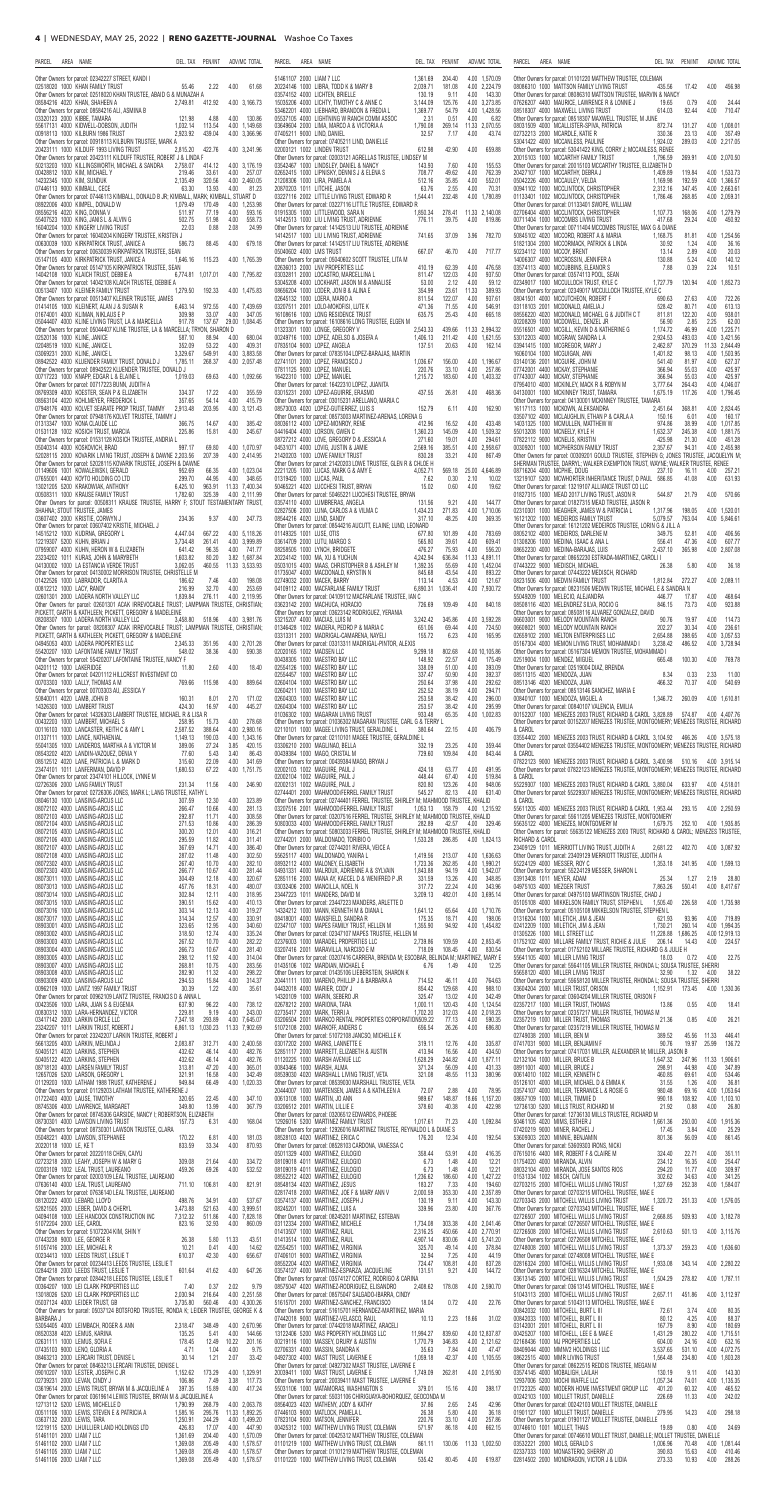| PARCEL<br>area<br>NAME<br>PEN/INT<br>ADV/MC TOTAL<br>DEL. TAX                                                                                                                                         | PARCEL<br>AREA<br>NAME<br>DEL. TAX<br>ADV/MC TOTAL<br>PEN/INT                                                                                                                                                                    | PARCEL<br>area<br>DEL. TAX<br>PEN/INT<br>ADV/MC TOTAL<br>NAME                                                                                                                                                                    |
|-------------------------------------------------------------------------------------------------------------------------------------------------------------------------------------------------------|----------------------------------------------------------------------------------------------------------------------------------------------------------------------------------------------------------------------------------|----------------------------------------------------------------------------------------------------------------------------------------------------------------------------------------------------------------------------------|
| Other Owners for parcel: 02342227 STREET, KANDI I                                                                                                                                                     | 51461107 2000 LIAM 7 LLC<br>1,361.69<br>204.40<br>4.00 1,570.09                                                                                                                                                                  | Other Owners for parcel: 01101220 MATTHEW TRUSTEE, COLEMAN                                                                                                                                                                       |
| 02518020 1000 KHAN FAMILY TRUST<br>55.46<br>2.22<br>4.00<br>61.68<br>Other Owners for parcel: 02518020 KHAN TRUSTEE, ABAID G & MUNAZAH A                                                              | 20224146 1000 LIBRA, TODD K & MARY B<br>181.08<br>4.00 2,224.79<br>2,039.71<br>03574152 4000 LICHTEN, BRIELLE<br>130.19<br>4.00<br>143.30<br>9.11                                                                                | 17.42<br>08086310 1000 MATTSON FAMILY LIVING TRUST<br>435.56<br>4.00<br>456.98<br>Other Owners for parcel: 08086310 MATTSON TRUSTEE, MARVIN & NANCY                                                                              |
| 08584216 4020 KHAN, SHAHEEN A<br>412.92<br>4.00 3,166.73<br>2,749.81<br>Other Owners for parcel: 08584216 ALI, ASMINA B                                                                               | 4.00 3,273.85<br>15035206 4000 LICHTY, TIMOTHY C & ANNE C<br>3,144.09<br>125.76<br>54.79<br>4.00 1,428.56<br>53462201 4000 LIEBHARD, BRANDON & FREDIA L<br>1,369.77                                                              | 07626207 4400 MAURICE, LAWRENCE R & LONNIE J<br>0.79<br>4.00<br>19.65<br>24.44<br>92.44<br>4.00<br>710.47<br>08518307 4000 MAXWELL LIVING TRUST<br>614.03                                                                        |
| 03320123 2000 KIBBE, TAMARA<br>4.00<br>121.98<br>4.88<br>130.86<br>55617131 4000 KIDWELL-DOBSON, JUDITH<br>1,032.14<br>113.54<br>4.00 1,149.68                                                        | 0.51<br>4.00<br>6.82<br>05537105 4000 LIGHTNING W RANCH COMM ASSOC<br>2.31<br>11.33 2,070.55<br>03649604 2000 LIMA, MARCO A & VICTORIA A<br>1,790.08<br>269.14                                                                   | Other Owners for parcel: 08518307 MAXWELL TRUSTEE, M JUNE<br>08031509 4000 MCALLISTER-SPIVA, PATRICIA<br>4.00 1,008.01<br>872.74<br>131.27                                                                                       |
| 2.923.92<br>439.04<br>00918113 1000 KILBURN 1986 TRUST<br>4.00 3,366.96                                                                                                                               | 32.57<br>4.00<br>43.74<br>07405211 9000 LIND, DANIEL<br>7.17                                                                                                                                                                     | 02732213 2000 MCARDLE, KATIE R<br>4.00<br>357.49<br>330.36<br>23.13                                                                                                                                                              |
| Other Owners for parcel: 00918113 KILBURN TRUSTEE, MARK A<br>20423111 1000 KILDUFF 1993 LIVING TRUST<br>2,815.20<br>4.00 3,241.96<br>422.76                                                           | Other Owners for parcel: 07405211 LIND, DANIELLE<br>02003121 1002 LINDEN TRUST<br>612.98<br>42.90<br>4.00<br>659.88                                                                                                              | 289.03<br>4.00 2,217.05<br>53041422 4000 MCCANLESS, PAULINE<br>1,924.02<br>Other Owners for parcel: 53041422 KING, CORRY J; MCCANLESS, RENEE                                                                                     |
| Other Owners for parcel: 20423111 KILDUFF TRUSTEE, ROBERT J & LINDA F<br>50213203 1000 KILLINGSWORTH, MICHAEL & SANDRA<br>2,758.07<br>4.00 3,176.19<br>414.12                                         | Other Owners for parcel: 02003121 AGRELLAS TRUSTEE, LINDSEY M<br>4.00<br>155.53<br>03542467 1000 LINDSLEY, DANIEL & NANCY<br>143.93<br>7.60                                                                                      | 20015103 1000 MCCARTHY FAMILY TRUST<br>1,796.59<br>269.91<br>4.00 2,070.50<br>Other Owners for parcel: 20015103 MCCARTHY TRUSTEE, ELIZABETH D                                                                                    |
| 00428812 1000 KIM, MICHAEL Y<br>219.46<br>33.61<br>4.00<br>257.07<br>4.00 2,460.05<br>14232345 1000 KIM, SUNDUK<br>2,135.49<br>320.56                                                                 | 762.39<br>02652415 1000 LIPNISKY, DENNIS J & ELENA S<br>708.77<br>49.62<br>4.00<br>35.85<br>4.00<br>552.01<br>21208306 1000 LIRA. PAMELA A<br>512.16                                                                             | 20427107 1000 MCCARTHY, DEBRA J<br>1,409.89<br>119.84<br>4.00 1,533.73<br>05042226 4000 MCCAULEY, VELDA<br>192.59<br>4.00 1.366.57<br>1.169.98                                                                                   |
| 13.93<br>07446113 9000 KIMBALL, CECE<br>63.30<br>4.00<br>81.23<br>Other Owners for parcel: 07446113 KIMBALL, DONALD B JR; KIMBALL, MARK; KIMBALL, STUART D                                            | 2.55<br>4.00<br>70.31<br>20870203 1011 LITCHIE, JASON<br>63.76<br>4.00 1,780.89                                                                                                                                                  | 2.312.16<br>00941102 1000 MCCLINTOCK, CHRISTOPHER<br>347.45<br>4.00 2.663.61<br>268.85<br>01133401 1002 MCCLINTOCK. CHRISTOPHER<br>4.00 2.059.31                                                                                 |
| 170.49<br>4.00 1,253.98<br>08922006 4000 KIMPEL, DONALD W<br>1.079.49                                                                                                                                 | 03227116 2002 LITTLE LIVING TRUST, EDWARD R<br>1,544.41<br>232.48<br>Other Owners for parcel: 03227116 LITTLE TRUSTEE, EDWARD R                                                                                                  | 1,786.46<br>Other Owners for parcel: 01133401 SWOPE, WILLIAM                                                                                                                                                                     |
| 77.19<br>4.00<br>593.16<br>08556216 4020 KING, DONNA V<br>511.97<br>4.00<br>558.73<br>55407523 1000 KING, JANIS L & ALVIN G<br>502.75<br>51.98                                                        | 278.41 11.33 2,140.08<br>01915305 1000 LITTLEWOOD, SARA N<br>1,850.34<br>14142513 1000 LIU LIVING TRUST, ADRIENNE<br>776.11<br>39.75<br>4.00<br>819.86                                                                           | 02706404 4000 MCCLINTOCK, CHRISTOPHER<br>168.06<br>4.00 1.279.79<br>1.107.73<br>29.24<br>00711404 1000 MCCOMBS LIVING TRUST<br>417.68<br>4.00<br>450.92                                                                          |
| 0.88<br>2.08<br>24.99<br>16040204 1000 KINGERY LIVING TRUST<br>22.03<br>Other Owners for parcel: 16040204 KINGERY TRUSTEE, KRISTEN J                                                                  | Other Owners for parcel: 14142513 LIU TRUSTEE, ADRIENNE<br>14142517 1000 LIU LIVING TRUST, ADRIENNE<br>741.65<br>37.09<br>3.96<br>782.70                                                                                         | Other Owners for parcel: 00711404 MCCOMBS TRUSTEE, MAX G & DIANE<br>4.00<br>50845102 4020 MCCORD, ROBERT A & MARIA<br>1,168.75<br>81.81<br>1,254.56                                                                              |
| 00630039 1000 KIRKPATRICK TRUST, JANICE A<br>88.45<br>4.00<br>679.18<br>586.73<br>Other Owners for parcel: 00630039 KIRKPATRICK TRUSTEE, SEAN                                                         | Other Owners for parcel: 14142517 LIU TRUSTEE, ADRIENNE<br>05040602 4000 LMS TRUST<br>667.07<br>46.70<br>4.00<br>717.77                                                                                                          | 51821304 2000 MCCORMACK, PATRICK & LINDA<br>30.92<br>1.24<br>4.00<br>36.16<br>2.89<br>4.00<br>50234112 1000 MCCOY, BRENT<br>13.14<br>20.03                                                                                       |
| 115.23<br>05147105 4000 KIRKPATRICK TRUST, JANICE A<br>1,646.16<br>4.00 1,765.39                                                                                                                      | Other Owners for parcel: 05040602 SCOTT TRUSTEE, LITA M                                                                                                                                                                          | 4.00<br>140.12<br>14006307 4000 MCCROSSIN, JENNIFER A<br>130.88<br>5.24                                                                                                                                                          |
| Other Owners for parcel: 05147105 KIRKPATRICK TRUSTEE, SEAN<br>14042108 1000 KLAICH TRUST, DEBBIE A<br>4.00 7,795.82<br>6,774.81 1,017.01                                                             | 02636013 2000 LNV PROPERTIES LLC<br>62.39<br>4.00<br>476.58<br>410.19<br>122.03<br>4.00<br>937.50<br>03032811 2000 LOCASTRO. MARCELLINA L<br>811.47                                                                              | 03574113 4000 MCCUBBINS, ELEANOR S<br>7.88<br>0.39<br>2.24<br>10.51<br>Other Owners for parcel: 03574113 POOL, SEAN                                                                                                              |
| Other Owners for parcel: 14042108 KLAICH TRUSTEE, DEBBIE A<br>00513407 1000 KLEINER FAMILY TRUST<br>1,279.50<br>4.00 1,475.83<br>192.33                                                               | 2.12<br>53045208 4000 LOCKHART, JASON M & ANNALISE<br>53.00<br>4.00<br>59.12<br>23.61<br>11.33<br>08656204 1000 LODER, JON B & ALINA E<br>354.99<br>389.93                                                                       | 4.00 1.852.73<br>02349017 1000 MCCULLOCH TRUST, KYLE C<br>1,727.79<br>120.94<br>Other Owners for parcel: 02349017 MCCULLOCH TRUSTEE. KYLE C                                                                                      |
| Other Owners for parcel: 00513407 KLEINER TRUSTEE, JAMES<br>972.55<br>4.00 7,439.69<br>01414105 1000 KLEINERT, ALAN J & SUSAN R<br>6,463.14                                                           | 122.07<br>4.00<br>937.61<br>02645132 1000 LOERA, MARIO A<br>811.54<br>471.36<br>71.55<br>4.00<br>546.91<br>03207511 2001 LOLO-MOKOFISI, LUTE K                                                                                   | 08041501 4000 MCCUTCHEON, ROBERT F<br>27.63<br>4.00<br>722.26<br>690.63<br>80.71<br>4.00<br>613.13<br>03118103 2001 MCDONALD, AMELIA J<br>528.42                                                                                 |
| 01674001 4000 KLIMAN, NIKLAUS E P<br>309.98<br>33.07<br>4.00<br>347.05<br>137.67 29.00 1,084.45<br>05044407 4000 KLINE LIVING TRUST, LA & MARCELLA<br>917.78                                          | 25.43<br>665.18<br>16108616 1000 LONG RESIDENCE TRUST<br>635.75<br>4.00<br>Other Owners for parcel: 16108616 LONG TRUSTEE, ELGEN M                                                                                               | 08556220 4020 MCDONALD, MICHAEL G & JUDITH C T<br>811.81<br>122.20<br>4.00<br>938.01<br>2.85<br>00208209 1000 MCDOWELL, DENZEL JR<br>56.90<br>2.25<br>62.00                                                                      |
| Other Owners for parcel: 05044407 KLINE TRUSTEE, LA & MARCELLA; TRYON, SHARON D                                                                                                                       | 11.33 2,994.32<br>01323301 1000 LONGE, GREGORY V<br>2,543.33<br>439.66                                                                                                                                                           | 05516501 4000 MCGILL, KEVIN D & KATHERINE G<br>1,174.72<br>46.99<br>4.00 1,225.71                                                                                                                                                |
| 02520136 1000 KLINE, JANICE<br>88.94<br>4.00<br>680.04<br>587.10<br>53.22<br>4.00<br>409.31<br>02048519 1000 KLINE, JANICE L<br>352.09                                                                | 00249716 1000 LOPEZ, ADELSO & JOSEFA A<br>1,406.13<br>211.42<br>4.00 1,621.55<br>20.63<br>4.00<br>162.14<br>07835104 9000 LOPEZ, ANGELA<br>137.51                                                                                | 2.924.53<br>493.03<br>53012203 4000 MCGRAW, SANDRA L A<br>4.00 3.421.56<br>03941415 1000 MCGREGOR, MARY J<br>2,462.87<br>370.29<br>11.33 2.844.49                                                                                |
| 03069231 2000 KLINE, JANICE L<br>3.329.67<br>4.00 3.883.58<br>549.91<br>08942522 4000 KLUENDER FAMILY TRUST, DONALD J<br>1,785.11<br>268.37<br>4.00 2,057.48                                          | Other Owners for parcel: 07835104 LOPEZ-BARAJAS, MARTIN<br>02741101 2000 LOPEZ, FRANCISCO J<br>156.00<br>4.00 1,196.67<br>1,036.67                                                                                               | 1,401.82<br>98.13<br>4.00 1.503.95<br>16060104 1000 MCGUIGAN, ANN<br>4.00<br>03140136 2001 MCGUIRE, JOHN M<br>541.40<br>81.97<br>627.37                                                                                          |
| Other Owners for parcel: 08942522 KLUENDER TRUSTEE, DONALD J<br>00717223 1000 KNAPP, EDGAR L & ELAINE L<br>1.019.03<br>69.63<br>4.00 1,092.66                                                         | 07811125 9000 LOPEZ, MANUEL<br>33.10<br>4.00<br>257.86<br>220.76<br>16422310 1000 LOPEZ, MANUEL<br>1,215.72<br>183.60<br>4.00 1,403.32                                                                                           | 07742001 4400 MCKAY, STEPHANIE<br>366.94<br>4.00<br>425.97<br>55.03<br>366.94<br>55.03<br>425.97<br>07743007 4400 MCKAY, STEPHANIE<br>4.00                                                                                       |
| Other Owners for parcel: 00717223 BUNN, JUDITH A<br>08769309 4000 KOESTER, SEAN P & ELIZABETH<br>17.22<br>4.00<br>355.59<br>334.37                                                                    | Other Owners for parcel: 16422310 LOPEZ, JUANITA<br>437.55<br>03015231 2000 LOPEZ-AGUIRRE, ERASMO<br>26.81<br>4.00<br>468.36                                                                                                     | 07954010 4000 MCKINLEY, MACK R & ROBYN M<br>3,777.64<br>264.43<br>4.00 4,046.07<br>1.675.19<br>117.26<br>4.00 1.796.45<br>04130001 1000 MCKINNEY TRUST, TAMARA                                                                   |
| 08563104 4020 KOHLMEYER, FREDERICK L<br>357.65<br>54.14<br>4.00<br>415.79                                                                                                                             | Other Owners for parcel: 03015231 ARELLANO, MARIA C                                                                                                                                                                              | Other Owners for parcel: 04130001 MCKINNEY TRUSTEE, TAMARA                                                                                                                                                                       |
| 07948176 4000 KOLVET SEARATE PROP TRUST, TAMMY<br>2,913.48<br>203.95<br>4.00 3,121.43<br>Other Owners for parcel: 07948176 KOLVET TRUSTEE, TAMMY J                                                    | 08573003 4020 LOPEZ-GUTIERREZ, LUIS S<br>152.79<br>4.00<br>162.90<br>6.11<br>Other Owners for parcel: 08573003 MARTINEZ-ARENAS, LORENA G                                                                                         | 16117113 1000 MCKOWN, ALEKSANDRA<br>368.81<br>4.00 2,824.45<br>2,451.64<br>03507102 4000 MCLAUGHLIN, ETHAN P & CARLA A<br>150.16<br>6.01<br>4.00<br>160.17                                                                       |
| 01313347 1000 KONA CLAUDE LLC<br>14.67<br>4.00<br>385.42<br>366.75<br>245.67<br>01531128 1002 KOSICH TRUST, MARCIA<br>225.86<br>15.81<br>4.00                                                         | 4.00<br>433.48<br>08036112 4000 LOPEZ-MONROY, RENE<br>412.96<br>16.52<br>4.00 1,509.32<br>04416404 4000 LORSON, GWEN C<br>1,360.23<br>145.09                                                                                     | 14031325 1000 MCMULLEN, MATTHEW W<br>38.99<br>974.86<br>4.00 1,017.85<br>55013208 1000 MCNEELY, KYLE H<br>1,632.37<br>245.38<br>4.00 1.881.75                                                                                    |
| Other Owners for parcel: 01531128 KOSICH TRUSTEE, ANDRIA L<br>69.80<br>05040314 4000 KOSKOVICH, BRAD<br>997.17<br>4.00 1.070.97                                                                       | 4.00<br>294.61<br>08727212 4000 LOVE, GREGORY D & JESSICA A<br>271.60<br>19.01<br>2.569.16<br>385.51<br>4.00 2,958.67<br>04531071 4000 LOVIG, JUSTIN & JAMIE                                                                     | 07822112 9000 MCNELIS, KRISTIN<br>425.98<br>21.30<br>4.00<br>451.28<br>00309201 1000 MCPHERSON FAMILY TRUST<br>2,357.67<br>94.31<br>4.00 2,455.98                                                                                |
| 52028115 2000 KOVARIK LIVING TRUST, JOSEPH & DAWNE 2,203.56<br>207.39<br>4.00 2,414.95                                                                                                                | 33.21<br>4.00<br>21420203 1000 LOWE FAMILY TRUST<br>830.28<br>867.49                                                                                                                                                             | Other Owners for parcel: 00309201 GOULD TRUSTEE, STEPHEN G; JONES TRUSTEE, JACQUELYN M:                                                                                                                                          |
| Other Owners for parcel: 52028115 KOVARIK TRUSTEE, JOSEPH & DAWNE<br>01149606 1001 KOWALEWSKI, GERALD<br>952.69<br>66.35<br>4.00 1,023.04                                                             | Other Owners for parcel: 21420203 LOWE TRUSTEE, GLEN R & CHLOE H<br>22211205 1000 LUCAS, MARK G & AMY E<br>4,052.71<br>569.18<br>25.00 4,646.89                                                                                  | SHERMAN TRUSTEE, DARRYL; WALKER EXEMPTION TRUST, WAYNE; WALKER TRUSTEE, RENEE<br>08716204 4000 MCPHIE, DOUG<br>237.10<br>16.11<br>4.00<br>257.21                                                                                 |
| 07655001 4400 KOYTO HOLDING COLTD<br>299.70<br>44.95<br>4.00<br>348.65<br>13021205 5200 KRAKOWIAK, ANTHONY<br>11.33 7,400.34<br>6.425.10<br>963.91                                                    | 01319420 1000 LUCAS, PAUL<br>7.62<br>0.30<br>2.10<br>10.02<br>50465221 4020 LUCCHESI TRUST, BRYAN<br>0.60<br>4.00<br>15.02<br>19.62                                                                                              | 13219107 5200 MCWHORTER INHERITANCE TRUST, D PAUL 586.85<br>41.08<br>4.00<br>631.93<br>Other Owners for parcel: 13219107 ALLIANCE TRUST CO LLC                                                                                   |
| 00508311 1000 KRAUSE FAMILY TRUST<br>1.782.60<br>325.39<br>4.00 2.111.99<br>Other Owners for parcel: 00508311 KRAUSE TRUSTEE, HARRY F; STOUT TESTAMENTARY TRUST,                                      | Other Owners for parcel: 50465221 LUCCHESI TRUSTEE, BRYAN<br>03574110 4000 LUMBRERAS, ANGELA<br>131.56<br>9.21<br>4.00<br>144.77                                                                                                 | 01827315 1000 MEAD 2017 LIVING TRUST, JASON R<br>544.87<br>21.79 4.00<br>570.66<br>Other Owners for parcel: 01827315 MEAD TRUSTEE, JASON R                                                                                       |
| SHAHNA; STOUT TRUSTEE, JAMES<br>03607402 2000 KRISTIE, CORWYN J<br>234.36<br>9.37<br>4.00<br>247.73                                                                                                   | 02827506 2000 LUNA, CARLOS A & VILMA C<br>1,434.23<br>271.83<br>4.00 1.710.06<br>08544216 4020 LUND, SANDY<br>317.10<br>48.25<br>4.00<br>369.35                                                                                  | 02310301 1000 MEAGHER, JAMES W & PATRICIA L<br>1,317.96<br>198.05<br>4.00 1,520.01<br>16121202 1000 MEDEIROS FAMILY TRUST<br>763.04<br>4.00 5.846.61<br>5,079.57                                                                 |
| Other Owners for parcel: 03607402 KRISTIE, MICHAEL J<br>14515212 1000 KUDRNA, GREGORY L<br>4,447.04<br>667.22<br>4.00 5.118.26                                                                        | Other Owners for parcel: 08544216 AUCUTT, ELAINE; LUND, LEONARD<br>01149325 1001 LUSE, OTIS<br>101.89<br>4.00<br>783.69<br>677.80                                                                                                | Other Owners for parcel: 16121202 MEDEIROS TRUSTEE, LORIN G & JILL A<br>08052102 4000 MEDEIROS. DARLENE M<br>349.75<br>52.81<br>4.00<br>406.56                                                                                   |
| 12219307 5200 KUHN, BRIAN J<br>3,734.48<br>4.00 3,999.89<br>261.41                                                                                                                                    | 39.61<br>4.00<br>609.41<br>03614709 2000 LUTU, MARGO S<br>565.80                                                                                                                                                                 | 01308206 1000 MEDINA, ISAAC & ANA L<br>47.36<br>4.00<br>556.41<br>607.77                                                                                                                                                         |
| 07959007 4000 KUHN, HERON W & ELIZABETH<br>641.42<br>96.35<br>4.00 741.77<br>23234202 1011 KURAS, JOHN & MARYBETH<br>3.82 1.687.84<br>1,603.82<br>80.20                                               | 75.93<br>4.00<br>556.20<br>08258505 1000 LYNCH, BRIDGETE<br>476.27<br>20224142 1000 MA, XU & YUCHUN<br>4,242.94<br>636.84<br>11.33 4,891.11                                                                                      | 365.98<br>08652230 4000 MEDINA-BARAJAS, LUIS<br>2.437.10<br>4.00 2,807.08<br>Other Owners for parcel: 08652230 ESTRADA-MARTINEZ, CAROLI                                                                                          |
| 3,062.05<br>460.55 11.33 3.533.93<br>04130002 1000 LA ESTANCIA VERDE TRUST<br>Other Owners for parcel: 04130002 MORRISON TRUSTEE, CHRISTELLE M                                                        | 05031015 4000 MAAS, CHRISTOPHER B & ASHLEY M<br>1,392.35<br>55.69<br>4.00 1.452.04<br>01735047 4000 MACDONALD, KRYSTIN N<br>43.54<br>4.00<br>893.22<br>845.68                                                                    | 07443222 9000 MEDISCH, MICHAEL<br>5.80<br>4.00<br>26.38<br>36.18<br>Other Owners for parcel: 07443222 MEDISCH, RICHARD                                                                                                           |
| 01422526 1000 LABRADOR, CLARITA A<br>186.62<br>4.00<br>198.08<br>7.46<br>00812212 1000 LACY, RANDY<br>32.70<br>4.00<br>253.69<br>216.99                                                               | 02749032 2000 MACEK, BARRY<br>4.53<br>4.00<br>121.67<br>113.14<br>04109112 4000 MACFARLANE FAMILY TRUST<br>6,890.31<br>4.00 7,930.72<br>1,036.41                                                                                 | 4.00 2,089.11<br>08231506 4000 MEDVIN FAMILY TRUST<br>1,812.84<br>272.27<br>Other Owners for parcel: 08231506 MEDVIN TRUSTEE, MICHAEL E & SANDRA N                                                                               |
| 02601301 2000 LADERA NORTH VALLEY LLC<br>1,839.84<br>276.11 4.00 2.119.95<br>Other Owners for parcel: 02601301 ACAK IRREVOCABLE TRUST: LAMPMAN TRUSTEE, CHRISTIAN:                                    | Other Owners for parcel: 04109112 MACFARLANE TRUSTEE. IAN C<br>840.18<br>03623142 2000 MACHUCA, HORACIO<br>726.69<br>109.49<br>4.00                                                                                              | 55049209 1000 MELECIO, ALEJANDRA<br>446.77<br>17.87<br>4.00<br>468.64<br>73.73<br>4.00<br>923.88<br>08508116 4020 MELENDREZ SILVA, ROCIO G<br>846.15                                                                             |
| PICKETT, GARTH & KATHLEEN; PICKETT, GREGORY & MADELEINE                                                                                                                                               | Other Owners for parcel: 03623142 RODRIGUEZ, YERANIA                                                                                                                                                                             | Other Owners for parcel: 08508116 ALVAREZ GONZALEZ, DAVID                                                                                                                                                                        |
| 08208307 1000 LADERA NORTH VALLEY LLC<br>518.96<br>4.00 3,981.76<br>3,458.80<br>Other Owners for parcel: 08208307 ACAK IRREVOCABLE TRUST; LAMPMAN TRUSTEE, CHRISTIAN;                                 | 53215207 4000 MACIAS, LUIS M<br>3,242.42<br>345.86<br>4.00 3,592.28<br>01346428 1002 MADERA, PEDRO P & MARIA C<br>4.00<br>651.06<br>69.44<br>724.50                                                                              | 06603001 9000 MELODY MOUNTAIN RANCH<br>19.97<br>4.00<br>114.73<br>90.76<br>06608021 9000 MELODY MOUNTAIN RANCH<br>30.34<br>4.00<br>236.61<br>202.27                                                                              |
| PICKETT, GARTH & KATHLEEN; PICKETT, GREGORY & MADELEINE<br>04945053 4000 LADERA PROPERTIES LLC<br>2,345.33<br>351.95<br>4.00 2,701.28                                                                 | 6.23<br>4.00<br>03313311 2000 MADRIGAL-CAMARENA, NAYELI<br>155.72<br>165.95<br>Other Owners for parcel: 03313311 MADRIGAL-PINTOR, ALEXIS                                                                                         | 02659102 2000 MELTON ENTERPRISES LLC<br>2,654.88<br>398.65<br>4.00 3,057.53<br>3,238.42<br>486.52<br>05167304 4000 MEMON LIVING TRUST, MOHAMMAD I<br>4.00 3,728.94                                                               |
| 590.38<br>55420207 1000 LAFONTAINE FAMILY TRUST<br>548.02<br>38.36<br>4.00<br>Other Owners for parcel: 55420207 LAFONTAINE TRUSTEE, NANCY F                                                           | 02020165 1002 MADSEN LLC<br>802.68<br>4.00 10,105.86<br>9,299.18<br>00438305 1000 MAESTRO BAY LLC<br>22.57<br>4.00<br>175.49<br>148.92                                                                                           | Other Owners for parcel: 05167304 MEMON TRUSTEE, MOHAMMAD I<br>02519004 1000 MENDEZ, MIGUEL<br>4.00<br>665.48<br>100.30<br>769.78                                                                                                |
| 04201112 1000 LAKERIDGE<br>2.60<br>4.00<br>18.40<br>11.80<br>Other Owners for parcel: 04201112 HILLCREST INVESTMENT CO                                                                                | 51.00<br>4.00<br>393.09<br>02554126 1000 MAESTRO BAY LLC<br>338.09<br>02554457 1000 MAESTRO BAY LLC<br>50.90<br>4.00<br>392.37<br>337.47                                                                                         | Other Owners for parcel: 02519004 DIAZ, BRENDA<br>08511315 4020 MENDOZA, JUAN<br>8.34<br>0.33<br>2.33<br>11.00                                                                                                                   |
| 889.64<br>00703303 1000 LALLY, THOMAS A M<br>769.66<br>115.98<br>4.00                                                                                                                                 | 37.98<br>292.62<br>02604104 1000 MAESTRO BAY LLC<br>250.64<br>4.00                                                                                                                                                               | 08513146  4020  MENDOZA, JUAN<br>466.32<br>70.37<br>4.00<br>540.69                                                                                                                                                               |
| Other Owners for parcel: 00703303 AU, JESSICA Y<br>50840011 4020 LAMB, JOHN B<br>160.31<br>2.70<br>171.02<br>8.01                                                                                     | 02604211 1000 MAESTRO BAY LLC<br>252.52<br>38.19<br>4.00<br>294.71<br>02604303 1000 MAESTRO BAY LLC<br>253.58<br>38.42<br>4.00<br>296.00                                                                                         | Other Owners for parcel: 08513146 SANCHEZ, MARIA E<br>00840107 1000 MENDOZA, MIGUEL A<br>1,346.72<br>260.09<br>4.00 1,610.81                                                                                                     |
| 16.97<br>4.00<br>445.27<br>14326303 1000 LAMBERT TRUST<br>424.30<br>Other Owners for parcel: 14326303 LAMBERT TRUSTEE, MICHAEL R & LISA R                                                             | 02604304 1000 MAESTRO BAY LLC<br>253.57<br>38.42<br>4.00<br>295.99<br>933.48<br>65.35<br>01036302 1000 MAGARAN LIVING TRUST<br>4.00 1,002.83                                                                                     | Other Owners for parcel: 00840107 VALENCIA, EMILIA<br>00152207 1000 MENEZES 2003 TRUST, RICHARD & CAROL 3,828.89<br>574.87<br>4.00 4,407.76                                                                                      |
| 4.00<br>00432203 1000 LAMBERT, MICHAEL S<br>278.68<br>258.95<br>15.73<br>4.00 2,980.16<br>00116103 1000 LANCASTER, KEITH C & AMY L<br>2,587.52<br>388.64                                              | Other Owners for parcel: 01036302 MAGARAN TRUSTEE, CARL G & TERRY I<br>406.79<br>02110101 1000 MAGEE LIVING TRUST, GERALDINE L<br>380.64<br>4.00<br>22.15                                                                        | Other Owners for parcel: 00152207 MENEZES TRUSTEE, MONTGOMERY; MENEZES TRUSTEE, RICHARD<br>& CAROL                                                                                                                               |
| 190.03<br>01337111 1000 LANCE, NATHAENIAL<br>1,149.13<br>4.00 1,343.16                                                                                                                                | Other Owners for parcel: 02110101 MAGEE TRUSTEE, GERALDINE L                                                                                                                                                                     | 03554402 2000 MENEZES 2003 TRUST, RICHARD & CAROL 3,104.92 466.26<br>4.00 3.575.18                                                                                                                                               |
|                                                                                                                                                                                                       |                                                                                                                                                                                                                                  |                                                                                                                                                                                                                                  |
| 3.85<br>420.15<br>55041305 1000 LANDEROS, MARTHA A & VICTOR M<br>389.06<br>27.24<br>5.43<br>3.40<br>86.43<br>08543202 4020 LANDIN-VAZQUEZ, DENIA Y<br>77.60                                           | 03306210 2000 MAGLINAO, BELLA<br>23.25<br>4.00<br>359.44<br>332.19<br>729.60<br>109.84<br>4.00<br>843.44<br>00439384 1000 MAGO, CRISTAL M                                                                                        | Other Owners for parcel: 03554402 MENEZES TRUSTEE, MONTGOMERY; MENEZES TRUSTEE, RICHARD<br>& CAROL                                                                                                                               |
| 08512512 4020 LANE, PATRICIA L & MARK D<br>315.60<br>22.09<br>4.00<br>341.69<br>67.22<br>4.00 1,751.75<br>23474101 1011 LANFERMAN, DAVID P<br>1.680.53                                                | Other Owners for parcel: 00439384 MAGO, BRYAN J<br>02002103 1002 MAGUIRE, PAUL J<br>424.18<br>63.77<br>4.00<br>491.95                                                                                                            | 07822123 9000 MENEZES 2003 TRUST, RICHARD & CAROL 3,400.98 510.16 4.00 3,915.14<br>Other Owners for parcel: 07822123 MENEZES TRUSTEE, MONTGOMERY; MENEZES TRUSTEE, RICHARD                                                       |
| Other Owners for parcel: 23474101 HILLOCK, LYNNE M<br>02726306 2000 LANG FAMILY TRUST<br>231.34<br>11.56<br>4.00<br>246.90                                                                            | 02002104 1002 MAGUIRE, PAUL J<br>448.44<br>67.40<br>4.00<br>519.84<br>123.26<br>02002131 1002 MAGUIRE, PAUL J<br>820.80<br>4.00<br>948.06                                                                                        | & CAROL<br>55229307 1000 MENEZES 2003 TRUST, RICHARD & CAROL 3,880.04<br>633.97<br>4.00 4.518.01                                                                                                                                 |
| Other Owners for parcel: 02726306 JONES, MARK L; LANG TRUSTEE, KATHY L<br>08046130 1000 LANSING-ARCUS LLC<br>323.89<br>307.59<br>12.30<br>4.00                                                        | 02744401 2000 MAHMOOD/FERREL FAMILY TRUST<br>82.13<br>4.00<br>545.27<br>631.40<br>Other Owners for parcel: 02744401 FERREL TRUSTEE, SHIRLEY M; MAHMOOD TRUSTEE, KHALID                                                           | Other Owners for parcel: 55229307 MENEZES TRUSTEE, MONTGOMERY; MENEZES TRUSTEE, RICHARD<br>& CAROL                                                                                                                               |
| 4.00<br>08072102 4000 LANSING-ARCUS LLC<br>266.47<br>10.66<br>281.13                                                                                                                                  | 03207516 2001 MAHMOOD/FERREL FAMILY TRUST<br>1,053.13<br>158.79<br>4.00 1,215.92                                                                                                                                                 | 55611205 4000 MENEZES 2003 TRUST, RICHARD & CAROL 1,953.44<br>293.15<br>4.00 2,250.59                                                                                                                                            |
| 08072103 4000 LANSING-ARCUS LLC<br>4.00<br>292.87<br>11.71<br>308.58<br>10.86<br>286.39<br>08072104 4000 LANSING-ARCUS LLC<br>271.53<br>4.00                                                          | Other Owners for parcel: 03207516 FERREL TRUSTEE, SHIRLEY M; MAHMOOD TRUSTEE, KHALID<br>50803033 4000 MAHMOOD/FERREL FAMILY TRUST<br>282.89<br>42.57 4.00 329.46                                                                 | Other Owners for parcel: 55611205 MENEZES TRUSTEE, MONTGOMERY<br>55635122 4000 MENEZES, MONTGOMERY M<br>252.10 4.00 1,935.85<br>1,679.75                                                                                         |
| 300.20<br>08072105 4000 LANSING-ARCUS LLC<br>12.01<br>4.00<br>316.21<br>08072106 4000 LANSING-ARCUS LLC<br>4.00<br>295.59<br>11.82<br>311.41                                                          | Other Owners for parcel: 50803033 FERREL TRUSTEE, SHIRLEY M; MAHMOOD TRUSTEE, KHALID<br>02744201 2000 MALDONADO, TORIBIO O<br>1,533.28<br>286.85<br>4.00 1,824.13                                                                | Other Owners for parcel: 55635122 MENEZES 2003 TRUST, RICHARD & CAROL; MENEZES TRUSTEE.<br>RICHARD & CAROL                                                                                                                       |
| 386.40<br>08072107 4000 LANSING-ARCUS LLC<br>367.69<br>14.71<br>4.00<br>08072108 4000 LANSING-ARCUS LLC<br>4.00<br>302.50<br>287.02<br>11.48                                                          | Other Owners for parcel: 02744201 RIVERA, VEICE A<br>55625117 4000 MALDONADO, YANIRA L<br>1,419.56<br>213.07<br>4.00 1,636.63                                                                                                    | 23409129 1011 MERRIOTT LIVING TRUST, JUDITH A<br>2,681.22<br>402.70<br>4.00 3.087.92<br>Other Owners for parcel: 23409129 MERRIOTT TRUSTEE, JUDITH A                                                                             |
| 08072302 4000 LANSING-ARCUS LLC<br>4.00<br>282.10<br>267.40<br>10.70<br>266.77<br>10.67<br>4.00<br>281.44<br>08072303 4000 LANSING-ARCUS LLC                                                          | 262.85<br>4.00 1,990.21<br>08932112 4000 MALONEY, ELISABETH<br>1,723.36<br>1,843.88<br>4.00 1,942.07<br>94.19                                                                                                                    | 1,353.18 241.95<br>4.00 1,599.13<br>55224129 4000 MESSER, ROY C<br>Other Owners for parcel: 55224129 MESSER, SHARON L                                                                                                            |
| 304.49<br>12.18<br>4.00<br>320.67<br>08073011 1000 LANSING-ARCUS LLC                                                                                                                                  | 04931331 4000 MALROUX, ADRIENNE A & SYLVAIN<br>13.26<br>4.00<br>348.85<br>52851116 2000 MANA AY, KAECEL D & WENIFRED P JR<br>331.59                                                                                              | 03913408 1011 MEYER, ADAM<br>1.27<br>2.19<br>25.34<br>28.80                                                                                                                                                                      |
| 08073013 1000 LANSING-ARCUS LLC<br>4.00<br>480.07<br>457.76<br>18.31<br>08073014 1000 LANSING-ARCUS LLC<br>302.84<br>12.11<br>4.00<br>318.95                                                          | 22.24<br>4.00<br>03032406 2000 MANCILLA, NOEL N<br>317.72<br>343.96<br>3.209.13<br>482.01<br>23447223 1011 MANDERS, DAVID M<br>4.00 3,695.14                                                                                     | 550.41<br>4.00 8,417.67<br>04975103 4000 MEZGER TRUST<br>7.863.26<br>Other Owners for parcel: 04975103 MARTINSON TRUSTEE, CHAD J                                                                                                 |
| 08073015 1000 LANSING-ARCUS LLC<br>390.51<br>4.00<br>15.62<br>410.13<br>08073016 1000 LANSING-ARCUS LLC<br>12.13<br>4.00<br>319.27<br>303.14                                                          | Other Owners for parcel: 23447223 MANDERS, ARLETTE D<br>14324212 1000 MANN, KENNETH M & DIANA L<br>1,641.12<br>65.64<br>4.00 1.710.76                                                                                            | 05105108 4000 MIKKELSON FAMILY TRUST. STEPHEN L<br>1,505.40<br>226.58<br>4.00 1.735.98<br>Other Owners for parcel: 05105108 MIKKELSON TRUSTEE, STEPHEN L                                                                         |
| 08073017 1000 LANSING-ARCUS LLC<br>12.57<br>4.00<br>330.91<br>314.34<br>12.95<br>4.00<br>340.60<br>08903001 4000 LANSING-ARCUS LLC<br>323.65                                                          | 08418001 4000 MANSFIELD, SANDRA R<br>175.35<br>18.71<br>4.00<br>198.06<br>02347107 1000 MAPES FAMILY TRUST, HELLEN M<br>1,355.90<br>94.92<br>4.00 1,454.82                                                                       | 01316204 1000 MILETICH, JIM & JEAN<br>93.96<br>4.00<br>719.89<br>621.93<br>02412209 1000 MILETICH, JIM & JEAN<br>260.14<br>4.00 1.994.35<br>1,730.21                                                                             |
| 08903002 4000 LANSING-ARCUS LLC<br>12.74<br>4.00<br>318.50<br>335.24<br>08903003 4000 LANSING-ARCUS LLC<br>267.52<br>10.70<br>4.00<br>282.22                                                          | Other Owners for parcel: 02347107 MAPES TRUSTEE, HELLEN M<br>02376003 1000 MARADEL PROPERTIES LLC                                                                                                                                | 01305226 1000 MILL STREET LLC<br>11,228.88<br>4.00 12,919.13<br>1,686.25<br>2,739.86 109.59 4.00 2,853.45 01752102 4000 MILLARE FAMILY TRUST, RICHIE & JULIE 206.14<br>14.43<br>4.00 224.57                                      |
| 08903004 4000 LANSING-ARCUS LLC<br>266.73<br>10.67<br>4.00<br>281.40<br>11.92<br>4.00<br>08903005 4000 LANSING-ARCUS LLC<br>298.12<br>314.04                                                          | 03207416 2001 MARAVILLA, NARCISO E M<br>718.09<br>108.45<br>4.00<br>830.54<br>Other Owners for parcel: 03207416 CARRERA, BRENDA M: ESCOBAR, BELINDA M: MARTINEZ, MARY E                                                          | Other Owners for parcel: 01752102 MILLARE TRUSTEE, RICHARD G & JULIE H<br>55641105 4000 MILLER LIVING TRUST<br>18.03<br>$0.72$ 4.00<br>22.75                                                                                     |
| 08903007 4000 LANSING-ARCUS LLC<br>10.75<br>4.00<br>283.56<br>268.81                                                                                                                                  | 01435106 1002 MARDIAN. MICHAEL E<br>1.49<br>4.00<br>12.25<br>6.76                                                                                                                                                                | Other Owners for parcel: 55641105 MILLER TRUSTEE, RHONDA L; SOUSA TRUSTEE, SHERRI                                                                                                                                                |
| 298.22<br>08903008 4000 LANSING-ARCUS LLC<br>282.90<br>11.32<br>4.00<br>08903009 4000 LANSING-ARCUS LLC<br>15.84<br>4.00<br>314.37<br>294.53                                                          | Other Owners for parcel: 01435106 LIEBERSTEIN, SHARON K<br>20441111 1000 MARENO, PHILLIP J & BARBARA A<br>714.52<br>46.11<br>4.00<br>764.63                                                                                      | 55658120 4000 MILLER LIVING TRUST<br>38.22<br>32.90<br>1.32<br>4.00<br>Other Owners for parcel: 55658120 MILLER TRUSTEE, RHONDA L; SOUSA TRUSTEE, SHERRI                                                                         |
| 35.61<br>00962109 1000 LANTZ 1997 FAMILY TRUST<br>30.39<br>1.22<br>4.00<br>Other Owners for parcel: 00962109 LANTZ TRUSTEE, FRANCIS D & ANNA L                                                        | 988.10<br>04432018 4000 MARIER, CODY J<br>854.42<br>129.68<br>4.00<br>325.47<br>14320109 1000 MARIN, SEBERO JR<br>13.02<br>4.00<br>342.49                                                                                        | 03604204 2000 MILLER TRUST, ORISON<br>1,152.91<br>173.45<br>4.00<br>1,330.36<br>Other Owners for parcel: 03604204 MILLER TRUSTEE, ORISON F                                                                                       |
| 00423506 1000 LARA, JUAN S & EUGENIA<br>637.90<br>96.22<br>4.00<br>738.12<br>00830312 1000 LARA-HERNANDEZ, VICTOR<br>9.19<br>4.00<br>243.00<br>229.81                                                 | 02678212 2000 MARIONA, TARA<br>120.43<br>4.00 1,124.54<br>1.000.11<br>02735417 2000 MARK, TERRI A<br>1.702.20<br>312.03<br>4.00 2,018.23                                                                                         | 02357217 1000 MILLER TRUST, THOMAS<br>13.86<br>0.55<br>4.00<br>18.41<br>Other Owners for parcel: 02357217 MILLER TRUSTEE, THOMAS M                                                                                               |
| 03417142 2000 LARKIN CIRCLE LLC<br>7,347.18<br>293.89<br>4.00 7,645.07<br>6,861.13<br>23242207 1011 LARKIN TRUST, ROBERT J<br>1,030.23<br>11.33 7,902.69                                              | 4.00<br>590.35<br>03206504 2001 MARKCO RENTAL PROPERTIES CORPORATION509.22<br>77.13<br>26.26<br>4.00<br>686.80<br>51072108 2000 MARKOFF ANDERS C<br>656.54                                                                       | 02357219 1000 MILLER TRUST. THOMAS<br>21.36<br>0.85<br>4.00<br>26.21<br>Other Owners for parcel: 02357219 MILLER TRUSTEE, THOMAS M                                                                                               |
| Other Owners for parcel: 23242207 LARKIN TRUSTEE, ROBERT J<br>56613205 4000 LARKIN, MELINDA J<br>4.00 2,400.58<br>2,083.87<br>312.71                                                                  | Other Owners for parcel: 51072108 JANCSO, MICHELLE K<br>03017202 2000 MARKS, LANNETTE E<br>12.76<br>4.00<br>335.87<br>319.11                                                                                                     | 02749038 2000 MILLER. BEN M<br>45.56<br>11.33<br>446.41<br>389.52<br>07417031 9000 MILLER. BENJAMIN F<br>90.76<br>19.97 25.99<br>136.72                                                                                          |
| 50405121 4020 LARKINS, STEPHEN<br>4.00<br>432.62<br>46.14<br>482.76                                                                                                                                   | 52851117 2000 MARRETT, ELIZABETH & AUSTIN<br>16.56<br>4.00<br>434.50<br>413.94                                                                                                                                                   | Other Owners for parcel: 07417031 MILLER, ALEXANDER M; MILLER, JASON B                                                                                                                                                           |
| 50405122 4020 LARKINS, STEPHEN<br>482.76<br>432.62<br>46.14<br>4.00<br>365.01<br>08718120 4000 LARSEN FAMILY TRUST<br>313.81<br>47.20<br>4.00                                                         | 01120225 1000 MARSH AVENUE LLC<br>1,628.29<br>244.82<br>4.00 1,877.11<br>56.09<br>00843466 1000 MARSH, ALMA<br>371.24<br>4.00<br>431.33                                                                                          | 02132104 1000 MILLER, BRUCE B<br>1,647.32<br>247.96<br>11.33 1,906.61<br>08911001 4000 MILLER, BRUCE J<br>298.91<br>44.98<br>4.00<br>347.89                                                                                      |
| 12657026 5200 LARSON, GREGORY L<br>4.00<br>342.49<br>321.91<br>16.58<br>4.00 1,020.33<br>01129203 1000 LATHAM 1988 TRUST, KATHERENE J<br>949.84<br>66.49                                              | 321.08<br>48.55<br>11.33<br>380.96<br>08539030 4020 MARSHALL LIVING TRUST, VETA<br>Other Owners for parcel: 08539030 MARSHALL TRUSTEE, VETA                                                                                      | 00614010 1002 MILLER, KENNETH C<br>69.61<br>460.85<br>4.00<br>534.46<br>05126101 4000 MILLER, MICHAEL D & EMMA K<br>31.55<br>1.26<br>4.00<br>36.81                                                                               |
| Other Owners for parcel: 01129203 LATHAM TRUSTEE, KATHERENE J<br>01722403 4000 LAUSE, TIMOTHY<br>22.45<br>4.00<br>347.10<br>320.65                                                                    | 20444007 1000 MARTENSEN, JAMES A & KATHLEEN A<br>2.88<br>4.00<br>78.95<br>72.07<br>00613108 1000 MARTIN, JO ANN<br>148.87<br>18.66 1,157.20<br>989.67                                                                            | 03574107 4000 MILLER, TERRANCE L & ROSIE G<br>980.48<br>69.16<br>4.00 1,053.64<br>08657109 1000 MILLER, TIMMIE D<br>108.92<br>4.00 1,103.10<br>990.18                                                                            |
| 08745306 4000 LAWRENCE, MARGARET<br>13.99<br>4.00<br>367.79<br>349.80<br>Other Owners for parcel: 08745306 GARSIDE, NANCY I; ROBERTSON, ELIZABETH                                                     | 40.38<br>422.98<br>03206512 2001 MARTIN, LILLIE E<br>378.60<br>4.00<br>Other Owners for parcel: 03206512 EDWARDS, PHOEBE                                                                                                         | 21.92<br>0.88<br>4.00<br>26.80<br>12736130 5200 MILLS TRUST, RICHARD M<br>Other Owners for parcel: 12736130 MILLS TRUSTEE, RICHARD M                                                                                             |
| 08730301 4000 LAWSON LIVING TRUST<br>157.73<br>6.31<br>4.00<br>168.04<br>Other Owners for parcel: 08730301 LAWSON TRUSTEE, CLARA                                                                      | 12926016 5200 MARTINEZ FAMILY TRUST<br>1,017.61<br>71.23<br>4.00 1.092.84<br>Other Owners for parcel: 12926016 MARTINEZ TRUSTEE, REYNALDO L & DIANE S                                                                            | 50461105 4020 MIMS, ESTHER J<br>250.00<br>4.00 1,915.36<br>1,661.36<br>07420219 9000 MINER, RACHEL J<br>25.29<br>17.45<br>3.84<br>4.00                                                                                           |
| 05048221 4000 LAWSON, STEPHANEE<br>4.00<br>181.03<br>170.22<br>6.81                                                                                                                                   | 08528103 4020 MARTINEZ, ERICA C<br>12.34<br>4.00<br>192.54<br>176.20                                                                                                                                                             | 56.09<br>4.00<br>53609303 2020 MINNIE, BENJAMIN<br>801.36<br>861.45                                                                                                                                                              |
| 33.34<br>20220118 1000 LE. KE T<br>833.59<br>4.00<br>870.93<br>Other Owners for parcel: 20220118 CHEN, CAIYU                                                                                          | Other Owners for parcel: 08528103 CARDONA, VANESSA C<br>53.91<br>4.00<br>05011329 4000 MARTINEZ, EULOGIO<br>358.44<br>416.35                                                                                                     | Other Owners for parcel: 53609303 IRONS, NICKI<br>07615016 4400 MIR, ROBERT F & CLAIRE M<br>324.40<br>22.71<br>4.00<br>351.11                                                                                                    |
| 02723218 2000 LEAHY, JOSEPH W & MARY G<br>21.64<br>4.00<br>334.72<br>309.08<br>02003109 1002 LEAL TRUST, LAUREANO<br>459.26<br>69.26<br>532.52<br>4.00                                                | 08109018 4011 MARTINEZ, EULOGIO<br>6.73<br>1.48<br>4.00<br>12.21<br>1.48<br>4.00<br>08109019  4011  MARTINEZ, EULOGIO<br>6.73<br>12.21                                                                                           | 01754020 4000 MIRANDA, ALVIN<br>234.12<br>16.35<br>4.00<br>254.47<br>08032104 4000 MIRANDA, JOSE SANTOS RIOS<br>294.20<br>11.77<br>4.00<br>309.97                                                                                |
| Other Owners for parcel: 02003109 LEAL TRUSTEE, LAUREANO<br>07636140 4000 LEAL TRUST, LAUREANO<br>4.00<br>821.91<br>711.10<br>106.81                                                                  | 08552212 4020 MARTINEZ, EULOGIO<br>186.60<br>1,236.62<br>4.00 1,427.22<br>4.00<br>194.60<br>08548134 4020 MARTINEZ, JESUS<br>183.27<br>7.33                                                                                      | 34.63<br>01531334 1002 MISCH, CAITLIN<br>302.62<br>4.00<br>341.25<br>252.38<br>02703215 2000 MITCHELL WILLIS LIVING TRUST<br>1,327.69<br>4.00 1,584.07                                                                           |
| Other Owners for parcel: 07636140 LEAL TRUSTEE, LAUREANO<br>08120222 4000 LEBARD, LLOYD<br>4.00<br>537.67<br>498.76<br>34.91                                                                          | 02817418 2000 MARTINEZ, JOE F & MARY ANN V<br>353.30<br>4.00 2.357.89<br>2.000.59<br>03574137 4000 MARTINEZ, JOSEPH J<br>130.19<br>4.00<br>143.30<br>9.11                                                                        | Other Owners for parcel: 02703215 MITCHELL TRUSTEE, MAE E<br>02703343 2000 MITCHELL WILLIS LIVING TRUST<br>4.00 1.576.05<br>1,320.72<br>251.33                                                                                   |
| 52821505 2000 LEBER, DAVID & CHERYL<br>3,473.88<br>521.63<br>4.00 3,999.51                                                                                                                            | 23.80<br>08245201 1000 MARTINEZ, LUIS A<br>339.96<br>4.00<br>367.76                                                                                                                                                              | Other Owners for parcel: 02703343 MITCHELL TRUSTEE, MAE E                                                                                                                                                                        |
| 04094108 1000 LEE HANCOCK CONSTRUCTION INC<br>7,312.32<br>511.86<br>4.00 7,828.18<br>32.93<br>4.00<br>860.09<br>51072204 2000 LEE, CAROL<br>823.16                                                    | Other Owners for parcel: 08245201 MARTINEZ, ESTEBAN<br>303.38<br>4.00 2,041.46<br>03112334 2000 MARTINEZ, MICHELE<br>1,734.08                                                                                                    | 02726507 2000 MITCHELL WILLIS LIVING TRUST<br>2,668.85<br>509.93<br>4.00 3,182.78<br>Other Owners for parcel: 02726507 MITCHELL TRUSTEE, MAE E                                                                                   |
| Other Owners for parcel: 51072204 KIM, SHIN Y<br>07443238 9000 LEE, GEORGE R<br>5.80 11.33<br>43.51<br>26.38                                                                                          | 01413507 1000 MARTINEZ, RAUL<br>2,316.25<br>450.66<br>4.00 2,770.91<br>01413514 1000 MARTINEZ, RAUL<br>4.00 5,741.20<br>4,907.14<br>830.06                                                                                       | 02726508 2000 MITCHELL WILLIS LIVING TRUST<br>501.13<br>4.00 3,115.76<br>2,610.63<br>Other Owners for parcel: 02726508 MITCHELL TRUSTEE, MAE E                                                                                   |
| 51057416 2000 LEE, MICHAEL R<br>0.41<br>4.00<br>14.62<br>10.21<br>00234413 1000 LEEDS TRUST, LESLIE T<br>610.37<br>42.30<br>4.00<br>656.67                                                            | 02554251 1000 MARTINEZ, VIRGINIA<br>49.14<br>378.84<br>325.70<br>4.00<br>7.25<br>44.19<br>07406101 9000 MARTINEZ, VIRGINIA<br>32.94<br>4.00                                                                                      | 259.23<br>4.00 1,636.60<br>02748008 2000 MITCHELL WILLIS LIVING TRUST<br>1,373.37<br>Other Owners for parcel: 02748008 MITCHELL TRUSTEE, MAE E                                                                                   |
| Other Owners for parcel: 00234413 LEEDS TRUSTEE, LESLIE 1<br>647.26<br>601.64<br>41.62<br>4.00                                                                                                        | 08552204 4020 MARTINEZ, VIRGINIA<br>108.81<br>4.00<br>837.28<br>724.47<br>03574127 4000 MARTINEZ-ESPARZA, JACQUELINE<br>131.51<br>9.21<br>4.00<br>144.72                                                                         | 343.14<br>02816324 2000 MITCHELL WILLIS LIVING TRUST<br>1,933.08<br>4.00 2,280.22                                                                                                                                                |
| 02844218 2000 LEEDS TRUST, LESLIE T<br>Other Owners for parcel: 02844218 LEEDS TRUSTEE, LESLIE T                                                                                                      | Other Owners for parcel: 03574127 CORTEZ, RODRIGO & CARINA                                                                                                                                                                       | Other Owners for parcel: 02816324 MITCHELL TRUSTEE, MAE E<br>03613145 2000 MITCHELL WILLIS LIVING TRUST<br>1,504.29<br>278.82<br>4.00 1,787.11                                                                                   |
| 00364207 1000 LEI CLARK PROPERTIES LLC<br>7.40<br>0.37<br>2.02<br>9.79<br>13018026 5200 LEI CLARK PROPERTIES LLC<br>4.00 2,251.58<br>2,030.94<br>216.64                                               | 08575047 4020 MARTINEZ-RODRIGUEZ, ELISANDRO<br>178.08<br>4.00 2,590.70<br>2,408.62<br>Other Owners for parcel: 08575047 SALGADO-IBARRA, CINDY                                                                                    | Other Owners for parcel: 03613145 MITCHELL TRUSTEE, MAE E<br>51043113 2000 MITCHELL WILLIS LIVING TRUST<br>451.86<br>4.00 3,112.97<br>2,657.11                                                                                   |
| 05037124 4000 LEIDER TRUST, GB<br>3.735.80<br>560.46<br>4.00 4.300.26<br>Other Owners for parcel: 05037124 BOTSFORD TRUSTEE, RONDA K: LEIDER TRUSTEE, GEORGE K &                                      | 51615701 2000 MARTINEZ-SANCHEZ, FRANCISCO<br>18.04<br>4.00<br>22.76<br>0.72<br>Other Owners for parcel: 51615701 HERNANDEZ-MARTINEZ, MARIA                                                                                       | Other Owners for parcel: 51043113 MITCHELL TRUSTEE, MAE E<br>00842032 1000 MITCHELL, BURT L III<br>3.74<br>4.00<br>80.35<br>72.61                                                                                                |
| <b>BARBARA J</b><br>53054405 4000 LEIMBACH, ROGER & ANN<br>348.49<br>4.00 2,670.96<br>2,318.47                                                                                                        | 07442018 9000 MARTINEZ-VELASCO, RAUL<br>2.23<br>18.66<br>31.02<br>10.13<br>Other Owners for parcel: 07442018 MARTINEZ, ARACELI                                                                                                   | 00842033 1000 MITCHELL, BURT L III<br>4.25<br>4.00<br>88.37<br>80.12<br>03142001 2001 MITCHELL, BURT L III<br>167.79<br>8.90<br>4.00<br>180.69                                                                                   |
| 08520338 4020 LEMUS, KARINA<br>4.00<br>135.25<br>5.41<br>144.66<br>12.49 10.22<br>02631111 1000 LEMUS, SOFIA E<br>178.45<br>201.16                                                                    | 13122406 5200 MAS PROPERTY HOLDINGS LLC<br>11,994.27<br>4.00 12,837.87<br>839.60<br>00219116 1000 MASSEY, DRURY & AUSTIN<br>346.83<br>4.00 2,121.62<br>1,770.79                                                                  | 00425207 1000 MITCHELL, LEE E & MAE E<br>1,431.29<br>280.22<br>4.00<br>1.715.51<br>02168436 1000 MJ PROPERTIES LLC<br>632.16<br>604.00<br>24.16<br>4.00                                                                          |
| 07435103 9000 LENO, GLORIA A<br>4.71<br>1.04<br>4.00<br>9.75                                                                                                                                          | 02706331 4000 MASSIN, SANDRA K<br>35.63<br>7.84<br>4.00<br>47.47                                                                                                                                                                 | 08409044 4000 MMNV2 HOLDINGS I LLC<br>3,537.65<br>531.10<br>4.00 4,072.75                                                                                                                                                        |
| 08463213 2000 LERCARI TRUST, DENISE L<br>30.14<br>33.42<br>1.21<br>2.07<br>Other Owners for parcel: 08463213 LERCARI TRUSTEE, DENISE L                                                                | 04927302 4000 MAST TRUST, LAVERNE E<br>1,059.18<br>42.37<br>4.00 1,105.55<br>Other Owners for parcel: 04927302 MAST TRUSTEE, LAVERNE E                                                                                           | 08622515 4000 MMR LIVING TRUST<br>1.564.48<br>234.80<br>4.00 1,803.28<br>Other Owners for parcel: 08622515 REDDIS TRUSTEE, MEGAN M                                                                                               |
| 09010207 1000 LESTER, JOSEPH C JR<br>173.29<br>4.00 1,329.91<br>1,152.62<br>02739231 2000 LEVAN, CINDY J<br>7.49 3.38 117.73<br>106.86                                                                | 20039411 1000 MAST TRUST, LAVERNE E<br>1,749.09<br>262.81<br>4.00 2,015.90<br>Other Owners for parcel: 20039411 MAST TRUSTEE, LAVERNE E                                                                                          | 03574145 4000 MOBALIGH, LAILAH<br>9.11 4.00 143.30<br>130.19<br>12937006 5200 MOCHI WAFFLE LLC<br>74.01    4.00    1.135.35<br>1.057.34                                                                                          |
| 03619614 2000 LEWIS TRUST, BRYAN M & JACQUELINE A<br>4.00 417.24<br>397.35<br>15.89<br>Other Owners for parcel: 03619614 LEWIS TRUSTEE, BRYAN M & JACQUELINE A                                        | 55031106 1000 MATAMORAS, WASHINGTON S<br>379.01<br>15.16<br>4.00<br>398.17<br>Other Owners for parcel: 55031106 CHIRIGUAYA-BOHORQUEZ, GEOCONDA M                                                                                 | 01722325 4000 MODERN HOME INVESTMENT GROUP LLC<br>401.20<br>60.32<br>4.00<br>465.52<br>00242103 1000 MOLLET TRUST, DANIELLE<br>11.33<br>4.00<br>242.02<br>226.69                                                                 |
| 12713112 5200 LEWIS, MICHELLE D<br>4.00 2,063.78<br>1,790.99<br>268.79<br>295.76 11.33 1,892.25<br>00511106 1000 LEWIS, STEVEN E & PATRICIA A<br>1,585.16                                             | 2.45<br>42.96<br>08564023 4020 MATHENY, JODY & KATHY<br>37.86<br>2.65<br>07446103 9000 MATLOCK, PAMELA L<br>26.38<br>5.80<br>4.00<br>36.18                                                                                       | Other Owners for parcel: 00242103 MOLLET TRUSTEE, DANIELLE<br>01901127 1000 MOLLET TRUST, DANIELLE<br>4.00<br>279.95<br>14.23<br>298.18                                                                                          |
| 03637132 2000 LEWIS, TARA<br>1,250.91<br>244.29<br>4.00 1,499.20                                                                                                                                      | 07823104 9000 MATSON, JENNIFER<br>220.76<br>33.10<br>4.00<br>257.86                                                                                                                                                              | Other Owners for parcel: 01901127 MOLLET TRUSTEE, DANIELLE                                                                                                                                                                       |
| 12219115 5200 LHUILLIER LAND HOLDINGS LTD<br>4.00 447.90<br>426.83<br>17.07<br>4.00 1,570.09<br>51461101 2000 LIAM 7 LLC<br>1,361.69<br>204.40                                                        | 86.18<br>4.00<br>662.15<br>00425312 1000 MATTHEW LIVING TRUST, COLEMAN<br>571.97<br>Other Owners for parcel: 00425312 MATTHEW TRUSTEE, COLEMAN                                                                                   | 00746610 1001 MOLLET, THAIS<br>19.89<br>0.80<br>4.00<br>24.69<br>Other Owners for parcel: 00746610 MOLLET TRUST, DANIELLE; MOLLET TRUSTEE, DANIELLE                                                                              |
| 205.49<br>4.00 1,578.57<br>51461102 2000 LIAM 7 LLC<br>1,369.08<br>51461105 2000 LIAM 7 LLC<br>205.49<br>4.00 1,578.57<br>1,369.08<br>51461106 2000 LIAM 7 LLC<br>4.00 1,578.57<br>1,369.08<br>205.49 | 01101219 1000 MATTHEW LIVING TRUST, COLEMAN<br>861.11<br>130.06<br>11.33 1,002.50<br>Other Owners for parcel: 01101219 MATTHEW TRUSTEE, COLEMAN<br>01101220 1000 MATTHEW LIVING TRUST, COLEMAN<br>535.42<br>80.45<br>4.00 619.87 | 03532221 2000 MOLS, GERALD S<br>1,006.96<br>70.48<br>4.00 1,081.44<br>15.63<br>4.00<br>410.46<br>02337333 1000 MONASTERIO, SHERRY JO<br>390.83<br>02814502 2000 MONDRAGON, VICTOR J & LIDIA<br>288.26<br>273.33<br>10.93<br>4.00 |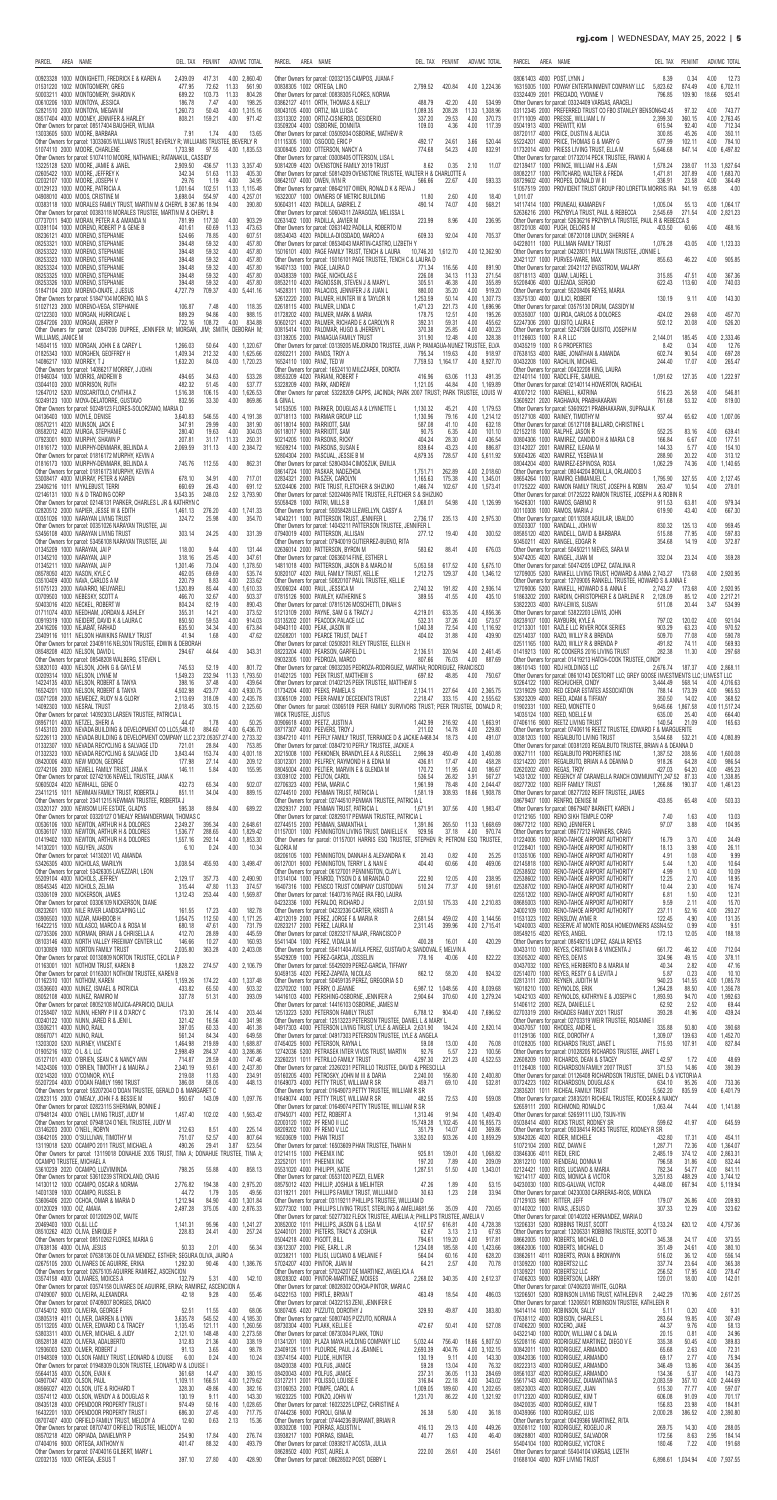#### **rgj.com** | WEDNESDAY, MAY 25, 2022 | **5**

| <b>PARCEL</b>          | AREA | NAME                                                                                                                                                                                                                                                                                                                                                                                                                                  | DEL. TAX             | PEN/INT          |                         | ADV/MC TOTAL                   | PARCEL               | AREA | NAME                                                                                                                                       | DEL. TAX                      | PEN/INT           |               | ADV/MC TOTAL                    |
|------------------------|------|---------------------------------------------------------------------------------------------------------------------------------------------------------------------------------------------------------------------------------------------------------------------------------------------------------------------------------------------------------------------------------------------------------------------------------------|----------------------|------------------|-------------------------|--------------------------------|----------------------|------|--------------------------------------------------------------------------------------------------------------------------------------------|-------------------------------|-------------------|---------------|---------------------------------|
|                        |      | 00923328 1000 MONIGHETTI, FREDRICK E & KAREN A                                                                                                                                                                                                                                                                                                                                                                                        | 2,439.09             | 417.31           |                         | 4.00 2,860.40                  |                      |      | Other Owners for parcel: 02032135 CAMPOS, JUANA F                                                                                          |                               |                   |               |                                 |
|                        |      | 477.95<br>01531220 1002 MONTGOMERY, GREG                                                                                                                                                                                                                                                                                                                                                                                              |                      | 72.62<br>103.73  | 11.33<br>11.33          | 561.90<br>804.28               |                      |      | 00838305 1002 ORTEGA, LINO<br>Other Owners for parcel: 00838305 FLORES, NORMA                                                              | 2,799.52                      | 420.84            |               | 4.00 3,224.36                   |
|                        |      | 50003211 4000 MONTGOMERY, SHARON K 689.22<br>00610206 1000 MONTGOMERY, SHARON K 689.22<br>00610206 1000 MONTOYA, JESSICA 186.78<br>52821510 2000 MONTOYA, MEGAN M 1,260.73<br>08517404 4000 MOONEY, JENNIFER & HARLEY 808.21<br>808.21                                                                                                                                                                                                |                      | 7.47<br>50.43    | 4.00<br>4.00 1,315.16   | 198.25                         |                      |      | 03862127 4011 ORTH, THOMAS & KELLY<br>08043105 4000 ORTIZ, MA LUISA C                                                                      | 488.79<br>1.089.35            | 42.20<br>208.28   | 4.00<br>11.33 | 534.99<br>1,308.96              |
|                        |      | Other Owners for parcel: 08517404 BAUGHER, WILMA                                                                                                                                                                                                                                                                                                                                                                                      |                      | 159.21           | 4.00                    | 971.42                         |                      |      | 03313302 2000 ORTIZ-CISNEROS, DESIDERIO<br>03509204 4000 OSBORNE, DONNITA                                                                  | 337.20<br>109.03              | 29.53<br>4.36     | 4.00<br>4.00  | 370.73<br>117.39                |
|                        |      | 13033605 5000 MOORE, BARBARA<br>Other Owners for parcel: 13033605 WILLIAMS TRUST, BEVERLY R; WILLIAMS TRUSTEE, BEVERLY R                                                                                                                                                                                                                                                                                                              | 7.91                 | 1.74             | 4.00                    | 13.65                          |                      |      | Other Owners for parcel: 03509204 OSBORNE, MATHEW R<br>01115305 1000 OSGOOD, ERIC P                                                        | 492.17                        | 24.61             | 3.66          | 520.44                          |
|                        |      | 1,733.98<br>51074110 2000 MOORE, CHARLENE<br>Other Owners for parcel: 51074110 MOORE, NATHANIEL; RATANAKUL, CASSIDY                                                                                                                                                                                                                                                                                                                   |                      | 97.55            | 4.00 1,835.53           |                                |                      |      | 03008405 2000 OTTERSON, NANCY A<br>Other Owners for parcel: 03008405 OTTERSON, LISA L                                                      | 774.68                        | 54.23             | 4.00          | 832.91                          |
|                        |      | 13225128 5200 MOORE, JAMIE & JANEL<br>02605422 1000 MOORE, JEFFREY K                                                                                                                                                                                                                                                                                                                                                                  |                      | 436.57<br>51.63  | 11.33 3,357.40<br>11.33 | 405.30                         |                      |      | 50814209 4020 OVENSTONE FAMILY 2019 TRUST<br>Other Owners for parcel: 50814209 OVENSTONE TRUSTEE, WALTER H & CHARLOTTE A                   | 8.62                          | 0.35              | 2.10          | 11.07                           |
|                        |      | $\begin{array}{r} 2,909.50 \\ 2,909.50 \\ 342.34 \\ 29.76 \\ 1,001.64 \\ 3,698.04 \end{array}$<br>02032107 1000 MOORE, JOSEPH V<br>00129123 1000 MOORE, PATRICIA A                                                                                                                                                                                                                                                                    |                      | 1.19<br>102.51   | 4.00<br>11.33 1.115.48  | 34.95                          |                      |      | 08642107 4000 OWEN. IVIN R<br>Other Owners for parcel: 08642107 OWEN, RONALD K & REVA J                                                    | 566.66                        | 22.67             | 4.00          | 593.33                          |
|                        |      | 04908010 4000 MOOS, CRISTINE M<br>00383118 1000 MORALES FAMILY TRUST, MARTIN M & CHERYL B 367.86 18.94                                                                                                                                                                                                                                                                                                                                |                      | 554.97           | 4.00 4,257.01<br>4.00   | 390.80                         |                      |      | 16322007 1000 OWNERS OF METRIC BUILDING<br>50604311 4020 PADILLA, GABRIEL Z                                                                | 11.80<br>490.14               | 2.60<br>74.07     | 4.00<br>4.00  | 18.40<br>568.21                 |
|                        |      | Other Owners for parcel: 00383118 MORALES TRUSTEE, MARTIN M & CHERYL B<br>07737011 9400 MORAN, PETER A & AMANDA N<br>$x = 6$<br>$x = 1$<br>$x = 1$<br>$x = 1$<br>$x = 1$<br>$x = 1$<br>$x = 1$<br>$x = 1$<br>$x = 1$<br>$x = 1$<br>$x = 1$<br>$x = 1$<br>$x = 1$<br>$x = 1$<br>$x = 1$<br>$x = 1$<br>$x = 1$<br>$x = 1$<br>$x = 1$<br>$x = 1$<br>$x = 1$<br>$x = 1$<br>$x = 1$<br>$x = 1$<br>$x = 1$<br>$x = 1$<br>$x = 1$<br>$x = 1$ |                      | 117.30           | 4.00                    | 903.29                         |                      |      | Other Owners for parcel: 50604311 ZARAGOZA, MELISSA L<br>02631402 1000 PADILLA, JAVIER M                                                   | 223.99                        | 8.96              | 4.00          | 236.95                          |
|                        |      | 00391104 1000 MORENO, ROBERT P & GENE B<br>08236121 4000 MORENO, STEPHANIE                                                                                                                                                                                                                                                                                                                                                            |                      | 60.69<br>78.85   | 11.33<br>4.00           | 473.63<br>607.51               |                      |      | Other Owners for parcel: 02631402 PADILLA, ROBERTO M<br>08534043 4020 PADILLA-DIOSDADO, MARCO A                                            | 609.33                        | 92.04             | 4.00          | 705.37                          |
|                        |      | 08253321 1000 MORENO, STEPHANIE<br>08253322 1000 MORENO, STEPHANIE                                                                                                                                                                                                                                                                                                                                                                    |                      | 59.32<br>59.32   | 4.00<br>4.00            | 457.80<br>457.80               |                      |      | Other Owners for parcel: 08534043 MARTIN-CASTRO, LIZBETH Y<br>15016101 4000 PAGE FAMILY TRUST, TENCH & LAURA                               | 10,746.20 1,612.70            |                   |               | 4.00 12,362.90                  |
|                        |      | 08253323 1000 MORENO, STEPHANIE                                                                                                                                                                                                                                                                                                                                                                                                       |                      | 59.32            | 4.00                    | 457.80                         |                      |      | Other Owners for parcel: 15016101 PAGE TRUSTEE, TENCH C & LAURA D<br>16407133 1000 PAGE, LAURA D                                           |                               |                   |               |                                 |
|                        |      | 08253324 1000 MORENO, STEPHANIE<br>08253325 1000 MORENO, STEPHANIE                                                                                                                                                                                                                                                                                                                                                                    |                      | 59.32<br>59.32   | 4.00<br>4.00            | 457.80<br>457.80               |                      |      | 00438339 1000 PAGE, NICHOLAS E                                                                                                             | 771.34<br>226.08              | 116.56<br>34.13   | 4.00<br>11.33 | 891.90<br>271.54                |
|                        |      | 08253326 1000 MORENO, STEPHANIE<br>51847104 2000 MORENO-ONATE, J JESUS                                                                                                                                                                                                                                                                                                                                                                |                      | 59.32<br>709.37  | 4.00                    | 457.80<br>4.00 5,441.16        |                      |      | 08532110 4020 PAGNOSSIN, STEVEN J & MARY L<br>14528311 1000 PALACIOS, JENNIFER J & JUAN L                                                  | 305.51<br>880.00              | 46.38<br>35.20    | 4.00<br>4.00  | 355.89<br>919.20                |
|                        |      | Other Owners for parcel: 51847104 MORENO, MA S<br>51027123 2000 MORENO-VEGA, STEPHANIE                                                                                                                                                                                                                                                                                                                                                | 106.87               | 7.48             | 4.00                    | 118.35                         |                      |      | 52612220 2000 PALMER, HUNTER W & TAYLOR N<br>02618115 4000 PALMER, LINDA C                                                                 | 1,253.59<br>1,471.23          | 50.14<br>221.73   |               | 4.00 1,307.73<br>4.00 1,696.96  |
|                        |      | 02122303 1000 MORGAN, HURRICANE L<br>02847206 2000 MORGAN, JERRY P                                                                                                                                                                                                                                                                                                                                                                    | 889.29<br>722.16     | 94.86<br>108.72  | 4.00<br>4.00            | 988.15<br>834.88               |                      |      | 02618115 4000 PALMER, LINDA C<br>01728202 4000 PALMER, MARK & MARIA<br>50602121 4020 PALMER, RICHARD E & CAROLYN R                         | 178.75<br>392.31              | 12.51<br>59.31    | 4.00<br>4.00  | 195.26<br>455.62                |
| WILLIAMS, JANICE M     |      | Other Owners for parcel: 02847206 DUPREE, JENNIFER M; MORGAN, JIM; SMITH, DEBORAH M;                                                                                                                                                                                                                                                                                                                                                  |                      |                  |                         |                                |                      |      | 00815414 1000 PALOMAR, HUGO & JHERENY L<br>in 1996.<br>Tanzania<br>03139205 2000 PANIAGUA FAMILY TRUST                                     | 370.38<br>311.90              | 25.85<br>12.48    | 4.00<br>4.00  | 400.23<br>328.38                |
|                        |      | 14504115 1000 MORGAN, JOHN E & CAREY L<br>01825343 1000 MORGHEN, GEOFFREY H                                                                                                                                                                                                                                                                                                                                                           | 1,266.03<br>1,409.34 | 50.64<br>212.32  |                         | 4.00 1,320.67<br>4.00 1,625.66 |                      |      | Other Owners for parcel: 03139205 MEJORADO TRUSTEE, JUAN P; PANIAGUA-NUNEZ TRUSTEE, ELVA<br>02802211 2000 PANOS, TROY A                    | 795.34                        | 119.63            | 4.00          | 918.97                          |
|                        |      | 14086217 1000 MORREY, TJ<br>Other Owners for parcel: 14086217 MORREY, J JOHN                                                                                                                                                                                                                                                                                                                                                          | 1,632.20             | 84.03            | 4.00 1,720.23           |                                |                      |      | 16524110 1000 PANZ, TED W<br>Other Owners for parcel: 16524110 MILCZAREK, DOROTA                                                           | 7,759.53 1,164.17             |                   |               | 4.00 8,927.70                   |
|                        |      | 01946034 1000 MORRIS, ANDREW B<br>03044103 2000 MORRISON, RUTH                                                                                                                                                                                                                                                                                                                                                                        | 494.65               | 34.63<br>51.45   | 4.00<br>4.00            | 533.28<br>537.77               |                      |      | 08553209 4020 PARIANI, ROBERT F<br>53228209 4000 PARK, ANDREW                                                                              | 416.96<br>1,121.05            | 63.06<br>44.84    | 11.33         | 491.35<br>4.00 1.169.89         |
|                        |      | $734.03$<br>482.32<br>2 1,516.38<br>AVO 832.56<br>12647012 5200 MOSCARITOLO, CYNTHIA Z<br>50249123 1000 MOYA-DELATORRE, GUSTAVO                                                                                                                                                                                                                                                                                                       | 832.56               | 106.15<br>33.30  | 4.00                    | 4.00 1,626.53<br>869.86        | & GINA L             |      | Other Owners for parcel: 53228209 CAPPS, JACINDA; PARK 2007 TRUST; PARK TRUSTEE, LOUIS W                                                   |                               |                   |               |                                 |
|                        |      | Other Owners for parcel: 50249123 FLORES-SOLORZANO, MARIA D                                                                                                                                                                                                                                                                                                                                                                           |                      |                  |                         |                                |                      |      | 14153505 1000 PARKER, DOUGLAS A & LYNNETTE L                                                                                               | 1,130.32                      | 45.21             |               | 4.00 1,179.53                   |
|                        |      | 04136403 1000 MOYLE, DENISE<br>08570211 4020 MUNSON, JACK E                                                                                                                                                                                                                                                                                                                                                                           | 3,640.83<br>347.91   | 546.55<br>29.99  | 4.00                    | 4.00 4,191.38<br>381.90        |                      |      | 00718113 1000 PARMAR GROUP LLC<br>06118014 9000 PARRIOTT, SAM                                                                              | 1,130.96<br>587.08            | 79.16<br>41.10    | 4.00          | 4.00 1,214.12<br>632.18         |
|                        |      | 08582012 4020 MURGA, STEPHANIE C<br>07923001 9000 MURPHY, SHAWN P                                                                                                                                                                                                                                                                                                                                                                     | 280.40<br>207.81     | 19.63<br>31.17   | 4.00<br>11.33           | 304.03<br>250.31               |                      |      | 06118017 9000 PARRIOTT, SAM<br>50214205 1000 PARSONS, RICKY                                                                                | 90.75<br>404.24               | 6.35<br>28.30     | 4.00<br>4.00  | 101.10<br>436.54                |
|                        |      | 01816172 1000 MURPHY-DENMARK, BELINDA A<br>Other Owners for parcel: 01816172 MURPHY, KEVIN A                                                                                                                                                                                                                                                                                                                                          | 2,069.59             | 311.13           |                         | 4.00 2,384.72                  |                      |      | SUS SUMPLIEL<br>:<br>:<br>M<br>1087UK FAMIL<br>16509214 1000 PARSONS, SUSAN E<br>52804304 2000 PASCUAL, JESSIE B M                         | 839.64<br>4,879.35            | 43.23<br>728.57   | 4.00          | 886.87<br>4.00 5,611.92         |
|                        |      | 01816173 1000 MURPHY-DENMARK, BELINDA A<br>Other Owners for parcel: 01816173 MURPHY, KEVIN A                                                                                                                                                                                                                                                                                                                                          | 745.76               | 112.55           | 4.00                    | 862.31                         |                      |      | Other Owners for parcel: 52804304 CIMOSZUK, EMILIA<br>08614724 1000 PASKAR, NADEZHDA                                                       | 1,751.71                      | 262.89            |               | 4.00 2,018.60                   |
|                        |      | 53008417 4000 MURRAY, PETER & KAREN<br>23406216 1011 MYKLEBUST, TERRI                                                                                                                                                                                                                                                                                                                                                                 | 678.10<br>660.69     | 34.91<br>26.43   | 4.00<br>4.00            | 717.01<br>691.12               |                      |      | 02834321 2000 PASZEK, CAROLYN<br>52024406 2000 PATE TRUST, FLETCHER & SHIZUKO                                                              | 1,165.63<br>1.466.74          | 175.38<br>102.67  |               | 4.00 1,345.01<br>4.00 1,573.41  |
|                        |      | 02146131 1000 N & D TRADING CORP<br>Other Owners for parcel: 02146131 PARKER, CHARLES L JR & KATHRYN C                                                                                                                                                                                                                                                                                                                                | 3,543.35             | 248.03           |                         | 2.52 3,793.90                  |                      |      | Other Owners for parcel: 52024406 PATE TRUSTEE, FLETCHER S & SHIZUKO<br>55058428 1000 PATRI, MILLS B                                       | 1,068.01                      | 54.98             |               | 4.00 1.126.99                   |
|                        |      | 02820512 2000 NAPIER, JESSE W & EDITH<br>1,461.13<br>00351026 1000 NARAYAN LIVING TRUST                                                                                                                                                                                                                                                                                                                                               | 324.72               | 276.20<br>25.98  | 4.00                    | 4.00 1,741.33<br>354.70        |                      |      | Other Owners for parcel: 55058428 LLEWELLYN, CASSY A<br>14043211 1000 PATTERSON TRUST, JENNIFER L                                          | 2,736.17                      | 235.13            |               | 4.00 2.975.30                   |
|                        |      | Other Owners for parcel: 00351026 NARAYAN TRUSTEE, JAI<br>53456108 4000 NARAYAN LIVING TRUST                                                                                                                                                                                                                                                                                                                                          | 303.14               | 24.25            | 4.00                    | 331.39                         |                      |      | Other Owners for parcel: 14043211 PATTERSON TRUSTEE, JENNIFER L<br>07940019 4000 PATTERSON, ALLISAN                                        | 277.12                        | 19.40             | 4.00          | 300.52                          |
|                        |      | Other Owners for parcel: 53456108 NARAYAN TRUSTEE, JAI<br>01345209 1000 NARAYAN, JAI P                                                                                                                                                                                                                                                                                                                                                | 118.00               | 9.44             | 4.00                    | 131.44                         |                      |      | Other Owners for parcel: 07940019 GUTIERREZ-BUENO, RITA<br>02636014 2000 PATTERSON, BYRON M                                                | 583.62                        | 88.41             | 4.00          | 676.03                          |
|                        |      | 01345210 1000 NARAYAN, JAI P<br>01345211 1000 NARAYAN, JAI P                                                                                                                                                                                                                                                                                                                                                                          | 318.16<br>1,301.46   | 25.45<br>73.04   | 4.00<br>4.00 1,378.50   | 347.61                         |                      |      | Other Owners for parcel: 02636014 FINE, ESTHER L<br>14811018 4000 PATTERSON, JASON B & MARLO M                                             | 5,053.58                      | 617.52            |               | 4.00 5,675.10                   |
|                        |      | 08578050 4020 NASON, KYLE C<br>03510409 4000 NAVA, CARLOS A M                                                                                                                                                                                                                                                                                                                                                                         | 462.05<br>220.79     | 69.69<br>8.83    | 4.00<br>4.00            | 535.74<br>233.62               |                      |      | 50820107 4020 PAUL FAMILY TRUST, KELLIE                                                                                                    | 1,212.75                      | 129.37            |               | 4.00 1,346.12                   |
|                        |      | 51075123 2000 NAVARRO, NEUYARELI                                                                                                                                                                                                                                                                                                                                                                                                      | 1,520.89             | 85.44<br>32.67   | 4.00<br>4.00            | 1,610.33<br>503.37             |                      |      | Other Owners for parcel: 50820107 PAUL TRUSTEE, KELLIE<br>05006024 4000 PAUL, JESSICA M<br>07815126 9000 PAWLEY, KATHERINE S               | 2.740.32<br>389.55            | 191.82<br>41.55   | 4.00          | 4.00 2,936.14<br>435.10         |
|                        |      |                                                                                                                                                                                                                                                                                                                                                                                                                                       |                      | 82.19            | 4.00                    | 890.43                         |                      |      | Other Owners for parcel: 07815126 MOSCHETTI, DINAH S                                                                                       |                               |                   |               |                                 |
|                        |      | 00709503 1000 NEBESKY, SCOTT A<br>00709503 1000 NECKEL, ROBERT W<br>00403016 4020 NECKEL, ROBERT W<br>00919319 1000 NEIDERT, DAVID K & LAURA C<br>00919319 1000 NEIDERT, DAVID K & LAURA C<br>635.50<br>00919319 1000 NEIDERT, DAVID K & L                                                                                                                                                                                            |                      | 14.21<br>59.53   | 4.00<br>4.00            | 373.52<br>914.03               |                      |      | 51213109 2000 PAYNE, SAM G & TRACY J<br>03135202 2001 PEACOCK PALACE LLC                                                                   | 4.219.01<br>532.31            | 633.35<br>37.26   | 4.00          | 4.00 4,856.36<br>573.57         |
|                        |      | 23409116 1011 NELSON HAWKINS FAMILY TRUST                                                                                                                                                                                                                                                                                                                                                                                             | 41.94                | 34.34<br>1.68    | 4.00<br>4.00            | 673.84<br>47.62                |                      |      | 04943110 4000 PEAK, JASON W<br>02508201 1000 PEAK, JASON W<br>Other Owners for narrol: 02500001 DLE T                                      | 1,040.38<br>404.02            | 72.54<br>31.88    | 4.00          | 4.00 1,116.92<br>439.90         |
|                        |      | Other Owners for parcel: 23409116 NELSON TRUSTEE, EDWIN & DEBORAH<br>08548208 4020 NELSON, DAVID L                                                                                                                                                                                                                                                                                                                                    | 294.67               | 44.64            | 4.00                    | 343.31                         |                      |      | Other Owners for parcel: 02508201 RILEY TRUSTEE, ELLEN H<br>08223204 4000 PEARSON, GARFIELD L                                              | 2,136.51                      | 320.94            |               | 4.00 2,461.45                   |
|                        |      | Other Owners for parcel: 08548208 WALBERG, STEVEN L<br>53820103 4000 NELSON, JOHN G & GAYLE M                                                                                                                                                                                                                                                                                                                                         | 745.53               | 52.19            | 4.00                    | 801.72                         |                      |      | 09032305 1000 PEDROZA, MARCO<br>Other Owners for parcel: 09032305 PEDROZA-RODRIGUEZ, MARTHA; RODRIGUEZ, FRANCISCO                          | 807.66                        | 76.03             | 4.00          | 887.69                          |
|                        |      | 00209314 1000 NELSON, LYNNE M<br>19224135 4000 NELSON, LYNNE M<br>19224135 4000 NELSON, ROBERT & TANYA<br>16524201 1000 NELSON, ROBERT & TANYA<br>03071208 2000 NEMEDEZ, RUDY N & GLORY<br>19092303 1000 NESRAL TRUST<br>2,018.45<br>2,018.45                                                                                                                                                                                         |                      | 232.94<br>37.48  | 11.33 1,793.50<br>4.00  | 439.64                         |                      |      | 01402125 1000 PEEK TRUST, MATTHEW S<br>Other Owners for parcel: 01402125 PEEK TRUSTEE, MATTHEW S                                           | 697.82                        | 48.85             | 4.00          | 750.67                          |
|                        |      |                                                                                                                                                                                                                                                                                                                                                                                                                                       |                      | 423.77<br>318.09 |                         | 4.00 4,930.75<br>4.00 2,435.78 |                      |      | 01734204 4000 PEEKS, PAMELA S<br>03065109 2000 PEER FAMILY DECEDENTS TRUST                                                                 | 2,134.11<br>2,218.47          | 227.64<br>333.15  |               | 4.00 2,365.75<br>4.00 2,555.62  |
|                        |      | 14092303 1000 NESRAL TRUST<br>Other Owners for parcel: 14092303 LARSEN TRUSTEE, PATRICIA L                                                                                                                                                                                                                                                                                                                                            | 2,018.45             | 303.15           |                         | 4.00 2,325.60                  | WICK TRUSTEE, JUSTUS |      | Other Owners for parcel: 03065109 PEER FAMILY SURVIVORS TRUST; PEER TRUSTEE, DONALD R;                                                     |                               |                   |               |                                 |
|                        |      | 08957101 4000 NETZEL, SHERI A<br>51453103 2000 NEVADA BUILDING & DEVELOPMENT CO LLC5,548.10                                                                                                                                                                                                                                                                                                                                           | 44.47                | 1.78<br>884.60   | 4.00                    | 50.25<br>4.00 6,436.70         |                      |      | 00906618 4000 PEETZ, JUSTIN A<br>08717307 4000 PEEVERS, TROY J                                                                             | 1,442.99<br>211.02            | 216.92<br>14.78   | 4.00          | 4.00 1,663.91<br>229.80         |
|                        |      | 52226113 2000 NEVADA BUILDING & DEVELOPMENT COMPANY LLC 2,372.05357.27 4.00 2,733.32<br>01332307 1000 NEVADA RECYCLING & SALVAGE LTD                                                                                                                                                                                                                                                                                                  | 721.01               | 28.84            | 4.00                    | 753.85                         |                      |      | 03847210 4011 PEFFLY FAMILY TRUST, TERRANCE D & JACKIE A468.34 18.73<br>Other Owners for parcel: 03847210 PEFFLY TRUSTEE, JACKIE A         |                               |                   | 4.00          | 491.07                          |
|                        |      | 01332323 1000 NEVADA RECYCLING & SALVAGE LTD<br>08420006 4000 NEW MOON, GEORGE                                                                                                                                                                                                                                                                                                                                                        | 3,843.44<br>177.98   | 153.74<br>27.14  | 4.00                    | 4.00 4,001.18<br>209.12        |                      |      | 20215008 1000 PEKKONEN, BRANDYLEE A & RUSSELL<br>03012301 2000 PELFREY, RAYMOND H & EDNA M                                                 | 2,996.39<br>436.81            | 450.49<br>17.47   | 4.00          | 4.00 3,450.88<br>458.28         |
|                        |      | 02742106 2000 NEWELL FAMILY TRUST, JANA K<br>Other Owners for parcel: 02742106 NEWELL TRUSTEE, JANA K                                                                                                                                                                                                                                                                                                                                 | 146.11               | 5.84             | 4.00                    | 155.95                         |                      |      | 08045004 4000 PELTIER, MARVIN E & GLENDA M                                                                                                 | 170.72<br>536.54              | 11.95<br>26.82    | 4.00<br>3.91  | 186.67<br>567.27                |
|                        |      | 50605024 4020 NEWHALL, GENE O<br>23411215 1011 NEWMAN FAMILY TRUST, ROBERTA J                                                                                                                                                                                                                                                                                                                                                         | 432.73<br>851.11     | 65.34<br>34.04   | 4.00<br>4.00            | 502.07<br>889.15               |                      |      | U3U39102 2000 PELTON, CAROL<br>02706323 4000 PENA, MARIA C<br>02744510 2000 PENMAN TRUST, PATRICIA L                                       | 1,961.99<br>1,581.19          | 78.48<br>308.93   |               | 4.00 2,044.47<br>18.66 1,908.78 |
|                        |      | Other Owners for parcel: 23411215 NEWMAN TRUSTEE, ROBERTA J<br>03320127 2000 NEWSOM LIFE ESTATE, GLADYS                                                                                                                                                                                                                                                                                                                               | 595.38               | 89.84            | 4.00                    | 689.22                         |                      |      | Other Owners for parcel: 02744510 PENMAN TRUSTEE, PATRICIA L<br>02829317 2000 PENMAN TRUST, PATRICIA L                                     | 1,671.91                      | 307.56            |               | 4.00 1,983.47                   |
|                        |      | Other Owners for parcel: 03320127 O'MEALY REMAINDERMAN, THOMAS C<br>00536106 1000 NEWTON, ARTHUR H & DOLORES                                                                                                                                                                                                                                                                                                                          | 2.249.27             | 395.34           | 4.00 2,648.61           |                                |                      |      | Other Owners for parcel: 02829317 PENMAN TRUSTEE, PATRICIA L<br>02744515 2000 PENMAN, SAMANTHA L                                           | 1,391.86                      | 265.50            |               | 11.33 1,668.69                  |
|                        |      | 00536107 1000 NEWTON, ARTHUR H & DOLORES<br>01419402 1000 NEWTON, ARTHUR H & DOLORES                                                                                                                                                                                                                                                                                                                                                  | 1,536.77<br>1,557.16 | 288.65<br>292.14 |                         | 4.00 1,829.42<br>4.00 1,853.30 |                      |      | 01157001 1000 PENNINGTON LIVING TRUST, DANIELLE K<br>Other Owners for parcel: 01157001 HARRIS ESQ TRUSTEE, STEPHEN R; PETRONI ESQ TRUSTEE, | 929.56                        | 37.18             | 4.00          | 970.74                          |
|                        |      | 14130201 1000 NGUYEN, JASON<br>Other Owners for parcel: 14130201 VO, AMANDA                                                                                                                                                                                                                                                                                                                                                           | 6.10                 | 0.24             | 4.00                    | 10.34                          | <b>GLORIA M</b>      |      | 08206105 1000 PENNINGTON, DANNAH & ALEXANDRA K                                                                                             | 20.43                         | 0.82              | 4.00          | 25.25                           |
|                        |      | 53426305 4000 NICHOLAS, MARILYN<br>Other Owners for parcel: 53426305 LAVEZZARI, LEON                                                                                                                                                                                                                                                                                                                                                  | 3,038.54             | 455.93           |                         | 4.00 3,498.47                  |                      |      | 06127001 9000 PENNINGTON, TERRY L & NAN E<br>Other Owners for parcel: 06127001 PENNINGTON, CLAY L                                          | 404.40                        | 60.66             | 4.00          | 469.06                          |
|                        |      | 55209104 4000 NICHOLS, JEFFREY<br>08545345 4020 NICHOLS, ZELMA                                                                                                                                                                                                                                                                                                                                                                        | 2,129.17<br>315.44   | 357.73<br>47.80  | 4.00 2,490.90<br>11.33  | 374.57                         |                      |      | 01314104 1000 PENROD, TYSON D & MIRANDA D<br>16407316 1000 PENSCO TRUST COMPANY CUSTODIAN                                                  | 222.90<br>510.24              | 12.05<br>77.37    | 4.00<br>4.00  | 238.95<br>591.61                |
|                        |      | 03306109 2000 NICKERSON, JAMES<br>Other Owners for parcel: 03306109 NICKERSON, DIANE                                                                                                                                                                                                                                                                                                                                                  | 1.312.43             | 253.44           | 4.00 1,569.87           |                                |                      |      | Other Owners for parcel: 16407316 PAGE IRA FBO, LAURA<br>04232336 1000 PERALDO, RICHARD J                                                  | 2,031.50                      | 175.33            |               | 4.00 2,210.83                   |
|                        |      | 08232601 1000 NILE RIVER LANDSCAPING LLC<br>03906503 1000 NIZAR, MAHBOOB H                                                                                                                                                                                                                                                                                                                                                            | 161.55<br>1,054.75   | 17.23<br>112.50  | 4.00                    | 182.78<br>4.00 1,171.25        |                      |      | Other Owners for parcel: 04232336 CARTER, KRISTI A<br>40212019 2000 PEREZ, JORGE F & MARIA R                                               | 2,681.54                      | 459.02            |               | 4.00 3,144.56                   |
|                        |      | 680.18<br>16422215 1000 NOLASCO, MARCO A & ROSA M<br>02735306 2000 NORMAN, BRIAN J & CHRISELLA A 412.70                                                                                                                                                                                                                                                                                                                               |                      | 47.61<br>28.89   | 4.00<br>4.00 445.59     | 731.79                         |                      |      | 02823217 2000 PEREZ, LAURA M<br>Other Owners for parcel: 02823217 NAJAR, FRANCISCO P                                                       | 2,311.45                      | 399.96            |               | 4.00 2,715.41                   |
|                        |      | 08103146 4000 NORTH VALLEY FREEWAY CENTER LLC<br>00130809 1000 NORTON FAMILY TRUST                                                                                                                                                                                                                                                                                                                                                    | 146.66<br>2,035.80   | 10.27<br>363.28  | 4.00                    | 160.93<br>4.00 2,403.08        |                      |      | 55411404 1000 PEREZ, VIDALIA M<br>Other Owners for parcel: 55411404 AVILA PEREZ, GUSTAVO A; SANDOVAL F, MELVIN A                           | 400.28                        | 16.01             | 4.00          | 420.29                          |
|                        |      | Other Owners for parcel: 00130809 NORTON TRUSTEE, CECILIA P<br>01163001 1001 NOTHOM TRUST, KAREN B                                                                                                                                                                                                                                                                                                                                    | 1,828.22             | 274.57           |                         | 4.00 2,106.79                  |                      |      | 55429209 1000 PEREZ-GARCIA, JOSSELIN<br>Other Owners for parcel: 55429209 PEREZ-GARCIA, TIFFANY                                            | 778.16                        | 40.06             | 4.00          | 822.22                          |
|                        |      | Other Owners for parcel: 01163001 NOTHOM TRUSTEE, KAREN B<br>01162310 1001 NOTHOM, KAREN                                                                                                                                                                                                                                                                                                                                              | 1,159.26             | 174.22           |                         | 4.00 1,337.48                  |                      |      | 50459135 4020 PEREZ-ZAPATA, NICOLAS<br>Other Owners for parcel: 50459135 PEREZ, GREGORIA S D                                               | 862.12                        | 58.20             | 4.00          | 924.32                          |
|                        |      | 03536603 4000 NUNEZ, ISMAEL & PATRICIA<br>08052108 4000 NUNEZ, RAMIRO M                                                                                                                                                                                                                                                                                                                                                               | 433.82<br>337.78     | 65.50<br>51.31   | 4.00<br>4.00            | 503.32<br>393.09               |                      |      | 02370202 1000 PERRY, O JEANNE<br>14416103 4000 PERSHING-OSBORNE, JENNIFER A                                                                | 6,987.12 1,048.56<br>2,904.64 | 370.60            |               | 4.00 8,039.68<br>4.00 3,279.24  |
|                        |      | Other Owners for parcel: 08052108 MOJICA-APARICIO, DALILA                                                                                                                                                                                                                                                                                                                                                                             |                      |                  |                         |                                |                      |      | Other Owners for parcel: 14416103 OSBORNE, JAMES M                                                                                         |                               |                   |               |                                 |
|                        |      | 01258407 1002 NUNN, HENRY P III & D'ARCY C<br>00240122 1000 NUNN, JARED R & JENIL                                                                                                                                                                                                                                                                                                                                                     | 173.30<br>321.42     | 26.14<br>16.56   | 4.00<br>4.00            | 203.44<br>341.98               |                      |      | 12513223 5200 PETERSON FAMILY TRUST<br>Other Owners for parcel: 12513223 PETERSON TRUSTEE, DANIEL L & MARY L                               | 6,788.12                      | 904.40            |               | 4.00 7.696.52                   |
|                        |      | 03506211 4000 NUNO, RAUL<br>08567071 4020 NUNO, RAUL                                                                                                                                                                                                                                                                                                                                                                                  | 397.05<br>561.24     | 60.33<br>84.34   | 4.00<br>4.00            | 461.38<br>649.58               |                      |      | 04917303 4000 PETERSON LIVING TRUST, LYLE & ANGELA 2,631.90<br>Other Owners for parcel: 04917303 PETERSON TRUSTEE, LYLE & ANGELA           |                               | 184.24            |               | 4.00 2,820.14                   |
|                        |      | 1,464.98<br>13203020 5200 NURNEY, VINCENT E<br>01905216 1002 OL & LLLC                                                                                                                                                                                                                                                                                                                                                                | 2,998.49             | 219.89<br>284.37 | 4.00 1,688.87           | 4.00 3,286.86                  |                      |      | 07454025 9000 PETERSON, RAYNA L<br>12742036 5200 PETRASEK INTER VIVOS TRUST, MARTIN                                                        | 59.08<br>92.76                | 13.00<br>5.57     | 4.00<br>2.23  | 76.08<br>100.56                 |
|                        |      | 01909210 1002 OL & LLLC<br>05127101 4000 O'BRIEN, SEAN C & NANCY ANN<br>14324306 1000 O'BRIEN, TIMOTHY J & MAURA J                                                                                                                                                                                                                                                                                                                    | 714.87<br>2,340.19   | 28.59<br>93.61   | 4.00<br>4.00 2,437.80   | 747.46                         |                      |      | 23260231 1011 PETRILLO FAMILY TRUST<br>Other Owners for parcel: 23260231 PETRILLO TRUSTEE, DAVID & PRESCILLA                               | 4,297.30                      | 221.23            |               | 4.00 4,522.53                   |
|                        |      | 00214320 1000 O'CONNOR, KYLE<br>55207204 4000 O'DOAN FAMILY 1990 TRUST                                                                                                                                                                                                                                                                                                                                                                | 219.08<br>386.08     | 11.83<br>58.05   | 4.00<br>4.00            | 234.91<br>448.13               |                      |      | 05160205 4000 PETROSKY, JOHN M III & DARIA<br>01649073 4000 PETTY TRUST, WILLIAM R SR                                                      | 2,240.00<br>459.71            | 156.80<br>69.10   | 4.00          | 4.00 2,400.80<br>532.81         |
|                        |      | Other Owners for parcel: 55207204 O'DOAN TRUSTEE, GERALD D & MARGARET C<br>02823115 2000 O'MEALY, JOHN F & BESSIE M                                                                                                                                                                                                                                                                                                                   | 950.67               | 143.09           |                         | 4.00 1,097.76                  |                      |      | Other Owners for parcel: 01649073 PETTY TRUSTEE, WILLIAM R SR<br>01649074 4000 PETTY TRUST, WILLIAM R SR                                   | 482.55                        | 72.53             | 4.00          | 559.08                          |
|                        |      | Other Owners for parcel: 02823115 SHERMAN, BONNIE J<br>07948124 4000 O'NEIL LIVING TRUST, JUDY M                                                                                                                                                                                                                                                                                                                                      | 1,457.40             | 102.02           |                         | 4.00 1,563.42                  |                      |      | Other Owners for parcel: 01649074 PETTY TRUSTEE, WILLIAM R SR<br>07945071 4000 PETZ, ROBERT A                                              | 1,313.46                      | 91.94             |               | 4.00 1,409.40                   |
|                        |      | Other Owners for parcel: 07948124 O'NEIL TRUSTEE, JUDY M<br>03146203 2000 O'NEIL, ROBYN                                                                                                                                                                                                                                                                                                                                               | 212.63               | 8.51             | 4.00                    | 225.14                         |                      |      | 02003120 1002 PF RENO II LLC<br>08209202 1000 PF RENO V LLC                                                                                | 15.749.28<br>351.79           | 1,102.45<br>14.07 | 4.00          | 4.00 16.855.73<br>369.86        |
|                        |      | 03642105 2000 O'SULLIVAN, TIMOTHY M<br>13119018 5200 OCAMPO 2011 TRUST, MICHAEL A                                                                                                                                                                                                                                                                                                                                                     | 751.07<br>490.26     | 52.57<br>29.41   | 4.00<br>3.87            | 807.64<br>523.54               |                      |      | 16503609 1000 PHAN TRUST<br>Other Owners for parcel: 16503609 PHAN TRUSTEE, THANH N                                                        | 3,352.03                      | 503.26            |               | 4.00 3,859.29                   |
|                        |      | Other Owners for parcel: 13119018 DONAHUE 2005 TRUST, TINA A; DONAHUE TRUSTEE, TINA A;<br>OCAMPO TRUSTEE, MICHAEL A                                                                                                                                                                                                                                                                                                                   |                      |                  |                         |                                |                      |      | 01214115 1000 PHEENIX INC<br>23252101 1011 PHEENIX INC                                                                                     | 925.81<br>197.20              | 139.01<br>7.89    | 4.00          | 4.00 1,068.82<br>209.09         |
|                        |      | 53610239 2020 OCAMPO, LUZVIMINDA<br>Other Owners for parcel: 53610239 STRICKLAND, CRAIG                                                                                                                                                                                                                                                                                                                                               | 798.25               | 55.88            | 4.00                    | 858.13                         |                      |      | 05531020 4000 PHILIPPI, KATIE<br>Other Owners for parcel: 05531020 PEZZI, ELMER                                                            | 1,287.51                      | 51.50             |               | 4.00 1,343.01                   |
|                        |      | 14130112 1000 OCAMPO, OSCAR & NORMA<br>14031309 1000 OCAMPO, RUSSEL B                                                                                                                                                                                                                                                                                                                                                                 | 2,776.82<br>44.72    | 194.38<br>1.79   | 3.05                    | 4.00 2,975.20<br>49.56         |                      |      | 08575012 4020 PHILLIP, JOSHUA & MELIHTER<br>03119211 2001 PHILLIPS FAMILY TRUST, WILLIAM D                                                 | 47.26<br>30.63                | 1.89<br>1.23      | 4.00<br>2.08  | 53.15<br>33.94                  |
|                        |      | 53606406 2020 OCHOA, OMAR & MARIA D<br>00120029 1000 OIZ, AMAIA                                                                                                                                                                                                                                                                                                                                                                       | 1,212.94<br>2,497.28 | 84.90<br>375.05  | 4.00 1,301.84           | 4.00 2,876.33                  |                      |      | Other Owners for parcel: 03119211 PHILLIPS TRUSTEE, WILLIAM D<br>50277302 1000 PHILLIPS LIVING TRUST, STERLING & AMELIA681.56              |                               | 35.09             | 4.00          | 720.65                          |
| 20469403 1000 OL&L LLC |      | Other Owners for parcel: 00120029 OIZ, MAITE                                                                                                                                                                                                                                                                                                                                                                                          | 1,141.31             | 95.96            | 4.00 1,241.27           |                                |                      |      | Other Owners for parcel: 50277302 FLECK TRUSTEE, AMELIA A; PHILLIPS TRUSTEE, AMELIA V<br>20852002 1011 PHILLIPS, JASON G & LISA M          | 4,107.57                      | 616.81            |               | 4.00 4,728.38                   |
|                        |      | 08510262 4020 OLIVA, ENRIQUE P                                                                                                                                                                                                                                                                                                                                                                                                        | 228.83               | 24.41            | 4.00                    | 257.24                         |                      |      | 52440101 2000 PIETERS, TRACY & JOSHUA<br>05044218 4000 PIGOTT, BILL                                                                        | 62.67<br>794.61               | 3.13              | 2.13<br>4.00  | 67.93                           |
|                        |      | Other Owners for parcel: 08510262 FLORES, MARIA G<br>07638136 4000 OLIVA, JESUS                                                                                                                                                                                                                                                                                                                                                       | 50.33                | 2.01             | 4.00                    | 56.34                          |                      |      | 03612307 2000 PIKE, EARL L JR                                                                                                              | 1,234.08                      | 119.20<br>185.58  |               | 917.81<br>4.00 1,423.66         |
|                        |      | Other Owners for parcel: 07638136 DE OLIVA MENDEZ, ESTHER; SEGURA OLIVA, JAIRO A<br>02675105 2000 OLIVARES DE AGUIRRE, ERIKA                                                                                                                                                                                                                                                                                                          | 1.292.30             | 90.46            | 4.00 1,386.76           |                                |                      |      | 00238211 1000 PILISI, LUCIANO & MELANIE F<br>57024207 4030 PINTOR, JUAN M                                                                  | 564.04<br>64.21               | 60.16<br>2.57     | 4.00<br>4.00  | 628.20<br>70.78                 |
|                        |      | Other Owners for parcel: 02675105 AGUIRRE RAMIREZ, ASCENCION<br>03574158 4000 OLIVARES, MOICES A                                                                                                                                                                                                                                                                                                                                      | 132.79               | 5.31             | 4.00                    | 142.10                         |                      |      | Other Owners for parcel: 57024207 DE MARTINEZ, ANGELICA A<br>08028302 4000 PINTOR-MARTINEZ, MOISES                                         | 2,268.02                      | 340.35            |               | 4.00 2,612.37                   |
|                        |      | Other Owners for parcel: 03574158 OLIVARES DE AGUIRRE, ERIKA; RAMIREZ, ASCENCION A<br>07409007 9000 OLIVEIRA, ALEXANDRA                                                                                                                                                                                                                                                                                                               | 42.18                | 9.28             | 4.00                    | 55.46                          |                      |      | Other Owners for parcel: 08028302 OCHOA-PINTOR, MARIA C<br>04322153 1000 PIRTLE, BRYAN T                                                   | 463.49                        | 18.54             | 4.00          | 486.03                          |
|                        |      | Other Owners for parcel: 07409007 BORGES, DRACO                                                                                                                                                                                                                                                                                                                                                                                       |                      | 11.55            | 4.00                    | 68.06                          |                      |      | Other Owners for parcel: 04322153 ZENI, JENNIFER E<br>50807405 4020 PIZZUTO, DOROTHY J                                                     | 329.93                        | 49.87             | 4.00          | 383.80                          |
|                        |      |                                                                                                                                                                                                                                                                                                                                                                                                                                       |                      | 545.52<br>121.11 |                         | 4.00 4,185.30<br>4.00 1,260.56 |                      |      | Other Owners for parcel: 50807405 PIZZUTO, NORMA A<br>08730304 4000 PLAKK, KELLIE E                                                        | 472.67                        | 50.41             | 4.00          | 527.08                          |
|                        |      | 07454012 9000 OLIVEIRA, GEORGE F<br>08805319 4011 OLIVER, DARREN & LYNN 3,635.78<br>05113205 4000 OLIVER, EURACE & TRACEY<br>55303311 4000 OLIVER, MICHAEL & JIDY 2,121.10<br>08528138 4020 OLIVERA, ADALBERTO 312.83<br>12936003 5200 O                                                                                                                                                                                              |                      | 148.48<br>21.36  | 4.00                    | 4.00 2,273.58<br>338.19        |                      |      | Other Owners for parcel: 08730304 PLAKK, TONU<br>01341201 1000 PLAZA MAYA HOLDING COMPANY LLC                                              | 5,032.44                      | 756.40            |               | 18.66 5,807.50                  |
|                        |      | 12936003 5200 OLMER, ROBERT J<br>01948309 1000 OLSON FAMILY TRUST, LEONARD & LOUISE 6.00                                                                                                                                                                                                                                                                                                                                              |                      | 3.65<br>0.24     | 4.00<br>4.00            | 98.78<br>10.24                 |                      |      | 23409126 1011 PLOURDE, PAUL J & JEANNE L<br>03574154 4000 PLUDE, HUNTER                                                                    | 2,693.39<br>130.19            | 404.76<br>9.11    | 4.00          | 4.00 3,102.15<br>143.30         |
|                        |      | Other Owners for parcel: 01948309 OLSON TRUSTEE, LEONARD W & LOUISE I<br>55644135 4000 OLSON, EVAN K                                                                                                                                                                                                                                                                                                                                  | 361.68               | 14.47            | 4.00                    | 380.15                         |                      |      | 08420038 4000 POLFUS, JANICE<br>08420043 4000 POLFUS, JANICE                                                                               | 59.28<br>237.31               | 13.04<br>36.05    | 4.00<br>11.33 | 76.32<br>284.69                 |
|                        |      | 04907047 4000 OLSON, PAUL<br>08566027 4020 OLSON, UTE & RICHARD T                                                                                                                                                                                                                                                                                                                                                                     | 1,109.11<br>328.30   | 166.51<br>49.86  | 4.00                    | 4.00 1,279.62<br>382.16        |                      |      | 03127211 2001 POLISSO, LOUISE E<br>03106053 2000 POMPE, CAROL A                                                                            | 316.84<br>1,009.05            | 22.18<br>189.60   | 4.00          | 343.02<br>4.00 1,202.65         |
|                        |      | 03574112 4000 OLSON, WENDY A & DOUGLAS R<br>08435128 4000 OPENDOOR PROPERTY TRUST I                                                                                                                                                                                                                                                                                                                                                   | 130.19<br>974.49     | 9.11<br>50.16    | 4.00<br>4.00            | 143.30<br>1,028.65             |                      |      | 16023225 1000 PONZO, JOHN W<br>Other Owners for parcel: 16023225 LOPEZ, CHRISTINE A                                                        | 1,231.70                      | 86.22             |               | 4.00 1,321.92                   |
|                        |      | 16432201 1000 OPENDOOR PROPERTY TRUST I<br>08707407 4000 ORFIELD FAMILY TRUST, MELODY A                                                                                                                                                                                                                                                                                                                                               | 686.30<br>12.60      | 27.45<br>0.63    | 4.00<br>2.13            | 717.75<br>15.36                |                      |      | 07444236 9000 POROLI, GINA M<br>Other Owners for parcel: 07444236 BURVANT, BRIAN R                                                         | 26.38                         | 5.80              | 4.00          | 36.18                           |
|                        |      | Other Owners for parcel: 08707407 ORFIELD TRUSTEE, MELODY A<br>08570218 4020 ORPIADA, DANIELMYR P                                                                                                                                                                                                                                                                                                                                     |                      |                  | 4.00                    |                                |                      |      | 00830208 1000 PORRAS, AGUSTIN L<br>03938217 1000 PORRAS, ISMAEL                                                                            | 416.13                        | 29.13             | 4.00<br>4.00  | 449.26<br>46.40                 |
|                        |      | 07404016 9000 ORTEGA, ANTHONY N                                                                                                                                                                                                                                                                                                                                                                                                       | 254.90<br>401.47     | 17.84<br>88.32   | 4.00                    | 276.74<br>493.79               |                      |      | Other Owners for parcel: 03938217 ACOSTA, JULIA                                                                                            | 40.77                         | 1.63              |               |                                 |
|                        |      | Other Owners for parcel: 07404016 GILBERT, MARY L<br>02032135 1000 ORTEGA, JESUS T                                                                                                                                                                                                                                                                                                                                                    | 397.10               | 27.80            | 4.00                    | 428.90                         |                      |      | 08628502 4000 POST, AUREL A<br>Other Owners for parcel: 08628502 POST, DEBBY L                                                             | 222.00                        | 28.61             | 4.00          | 254.61                          |

|                                                         | DEL. TAX                                 | PEN/INT                  |                       | ADV/MC TOTAL                              | <b>PARCEL</b> | AREA | DEL. TAX<br>PEN/INT<br>NAME                                                                                                                                                                                                                                                                 | ADV/MC TOTAL                       |
|---------------------------------------------------------|------------------------------------------|--------------------------|-----------------------|-------------------------------------------|---------------|------|---------------------------------------------------------------------------------------------------------------------------------------------------------------------------------------------------------------------------------------------------------------------------------------------|------------------------------------|
| JA F                                                    | 2,799.52                                 | 420.84                   |                       | 4.00 3,224.36                             |               |      | 08061403 4000 POST, LYNN J<br>8.39<br>0.34<br>4.00<br>16315005 1000 POWAY ENTERTAINMENT COMPANY LLC<br>874.49<br>5,823.62                                                                                                                                                                   | 12.73<br>4.00 6,702.11             |
| ۱A                                                      | 488.79                                   | 42.20                    | 4.00                  | 534.99<br>11.33 1,308.96                  |               |      | 03324409 2001 PRECIADO, YVONNE V<br>796.85<br>109.90<br>18.66<br>Other Owners for parcel: 03324409 VARGAS, ARACELI                                                                                                                                                                          | 925.41                             |
|                                                         | 1,089.35<br>337.20<br>109.03             | 208.28<br>29.53<br>4.36  | 4.00<br>4.00          | 370.73<br>117.39                          |               |      | 03112345 2000 PREFERRED TRUST CO FBO STANLEY BENSON642.45<br>97.32<br>4.00<br>01711009 4000 PRESSE, WILLIAM L IV<br>360.15<br>2,399.30<br>05041913 4000 PREWITT, KIM<br>92.40<br>615.94<br>4.00                                                                                             | 743.77<br>4.00 2,763.45<br>712.34  |
| thew r                                                  | 492.17                                   | 24.61                    | 3.66                  | 520.44                                    |               |      | 08720117 4000 PRICE, DUSTIN & ALICIA<br>300.85<br>45.26<br>4.00<br>55224201 4000 PRICE, THOMAS G & MARY G<br>677.99<br>4.00<br>102.11                                                                                                                                                       | 350.11<br>784.10                   |
| SA L<br>ìТ                                              | 774.68<br>8.62                           | 54.23<br>0.35            | 4.00<br>2.10          | 832.91<br>11.07                           |               |      | 01732014 4000 PRIESS LIVING TRUST, ELLA M<br>5.646.68<br>847.14<br>Other Owners for parcel: 01732014 PECK TRUSTEE, FRANKI A<br>02139417 1000 PRINCE, WILLIAM H & JEAN<br>1,578.24<br>238.07                                                                                                 | 4.00 6,497.82<br>11.33 1.827.64    |
| RUSTEE, WALTER H & CHARLOTTE A                          | 566.66                                   | 22.67                    | 4.00                  | 593.33                                    |               |      | 08082217 1000 PRITCHARD, WALTER & FREDA<br>1,471.81<br>207.89<br>336.91<br>08729602 4000 PROPES, DONALD W III<br>23.58<br>4.00                                                                                                                                                              | 4.00 1.683.70<br>364.49            |
| D K & REVA J                                            | 11.80<br>490.14                          | 2.60<br>74.07            | 4.00<br>4.00          | 18.40<br>568.21                           | 1,011.07      |      | 51057519 2000 PROVIDENT TRUST GROUP FBO LORETTA MORRIS IRA 941.19<br>65.88<br>14117414 1000 PRUNEAU, KAMAREN F<br>55.13<br>1,005.04                                                                                                                                                         | 4.00<br>4.00 1,064.17              |
| ELISSA L                                                | 223.99                                   | 8.96                     | 4.00                  | 236.95                                    |               |      | 52636216 2000 PRZYBYLA TRUST, PAUL & REBECCA<br>2,545.69<br>271.54<br>Other Owners for parcel: 52636216 PRZYBYLA TRUSTEE, PAUL R & REBECCA S                                                                                                                                                | 4.00 2,821.23                      |
| ERTO M<br>ro, lizbeth y                                 | 609.33                                   | 92.04                    | 4.00                  | 705.37                                    |               |      | 4.00<br>08720108 4000 PUGH, DELORIS M<br>403.50<br>60.66<br>Other Owners for parcel: 08720108 LUNDY, SHERRIE A<br>04228011 1000 PULLMAN FAMILY TRUST<br>43.05<br>1.076.28                                                                                                                   | 468.16<br>4.00 1,123.33            |
| LAURA<br>., TENCH C & LAURA D                           | 10,746.20 1,612.70                       |                          |                       | 4.00 12,362.90                            |               |      | Other Owners for parcel: 04228011 PULLMAN TRUSTEE, JONNIE L<br>20421127 1000 PURVES-WARE, MAX<br>4.00<br>855.63<br>46.22                                                                                                                                                                    | 905.85                             |
| ΊL                                                      | 771.34<br>226.08<br>305.51               | 116.56<br>34.13<br>46.38 | 4.00<br>11.33<br>4.00 | 891.90<br>271.54<br>355.89                |               |      | Other Owners for parcel: 20421127 ENGSTROM, MALARY<br>4.00<br>08718113 4000 QUAM, LAUREL L<br>315.85<br>47.51<br>622.43<br>113.60<br>55208406 4000 QUEZADA, SERGIO<br>4.00                                                                                                                  | 367.36<br>740.03                   |
| L<br>Ν                                                  | 880.00<br>1,253.59                       | 35.20<br>50.14           | 4.00                  | 919.20<br>4.00 1,307.73                   |               |      | Other Owners for parcel: 55208406 REYES, MARIA<br>130.19<br>9.11<br>4.00<br>03575130 4000 QUILICI, ROBERT                                                                                                                                                                                   | 143.30                             |
| 'N R                                                    | 1,471.23<br>178.75<br>392.31             | 221.73<br>12.51<br>59.31 | 4.00<br>4.00          | 4.00 1,696.96<br>195.26<br>455.62         |               |      | Other Owners for parcel: 03575130 DRUM, CASSIDY M<br>00535007 1000 QUIROA, CARLOS & DOLORES<br>29.68<br>4.00<br>424.02<br>52247306 2000 QUISITO, LAURA E<br>502.12<br>20.08<br>4.00                                                                                                         | 457.70<br>526.20                   |
|                                                         | 370.38<br>311.90                         | 25.85<br>12.48           | 4.00<br>4.00          | 400.23<br>328.38                          |               |      | Other Owners for parcel: 52247306 QUISITO, JOSEPH M<br>01126603 1000 RARLLC<br>2,144.01<br>185.45                                                                                                                                                                                           | 4.00 2,333.46                      |
| USTEE, JUAN P; PANIAGUA-NUNEZ TRUSTEE, ELVA             | 795.34                                   | 119.63                   | 4.00                  | 918.97                                    |               |      | 0.34<br>00435219 1000 R G PROPERTIES<br>4.00<br>8.42<br>07638153 4000 RABE, JONATHAN & AMANDA<br>90.54<br>4.00<br>602.74                                                                                                                                                                    | 12.76<br>697.28                    |
| OROTA                                                   | 7,759.53 1,164.17<br>416.96              | 63.06                    | 11.33                 | 4.00 8,927.70<br>491.35                   |               |      | 00432208 1000 RACHLIN, MICHAEL<br>244.40<br>17.07<br>4.00<br>Other Owners for parcel: 00432208 KING, LAURA<br>02140114 1000 RADCLIFFE, SAMUEL<br>1,091.62<br>127.35                                                                                                                         | 265.47<br>4.00 1,222.97            |
| VDA; PARK 2007 TRUST; PARK TRUSTEE, LOUIS W             | 1,121.05                                 | 44.84                    |                       | 4.00 1,169.89                             |               |      | Other Owners for parcel: 02140114 HOWERTON, RACHEAL<br>40007212 1000 RAENELL, KATRINA<br>516.23<br>26.58<br>4.00                                                                                                                                                                            | 546.81                             |
| TE L                                                    | 1,130.32<br>1,130.96                     | 45.21<br>79.16           |                       | 4.00 1,179.53<br>4.00 1,214.12            |               |      | 53.32<br>4.00<br>53609221 2020 RAGHAVAN, PRABHAKARAN<br>761.68<br>Other Owners for parcel: 53609221 PRABHAKARAN, SUPRAJA K<br>937.44<br>65.62<br>05127108 4000 RAINEY, TIMOTHY M                                                                                                            | 819.00<br>4.00 1,007.06            |
|                                                         | 587.08<br>90.75                          | 41.10<br>6.35            | 4.00<br>4.00          | 632.18<br>101.10                          |               |      | Other Owners for parcel: 05127108 BALLARD, CHRISTINE L<br>02152218 1000 RALPHE, JASON R<br>552.25<br>83.16<br>4.00                                                                                                                                                                          | 639.41                             |
|                                                         | 404.24<br>839.64<br>4,879.35             | 28.30<br>43.23<br>728.57 | 4.00<br>4.00          | 436.54<br>886.87<br>4.00 5,611.92         |               |      | 00804306 1000 RAMIREZ, CANDIDO H & MARIA C B<br>166.84<br>6.67<br>4.00<br>144.33<br>5.77<br>4.00<br>03142027 2001 RAMIREZ, ILEANA M<br>50604326 4020 RAMIREZ, YESENIA M<br>288.90<br>20.22<br>4.00                                                                                          | 177.51<br>154.10<br>313.12         |
| 11LIA                                                   | 1,751.71                                 | 262.89                   |                       | 4.00 2,018.60                             |               |      | 08044204 4000 RAMIREZ-ESPINOSA, ROSA<br>1,062.29<br>74.36<br>Other Owners for parcel: 08044204 BONILLA, ORLANDO S                                                                                                                                                                           | 4.00 1,140.65                      |
| UKO<br>, FLETCHER S & SHIZUKO                           | 1,165.63<br>1,466.74                     | 175.38<br>102.67         |                       | 4.00 1,345.01<br>4.00 1,573.41            |               |      | 08654264 1000 RAMIRO, EMMANUEL C<br>1,795.90<br>327.55<br>01725222 4000 RAMON FAMILY TRUST, JOSEPH & ROBIN<br>263.47<br>10.54<br>4.00                                                                                                                                                       | 4.00 2,127.45<br>278.01            |
| ASSY A                                                  | 1,068.01                                 | 54.98                    |                       | 4.00 1,126.99                             |               |      | Other Owners for parcel: 01725222 RAMON TRUSTEE, JOSEPH A & ROBIN R<br>16426301 1000 RAMOS, GABINO R<br>911.53<br>63.81<br>4.00<br>619.90<br>43.40<br>00110308 1000 RAMOS, MARIA J<br>4.00                                                                                                  | 979.34<br>667.30                   |
| RUSTEE, JENNIFER L                                      | 2,736.17                                 | 235.13                   |                       | 4.00 2.975.30                             |               |      | Other Owners for parcel: 00110308 AGUILAR, UBALDO<br>00503307 1000 RANDALL, JOHN W<br>830.32<br>125.13<br>4.00                                                                                                                                                                              | 959.45                             |
| JENO, RITA                                              | 277.12<br>583.62                         | 19.40<br>88.41           | 4.00<br>4.00          | 300.52<br>676.03                          |               |      | 08585120 4020 RANDELL, DAVID & BARBARA<br>515.88<br>77.95<br>4.00<br>354.68<br>14.19<br>50450211 4020 RANGEL, EDGAR R<br>4.00<br>Other Owners for parcel: 50450211 NIEVES, SARA M                                                                                                           | 597.83<br>372.87                   |
| ) M                                                     | 5,053.58                                 | 617.52                   |                       | 4.00 5,675.10                             |               |      | 332.04<br>23.24<br>4.00<br>50474205 4020 RANGEL, JUAN M<br>Other Owners for parcel: 50474205 LOPEZ, CATALINA R                                                                                                                                                                              | 359.28                             |
| :, KELLIE                                               | 1,212.75<br>2,740.32                     | 129.37<br>191.82         |                       | 4.00 1,346.12<br>4.00 2.936.14            |               |      | 12709005 5200 RANKELL LIVING TRUST, HOWARD & ANNA 2,743.27<br>173.68<br>Other Owners for parcel: 12709005 RANKELL TRUSTEE, HOWARD S & ANNA E<br>12709006 5200 RANKELL, HOWARD S & ANNA E<br>2.743.27<br>173.68                                                                              | 4.00 2.920.95<br>4.00 2,920.95     |
| INAH S                                                  | 389.55                                   | 41.55                    | 4.00                  | 435.10                                    |               |      | 51863202 2000 RARDIN, CHRISTOPHER E & DARLENE R<br>85.12<br>2,128.09<br>53822203 4000 RAY-LEWIS, SUSAN<br>511.08<br>20.44<br>3.47                                                                                                                                                           | 4.00 2,217.21<br>534.99            |
|                                                         | 4,219.01<br>532.31                       | 633.35<br>37.26          | 4.00                  | 4.00 4,856.36<br>573.57                   |               |      | Other Owners for parcel: 53822203 LEWIS, JOHN<br>08239107 1000 RAYBURN, KYLE A<br>797.02<br>120.02<br>4.00<br>903.29                                                                                                                                                                        | 921.04                             |
| E, ELLEN H                                              | 1,040.38<br>404.02                       | 72.54<br>31.88           | 4.00                  | 4.00 1,116.92<br>439.90                   |               |      | 01213301 1001 RAZLE LLC RIVER ROCK SERIES<br>63.23<br>4.00<br>02514037 1000 RAZO, WILLY R & BRENDA<br>509.70<br>77.08<br>4.00<br>02511165 1000 RAZO, WILLY R & BRENDA P<br>491.82<br>74.11<br>4.00                                                                                          | 970.52<br>590.78<br>569.93         |
|                                                         | 2,136.51<br>807.66                       | 320.94<br>76.03          | 4.00                  | 4.00 2,461.45<br>887.69                   |               |      | 282.38<br>01419213 1000 RC COOKERS 2016 LIVING TRUST<br>11.30<br>4.00<br>Other Owners for parcel: 01419213 HATCH-COOK TRUSTEE, CINDY                                                                                                                                                        | 297.68                             |
| RIGUEZ, MARTHA; RODRIGUEZ, FRANCISCO<br>:, MATTHEW S    | 697.82                                   | 48.85                    | 4.00                  | 750.67                                    |               |      | 08610143 1000 RDJ HOLDINGS LLC<br>2.676.74<br>187.37<br>Other Owners for parcel: 08610143 DESTORIT LLC; GREY GOOSE INVESTMENTS LLC; LINVEST LLC<br>50264122 1000 RECHUCHER, CINDY<br>3,444.49<br>568.14                                                                                     | 4.00 2,868.11<br>4.00 4,016.63     |
| SТ                                                      | 2,134.11<br>2,218.47                     | 227.64<br>333.15         |                       | 4.00 2,365.75<br>4.00 2,555.62            |               |      | 12319029 5200 RED CEDAR ESTATES ASSOCIATION<br>788.14<br>173.39<br>4.00<br>53823209 4000 REED, ADAM & TIFFANY<br>350.50<br>14.02<br>4.00                                                                                                                                                    | 965.53<br>368.52                   |
| Y SURVIVORS TRUST; PEER TRUSTEE, DONALD R;              | 1,442.99                                 | 216.92                   |                       | 4.00 1,663.91                             |               |      | 9,645.66 1,867.58<br>01902331 1000 REED, MONETTE O<br>14035124 1000 REED, NOELLE M<br>635.00<br>25.40<br>4.00<br>140.54<br>07406116 9000 REETZ LIVING TRUST<br>21.09<br>4.00                                                                                                                | 4.00 11,517.24<br>664.40<br>165.63 |
| ICE D & JACKIE A468.34                                  | 211.02                                   | 14.78<br>18.73           | 4.00<br>4.00          | 229.80<br>491.07                          |               |      | Other Owners for parcel: 07406116 REETZ TRUSTEE, EDWARD F & MARGUERITE<br>00381203 1000 REGALBUTO LIVING TRUST<br>3,544.68<br>532.21                                                                                                                                                        | 4.00 4,080.89                      |
| ee, Jackie a<br>JSSELL<br>Μ                             | 2,996.39<br>436.81                       | 450.49<br>17.47          | 4.00                  | 4.00 3,450.88<br>458.28                   |               |      | Other Owners for parcel: 00381203 REGALBUTO TRUSTEE, BRIAN A & DEANNA D<br>00627111 1000 REGALBUTO PROPERTIES INC<br>1,387.52<br>208.56<br>918.26<br>64.28<br>03214220 2001 REGALBUTO, BRIAN A & DEANNA D<br>4.00                                                                           | 4.00 1,600.08<br>986.54            |
| Μ                                                       | 170.72<br>536.54                         | 11.95<br>26.82           | 4.00<br>3.91          | 186.67<br>567.27                          |               |      | 02620202 4000 REGAS, TROY<br>427.03<br>64.20<br>4.00<br>14331202 1000 REGENCY AT CARAMELLA RANCH COMMUNITY1,247.52 87.33                                                                                                                                                                    | 495.23<br>4.00 1,338.85            |
| Stee, Patricia L                                        | 1,961.99<br>1,581.19                     | 78.48<br>308.93          |                       | 4.00 2,044.47<br>18.66 1,908.78           |               |      | 08277202 1000 REIFF FAMILY TRUST<br>1,266.86<br>190.37<br>Other Owners for parcel: 08277202 REIFF TRUSTEE, JAMES<br>08679407 1000 RENFRO, DENISE M<br>433.85<br>4.00<br>65.48                                                                                                               | 4.00 1,461.23<br>503.33            |
| Stee, Patricia L                                        | 1,671.91                                 | 307.56                   |                       | 4.00 1,983.47                             |               |      | Other Owners for parcel: 08679407 BARNETT, KAREN J<br>4.00<br>01212165 1000 RENO SIKH TEMPLE CORP<br>7.40<br>1.63                                                                                                                                                                           | 13.03                              |
| ANIELLE K<br>) TRUSTEE, STEPHEN R; PETRONI ESQ TRUSTEE, | 1,391.86<br>929.56                       | 265.50<br>37.18          | 4.00                  | 11.33 1,668.69<br>970.74                  |               |      | 97.07<br>3.88<br>08677212 1000 RENO, JENNIFER L<br>4.00<br>Other Owners for parcel: 08677212 HANNERS, CRAIG<br>4.00<br>01224006 1000 RENO-TAHOE AIRPORT AUTHORITY<br>16.79<br>3.70                                                                                                          | 104.95<br>24.49                    |
| ANDRA K                                                 | 20.43                                    | 0.82                     | 4.00                  | 25.25                                     |               |      | 01228401 1000 RENO-TAHOE AIRPORT AUTHORITY<br>3.98<br>18.13<br>4.00<br>01335106 1000 RENO-TAHOE AIRPORT AUTHORITY<br>4.91<br>1.08<br>4.00                                                                                                                                                   | 26.11<br>9.99                      |
| CLAY L<br>D                                             | 404.40<br>222.90                         | 60.66<br>12.05           | 4.00<br>4.00          | 469.06<br>238.95                          |               |      | 02145818 1000 RENO-TAHOE AIRPORT AUTHORITY<br>5.44<br>1.20<br>4.00<br>02538502 1000 RENO-TAHOE AIRPORT AUTHORITY<br>4.99<br>1.10<br>4.00<br>02538602 1000 RENO-TAHOE AIRPORT AUTHORITY<br>12.25<br>2.70<br>4.00                                                                             | 10.64<br>10.09<br>18.95            |
| TODIAN<br>LAURA                                         | 510.24                                   | 77.37                    | 4.00                  | 591.61                                    |               |      | 2.30<br>02538702 1000 RENO-TAHOE AIRPORT AUTHORITY<br>10.44<br>4.00<br>02551202 1000 RENO-TAHOE AIRPORT AUTHORITY<br>1.50<br>6.81<br>4.00                                                                                                                                                   | 16.74<br>12.31                     |
| TI A                                                    | 2,031.50<br>2,681.54                     | 175.33<br>459.02         |                       | 4.00 2.210.83<br>4.00 3,144.56            |               |      | 08685003 1000 RENO-TAHOE AIRPORT AUTHORITY<br>9.59<br>2.11<br>4.00<br>24002109 1000 RENO-TAHOE AIRPORT AUTHORITY<br>237.11<br>52.16<br>4.00<br>01531323 1002 RENSLOW, AYME R<br>4.90<br>4.00<br>122.45                                                                                      | 15.70<br>293.27<br>131.35          |
| <b>ISCOP</b>                                            | 2,311.45                                 | 399.96                   |                       | 4.00 2,715.41                             |               |      | 14240003 4000 RESERVE AT MONTE ROSA HOMEOWNERS ASSN4.52<br>0.99<br>4.00<br>08549215 4020 REYES, ANGEL<br>12.05<br>4.00<br>172.13                                                                                                                                                            | 9.51<br>188.18                     |
| GUSTAVO A; SANDOVAL F, MELVIN A                         | 400.28<br>778.16                         | 16.01<br>40.06           | 4.00<br>4.00          | 420.29                                    |               |      | Other Owners for parcel: 08549215 LOPEZ, ASALIA REYES<br>00433110 1000 REYES, CRISTIAN B & VINCENTA J<br>46.32<br>661.72<br>4.00                                                                                                                                                            | 712.04<br>378.11                   |
| ., TIFFANY                                              | 862.12                                   | 58.20                    | 4.00                  | 822.22<br>924.32                          |               |      | 03505202 4000 REYES, DEIVIS<br>324.96<br>49.15<br>4.00<br>00437032 1000 REYES, HERIBERTO B & MARIA M<br>40.34<br>2.82<br>4.00<br>02514070 1000 REYES, RESTY G & LEVITA J<br>5.87<br>0.23<br>4.00                                                                                            | 47.16<br>10.10                     |
| IRIA S D                                                | 6,987.12 1,048.56                        |                          |                       | 4.00 8,039.68                             |               |      | 940.23<br>02813111 2000 REYNEN, JUDITH M<br>141.55<br>16018210 1000 REYNOLDS, ERIK<br>1,264.28<br>88.50                                                                                                                                                                                     | 4.00 1.085.78<br>4.00 1,356.78     |
| R٨<br>AES M                                             | 2,904.64<br>6,788.12                     | 370.60<br>904.40         |                       | 4.00 3,279.24<br>4.00 7,696.52            |               |      | 14242103 4000 REYNOLDS, KATHRYN E & JOSEPH C<br>1,893.93<br>94.70<br>62.92<br>51406112 2000 REZA, DANIELLE L<br>2.52<br>4.00<br>02703319 2000 RHOADES FAMILY 2021 TRUST<br>393.28<br>41.96<br>4.00                                                                                          | 4.00 1.992.63<br>69.44<br>439.24   |
| USTEE, DANIEL L & MARY L<br>& ANGELA 2,631.90           |                                          | 184.24                   |                       | 4.00 2,820.14                             |               |      | Other Owners for parcel: 02703319 WEIR TRUSTEE, ROSANNE I<br>335.88<br>00437057 1000 RHODES, ANDRE L<br>50.80<br>4.00                                                                                                                                                                       | 390.68                             |
| USTEE. LYLE & ANGELA<br>. MARTIN                        | 59.08<br>92.76                           | 13.00<br>5.57            | 4.00<br>2.23          | 76.08<br>100.56                           |               |      | 1.309.07<br>139.63<br>01028205 1000 RICHARDS TRUST, JANET L<br>715.93<br>107.91<br>4.00<br>Other Owners for parcel: 01028205 RICHARDS TRUSTEE, JANET L                                                                                                                                      | 4.00 1,452.70<br>827.84            |
| STEE, DAVID & PRESCILLA                                 | 4.297.30                                 | 221.23                   |                       | 4.00 4,522.53                             |               |      | 22608209 1000 RICHARDS, DEAN & STACEY<br>42.97<br>4.00<br>1.72<br>01126408 1000 RICHARDSON FAMILY 2007 TRUST<br>371.53<br>14.86<br>4.00                                                                                                                                                     | 48.69<br>390.39                    |
| E, WILLIAM R SR                                         | 2,240.00<br>459.71                       | 156.80<br>69.10          | 4.00                  | 4.00 2,400.80<br>532.81                   |               |      | Other Owners for parcel: 01126408 RICHARDSON TRUSTEE, DANIEL D & VICTORIA A<br>00724223 1002 RICHARDSON, DOUGLAS K<br>4.00<br>634.10<br>95.26<br>23835201 1011 RICHEAL FAMILY TRUST<br>5,562.20<br>835.59                                                                                   | 733.36<br>4.00 6,401.79            |
| E., WILLIAM R SR                                        | 482.55                                   | 72.53                    | 4.00                  | 559.08                                    |               |      | Other Owners for parcel: 23835201 RICHEAL TRUSTEE, RODGER & NANCY<br>74.44<br>52659111 2000 RICHMOND, RONALD C<br>1,063.44                                                                                                                                                                  | 4.00 1,141.88                      |
|                                                         | 1.313.46<br>15,749.28 1,102.45<br>351.79 | 91.94<br>14.07           | 4.00                  | 4.00 1.409.40<br>4.00 16,855.73<br>369.86 |               |      | Other Owners for parcel: 52659111 LUO, TSUN-YIN<br>599.62<br>05038414 4000 RICKS TRUST, RODNEY SR<br>41.97<br>4.00<br>Other Owners for parcel: 05038414 RICKS TRUSTEE, RODNEY R SR                                                                                                          | 645.59                             |
| E, THANH N                                              | 3,352.03                                 | 503.26                   |                       | 4.00 3,859.29                             |               |      | 17.31<br>4.00<br>00161 United States (2010)<br>1428026 1020 RIDER, MICHIELE 1982.80<br>50840306 4011 RIEDI, ERIC 1,287.71<br>50846306 4011 RIEDI, ERIC 1,287.71<br>20812210 1000 RIENDEAU, DONNA M<br>796.58<br>02124421 1000 RIOS, LUCIANO & MARIA 782.34<br><br>72.36                     | 454.11<br>4.00 1,364.07            |
|                                                         | 925.81<br>197.20<br>1,287.51             | 139.01<br>7.89<br>51.50  | 4.00                  | 4.00 1.068.82<br>209.09<br>4.00 1,343.01  |               |      | 374.12<br>31.86<br>4.00<br>54.77<br>4.00                                                                                                                                                                                                                                                    | 4.00 2,863.31<br>832.44<br>841.11  |
|                                                         | 47.26                                    | 1.89                     | 4.00                  | 53.15                                     |               |      | 488.29<br>667.94                                                                                                                                                                                                                                                                            | 4.00 3,744.12<br>4.00 5,119.94     |
| AM D<br>STEE, WILLIAM D<br>ING & AMELIA681.56           | 30.63                                    | 1.23<br>35.09            | 2.08<br>4.00          | 33.94<br>720.65                           |               |      | Other Owners for parcel: 04230030 CARRERAS-RIOS, MONICA<br>07129103 9601 RITTER, JEFF<br>179.07<br>4.00<br>26.86<br>307.33<br>00140202 1000 RIVAS, JESUS D<br>12.29<br>4.00                                                                                                                 | 209.93<br>323.62                   |
| E, AMELIA A; PHILLIPS TRUSTEE, AMELIA V                 | 4,107.57                                 | 616.81                   |                       | 4.00 4,728.38                             |               |      | Other Owners for parcel: 00140202 HERNANDEZ, MARIA D<br>13206331 5200 ROBBINS TRUST, SCOTT<br>4,133.24<br>620.12                                                                                                                                                                            | 4.00 4,757.36                      |
|                                                         | 62.67<br>794.61<br>1,234.08              | 3.13<br>119.20<br>185.58 | 2.13<br>4.00          | 67.93<br>917.81<br>4.00 1,423.66          |               |      | Other Owners for parcel: 13206331 ROBBINS TRUSTEE, SCOTT D<br>345.38<br>08662005 1000 ROBERTS, MICHAEL D<br>24.17<br>4.00<br>08662006 1000 ROBERTS, MICHAEL D<br>4.00<br>351.49<br>24.61                                                                                                    | 373.55<br>380.10                   |
|                                                         | 564.04<br>64.21                          | 60.16<br>2.57            | 4.00<br>4.00          | 628.20<br>70.78                           |               |      | 03862611 4011 ROBERTS, RYAN & BRONWYN<br>516.02<br>36.12<br>4.00<br>01309220 1000 ROBERTS2 LLC<br>337.74<br>23.64<br>4.00                                                                                                                                                                   | 556.14<br>365.38                   |
| ANGELICA A<br>R, MARIA C                                | 2,268.02                                 | 340.35                   |                       | 4.00 2,612.37                             |               |      | 01309221 1000 ROBERTS2 LLC<br>256.52<br>17.95<br>4.00<br>07406203 9000 ROBERTSON, LARRY<br>120.01<br>18.00<br>4.00                                                                                                                                                                          | 278.47<br>142.01                   |
| RE                                                      | 463.49                                   | 18.54                    | 4.00                  | 486.03                                    |               |      | Other Owners for parcel: 07406203 WHITE, GLORIA<br>13206501 5200 ROBINSON LIVING TRUST, KATHLEEN R<br>2,442.29<br>170.96<br>Other Owners for parcel: 13206501 ROBINSON TRUSTEE, KATHLEEN R                                                                                                  | 4.00 2,617.25                      |
| MA A                                                    | 329.93                                   | 49.87                    | 4.00                  | 383.80                                    |               |      | 4.00<br>16414114 1000 ROBINSON, SALLY<br>5.11<br>0.20<br>07638112 4000 ROBISON, CHARLES L<br>07638112 4000 ROBISON, CHARLES L<br>07406220 9000 ROCERO, JAKE<br>04322140 1000 RODDY, WILLIAM C & DALIA<br>283.64<br>19.85<br>4.00                                                            | 9.31<br>307.49                     |
| NY LLC                                                  | 472.67<br>5,032.44                       | 50.41<br>756.40          | 4.00                  | 527.08<br>18.66 5,807.50                  |               |      | 44.37<br>9.76<br>4.00<br>20.15<br>0.81<br>4.00<br>335.38<br>50.45<br>4.00                                                                                                                                                                                                                   | 58.13<br>24.96<br>389.83           |
|                                                         | 2,693.39<br>130.19                       | 404.76<br>9.11           | 4.00                  | 4.00 3,102.15<br>143.30                   |               |      | 97221-4 1000 RODRIGUEZ MARTINEZ, DIEGO V E<br>55208116 4000 RODRIGUEZ MARTINEZ, DIEGO V E<br>00842011 1000 RODRIGUEZ, ARMANDO<br>08222313 4000 RODRIGUEZ, ARMANDO<br>08561037 4020 RODRIGUEZ, ARMANDO<br>08561037 4020 RODRIGUEZ, ARMANDO<br>65.68<br>2.63<br>4.00<br>69.17<br>2.77<br>4.00 | 72.31<br>75.94                     |
|                                                         | 59.28<br>237.31<br>316.84                | 13.04<br>36.05<br>22.18  | 4.00<br>11.33<br>4.00 | 76.32<br>284.69<br>343.02                 |               |      | 346.49<br>13.86<br>4.00<br>134.36<br>5.37<br>4.00<br>55617143 4000 RODRIGUEZ, DIAMANTINA S<br>2,083.59<br>357.10                                                                                                                                                                            | 364.35<br>143.73<br>4.00 2,444.69  |
|                                                         | 1,009.05<br>1,231.70                     | 189.60<br>86.22          |                       | 4.00 1,202.65<br>4.00 1,321.92            |               |      | 08523003 4020 RODRIGUEZ, JUAN<br>515.30<br>77.77<br>4.00<br>01712320 4000 RODRIGUEZ, KIM T<br>606.08<br>91.09<br>4.00                                                                                                                                                                       | 597.07<br>701.17                   |
| <b>TINE A</b><br>AN R                                   | 26.38                                    | 5.80                     | 4.00                  | 36.18                                     |               |      | 08420035 4000 RODRIGUEZ, KIM T<br>156.83<br>23.98<br>4.00<br>00439366 1000 RODRIGUEZ, LUIS<br>2,000.28<br>386.52<br>Other Owners for parcel: 00439366 MARTINEZ, RITA                                                                                                                        | 184.81<br>4.00 2,390.80            |
|                                                         | 416.13<br>40.77                          | 29.13<br>1.63            | 4.00<br>4.00          | 449.26<br>46.40                           |               |      | 00508112 1000 RODRIGUEZ, ROGELIO JR<br>269.75<br>14.30<br>4.00<br>08628801 4000 RODRIGUEZ, SALVADOR<br>172.56<br>8.63<br>2.95                                                                                                                                                               | 288.05<br>184.14                   |
|                                                         | 222.00                                   | 28.61                    | 4.00                  | 254.61                                    |               |      | 55404104 1000 RODRIGUEZ, VICTOR E<br>180.46<br>7.22<br>4.00<br>Other Owners for parcel: 55404104 VARGAS, LIZETH<br>01688104 4000 ROFF LIVING TRUST<br>6,898.61 1,034.94                                                                                                                     | 191.68<br>4.00 7,937.55            |
|                                                         |                                          |                          |                       |                                           |               |      |                                                                                                                                                                                                                                                                                             |                                    |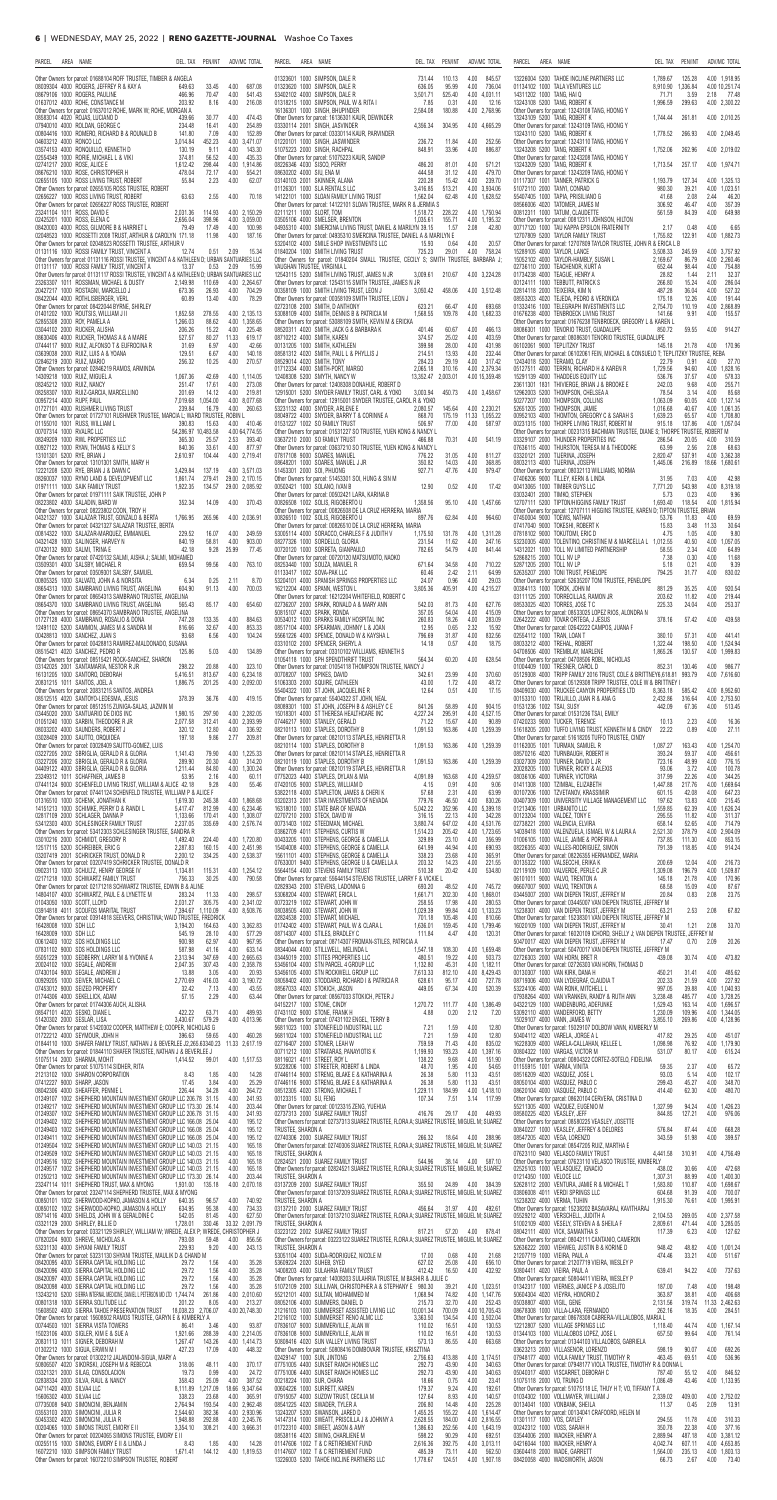| AREA NAME<br>PEN/INT<br>ADV/MC TOTAL<br>PARCEL<br>DEL. TAX                                                                                                                                                                                                        | PARCEL<br>AREA NAME<br>DEL. TAX PEN/INT                                                                                                                                     | ADV/MC TOTAL                                                                  | AREA NAME<br>PARCEL                                                                                                                                                                 | DEL. TAX                         | PEN/INT                    | ADV/MC TOTAL                                         |
|-------------------------------------------------------------------------------------------------------------------------------------------------------------------------------------------------------------------------------------------------------------------|-----------------------------------------------------------------------------------------------------------------------------------------------------------------------------|-------------------------------------------------------------------------------|-------------------------------------------------------------------------------------------------------------------------------------------------------------------------------------|----------------------------------|----------------------------|------------------------------------------------------|
| Other Owners for parcel: 01688104 ROFF TRUSTEE, TIMBER & ANGELA<br>08039304 4000 ROGERS, JEFFREY R & KAY A<br>33.45<br>4.00<br>687.08<br>649.63                                                                                                                   | 01323601 1000 SIMPSON, DALE R<br>731.44<br>01323620 1000 SIMPSON, DALE R<br>636.05                                                                                          | 110.13<br>4.00 845.57<br>95.99<br>4.00<br>736.04                              | 13226004 5200 TAHOE INCLINE PARTNERS LLC<br>01134102 1000 TALA VENTURES LLC                                                                                                         | 1,789.67<br>8,910.90 1,336.84    | 125.28                     | 4.00 1,918.95<br>4.00 10,251.74                      |
| 70.47<br>08679106 1000 ROGERS, PAULINE<br>466.96<br>4.00<br>541.43<br>8.16<br>4.00<br>216.08<br>01637012 4000 ROHE, CONSTANCE M<br>203.92                                                                                                                         | 53402102 4000 SIMPSON. DALE R<br>3,501.71<br>01318215 1000 SIMPSON, PAUL W & RITA I<br>7.85                                                                                 | 525.40<br>4.00 4,031.11<br>4.00<br>12.16<br>0.31                              | 14311202 1000 TANG, HAI Q<br>13243108 5200 TANG, ROBERT K                                                                                                                           | 71.71<br>1,996.59                | 3.59<br>299.63             | 2.18 77.48<br>4.00 2,300.22                          |
| Other Owners for parcel: 01637012 ROHE, MARK W; ROHE, MORGAN A<br>08583014 4020 ROJAS, LUCIANO D<br>30.77<br>4.00<br>474.43<br>439.66<br>16.41<br>4.00<br>254.89<br>07940010 4000 ROLDAN, GEORGE C<br>234.48                                                      | 16136301 1000 SINGH, BHUPINDER<br>2,584.08<br>Other Owners for parcel: 16136301 KAUR, DEWINDER<br>03330114 2001 SINGH, JASVINDER<br>4,356.34                                | 180.88<br>4.00 2.768.96<br>304.95<br>4.00 4,665.29                            | Other Owners for parcel: 13243108 TANG, HOONG Y<br>13243109 5200 TANG, ROBERT K<br>Other Owners for parcel: 13243109 TANG, HOONG Y                                                  | 1,744.44                         | 261.81                     | 4.00 2,010.25                                        |
| 00804416 1000 ROMERO, RICHARD B & ROUNALD B<br>7.09<br>4.00<br>152.89<br>141.80<br>452.23<br>3,014.84<br>4.00 3,471.07<br>04603212 4000 RONCO LLC                                                                                                                 | Other Owners for parcel: 03330114 KAUR, PARVINDER<br>01220101 1000 SINGH, JASWINDER<br>236.72                                                                               | 11.84<br>4.00<br>252.56                                                       | 13243110 5200 TANG, ROBERT K<br>Other Owners for parcel: 13243110 TANG, HOONG Y                                                                                                     | 1,778.52                         | 266.93                     | 4.00 2,049.45                                        |
| 9.11<br>4.00<br>143.30<br>03574153 4000 RONQUILLO, KENNETH D<br>130.19<br>02554349 1000 RORIE, MICHAEL L & VIKI<br>374.81<br>56.52<br>4.00<br>435.33                                                                                                              | 848.91<br>51075223 2000 SINGH, RACHPAL<br>Other Owners for parcel: 51075223 KAUR, SANDIP                                                                                    | 4.00<br>886.87<br>33.96                                                       | 13243208 5200 TANG, ROBERT K<br>Other Owners for parcel: 13243208 TANG, HOONG Y                                                                                                     | 1,752.06                         | 262.96                     | 4.00 2,019.02                                        |
| 02741217 2000 ROSE, ALICE E<br>298.44<br>4.00 1.914.86<br>1,612.42<br>72.17<br>4.00<br>554.21<br>08676210 1000 ROSE, CHRISTOPHER H<br>478.04                                                                                                                      | 08226346 4030 SISCO, PERRY<br>486.20<br>444.58<br>08630202 4000 SIU, ENA M                                                                                                  | 4.00<br>571.21<br>81.01<br>4.00<br>479.70<br>31.12                            | 13243209 5200 TANG. ROBERT K<br>Other Owners for parcel: 13243209 TANG, HOONG Y                                                                                                     | 1,713.54                         | 257.17                     | 4.00 1,974.71                                        |
| 02655105 1000 ROSS LIVING TRUST, ROBERT<br>55.84<br>2.23<br>4.00<br>62.07<br>Other Owners for parcel: 02655105 ROSS TRUSTEE, ROBERT<br>4.00<br>02656227 1000 ROSS LIVING TRUST, ROBERT<br>63.63<br>2.55<br>70.18                                                  | 220.28<br>03140103 2001 SKINNER, ALANA<br>3,416.85<br>01126301 1000 SLA RENTALS LLC<br>14122101 1000 SLOAN FAMILY LIVING TRUST<br>1,562.04                                  | 15.42<br>4.00<br>239.70<br>513.21<br>4.00 3,934.06<br>62.48<br>4.00 1,628.52  | 01117307 1001 TANNER, PATRICK G<br>51072110 2000 TANYI, CONRAD<br>55407405 1000 TAPIA, PRISILIANO G                                                                                 | 1,193.79<br>980.30<br>41.68      | 127.34<br>39.21<br>2.08    | 4.00 1,325.13<br>1,023.51<br>4.00<br>46.20<br>2.44   |
| Other Owners for parcel: 02656227 ROSS TRUSTEE, ROBERT<br>23241104 1011 ROSS, DAVID E<br>114.93<br>4.00 2,150.29<br>2,031.36                                                                                                                                      | Other Owners for parcel: 14122101 SLOAN TRUSTEE, MARK R & JERMIA S<br>02111211 1000 SLORT, TOM<br>1,518.72                                                                  | 4.00 1,750.94<br>228.22                                                       | 08566006 4020 TATOMER, JAMES M<br>00812311 1000 TATUM, CLAUDETTE                                                                                                                    | 306.92<br>561.59                 | 46.47<br>84.39             | 4.00<br>357.39<br>4.00<br>649.98                     |
| 398.96<br>4.00 3,059.00<br>02425201 1000 ROSS, ELENA C<br>2,656.04<br>08420003 4000 ROSS, GILMORE B & HARRIET L<br>79.49<br>17.49<br>4.00<br>100.98                                                                                                               | 03505106 4000 SMELSER, BRENTON<br>1,035.61<br>04935310 4000 SMERCINA LIVING TRUST, DANIEL & MARILYN 39.15                                                                   | 155.71<br>4.00 1,195.32<br>1.57<br>2.08<br>42.80                              | Other Owners for parcel: 00812311 JOHNSON, HILTON<br>00717120 1000 TAU KAPPA EPSILON FRATERNITY                                                                                     | 2.17                             | 0.48                       | 4.00<br>6.65                                         |
| 02048523 1000 ROSSETTI 2008 TRUST, ARTHUR & CAROLYN 171.18<br>11.98<br>4.00<br>187.16<br>Other Owners for parcel: 02048523 ROSSETTI TRUSTEE, ARTHUR V<br>01131116 1000 ROSSI FAMILY TRUST, VINCENT A<br>$0.51$ 2.09<br>15.34<br>12.74                             | Other Owners for parcel: 04935310 SMERCINA TRUSTEE, DANIEL A & MARILYN E<br>53204102 4000 SMILE SHOP INVESTMENTS LLC<br>15.93<br>01840204 1000 SMITH LIVING TRUST<br>725.23 | 4.00<br>0.64<br>20.57<br>29.01<br>4.00<br>758.24                              | 12707809 5200 TAYLOR FAMILY TRUST<br>Other Owners for parcel: 12707809 TAYLOR TRUSTEE, JOHN R & ERICA L B<br>15289105 4000 TAYLOR, LANCE                                            | 1,755.82<br>3,508.33             | 122.91<br>245.59           | 4.00 1,882.73<br>4.00 3,757.92                       |
| Other Owners for parcel: 01131116 ROSSI TRUSTEE, VINCENT A & KATHLEEN D; URBAN SANTUARIES LLC<br>$0.53$ 2.09<br>01131117 1000 ROSSI FAMILY TRUST, VINCENT A<br>13.37<br>15.99                                                                                     | Other Owners for parcel: 01840204 SMALL TRUSTEE, CECILY S; SMITH TRUSTEE, BARBARA J;<br>VAUGHAN TRUSTEE, VIRGINIA L                                                         |                                                                               | 15052102 4000 TAYLOR-HAMBLY, SUSAN L<br>02736110 2000 TEACHENOR, KURT A                                                                                                             | 2,169.67<br>652.44               | 86.79<br>98.44             | 4.00 2,260.46<br>4.00<br>754.88                      |
| Other Owners for parcel: 01131117 ROSSI TRUSTEE, VINCENT A & KATHLEEN D: URBAN SANTUARIES LLC<br>23263307 1011 ROSSMAN, MICHAEL & DUSTY<br>110.69<br>4.00 2,264.67<br>2,149.98                                                                                    | 12543115 5200 SMITH LIVING TRUST, JAMES N JR<br>3,009.61<br>Other Owners for parcel: 12543115 SMITH TRUSTEE, JAMES N JR                                                     | 210.67<br>4.00 3,224.28                                                       | 01734238 4000 TEAGUE, HENRY A<br>00124111 1000 TEBBUTT, PATRICK S                                                                                                                   | 28.82<br>266.80                  | 1.44<br>15.24              | 2.11<br>32.37<br>286.04<br>4.00                      |
| 4.00<br>20427217 1000 ROSTAGNI, MARCELLO J<br>673.36<br>26.93<br>704.29<br>08422044 4000 ROTHLISBERGER, VERL<br>60.89<br>13.40<br>4.00<br>78.29<br>Other Owners for parcel: 08422044 BYRNE, SHIRLEY                                                               | 00358109 1000 SMITH LIVING TRUST, LEON J<br>3,050.42<br>Other Owners for parcel: 00358109 SMITH TRUSTEE, LEON J<br>02723108 2000 SMITH, D ANTHONY<br>623.21                 | 458.06<br>4.00 3,512.48<br>4.00 693.68<br>66.47                               | 02814118 2000 TEIXEIRA, KIM N<br>08553203 4020 TEJEDA, PEDRO & VERONICA<br>01332416 1000 TELEGRAPH INVESTMENTS LLC                                                                  | 487.28<br>175.18<br>2,754.70     | 36.04<br>12.26<br>110.19   | 4.00<br>527.32<br>4.00<br>191.44<br>4.00 2,868.89    |
| 01401202 1000 ROUTSIS, WILLIAM J II<br>4.00 2,135.13<br>1,852.58<br>278.55<br>52855308 2000 ROY, PAMELA A<br>1,266.03<br>88.62<br>4.00 1.358.65                                                                                                                   | 1,568.55<br>53088109 4000 SMITH, DENNIS B & PATRICIA M<br>Other Owners for parcel: 53088109 SMITH, KEVIN M & ERICKA                                                         | 4.00 1,682.33<br>109.78                                                       | 01676238 4000 TENBROECK LIVING TRUST<br>Other Owners for parcel: 01676238 TENBROECK, GREGORY L & KAREN L                                                                            | 141.66                           | 9.91                       | 4.00<br>155.57                                       |
| 03044102 2000 RUCKER, ALISHA<br>206.26<br>15.22<br>4.00<br>225.48<br>80.27<br>11.33<br>619.17<br>08630406 4000 RUCKER, THOMAS A & A MARIE<br>527.57                                                                                                               | 08520311 4020 SMITH, JACK G & BARBARA K<br>401.46<br>374.57<br>08710212 4000 SMITH, KAREN                                                                                   | 4.00<br>466.13<br>60.67<br>4.00<br>403.59<br>25.02                            | 08086301 1000 TENORIO TRUST, GUADALUPE<br>Other Owners for parcel: 08086301 TENORIO TRUSTEE, GUADALUPE                                                                              | 850.72                           | 59.55                      | 4.00<br>914.27                                       |
| 07444117 9000 RUIZ, ALFONSO T & EUFROCINA R<br>6.97<br>4.00<br>42.66<br>31.69<br>03639038 2000 RUIZ, LUIS A & YOANA<br>129.51<br>6.67<br>4.00<br>140.18<br>256.32<br>10.25<br>4.00<br>270.57<br>02846219 2000 RUIZ, MARIO                                         | 00131205 1000 SMITH, KATHLEEN<br>399.98<br>08581312 4020 SMITH, PAUL L & PHYLLIS J<br>214.51<br>284.23<br>08529014 4020 SMITH, TONY                                         | 28.00<br>4.00<br>431.98<br>232.44<br>13.93<br>4.00<br>4.00<br>317.42<br>29.19 | 06102061 9000 TEPLITZKY TRUST<br>Other Owners for parcel: 06102061 FEIN, MICHAEL & CONSUELO T; TEPLITZKY TRUSTEE, REBA<br>12434018 5200 TERAMO, CLAY                                | 145.18<br>22.79                  | 21.78<br>0.91              | 4.00<br>170.96<br>4.00<br>27.70                      |
| Other Owners for parcel: 02846219 RAMOS, ARMINDA<br>14309218 1000 RUIZ, MIGUEL A<br>1,067.36<br>42.69<br>4.00 1.114.05                                                                                                                                            | 01712334 4000 SMITH-PORT. MARGO<br>2.065.18<br>13.352.47<br>12408308 5200 SMYTH, NANCY W                                                                                    | 310.16<br>4.00 2,379.34<br>2,003.01<br>4.00 15,359.48                         | 05127511 4000 TERRIN, RICHARD H & KAREN R<br>15291139 4000 THADDEUS EQUITY LLC                                                                                                      | 1,729.56<br>536.76               | 94.60<br>37.57             | 4.00 1.828.16<br>4.00<br>578.33                      |
| 17.61<br>4.00<br>273.08<br>08245212 1000 RUIZ, NANCY<br>251.47<br>08258307 1000 RUIZ-GARCIA, MARCELLINO<br>201.69<br>14.12<br>4.00<br>219.81                                                                                                                      | Other Owners for parcel: 12408308 DONAHUE, ROBERT D<br>12915001 5200 SNYDER FAMILY TRUST, CARL & YOKO<br>3,003.94                                                           | 450.73<br>4.00 3.458.67                                                       | 23611301 1831 THIVIERGE, BRIAN J & BROOKE E<br>12962003 5200 THOMPSON, CHELSEA A                                                                                                    | 242.03<br>78.54                  | 9.68<br>3.14               | 255.71<br>4.00<br>4.00<br>85.68                      |
| 00957214 4000 RUPF, PAUL<br>7,019.68 1,054.00<br>4.00 8,077.68<br>4.00<br>260.63<br>01727101 4000 RUSHMER LIVING TRUST<br>239.84<br>16.79<br>Other Owners for parcel: 01727101 RUSHMER TRUSTEE, MARCIA L; WARD TRUSTEE, ROBIN L                                   | Other Owners for parcel: 12915001 SNYDER TRUSTEE, CAROL R & YOKO<br>53231132 4000 SNYDER, ARLENE E<br>2,080.57<br>08049722 4000 SNYDER, BARRY T & CORINNE A<br>868.70       | 145.64<br>4.00 2,230.21<br>175.19<br>11.33 1,055.22                           | 50277207 1000 THOMPSON, COLLINS<br>52651205 2000 THOMPSON, JAMIE<br>00952103 4000 THOMTON, GREGORY C & SARAH S                                                                      | 1,063.09<br>1,016.68<br>1,639.23 | 60.05<br>40.67<br>65.57    | 4.00 1,127.14<br>4.00 1,061.35<br>4.00 1,708.80      |
| 01155010 1001 RUSS, WILLIAM L<br>15.63<br>4.00 410.46<br>390.83<br>54,286.97 10,483.58<br>4.00 64,774.55<br>00707314 1000 RVALRC LLC                                                                                                                              | 506.97<br>01531227 1002 SO FAMILY TRUST<br>Other Owners for parcel: 01531227 SO TRUSTEE, YUEN KONG & NANCY I                                                                | 77.00<br>4.00 587.97                                                          | 00231315 1000 THORPE LIVING TRUST, ROBERT M<br>Other Owners for parcel: 00231315 BACHMAN TRUSTEE, DIANE S; THORPE TRUSTEE, ROBERT M                                                 | 915.18                           | 137.86                     | 4.00 1.057.04                                        |
| 08249209 1000 RWL PROPERTIES LLC<br>365.30<br>25.57<br>2.53<br>393.40<br>00927122 1000 RYAN, THOMAS & KELLY S<br>840.36<br>33.61<br>4.00<br>877.97                                                                                                                | 03637210 2000 SO FAMILY TRUST<br>466.88<br>Other Owners for parcel: 03637210 SO TRUSTEE, YUEN KONG & NANCY L                                                                | 4.00 541.19<br>70.31                                                          | 03329107 2000 THUNDER PROPERTIES INC<br>07636115 4000 THURSTON, TERESA M & THEODORE                                                                                                 | 286.54<br>63.99                  | 20.05<br>2.56              | 4.00 310.59<br>2.08<br>68.63                         |
| 4.00 2,719.41<br>13101301 5200 RYE, BRIAN J<br>2,610.97<br>104.44<br>Other Owners for parcel: 13101301 SMITH, MARY H<br>12221208 5200 RYE, BRIAN J & DAWN C<br>3,429.84<br>137.19<br>4.00 3,571.03                                                                | 07817108 9000 SOARES, MANUEL<br>776.22<br>350.82<br>08648201 1000 SOARES, MANUEL J JR<br>927.71<br>51453301 2000 SOI, PHUONG                                                | 4.00 811.27<br>31.05<br>14.03<br>4.00<br>368.85<br>47.76<br>4.00<br>979.47    | 03320121 2000 TIJERINA, JOSEPH<br>08032113 4000 TIJERINA, JOSEPH<br>Other Owners for parcel: 08032113 WILLIAMS, NORMA                                                               | 2,820.47<br>1,445.06             | 537.91<br>216.89           | 4.00 3,362.38<br>18.66 1.680.61                      |
| 08260037 1000 RYNO LAND & DEVELOPMENT LLC<br>1,861.74<br>279.41<br>29.00 2,170.15<br>01971111 1000 SAIK FAMILY TRUST<br>1.922.35<br>134.57 29.00 2.085.92                                                                                                         | Other Owners for parcel: 51453301 SOI, HUNG & SIN M<br>00502421 1000 SOLANO, IVAN B<br>12.90                                                                                | 0.52<br>4.00<br>17.42                                                         | 07406206 9000 TILLEY, KERN & LINDA<br>00413065 1000 TIMBER GUYS LLC                                                                                                                 | 31.95<br>7.771.20                | 7.03<br>543.98             | 4.00<br>42.98<br>4.00 8.319.18                       |
| Other Owners for parcel: 01971111 SAIK TRUSTEE, JOHN P<br>08223802 4000 SALADIN, BARD W<br>352.34<br>4.00<br>370.43<br>14.09                                                                                                                                      | Other Owners for parcel: 00502421 LARA, KARINA B<br>00826508 1002 SOLIS, RIGOBERTO U<br>1,358.56                                                                            | 95.10<br>4.00 1,457.66                                                        | 03032401 2000 TIMKO, STEPHEN<br>12707111 5200 TIPTON/HIGGINS FAMILY TRUST                                                                                                           | 5.73<br>1,693.40                 | 0.23<br>118.54             | 4.00<br>9.96<br>4.00 1,815.94                        |
| Other Owners for parcel: 08223802 COON. TROY H<br>04321327 1000 SALAZAR TRUST, GONZALO & BERTA<br>1,766.95<br>265.96<br>4.00 2,036.91<br>Other Owners for parcel: 04321327 SALAZAR TRUSTEE, BERTA                                                                 | Other Owners for parcel: 00826508 DE LA CRUZ HERRERA, MARIA<br>00826510 1002 SOLIS, RIGOBERTO U<br>897.76<br>Other Owners for parcel: 00826510 DE LA CRUZ HERRERA, MARIA    | 4.00 964.60<br>62.84                                                          | Other Owners for parcel: 12707111 HIGGINS TRUSTEE, KAREN D; TIPTON TRUSTEE, BRIAN<br>07450004 9000 TOEWS, NATHAN<br>07417040 9000 TOKESHI, ROBERT K                                 | 53.76<br>15.83                   | 11.83<br>3.48              | 4.00<br>69.59<br>11.33<br>30.64                      |
| 00814322 1000 SALAZAR-MARQUEZ, EMMANUEL<br>4.00<br>249.59<br>229.52<br>16.07<br>58.81<br>4.00<br>903.00<br>04321428 1000 SALINGER, HARVEY N<br>840.19                                                                                                             | 53005114 4000 SORACCO, CHARLES F & JUDITH V<br>1,175.50<br>08277326 1000 SORDELLO, GLORIA<br>231.54                                                                         | 4.00 1,311.28<br>131.78<br>11.62<br>4.00<br>247.16                            | 07818102 9000 TOKUTOMI. ERIC D<br>53230305 4000 TOLENTINO, CHRISTINE M & MARCELLA L 1,012.55                                                                                        | 4.75                             | 1.05<br>40.50              | 4.00<br>9.80<br>1,057.05<br>4.00                     |
| 25.99<br>07420132 9000 SALMI, TRINA E<br>42.18<br>9.28<br>77.45<br>Other Owners for parcel: 07420132 SALMI, AISHA J; SALMI, MOHAMED                                                                                                                               | 00720120 1000 SORRETA, GIANPAULO<br>782.65<br>Other Owners for parcel: 00720120 MATSUMOTO, NAOKO                                                                            | 4.00<br>54.79<br>841.44                                                       | 14312021 1000 TOLL NV LIMITED PARTNERSHIP<br>52868215 2000 TOLL NV LP                                                                                                               | 58.55<br>7.38                    | 2.34<br>0.30               | 64.89<br>4.00<br>4.00<br>11.68                       |
| 03509301 4000 SALSBY, MICHAEL R<br>99.56<br>4.00<br>763.10<br>659.54<br>Other Owners for parcel: 03509301 SALSBY, SAMUEL<br>00805325 1000 SALVATO, JOHN A & NORSITA<br>6.34<br>0.25<br>8.70<br>2.11                                                               | 08253440 1000 SOUZA, MANUEL R<br>671.64<br>01133417 1002 SOVA-PAK LLC<br>60.46<br>53204101 4000 SPANISH SPRINGS PROPERTIES LLC<br>24.07                                     | 4.00<br>710.22<br>34.58<br>64.99<br>2.42<br>2.11<br>0.96<br>4.00<br>29.03     | 52871205 2000 TOLL NV LP<br>52635207 2000 TONI TRUST, PENELOPE<br>Other Owners for parcel: 52635207 TONI TRUSTEE, PENELOPE                                                          | 5.18<br>794.25                   | 0.21<br>31.77              | 4.00<br>9.39<br>4.00<br>830.02                       |
| 08654313 1000 SAMBRANO LIVING TRUST, ANGELINA<br>604.90<br>91.13<br>4.00<br>700.03<br>Other Owners for parcel: 08654313 SAMBRANO TRUSTEE, ANGELINA                                                                                                                | 16212204 4000 SPANN, WESTON L<br>3,805.36<br>Other Owners for parcel: 16212204 WHITEFIELD, ROBERT C                                                                         | 4.00 4,215.27<br>405.91                                                       | 00384113 1000 TOROK, JOHN M<br>03111125 2000 TORRECILLAS, RAMON JR                                                                                                                  | 881.29<br>203.62                 | 35.25<br>11.82             | 4.00<br>920.54<br>219.44<br>4.00                     |
| 08654370 1000 SAMBRANO LIVING TRUST, ANGELINA<br>565.43<br>85.17<br>4.00<br>654.60<br>Other Owners for parcel: 08654370 SAMBRANO TRUSTEE, ANGELINA                                                                                                                | 02736207 2000 SPARK, RONALD A & MARY ANN<br>542.03<br>357.05<br>50815107 4020 SPARK, RONDA                                                                                  | 81.73<br>4.00<br>627.76<br>4.00<br>415.09<br>54.04                            | 08533025 4020 TORRES, JOSE T C<br>Other Owners for parcel: 08533025 LOPEZ RIOS, ALONDRA N                                                                                           | 225.33                           | 24.04                      | 4.00<br>253.37                                       |
| 01727128 4000 SAMBRANO, ROSALIO & DONA<br>4.00<br>884.63<br>747.28<br>133.35<br>12491102 5200 SAMMON, JAMES M & SANDRA M<br>32.67<br>4.00<br>853.33<br>816.66<br>00428813 1000 SANCHEZ, JUAN S<br>6.56<br>93.68<br>4.00<br>104.24                                 | 00534012 1000 SPARKS FAMILY HOSPITAL INC<br>260.83<br>08517104 4000 SPEARMAN, JOHNNY L & JOAN<br>12.95<br>55661226 4000 SPENCE, DONALD W & KAYSHA L<br>796.69               | 18.26<br>4.00<br>283.09<br>0.65<br>2.32<br>15.92<br>31.87<br>4.00<br>832.56   | 02642222 4000 TOVAR ORTEGA, J JESUS<br>Other Owners for parcel: 02642222 CAMPOS, JUANA F<br>02554112 1000 TRAN, LOAN T                                                              | 378.16<br>380.10                 | 57.42<br>57.31             | 4.00<br>439.58<br>4.00<br>441.41                     |
| Other Owners for parcel: 00428813 RAMIREZ-MALDONADO, SUSANA<br>08515421 4020 SANCHEZ, PEDRO R<br>5.03<br>4.00<br>134.89<br>125.86                                                                                                                                 | 03310102 2000 SPENCER, SHERYL A<br>14.18<br>Other Owners for parcel: 03310102 WILLIAMS, KENNETH S                                                                           | 4.00<br>0.57<br>18.75                                                         | 08033212 4000 TREHAL, ROBERT<br>04708506 4000 TREMBLAY, MARLENE                                                                                                                     | 1,322.44<br>1.865.26             | 198.50<br>130.57           | 4.00 1,524.94<br>4.00 1,999.83                       |
| Other Owners for parcel: 08515421 ROCK-SANCHEZ, SHARON<br>03142025 2001 SANTAMARIA, NESTOR R JR<br>20.88<br>4.00<br>323.10<br>298.22                                                                                                                              | 01054118 1000 SPH SPENDTHRIFT TRUST<br>564.34<br>Other Owners for parcel: 01054118 THOMPSON TRUSTEE, NANCY J                                                                | 4.00<br>628.54<br>60.20                                                       | Other Owners for parcel: 04708506 ROBL, NICHOLAS<br>01004409 1000 TRESNER, CAROL D                                                                                                  | 852.31                           | 130.46                     | 4.00<br>986.77                                       |
| 16131205 1000 SANTORO, DEBORAH<br>813.67<br>4.00 6,234.18<br>5.416.51<br>20831215 1011 SANTOS, JOEL A<br>1,886.75<br>201.25<br>4.00 2,092.00<br>Other Owners for parcel: 20831215 SANTOS, ANDREA                                                                  | 00708207 1000 SPIKES, DAVID<br>342.61<br>51063303 2000 SQUIRE, CATHLEEN<br>43.00<br>12.64<br>55404322 1000 ST JOHN, JACQUELINE R                                            | 4.00<br>370.60<br>23.99<br>4.00<br>48.72<br>1.72<br>0.51<br>4.00<br>17.15     | 05129308 4000 TRIPP FAMILY 2016 TRUST, COLE & BRITTNEY6,618.81<br>Other Owners for parcel: 05129308 TRIPP TRUSTEE, COLE W & BRITTNEY<br>08409030 4000 TRUCKEE CANYON PROPERTIES LTD | 8,363.18                         | 993.79<br>585.42           | 4.00 7.616.60<br>4.00 8,952.60                       |
| 08512515 4020 SANTOYO-LEDESMA, JESUS<br>4.00<br>378.39<br>36.76<br>419.15<br>Other Owners for parcel: 08512515 ZUNIGA-SALAS, JAZMIN M                                                                                                                             | Other Owners for parcel: 55404322 ST JOHN, NEAL<br>08089301 1000 ST JOHN, JOSEPH B & ASHLEY C E<br>841.26                                                                   | 4.00<br>904.15<br>58.89                                                       | 00153310 1000 TRUJILLO, JUAN R & ANA G<br>01531236 1002 TSAI, SUSY                                                                                                                  | 2.432.86<br>442.09               | 316.64<br>67.36            | 4.00 2,753.50<br>4.00<br>513.45                      |
| 03445020 2000 SANTUARIO DE DIOS INC<br>1,980.15<br>297.90<br>4.00 2,282.05<br>01051240 1000 SARBIN, THEODORE R JR<br>2.077.58<br>312.41<br>4.00 2.393.99                                                                                                          | 4,227.24<br>15018301 4000 ST THERESA HEALTHCARE INC<br>07446217 9000 STANLEY GERALD<br>71.22                                                                                | 4.00 4,527.15<br>295.91<br>90.89<br>15.67<br>4.00                             | Other Owners for parcel: 01531236 TSAI, EMILY<br>07420233 9000 TUCKER, TERENCE                                                                                                      | 10.13                            | 2.23                       | 4.00<br>16.36                                        |
| 4.00<br>08033202 4000 SAUNDERS, ROBERT J<br>320.12<br>12.80<br>336.92<br>2.77<br>209.81<br>03028409 2000 SAUTTO, ORQUIDEA<br>197.18<br>9.86                                                                                                                       | 08210113 1000 STAPLES, DOROTHY B<br>1,091.53<br>Other Owners for parcel: 08210113 STAPLES, HENRIETTA R                                                                      | 163.86<br>4.00 1.259.39                                                       | 51618205 2000 TUFFO LIVING TRUST, KENNETH M & CINDY<br>Other Owners for parcel: 51618205 TUFFO TRUSTEE, CINDY                                                                       | 22.22                            | 0.89                       | 4.00<br>27.11                                        |
| Other Owners for parcel: 03028409 SAUTTO-GOMEZ, LUIS<br>03227205 2002 SBRIGLIA, GERALD R & GLORIA<br>4.00 1,225.33<br>1,141.43<br>79.90<br>20.30<br>314.20<br>03227206 2002 SBRIGLIA, GERALD R & GLORIA<br>289.90<br>4.00                                         | 08210114 1000 STAPLES, DOROTHY B<br>1,091.53<br>Other Owners for parcel: 08210114 STAPLES, HENRIETTA R<br>08210119 1000 STAPLES, DOROTHY B<br>1,091.53                      | 163.86<br>4.00 1.259.39<br>4.00 1.259.39<br>163.86                            | 01162005 1001 TURMAN, SAMUEL R<br>08570216 4020 TURNBAUGH, ROBERT H<br>03027309 2000 TURNER, DAVID L JR                                                                             | 1,087.27<br>393.24<br>723.16     | 163.43<br>59.37<br>48.99   | 4.00<br>1,254.70<br>456.61<br>4.00<br>4.00<br>776.15 |
| 04409122 4000 SBRIGLIA, GERALD R & GLORIA<br>84.80<br>4.00 1,300.24<br>1.211.44<br>53.95<br>23249312 1011 SCHAFFNER, JAMES B<br>2.16<br>4.00<br>60.11                                                                                                             | Other Owners for parcel: 08210119 STAPLES, HENRIETTA R<br>07752023 4400 STAPLES, DYLAN & MIA<br>4,091.89                                                                    | 4.00 4,259.57<br>163.68                                                       | 20028205 1000 TURNER, RICKY & ALEXIS<br>08036106 4000 TURNER, VICTORIA                                                                                                              | 93.06<br>317.99                  | 3.72<br>22.26              | 4.00<br>100.78<br>4.00<br>344.25                     |
| 07441124 9000 SCHENFELD LIVING TRUST, WILLIAM & ALICE 42.18<br>4.00<br>55.46<br>9.28<br>Other Owners for parcel: 07441124 SCHENFELD TRUSTEE, WILLIAM P & ALICE F                                                                                                  | 07420105 9000 STAPLES, WILLIAM D<br>4.15<br>53822118 4000 STAPLETON, JAMES & CHERIK<br>57.68                                                                                | 0.91<br>4.00<br>9.06<br>63.99<br>2.31<br>4.00                                 | 01411308 1000 TZIMBAL, ELIZABETH<br>00107206 1000 TZVETANOV. KRASSIMIR                                                                                                              | 1,447.88<br>601.15               | 217.76<br>42.08            | 1,669.64<br>4.00<br>4.00<br>647.23                   |
| 01316510 1000 SCHENK, JONATHAN K<br>4.00 1.868.68<br>245.38<br>1,619.30<br>812.99<br>4.00 6,234.46<br>14151213 1000 SCHIMKE, PERRY D & RANDIL<br>5,417.47<br>02817109 2000 SCHLAGER, DANNA P<br>1.133.66<br>4.00 1.308.07<br>170.41                               | 03202313 2001 STAR INVESTMENTS OF NEVADA<br>779.76<br>5,042.22<br>16318010 1000 STATE BAR OF NEVADA<br>02707210 2000 STECK, DAVID W<br>316.15                               | 4.00<br>830.26<br>46.50<br>4.00 5,399.18<br>352.96<br>22.13<br>4.00<br>342.28 | 00407309 1000 UNIVERSITY VILLAGE MANAGEMENT LLC<br>01213406 1001 URBANITO LLC<br>00123204 1000 VALDEZ, TONY E                                                                       | 197.62<br>1,559.85<br>295.55     | 13.83<br>62.39<br>11.82    | 215.45<br>4.00<br>1,626.24<br>4.00<br>4.00<br>311.37 |
| 335.69<br>4.00 2,576.74<br>53412303 4000 SCHLESINGER FAMILY TRUST<br>2,237.05<br>Other Owners for parcel: 53412303 SCHLESINGER TRUSTEE, SANDRA R                                                                                                                  | 3.880.74<br>00731403 1002 STEEDMAN, MICHAEL<br>1,514.23<br>03862709 4011 STEPHENS, CURTIS W                                                                                 | 647.02<br>4.00 4,531.76<br>205.42<br>4.00 1,723.65                            | 02738221 2000 VALENCIA, ELVIRA<br>14039418 1000 VALENZUELA, ISMAEL W & LAURA A                                                                                                      | 658.14<br>2,521.30               | 52.65<br>378.79            | 4.00<br>714.79<br>2,904.09<br>4.00                   |
| 03010216 2000 SCHMIDT, GREGORY R<br>4.00 1.720.80<br>1,492.40<br>224.40<br>12517115 5200 SCHREIBER, ERIC G<br>2,287.83<br>160.15<br>4.00 2.451.98                                                                                                                 | 00433205 1000 STEPHENS, GEORGE & CAMELLA<br>329.89<br>641.99<br>15404008 4000 STEPHENS, GEORGE & CAMELLA                                                                    | 23.10<br>4.00<br>356.99<br>4.00<br>690.93<br>44.94                            | 01006105 1000 VALLE, JAIME & PORFIRIA A<br>08226355 4030 VALLES-RODRIGUEZ, SIMON                                                                                                    | 737.85<br>791.39                 | 111.30<br>118.85           | 4.00<br>853.15<br>914.24<br>4.00                     |
| 334.25<br>4.00 2,538.37<br>03207419 2001 SCHRICKER TRUST, DONALD R<br>2,200.12<br>Other Owners for parcel: 03207419 SCHRICKER TRUSTEE, DONALD R<br>09023113 1000 SCHULTZ, HENRY GEORGE IV<br>115.31<br>4.00 1,254.12<br>1,134.81                                  | 338.23<br>15611101 4000 STEPHENS, GEORGE & CAMELLA<br>07633001 9400 STEPHENS, GEORGE U & CAMELLA A<br>203.32<br>510.38<br>55644154 4000 STEVENS FAMILY TRUST                | 4.00<br>365.91<br>23.68<br>14.23<br>4.00<br>221.55<br>20.42<br>4.00<br>534.80 | Other Owners for parcel: 08226355 HERNANDEZ, MARIA<br>00135322 1000 VALSECCHI, ERIKA K<br>02119109 1000 VALVERDE, PERLE C JR                                                        | 200.69<br>1.309.08               | 12.04<br>196.79            | 4.00<br>216.73<br>4.00<br>1.509.87                   |
| 30.25<br>02171218 1000 SCHWARTZ FAMILY TRUST<br>756.33<br>4.00<br>790.58<br>Other Owners for parcel: 02171218 SCHWARTZ TRUSTEE, EDWIN B & ALINE                                                                                                                   | Other Owners for parcel: 55644154 STEVENS TRUSTEE, LARRY F & VICKIE L<br>02829343 2000 STEVENS, LADONNA G<br>693.20                                                         | 4.00<br>48.52<br>745.72                                                       | 06101011 9000 VALVO, TRENTON A<br>06607007 9000 VALVO, TRENTON A                                                                                                                    | 145.18<br>68.58                  | 21.78<br>15.09             | 4.00<br>170.96<br>4.00<br>87.67                      |
| 14804107 4000 SCHWARTZ, PAUL E & LYNETTE M<br>283.24<br>11.33<br>4.00<br>298.57<br>01043050 1000 SCOTT, LLOYD<br>2,031.27<br>305.75<br>4.00 2,341.02                                                                                                              | 53068204 4000 STEWART, ERICA L<br>1,661.71<br>00723219 1002 STEWART, JOHN W<br>258.55                                                                                       | 202.30<br>4.00 1.868.01<br>17.98<br>4.00<br>280.53                            | 03445007 2000 VAN DIEPEN TRUST, JEFFREY M<br>Other Owners for parcel: 03445007 VAN DIEPEN TRUSTEE, JEFFREY M                                                                        | 20.84                            | 0.83                       | 2.08<br>23.75                                        |
| 03914818 4011 SCOUFOS MARITAL TRUST<br>7.394.67<br>1,110.09<br>4.00 8.508.76<br>Other Owners for parcel: 03914818 SEEVERS, CHRISTINA; WAID TRUSTEE, FREDRICK<br>16428008 1000 SDH LLC<br>3,194.20<br>164.63<br>4.00 3,362.83                                      | 08038505 4000 STEWART, JOHN W<br>1.029.39<br>02824538 2000 STEWART, MICHAEL<br>701.18<br>01742402 4000 STEWART, PAUL W & CLARA L<br>1,636.01                                | 99.84<br>4.00 1,133.23<br>4.00<br>810.66<br>105.48<br>159.45<br>4.00 1,799.46 | 15238301 4000 VAN DIEPEN TRUST, JEFFREY M<br>Other Owners for parcel: 15238301 VAN DIEPEN TRUSTEE, JEFFREY M<br>16020109 1000 VAN DIEPEN TRUST. JEFFREY M                           | 63.21<br>30.41                   | 2.53<br>1.21 2.08          | 2.08<br>67.82<br>33.70                               |
| 545.19<br>4.00 577.29<br>16428009 1000 SDH LLC<br>28.10<br>00612403 1002 SDS HOLDINGS LLC<br>900.98<br>62.97<br>4.00<br>967.95                                                                                                                                    | 111.84<br>08714307 4000 STILES, BRADLEY C<br>Other Owners for parcel: 08714307 FROMAN-STILES, PATRICIA A                                                                    | 120.31<br>4.47<br>4.00                                                        | Other Owners for parcel: 16020109 ICHORD, SHELLY J: VAN DIEPEN TRUSTEE, JEFFREY M<br>50470017 4020 VAN DIEPEN TRUST, JEFFREY M                                                      | 17.47                            | 0.70                       | 2.09<br>20.26                                        |
| 07831102 9000 SDS HOLDINGS LLC<br>587.98<br>41.16<br>4.00<br>633.14<br>55051229 1000 SEDBERRY, LARRY M & YVONNE A<br>347.69<br>4.00 2.665.63<br>2,313.94<br>20024102 1000 SEGALE, ANDREW<br>4.00 2,358.78<br>2,047.35<br>307.43                                   | 08344044 4000 STILLWELL, MELINDA L<br>1,547.18<br>03445019 2000 STITES PROPERTIES LLC<br>480.51<br>1,132.80<br>53456104 4000 STN PARCEL 4 GROUP LLC                         | 4.00 1,659.48<br>108.30<br>19.22<br>4.00 503.73<br>45.31<br>4.00 1,182.11     | Other Owners for parcel: 50470017 VAN DIEPEN TRUSTEE, JEFFREY M<br>02726303 2000 VAN HORN, BRET R<br>Other Owners for parcel: 02726303 VAN HORN, THOMAS D                           | 439.08                           | 30.74                      | 473.82<br>4.00                                       |
| 07430104 9000 SEGALE, ANDREW J<br>4.00<br>20.93<br>13.88<br>3.05<br>00929205 1000 SEIVER, MICHAEL C<br>2.770.69<br>416.03<br>4.00 3.190.72                                                                                                                        | 53456105 4000 STN ROCKWELL GROUP LLC<br>7,613.33<br>08058402 4000 STODDARD, RICHARD I & PATRICIA R<br>628.61                                                                | 4.00 8,429.43<br>812.10<br>95.17<br>4.00<br>727.78                            | 00130307 1000 VAN KIRK, DANA H<br>08719306 4000 VAN LYDEGRAF, CLAUDIA T                                                                                                             | 450.21<br>202.33                 | 31.41<br>21.59             | 4.00<br>485.62<br>4.00<br>227.92                     |
| 07453012 9000 SEIZED PROPERTY<br>4.00<br>32.42<br>7.13<br>43.55<br>57.15<br>2.29<br>4.00<br>63.44<br>01744306 4000 SEKELLICK, ADAM                                                                                                                                | 08567033 4020 STOKICH, JASON<br>449.05<br>Other Owners for parcel: 08567033 STOKICH, PETER J                                                                                | 67.34<br>4.00<br>520.39                                                       | 53224106 4000 VAN RONK, MITCHELL L<br>07938264 4000 VAN VRANKEN, RANDY & RUTH ANN                                                                                                   | 997.05<br>3,238.48               | 39.88<br>485.77            | 4.00 1,040.93<br>4.00 3,728.25                       |
| Other Owners for parcel: 01744306 AUCH, ALISHA<br>08547101 4020 SESKO, DIANE L<br>4.00<br>489.93<br>422.22<br>63.71<br>51420302 2000 SESLAR, LISA<br>3,430.67<br>579.29<br>4.00 4,013.96                                                                          | 04152217 1000 STONE, CINDY<br>1,270.72<br>4.88<br>07431102 9000 STONE, FRANK H<br>Other Owners for parcel: 07431102 ENGEL, TERRY B                                          | 111.77<br>4.00 1.386.49<br>2.12<br>7.20<br>0.20                               | 04322129 1000 VANDENBURG, ADEFUNKE<br>53092110  4000  VANDERFORD. BETTY<br>15029107 4000 VANN, JAMES W                                                                              | 1,529.43<br>1,230.09<br>3,855.10 | 163.14<br>109.96<br>269.86 | 4.00 1,696.57<br>4.00 1,344.05<br>4.00 4,128.96      |
| Other Owners for parcel: 51420302 COOPER, MATTHEW E; COOPER, NICHOLAS G<br>01722212 4000 SEYMOUR, JOHN H<br>4.00<br>396.63<br>59.65<br>460.28                                                                                                                     | 56811023 1000 STONEFIELD INDUSTRIAL LLC<br>7.21<br>7.21<br>56811024 1000 STONEFIELD INDUSTRIAL LLC                                                                          | 4.00<br>12.80<br>1.59<br>4.00<br>12.80<br>1.59                                | Other Owners for parcel: 15029107 DOLBOW VANN, KIMBERLY M<br>50404112 4020 VARELA, JORGE A L                                                                                        | 417.82                           | 29.25                      | 4.00<br>451.07                                       |
| 01844110 1000 SHAFER FAMILY TRUST, NATHAN J & BEVERLEE J2,265.63340.23 11.33 2,617.19<br>Other Owners for parcel: 01844110 SHAFER TRUSTEE, NATHAN J & BEVERLEE J<br>51075114 2000 SHARMA, MOHIT<br>1.414.52                                                       | 02716407 2000 STONER, LEAH W<br>759.59<br>00711212 1000 STRATARAS, PANAYIOTIS K<br>1,199.93<br>138.22                                                                       | 835.02<br>71.43<br>4.00<br>193.23<br>4.00 1.397.16<br>4.00<br>151.90          | 16228309 4000 VARELA-CALLAHAN, KELLEE L<br>00804322 1000 VARGAS, VICTOR M<br>Other Owners for parcel: 00804322 CORTEZ-SOTELO, FIDELINA                                              | 1,098.98<br>531.07               | 76.92<br>80.17             | 4.00 1,179.90<br>4.00<br>615.24                      |
| 99.01<br>4.00 1,517.53<br>Other Owners for parcel: 51075114 SIDHER, RITA<br>21213102 1000 SHARON CORPORATION<br>14.28<br>4.00<br>8.43<br>1.85                                                                                                                     | 08116021 4011 STREET, ROY L<br>48.70<br>50228206 1000 STREETER, ROBERT & LINDA<br>07446114 9000 STRENG, BLAKE E & KATHARINA A<br>26.38                                      | 9.68<br>1.95<br>4.00<br>54.65<br>5.80<br>11.33<br>43.51                       | 01155915 1001 VARMA, VINITA<br>08516209 4020 VASQUEZ, JOSE L                                                                                                                        | 59.35<br>93.03                   | 2.37<br>5.14               | 4.00<br>65.72<br>4.00<br>102.17                      |
| 3.84<br>07412227 9000 SHARP, JASON<br>17.45<br>4.00<br>25.29<br>34.28<br>4.00<br>264.72<br>08042306 4000 SHEAFFER, PENNIE L<br>226.44                                                                                                                             | 26.38<br>07446116 9000 STRENG, BLAKE E & KATHARINA A<br>08512305 4020 STRONG, MICHAEL T<br>1,229.11                                                                         | 43.51<br>5.80<br>11.33<br>4.00 1,418.10<br>184.99                             | 08050104 4000 VASQUEZ, PABLO C<br>08620104 4000 VASQUEZ, PABLO C                                                                                                                    | 299.43<br>414.40                 | 45.27<br>62.30             | 4.00<br>348.70<br>4.00<br>480.70                     |
| 01249107 1002 SHEPHERD MOUNTAIN INVESTMENT GROUP LLC 206.78 31.15<br>4.00<br>241.93<br>01249217 1002 SHEPHERD MOUNTAIN INVESTMENT GROUP LLC 173.30 26.14<br>4.00<br>203.44                                                                                        | 00123315 1000 SU, FENG<br>107.34<br>Other Owners for parcel: 00123315 ZENG, YUEHUA                                                                                          | 7.51<br>117.99<br>3.14                                                        | Other Owners for parcel: 08620104 CERVERA, CRISTINA D<br>55211305 4000 VAZQUEZ, EUGENIO M                                                                                           | 1,327.99                         | 94.24                      | 4.00<br>1,426.23                                     |
| 01249307 1002 SHEPHERD MOUNTAIN INVESTMENT GROUP LLC 206.78 31.15<br>4.00<br>241.93<br>01249402 1002 SHEPHERD MOUNTAIN INVESTMENT GROUP LLC 166.08 25.04<br>195.12<br>4.00<br>01249403 1002 SHEPHERD MOUNTAIN INVESTMENT GROUP LLC 166.08 25.04<br>195.12<br>4.00 | 02737313 2000 SUAREZ FAMILY TRUST<br>416.76<br>Other Owners for parcel: 02737313 SUAREZ TRUSTEE, FLORA A; SUAREZ TRUSTEE, MIGUEL M; SUAREZ<br>TRUSTEE. SHARON A             | 4.00 449.93<br>29.17                                                          | 08580225 4020 VEASLEY, JEFF<br>Other Owners for parcel: 08580225 VEASLEY, JOSETTE<br>00840227 1000 VEASLEY, JEFFREY & DELORES                                                       | 844.85<br>576.84                 | 127.21<br>87.44            | 4.00<br>976.06<br>668.28<br>4.00                     |
| 01249411 1002 SHEPHERD MOUNTAIN INVESTMENT GROUP LLC 166.08 25.04<br>4.00<br>195.12<br>01249504 1002 SHEPHERD MOUNTAIN INVESTMENT GROUP LLC 140.03 21.15<br>165.18<br>4.00                                                                                        | 02740306 2000 SUAREZ FAMILY TRUST<br>266.32<br>Other Owners for parcel: 02740306 SUAREZ TRUSTEE, FLORA A; SUAREZ TRUSTEE, MIGUEL M; SUAREZ                                  | 18.64<br>4.00 288.96                                                          | 08547205 4020 VEGA, LORENZO<br>Other Owners for parcel: 08547205 RUIZ, MARTHA E                                                                                                     | 343.59                           | 51.98                      | 399.57<br>4.00                                       |
| 01249509 1002 SHEPHERD MOUNTAIN INVESTMENT GROUP LLC 140.03 21.15<br>165.18<br>4.00<br>01249516 1002 SHEPHERD MOUNTAIN INVESTMENT GROUP LLC 140.03 21.15<br>4.00<br>165.18                                                                                        | TRUSTEE. SHARON A<br>02824521 2000 SUAREZ FAMILY TRUST<br>544.96                                                                                                            | 38.14 4.00 587.10                                                             | 07623110 9400 VELASCO FAMILY TRUST<br>Other Owners for parcel: 07623110 VELASCO TRUSTEE, KIMBERLY                                                                                   | 4.441.58                         | 310.91                     | 4.00 4,756.49                                        |
| 01249517 1002 SHEPHERD MOUNTAIN INVESTMENT GROUP LLC 140.03 21.15<br>165.18<br>4.00<br>01250213 1002 SHEPHERD MOUNTAIN INVESTMENT GROUP LLC 173.30 26.14<br>203.44<br>4.00<br>23247114 1011 SHEPHERD TRUST, MAX & MYONG<br>1,931.00  135.18<br>4.00 2.070.18      | Other Owners for parcel: 02824521 SUAREZ TRUSTEE, FLORA A; SUAREZ TRUSTEE, MIGUEL M; SUAREZ<br>TRUSTEE. SHARON A<br>03137209 2000 SUAREZ FAMILY TRUST<br>355.50             | 24.89<br>4.00 384.39                                                          | 02525103 1000 VELASQUEZ, IGNACIO<br>01214350 1000 VELOCE LLC<br>52628112 2000 VENTURA, JAMIE R & MICHAEL T                                                                          | 438.02<br>1,307.31<br>1,583.80   | 30.66<br>88.99<br>110.87   | 4.00<br>472.68<br>4.00 1,400.30<br>4.00 1.698.67     |
| Other Owners for parcel: 23247114 SHEPHERD TRUSTEE, MAX & MYONG<br>00850101 1002 SHERWOOD-KOPKO, JAMASON & HOLLY<br>4.00<br>740.92<br>640.35<br>96.57                                                                                                             | Other Owners for parcel: 03137209 SUAREZ TRUSTEE, FLORA A; SUAREZ TRUSTEE, MIGUEL M; SUAREZ<br>TRUSTEE, SHARON A                                                            |                                                                               | 03806008 4011 VERDI SPRINGS LLC<br>15238202 4000 VERMA, TUHIN                                                                                                                       | 604.68<br>1,915.30               | 91.39<br>76.61             | 4.00<br>700.07<br>4.00 1,995.91                      |
| 4.00<br>734.33<br>00850102 1002 SHERWOOD-KOPKO, JAMASON & HOLLY<br>634.95<br>95.38<br>08714116 4000 SHIELDS, JOHN W & GERALDINE C<br>542.05<br>4.00<br>627.50<br>81.45                                                                                            | 03137210 2000 SUAREZ FAMILY TRUST<br>456.64<br>Other Owners for parcel: 03137210 SUAREZ TRUSTEE, FLORA A; SUAREZ TRUSTEE, MIGUEL M; SUAREZ                                  |                                                                               | Other Owners for parcel: 15238202 BASAVARAJ, KAVITHARAJ<br>05529212 4000 VERSCHELL, JUDITH A                                                                                        | 2.104.53                         | 269.05                     | 4.00 2,377.58                                        |
| 03321129 2000 SHIRLEY, BILLIE D<br>330.46<br>33.32 2,091.79<br>1,728.01<br>Other Owners for parcel: 03321129 SHIRLEY, WILLIAM W; WREDE, ALEX P; WREDE, CHRISTOPHER J<br>07820204 9000 SHREVE, NICHOLAS A<br>793.08<br>59.48<br>4.00<br>856.56                     | TRUSTEE. SHARON A<br>03223122 2002 SUAREZ FAMILY TRUST<br>817.21<br>Other Owners for parcel: 03223122 SUAREZ TRUSTEE, FLORA A; SUAREZ TRUSTEE, MIGUEL M; SUAREZ             | 57.20   4.00   878.41                                                         | 51002109 4000 VESELY, STEVEN A & SHEILA F<br>08042111 4000 VICK, SAMANTHA S<br>Other Owners for parcel: 08042111 CANTANIO, CAMERON                                                  | 2,809.61<br>117.39               | 471.44<br>6.23             | 4.00 3,285.05<br>4.00<br>127.62                      |
| 229.93<br>9.20<br>4.00<br>243.13<br>53231130 4000 SHYANI FAMILY TRUST<br>Other Owners for parcel: 53231130 SHYANI TRUSTEE, MAULIK D & CHAND M                                                                                                                     | TRUSTEE, SHARON A<br>53051104 4000 SUDA-RODRIGUEZ, NICOLE M<br>17.00                                                                                                        | 4.00<br>21.68<br>0.68                                                         | 52636222 2000 VIEHWEG, JUSTIN B & KORINE D<br>21207719 1000 VIEIRA, PAUL A                                                                                                          | 948.42<br>474.46                 | 48.82<br>33.21             | 4.00 1,001.24<br>4.00<br>511.67                      |
| 08420095 4000 SIERRA CAPITAL HOLDING LLC<br>35.28<br>29.72<br>4.00<br>1.56<br>08420096 4000 SIERRA CAPITAL HOLDING LLC<br>29.72<br>1.56<br>4.00<br>35.28<br>4.00<br>35.28<br>08420097 4000 SIERRA CAPITAL HOLDING LLC<br>29.72<br>1.56                            | 53609224 2020 SUHEB, SYED<br>627.02<br>412.42<br>14008203 4000 SULAHRIA FAMILY TRUST<br>Other Owners for parcel: 14008203 SULAHRIA TRUSTEE, M BASHIR & JULIE C              | 25.08<br>4.00<br>656.10<br>16.50<br>4.00<br>432.92                            | Other Owners for parcel: 21207719 VIEIRA, WESLEY P<br>50804411 4020 VIEIRA, PAUL A<br>Other Owners for parcel: 50804411 VIEIRA, WESLEY P                                            | 639.41                           | 94.22                      | 4.00<br>737.63                                       |
| 08420098 4000 SIERRA CAPITAL HOLDING LLC<br>29.72<br>35.28<br>1.56<br>4.00<br>13243210 5200 SIERRA INTERNAL MEDICINE, DANIEL L PETERSON MD LTD 1,744.74<br>261.86<br>4.00 2,010.60                                                                                | 51072109 2000 SULLIVAN, CHRISTOPHER A & STEPHANY E 980.30<br>55212101 4000 SULTAN, MOHAMMED M<br>1,068.94                                                                   | 39.21<br>4.00 1,023.51<br>74.82<br>4.00 1.147.76                              | 01342317 1000 VIERNES, JANICE P & JOSELITO<br>50604304 4020 VIEYRA, HONORIO Z                                                                                                       | 187.00<br>363.87                 | 7.48<br>38.81              | 4.00<br>198.48<br>406.68<br>4.00                     |
| 00801318 1000 SIERRA SOLITUDE LLC<br>201.22<br>8.05<br>4.00<br>213.27<br>15608502 4000 SIERRA TAHOE PRESERVATION TRUST 18,038.23 2,706.07<br>4.00 20.748.30                                                                                                       | 08052106 4000 SUMMERS, DANIEL D<br>215.73<br>21216103 1000 SUMMERSET ASSISTED LIVING LLC<br>10,001.34                                                                       | 32.70<br>4.00 252.43<br>700.09<br>4.00 10.705.43                              | 05038807 4000 VIGIL, GENE<br>08678308 1000 VILLA-LARA, FERNANDO                                                                                                                     | 2,131.56<br>262.16               | 319.74<br>18.35            | 11.33 2,462.63<br>4.00<br>284.51                     |
| Other Owners for parcel: 15608502 RAMOS TRUSTEE, GARYN E & KIMBERLY A<br>00744503 1001 SIERRA VISTA TOWERS<br>3.46<br>4.00<br>93.87<br>86.41<br>15023106 4000 SIGLER, KIM E & SUE A<br>288.39<br>4.00 2,214.05<br>1,921.66                                        | 21216102 1000 SUMMERSET RENO ALMC LLC<br>3,363.50<br>07836107 9000 SUMMERVILLE, ALAN W<br>110.02<br>07836108 9000 SUMMERVILLE, ALAN W<br>110.02                             | 134.54<br>4.00 3.502.04<br>130.53<br>16.51<br>4.00<br>4.00<br>130.53<br>16.51 | Other Owners for parcel: 08678308 CABRERA-VILLALOBOS, MARIA L<br>12212807 5200 VILLAGE SPRINGS LLC<br>01344103 1000 VILLALOBOS LOPEZ, JOSE L                                        | 1,118.40<br>657.50               | 44.74<br>99.64             | 4.00 1,167.14<br>4.00<br>761.14                      |
| 20831113 1011 SIGNER, DEBORAH M<br>1,267.47<br>143.26<br>4.00 1,414.73<br>01302212 1000 SIGUA, ERWIN M I<br>427.23<br>17.09<br>4.00<br>448.32                                                                                                                     | 50808416 4020 SUN VALLEY LIVING TRUST<br>573.13<br>Other Owners for parcel: 50808416 DOMBOVARI TRUSTEE, KRISZTINA                                                           | 86.55<br>4.00<br>663.68                                                       | Other Owners for parcel: 01344103 VILLALOBOS, GABRIELA<br>03623213 2000 VILLASENOR, LORENZO                                                                                         | 598.19                           | 90.07                      | 4.00<br>692.26                                       |
| Other Owners for parcel: 01302212 JALANDONI-SIGUA, MARY A<br>50806507 4020 SIKORSKI, JOSEPH M & REBECCA<br>48.11<br>4.00<br>370.17<br>318.06                                                                                                                      | 02429147 1000 SUN, JINTONG<br>2,756.63<br>292.73<br>07751005 4400 SUNSET RANCH HOMES LLC                                                                                    | 4.00 3.174.51<br>413.88<br>340.63<br>43.90<br>4.00                            | 07948177 4000 VIOLA FAMILY TRUST, TIMOTHY R<br>Other Owners for parcel: 07948177 VIOLA TRUSTEE, TIMOTHY R & DONNA L                                                                 | 463.45                           | 69.51                      | 4.00<br>536.96                                       |
| 03321321 2000 SILAG, CONSOLACION<br>19.73<br>0.99<br>4.00<br>24.72<br>02838334 2000 SILVA, RAUL & NANCY<br>358.43 25.09 4.00 387.52<br>04711420 4000 SILVA4 LLC<br>8,111.89  1,217.09  18.66  9,347.64                                                            | 292.73<br>07751006 4400 SUNSET RANCH HOMES LLC<br>00218224 1000 SUR, CHARA<br>18.66<br>179.37<br>00604226 1000 SURRETT, KAREN                                               | 43.90<br>4.00<br>340.63<br>$0.75$ 4.00<br>23.41<br>4.00<br>192.61<br>9.24     | 05040317 4000 VISCARRET, DEBORAH C<br>51075118 2000 VO, TRUNG D<br>Other Owners for parcel: 51075118 LE, THUY H T; VO, TIFFANY T A                                                  | 787.40<br>1,086.49               |                            | 55.12 4.00 846.52<br>43.46 4.00 1,133.95             |
| 15606302 4000 SILVA4 LLC<br>338.23<br>23.68<br>4.00 365.91<br>07735008 9400 SIMONCINI, BENJAMIN<br>193.54<br>4.00 2,962.48<br>2,764.94                                                                                                                            | 07915057 4000 SUZOW TRUST, CECILIA M<br>127.64<br>206.80<br>08541225 4020 SWADER, TYLER A                                                                                   | 8.93<br>4.00<br>140.57<br>14.48<br>4.00<br>225.28                             | 01034302 1000 VOLLMAYER, WILLIAM J<br>00134041 1000 VONBANK, SHEILA                                                                                                                 | 2,339.02<br>11.37                | 409.00<br>0.45             | 4.00 2,752.02<br>13.91<br>2.09                       |
| 4.00 2,930.96<br>03553103 2000 SIMONCINI, JULIA R<br>2,544.60<br>382.36<br>4.00 2,245.76<br>50453302 4020 SIMONCINI, JULIA R<br>1,948.88<br>292.88                                                                                                                | 1,455.25<br>13243207 5200 SWANSON, JARED D<br>14147314 1000 SWEATT, PRISCILLA J & JOHNNY A<br>2,628.55                                                                      | 155.22<br>4.00 1,614.47<br>4.00 2,816.55<br>184.00                            | Other Owners for parcel: 00134041 CRAFOORD, HELEN M<br>01301117 1000 VOS, CAYLEY                                                                                                    | 294.55                           | 11.78                      | 4.00<br>310.33                                       |
| 00204065 1000 SIMONS TRUST, EMORY E II<br>3,354.10<br>308.21<br>4.00 3,666.31<br>Other Owners for parcel: 00204065 SIMONS TRUSTEE, EMORY E II<br>00255115 1000 SIMONS, EMORY E II & LINDA J<br>14.28<br>8.43<br>1.85<br>4.00                                      | 1,386.63<br>01722310 4000 SWEET, JASON & AMY<br>598.22<br>08538116 4020 SWING, CHARLIENE M<br>01147606 1002 T & C RETIREMENT FUND<br>2,616.36                               | 252.56<br>4.00 1,643.19<br>4.00 692.51<br>90.29<br>392.75<br>4.00 3,013.11    | 00242312 1000 VOSS, SARAH H<br>03544006 2000 WACKER, HENRY A<br>04216044 1000 WACKER, HENRY A                                                                                       | 350.78<br>2,889.94<br>4,042.74   | 22.38<br>487.18<br>607.11  | 4.00 377.16<br>4.00 3,381.12<br>4.00 4,653.85        |
| 16072210 1000 SIMPSON FAMILY TRUST<br>1,671.41<br>144.12<br>4.00 1,819.53<br>Other Owners for parcel: 16072210 SIMPSON TRUSTEE, ROBERT                                                                                                                            | 01147607 1002 T & C RETIREMENT FUND<br>485.39<br>13226003 5200 TAHOE INCLINE PARTNERS LLC<br>1,778.67                                                                       | 73.11<br>4.00 562.50<br>124.51<br>4.00 1,907.18                               | 03604418 2000 WADE, GARRETT<br>08420058 4000 WADSWORTH, JASON                                                                                                                       | 1,564.00<br>66.73                | 235.13<br>2.67             | 4.00 1,803.13<br>4.00 73.40                          |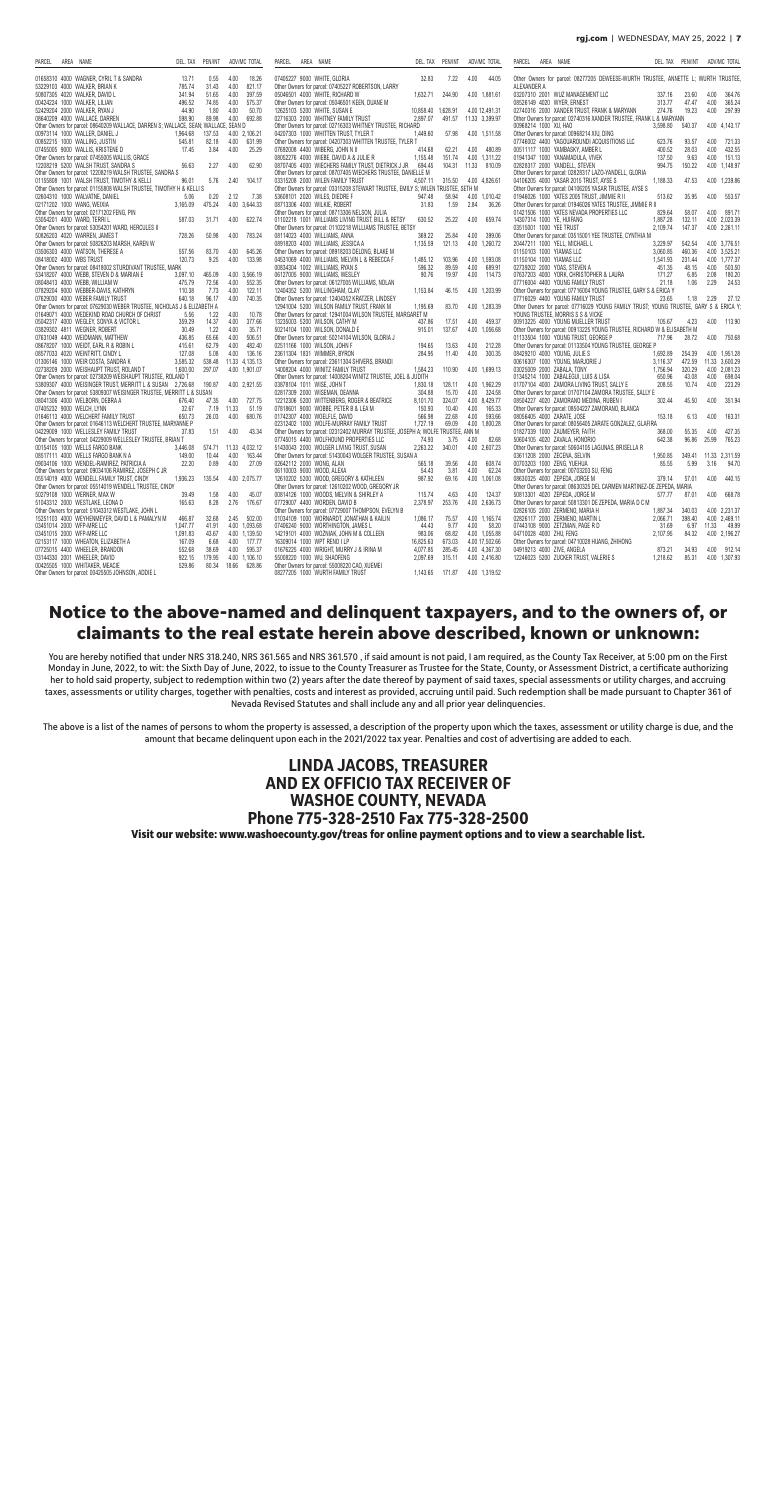#### **rgj.com** | WEDNESDAY, MAY 25, 2022 | **7**

| AREA NAME<br>PARCEL                                                                                   | DEL. TAX           | PEN/INT         |               | ADV/MC TOTAL            | <b>PARCEL</b> | AREA NAME                                                            |                                                                                   | DEL. TAX              | PEN/INT         |              | ADV/MC TOTAL                    | PARCEL                       | AREA NAME                                                                                                 | DEL. TAX         | PEN/INT                  |               | ADV/MC TOTAL     |
|-------------------------------------------------------------------------------------------------------|--------------------|-----------------|---------------|-------------------------|---------------|----------------------------------------------------------------------|-----------------------------------------------------------------------------------|-----------------------|-----------------|--------------|---------------------------------|------------------------------|-----------------------------------------------------------------------------------------------------------|------------------|--------------------------|---------------|------------------|
| 01658310 4000 WAGNER, CYRIL T & SANDRA                                                                | 13.71              | 0.55            | 4.00          | 18.26                   |               | 07405227 9000 WHITE, GLORIA                                          |                                                                                   | 32.83                 | 7.22            | 4.00         | 44.05                           |                              | Other Owners for parcel: 08277205 DEWEESE-WURTH TRUSTEE, ANNETTE L; WURTH TRUSTEE                         |                  |                          |               |                  |
| 53229103 4000 WALKER, BRIAN K                                                                         | 785.74             | 31.43           | 4.00          | 821.17                  |               |                                                                      | Other Owners for parcel: 07405227 ROBERTSON, LARRY                                |                       |                 |              |                                 | ALEXANDER A                  |                                                                                                           |                  |                          |               |                  |
| 50807305 4020 WALKER, DAVID L<br>00424224 1000 WALKER, LILIAN                                         | 341.94<br>496.52   | 51.65<br>74.85  | 4.00<br>4.00  | 397.59<br>575.37        |               | 05046501 4000 WHITE, RICHARD W                                       | Other Owners for parcel: 05046501 KEEN, DUANE M                                   | 1,632.71              | 244.90          |              | 4.00 1,881.61                   | 08526149  4020  WYER, ERNEST | 03207310 2001 WUZ MANAGEMENT LLC                                                                          | 337.16<br>313.77 | 23.60<br>47.47           | 4.00<br>4.00  | 364.76<br>365.24 |
| 52429204 2000 WALKER, RYAN J                                                                          | 44.90              | 1.80            | 4.00          | 50.70                   |               | 12625103 5200 WHITE, SUSAN E                                         |                                                                                   | 10,858.40 1,628.91    |                 |              | 4.00 12,491.31                  |                              | 02740316 2000 XANDER TRUST, FRANK & MARYANN                                                               | 274.76           | 19.23                    | 4.00          | 297.99           |
| 08640209  4000  WALLACE, DARREN                                                                       | 598.90             | 89.98           | 4.00          | 692.88                  |               | 02716303 2000 WHITNEY FAMILY TRUST                                   |                                                                                   | 2,897.07              | 491.57          |              | 11.33 3,399.97                  |                              | Other Owners for parcel: 02740316 XANDER TRUSTEE, FRANK L & MARYANN                                       |                  |                          |               |                  |
| Other Owners for parcel: 08640209 WALLACE, DARREN S; WALLACE, SEAN; WALLACE, SEAN D                   |                    |                 |               |                         |               |                                                                      | Other Owners for parcel: 02716303 WHITNEY TRUSTEE, RICHARD                        |                       |                 |              |                                 | 00968214 1000 XU, HAO        |                                                                                                           | 3,598.80         | 540.37                   |               | 4.00 4,143.17    |
| 00973114 1000 WALLER, DANIEL J                                                                        | 1,964.68           | 137.53          |               | 4.00 2,106.21           |               | 04207303 1000 WHITTEN TRUST, TYLER T                                 |                                                                                   | 1,449.60              | 57.98           |              | 4.00 1,511.58                   |                              | Other Owners for parcel: 00968214 XIU, DING                                                               |                  |                          |               |                  |
| 00852215 1000 WALLING, JUSTIN                                                                         | 545.81<br>17.45    | 82.18<br>3.84   | 4.00<br>4.00  | 631.99<br>25.29         |               | 07692008 4400 WIBERG, JOHN N II                                      | Other Owners for parcel: 04207303 WHITTEN TRUSTEE, TYLER T                        | 414.68                |                 | 4.00         | 480.89                          |                              | 07746002 4400 YAGOUAROUNDI ACQUISITIONS LLC<br>00511117 1000 YAMBASKY, AMBER L                            | 623.76<br>400.52 | 93.57<br>28.03           | 4.00<br>4.00  | 721.33<br>432.55 |
| 07455005 9000 WALLIS, KRISTENE D<br>Other Owners for parcel: 07455005 WALLIS, GRACE                   |                    |                 |               |                         |               | 08052276 4000 WIEBE, DAVID A & JULIE R                               |                                                                                   | 1,155.48              | 62.21<br>151.74 |              | 4.00 1.311.22                   |                              | 01941347 1000 YANAMADULA, VIVEK                                                                           | 137.50           | 9.63                     | 4.00          | 151.13           |
| 12208219 5200 WALSH TRUST. SANDRA S                                                                   | 56.63              | 2.27            | 4.00          | 62.90                   |               |                                                                      | 08707405 4000 WIECHERS FAMILY TRUST. DIETRICK J JR                                | 694.45                | 104.31          |              | 11.33 810.09                    |                              | 02828317 2000 YANDELL, STEVEN                                                                             | 994.75           | 150.22                   |               | 4.00 1.148.97    |
| Other Owners for parcel: 12208219 WALSH TRUSTEE, SANDRA S                                             |                    |                 |               |                         |               |                                                                      | Other Owners for parcel: 08707405 WIECHERS TRUSTEE, DANIELLE M                    |                       |                 |              |                                 |                              | Other Owners for parcel: 02828317 LAZO-YANDELL, GLORIA                                                    |                  |                          |               |                  |
| 01155808 1001 WALSH TRUST, TIMOTHY & KELLI                                                            | 96.01              | 5.76            | 2.40          | 104.17                  |               | 03315208 2000 WILEN FAMILY TRUST                                     |                                                                                   | 4,507.11              | 315.50          |              | 4.00 4,826.61                   |                              | 04106205 4000 YASAR 2015 TRUST, AYSE S                                                                    | 1,188.33         | 47.53                    |               | 4.00 1,239.86    |
| Other Owners for parcel: 01155808 WALSH TRUSTEE, TIMOTHY H & KELLI S                                  |                    |                 |               |                         |               |                                                                      | Other Owners for parcel: 03315208 STEWART TRUSTEE, EMILY S; WILEN TRUSTEE, SETH M |                       |                 |              |                                 |                              | Other Owners for parcel: 04106205 YASAR TRUSTEE, AYSE S                                                   |                  |                          |               |                  |
| 02604310 1000 WALVATNE, DANIEL                                                                        | 5.06               | 0.20            | 2.12          | 7.38                    |               | 53608101 2020 WILES, DIEDRE F                                        |                                                                                   | 947.48                | 58.94           |              | 4.00 1,010.42                   |                              | 01946026 1000 YATES 2005 TRUST, JIMMIE R II                                                               | 513.62           | 35.95                    | 4.00          | 553.57           |
| 02171202 1000 WANG, WEIXIA<br>Other Owners for parcel: 02171202 FENG, PIN                             | 3,165.09           | 475.24          |               | 4.00 3,644.33           |               | 08713306 4000 WILKIE, ROBERT                                         | Other Owners for parcel: 08713306 NELSON, JULIA                                   | 31.83                 | 1.59            | 2.84         | 36.26                           |                              | Other Owners for parcel: 01946026 YATES TRUSTEE, JIMMIE R II<br>01421506 1000 YATES NEVADA PROPERTIES LLC | 829.64           | 58.07                    |               | 4.00 891.71      |
| 53054201 4000 WARD, TERRIL                                                                            | 587.03             | 31.71           | 4.00          | 622.74                  |               |                                                                      | 01102218 1001 WILLIAMS LIVING TRUST, BILL & BETSY                                 | 630.52                | 25.22           | 4.00         | 659.74                          | 14307314 1000 YE, HUIFANG    |                                                                                                           | 1.887.28         | 132.11                   |               | 4.00 2,023.39    |
| Other Owners for parcel: 53054201 WARD, HERCULES II                                                   |                    |                 |               |                         |               |                                                                      | Other Owners for parcel: 01102218 WILLIAMS TRUSTEE, BETSY                         |                       |                 |              |                                 | 03515001 1000 YEE TRUST      |                                                                                                           | 2,109.74         | 147.37                   |               | 4.00 2,261.11    |
| 50826203 4020 WARREN, JAMES 1                                                                         | 728.26             | 50.98           | 4.00          | 783.24                  |               | 08114023 4000 WILLIAMS, ANNA                                         |                                                                                   | 369.22                | 25.84           | 4.00         | 399.06                          |                              | Other Owners for parcel: 03515001 YEE TRUSTEE, CYNTHIA M                                                  |                  |                          |               |                  |
| Other Owners for parcel: 50826203 MARSH, KAREN W                                                      |                    |                 |               |                         |               | 08918203 4000 WILLIAMS, JESSICA A                                    |                                                                                   | 1,135.59              | 121.13          |              | 4.00 1,260.72                   |                              | 20447211 1000 YELL, MICHAEL L                                                                             | 3,229.97         | 542.54                   |               | 4.00 3,776.51    |
| 03506303 4000 WATSON, THERESE A                                                                       | 557.56             | 83.70           | 4.00          | 645.26                  |               |                                                                      | Other Owners for parcel: 08918203 DELONG, BLAKE M                                 |                       |                 |              |                                 | 01150103 1000 YIAMAS LLC     |                                                                                                           | 3,060.85         | 460.36                   |               | 4.00 3,525.21    |
| 08418002 4000 WBS TRUST                                                                               | 120.73             | 9.25            | 4.00          | 133.98                  |               |                                                                      | 04531069 4000 WILLIAMS, MELVIN L & REBECCA F                                      | 1,485.12              | 103.96          |              | 4.00 1,593.08                   | 01150104 1000 YIAMAS LLC     |                                                                                                           | 1,541.93         | 231.44                   |               | 4.00 1,777.37    |
| Other Owners for parcel: 08418002 STURDIVANT TRUSTEE, MARK                                            |                    |                 |               |                         |               | 00834304 1002 WILLIAMS, RYAN S                                       |                                                                                   | 596.32                | 89.59           | 4.00         | 689.91                          |                              | 02739202 2000 YOAS, STEVEN A                                                                              | 451.35           | 48.15                    | 4.00          | 503.50           |
| 53418207 4000 WEBB, STEVEN D & MARIAN E<br>08048413 4000 WEBB, WILLIAM W                              | 3,097.10<br>475.79 | 465.09<br>72.56 | 4.00          | 4.00 3,566.19<br>552.35 |               | 06127005 9000 WILLIAMS, WESLEY                                       | Other Owners for parcel: 06127005 WILLIAMS, NOLAN                                 | 90.76                 | 19.97           | 4.00         | 114.73                          |                              | 07637203 4000 YORK, CHRISTOPHER & LAURA<br>07716004 4400 YOUNG FAMILY TRUST                               | 171.27<br>21.18  | 6.85<br>1.06             | 2.08<br>2.29  | 180.20<br>24.53  |
| 07829204 9000 WEBBER-DAVIS, KATHRYN                                                                   | 110.38             | 7.73            | 4.00          | 122.11                  |               | 12404352 5200 WILLINGHAM, CLAY                                       |                                                                                   | 1,153.84              | 46.15           |              | 4.00 1.203.99                   |                              | Other Owners for parcel: 07716004 YOUNG TRUSTEE, GARY S & ERICA Y                                         |                  |                          |               |                  |
| 07629030 4000 WEBER FAMILY TRUST                                                                      | 640.18             | 96.17           | 4.00          | 740.35                  |               |                                                                      | Other Owners for parcel: 12404352 KRATZER, LINDSEY                                |                       |                 |              |                                 |                              | 07716029 4400 YOUNG FAMILY TRUST                                                                          | 23.65            |                          | $1.18$ $2.29$ | 27.12            |
| Other Owners for parcel: 07629030 WEBER TRUSTEE, NICHOLAS J & ELIZABETH A                             |                    |                 |               |                         |               |                                                                      | 12941004 5200 WILSON FAMILY TRUST. FRANK M                                        | 1,195.69              | 83.70           |              | 4.00 1.283.39                   |                              | Other Owners for parcel: 07716029 YOUNG FAMILY TRUST; YOUNG TRUSTEE, GARY S & ERICA Y;                    |                  |                          |               |                  |
| 01649071 4000 WEDEKIND ROAD CHURCH OF CHRIST                                                          | 5.56               | 1.22            | 4.00          | 10.78                   |               |                                                                      | Other Owners for parcel: 12941004 WILSON TRUSTEE, MARGARET M                      |                       |                 |              |                                 |                              | YOUNG TRUSTEE, MORRIS S S & VICKE                                                                         |                  |                          |               |                  |
| 05042317 4000 WEGLEY, SONYA & VICTOR L                                                                | 359.29             | 14.37           | 4.00          | 377.66                  |               | 13235003 5200 WILSON, CATHY M                                        |                                                                                   | 437.86                | 17.51           | 4.00         | 459.37                          |                              | 00913225 4000 YOUNG MUELLER TRUST                                                                         | 105.67           | 4.23                     | 4.00          | 113.90           |
| 03829302 4811 WEGNER, ROBERT                                                                          | 30.49              | 1.22            | 4.00          | 35.71                   |               | 50214104 1000 WILSON, DONALD E                                       |                                                                                   | 915.01                | 137.67          |              | 4.00 1,056.68                   |                              | Other Owners for parcel: 00913225 YOUNG TRUSTEE, RICHARD W & ELISABETH M                                  |                  |                          |               |                  |
| 07631049 4400 WEIDMANN, MATTHEW                                                                       | 436.85             | 65.66           | 4.00<br>4.00  | 506.51                  |               |                                                                      | Other Owners for parcel: 50214104 WILSON, GLORIA J                                |                       |                 |              |                                 |                              | 01133504 1000 YOUNG TRUST, GEORGE P                                                                       | 717.96           | 28.72                    | 4.00          | 750.68           |
| 08678207 1000 WEIDT, EARL R & ROBIN L<br>08577033 4020 WEINTRITT, CINDY L                             | 415.61<br>127.08   | 62.79<br>5.08   | 4.00          | 482.40<br>136.16        |               | 02511166 1000 WILSON, JOHN F<br>23611304 1831 WIMMER, BYRON          |                                                                                   | 194.65<br>284.95      | 13.63<br>11.40  | 4.00<br>4.00 | 212.28<br>300.35                |                              | Other Owners for parcel: 01133504 YOUNG TRUSTEE, GEORGE P<br>08429210 4000 YOUNG, JULIE S                 | 1,692.89         | 254.39                   |               | 4.00 1,951.28    |
| 01306146 1000 WEIR COSTA, SANDRA K                                                                    | 3,585.32           | 538.48          |               | 11.33 4,135.13          |               |                                                                      | Other Owners for parcel: 23611304 SHIVERS, BRANDI                                 |                       |                 |              |                                 |                              | 00616307 1000 YOUNG, MARJORIE J                                                                           | 3,116.37         | 472.59                   |               | 11.33 3,600.29   |
| 02738209 2000 WEISHAUPT TRUST, ROLAND T                                                               | 1,600.00           | 297.07          |               | 4.00 1,901.07           |               | 14008204 4000 WINITZ FAMILY TRUST                                    |                                                                                   | 1,584.23              | 110.90          |              | 4.00 1,699.13                   | 03025009 2000 ZABALA, TONY   |                                                                                                           | 1,756.94         | 320.29                   |               | 4.00 2.081.23    |
| Other Owners for parcel: 02738209 WEISHAUPT TRUSTEE, ROLAND T                                         |                    |                 |               |                         |               |                                                                      | Other Owners for parcel: 14008204 WINITZ TRUSTEE, JOEL & JUDITH                   |                       |                 |              |                                 |                              | 01345214 1000 ZABALEGUI, LUIS & LISA                                                                      | 650.96           | 43.08                    |               | 4.00 698.04      |
| 53809307 4000 WEISINGER TRUST, MERRITT L & SUSAN 2,726.68                                             |                    | 190.87          |               | 4.00 2.921.55           |               | 03878104 1011 WISE, JOHN T                                           |                                                                                   | 1,830.18              | 128.11          |              | 4.00 1,962.29                   |                              | 01707104 4000 ZAMORA LIVING TRUST, SALLY E                                                                | 208.55           | 10.74                    | 4.00          | 223.29           |
| Other Owners for parcel: 53809307 WEISINGER TRUSTEE, MERRITT L & SUSAN                                |                    |                 |               |                         |               | 02817309 2000 WISEMAN, DEANNA                                        |                                                                                   | 304.88                | 15.70           | 4.00         | 324.58                          |                              | Other Owners for parcel: 01707104 ZAMORA TRUSTEE, SALLY E                                                 |                  |                          |               |                  |
| 08041306 4000 WELBORN, DEBRA A                                                                        | 676.40             | 47.35           | 4.00          | 727.75                  |               |                                                                      | 12212306 5200 WITTENBERG, ROGER & BEATRICE                                        | 8,101.70              | 324.07          |              | 4.00 8,429.77                   |                              | 08504227 4020 ZAMORANO MEDINA, RUBEN                                                                      | 302.44           | 45.50                    | 4.00          | 351.94           |
| 07405232 9000 WELCH, LYNN<br>01646113 4000 WELCHERT FAMILY TRUST                                      | 32.67<br>650.73    | 7.19<br>26.03   | 11.33<br>4.00 | 51.19<br>680.76         |               | 07818601 9000 WOBBE, PETER B & LEA M<br>01742307 4000 WOELFLE, DAVID |                                                                                   | 150.93<br>566.98      | 10.40<br>22.68  | 4.00<br>4.00 | 165.33<br>593.66                | 08056405 4000 ZARATE, JOSE   | Other Owners for parcel: 08504227 ZAMORANO, BLANCA                                                        | 153.18           | 6.13                     | 4.00          | 163.31           |
| Other Owners for parcel: 01646113 WELCHERT TRUSTEE, MARYANNE P                                        |                    |                 |               |                         |               |                                                                      | 02312402 1000 WOLFE-MURRAY FAMILY TRUST                                           | 1.727.19              | 69.09           |              | 4.00 1,800.28                   |                              | Other Owners for parcel: 08056405 ZARATE GONZALEZ, GLAFIRA                                                |                  |                          |               |                  |
| 04229009 1000 WELLESLEY FAMILY TRUST                                                                  | 37.83              | 1.51            | 4.00          | 43.34                   |               |                                                                      | Other Owners for parcel: 02312402 MURRAY TRUSTEE, JOSEPH A; WOLFE TRUSTEE, ANN M  |                       |                 |              |                                 |                              | 01827339 1000 ZAUMEYER, FAITH                                                                             | 368.00           | 55.35                    | 4.00          | 427.35           |
| Other Owners for parcel: 04229009 WELLESLEY TRUSTEE, BRIAN T                                          |                    |                 |               |                         |               |                                                                      | 07745015 4400 WOLFHOUND PROPERTIES LLC                                            | 74.93                 | 3.75            | 4.00         | 82.68                           |                              | 50604105 4020 ZAVALA, HONORIO                                                                             | 642.38           | 96.86                    | 25.99         | 765.23           |
| 00154105 1000 WELLS FARGO BANK                                                                        | 3,446.08           |                 |               | 574.71 11.33 4,032.12   |               |                                                                      | 51430043 2000 WOLGER LIVING TRUST, SUSAN                                          | 2,263.22              | 340.01          |              | 4.00 2,607.23                   |                              | Other Owners for parcel: 50604105 LAGUNAS, BRISELLA R                                                     |                  |                          |               |                  |
| 08517111 4000 WELLS FARGO BANK N A                                                                    | 149.00             | 10.44           | 4.00          | 163.44                  |               |                                                                      | Other Owners for parcel: 51430043 WOLGER TRUSTEE, SUSAN A                         |                       |                 |              |                                 |                              | 03611208 2000 ZECENA, SELVIN                                                                              | 1,950.85         | 349.41                   |               | 11.33 2,311.59   |
| 09034106 1000 WENDEL-RAMIREZ, PATRICIA A                                                              | 22.20              | 0.89            | 4.00          | 27.09                   |               | 02642112 2000 WONG, ALAN                                             |                                                                                   | 565.18                | 39.56           | 4.00         | 608.74                          | 00703203 1000 ZENG, YUEHUA   |                                                                                                           | 85.55            | 5.99                     | 3.16          | 94.70            |
| Other Owners for parcel: 09034106 RAMIREZ, JOSEPH C JR                                                |                    | 135.54          |               | 4.00 2,075.77           |               | 06110003 9000 WOOD, ALEXA                                            | 12610202 5200 WOOD, GREGORY & KATHLEEN                                            | 54.43<br>987.92       | 3.81<br>69.16   | 4.00         | 62.24<br>4.00 1,061.08          |                              | Other Owners for parcel: 00703203 SU, FENG<br>08630325 4000 ZEPEDA, JORGE M                               | 379.14           | 57.01                    | 4.00          | 440.15           |
| 05514019 4000 WENDELL FAMILY TRUST, CINDY<br>Other Owners for parcel: 05514019 WENDELL TRUSTEE, CINDY | 1,936.23           |                 |               |                         |               |                                                                      | Other Owners for parcel: 12610202 WOOD, GREGORY JR                                |                       |                 |              |                                 |                              | Other Owners for parcel: 08630325 DEL CARMEN MARTINEZ-DE ZEPEDA, MARIA                                    |                  |                          |               |                  |
| 50279108 1000 WERNER, MAX W                                                                           | 39.49              |                 |               | 1.58 4.00 45.07         |               |                                                                      | 00814126 1000 WOODS. MELVIN & SHIRLEY A                                           | 115.74                |                 |              | 4.63 4.00 124.37                |                              | 50813301 4020 ZEPEDA, JORGE M                                                                             |                  | 577.77 87.01 4.00 668.78 |               |                  |
| 51043312 2000 WESTLAKE, LEONA D                                                                       | 165.63             | 8.28            | 2.76          | 176.67                  |               | 07729007 4400 WORDEN, DAVID B                                        |                                                                                   | 2,378.97              | 253.76          |              | 4.00 2,636.73                   |                              | Other Owners for parcel: 50813301 DE ZEPEDA, MARIA D C M                                                  |                  |                          |               |                  |
| Other Owners for parcel: 51043312 WESTLAKE, JOHN L                                                    |                    |                 |               |                         |               |                                                                      | Other Owners for parcel: 07729007 THOMPSON, EVELYN B                              |                       |                 |              |                                 |                              | 02826105 2000 ZERMENO, MARIA H                                                                            | 1,887.34         | 340.03                   |               | 4.00 2,231.37    |
| 15251103 4000 WEYHENMEYER, DAVID L & PAMALYN M                                                        | 466.87             | 32.68           | 2.45          | 502.00                  |               |                                                                      | 01034109 1000 WORNARDT, JONATHAN & KAILIN                                         | 1,086.17              | 75.57           |              | 4.00 1,165.74                   |                              | 02826117 2000 ZERMENO, MARTIN L                                                                           | 2,066.71         | 398.40                   |               | 4.00 2,469.11    |
| 03451014 2000 WFP-MRE LLC                                                                             | 1,047.77           | 41.91           |               | 4.00 1,093.68           |               | 07406240 9000 WORTHINGTON, JAMES L                                   |                                                                                   | 44.43                 | 9.77            | 4.00         | 58.20                           |                              | 07443108 9000 ZETZMAN, PAGE R D                                                                           | 31.69            | 6.97                     |               | 11.33 49.99      |
| 03451015 2000 WFP-MRE LLC                                                                             | 1,091.83           | 43.67           |               | 4.00 1,139.50           |               |                                                                      | 14219101 4000 WOZNIAK, JOHN M & COLLEEN                                           | 983.06                | 68.82<br>673.03 |              | 4.00 1,055.88                   | 04710028 4000 ZHU, FENG      |                                                                                                           | 2,107.95         | 84.32                    |               | 4.00 2,196.27    |
| 02153117 1000 WHEATON, ELIZABETH A<br>07725015 4400 WHEELER, BRANDON                                  | 167.09<br>552.68   | 6.68<br>38.69   | 4.00<br>4.00  | 177.77<br>595.37        |               | 16309014 1000 WPT RENO I LP                                          | 01676225 4000 WRIGHT, MURRY J & IRINA M                                           | 16,825.63<br>4,077.85 | 285.45          |              | 4.00 17,502.66<br>4.00 4,367.30 | 04919213 4000 ZIVE, ANGELA   | Other Owners for parcel: 04710028 HUANG, ZHIHONG                                                          | 873.21           | 34.93                    |               | 4.00 912.14      |
| 03144330 2001 WHEELER, DAVID                                                                          | 922.15             | 179.95          |               | 4.00 1,106.10           |               | 55008220 1000 WU, SHAOFENG                                           |                                                                                   | 2,097.69              | 315.11          |              | 4.00 2,416.80                   |                              | 12246023 5200 ZUCKER TRUST, VALERIE S                                                                     | 1,218.62         | 85.31                    |               | 4.00 1,307.93    |
| 00425505 1000 WHITAKER, MEACIE                                                                        | 529.86             | 80.34           |               | 18.66 628.86            |               |                                                                      | Other Owners for parcel: 55008220 CAO, XUEMEI                                     |                       |                 |              |                                 |                              |                                                                                                           |                  |                          |               |                  |
| Other Owners for parcel: 00425505 JOHNSON, ADDIE L                                                    |                    |                 |               |                         |               | 08277205 1000 WURTH FAMILY TRUST                                     |                                                                                   | 1,143.65 171.87       |                 |              | 4.00 1,319.52                   |                              |                                                                                                           |                  |                          |               |                  |

### **Notice to the above-named and delinquent taxpayers, and to the owners of, or claimants to the real estate herein above described, known or unknown:**

You are hereby notified that under NRS 318.240, NRS 361.565 and NRS 361.570 , if said amount is not paid, I am required, as the County Tax Receiver, at 5:00 pm on the First Monday in June, 2022, to wit: the Sixth Day of June, 2022, to issue to the County Treasurer as Trustee for the State, County, or Assessment District, a certificate authorizing her to hold said property, subject to redemption within two (2) years after the date thereof by payment of said taxes, special assessments or utility charges, and accruing taxes, assessments or utility charges, together with penalties, costs and interest as provided, accruing until paid. Such redemption shall be made pursuant to Chapter 361 of Nevada Revised Statutes and shall include any and all prior year delinquencies.

The above is a list of the names of persons to whom the property is assessed, a description of the property upon which the taxes, assessment or utility charge is due, and the amount that became delinquent upon each in the 2021/2022 tax year. Penalties and cost of advertising are added to each.

> **LINDA JACOBS, TREASURER AND EX OFFICIO TAX RECEIVER OF WASHOE COUNTY, NEVADA Phone 775-328-2510 Fax 775-328-2500 Visit our website: www.washoecounty.gov/treas for online payment options and to view a searchable list.**